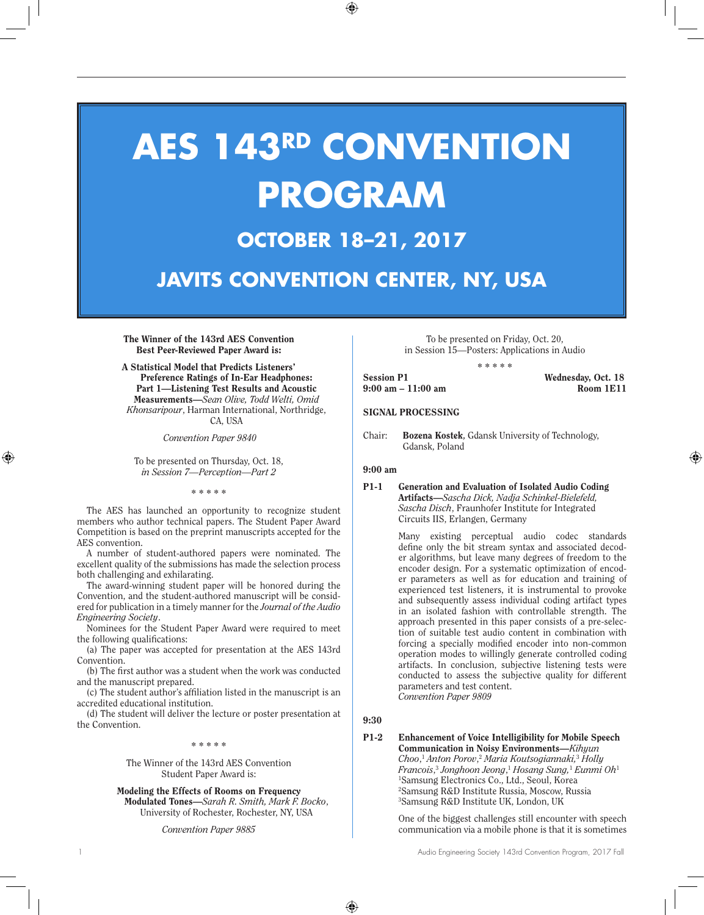# **AES 143RD CONVENTION PROGRAM OCTOBER 18–21, 2017**

**JAVITS CONVENTION CENTER, NY, USA**

The Winner of the 143rd AES Convention Best Peer-Reviewed Paper Award is:

A Statistical Model that Predicts Listeners' Preference Ratings of In-Ear Headphones: Part 1—Listening Test Results and Acoustic Measurements—*Sean Olive, Todd Welti, Omid Khonsaripour*, Harman International, Northridge, CA, USA

 *Convention Paper 9840*

To be presented on Thursday, Oct. 18, *in Session 7—Perception—Part 2*

\* \* \* \* \*

The AES has launched an opportunity to recognize student members who author technical papers. The Student Paper Award Competition is based on the preprint manuscripts accepted for the AES convention.

A number of student-authored papers were nominated. The excellent quality of the submissions has made the selection process both challenging and exhilarating.

The award-winning student paper will be honored during the Convention, and the student-authored manuscript will be considered for publication in a timely manner for the *Journal of the Audio Engineering Society*.

Nominees for the Student Paper Award were required to meet the following qualifications:

(a) The paper was accepted for presentation at the AES 143rd Convention.

(b) The first author was a student when the work was conducted and the manuscript prepared.

(c) The student author's affiliation listed in the manuscript is an accredited educational institution.

(d) The student will deliver the lecture or poster presentation at the Convention.

\* \* \* \* \*

The Winner of the 143rd AES Convention Student Paper Award is:

Modeling the Effects of Rooms on Frequency Modulated Tones—*Sarah R. Smith, Mark F. Bocko*, University of Rochester, Rochester, NY, USA

*Convention Paper 9885*

To be presented on Friday, Oct. 20, in Session 15—Posters: Applications in Audio

\* \* \* \* \* Session P1 Wednesday, Oct. 18

9:00 am – 11:00 am Room 1E11

## SIGNAL PROCESSING

Chair: Bozena Kostek**,** Gdansk University of Technology, Gdansk, Poland

## 9:00 am

## P1-1 Generation and Evaluation of Isolated Audio Coding Artifacts—*Sascha Dick, Nadja Schinkel-Bielefeld, Sascha Disch*, Fraunhofer Institute for Integrated Circuits IIS, Erlangen, Germany

Many existing perceptual audio codec standards define only the bit stream syntax and associated decoder algorithms, but leave many degrees of freedom to the encoder design. For a systematic optimization of encoder parameters as well as for education and training of experienced test listeners, it is instrumental to provoke and subsequently assess individual coding artifact types in an isolated fashion with controllable strength. The approach presented in this paper consists of a pre-selection of suitable test audio content in combination with forcing a specially modified encoder into non-common operation modes to willingly generate controlled coding artifacts. In conclusion, subjective listening tests were conducted to assess the subjective quality for different parameters and test content. *Convention Paper 9809*

9:30

#### P1-2 Enhancement of Voice Intelligibility for Mobile Speech Communication in Noisy Environments—*Kihyun Choo*, <sup>1</sup> *Anton Porov*, <sup>2</sup> *Maria Koutsogiannaki,*<sup>3</sup> *Holly Francois*, <sup>3</sup> *Jonghoon Jeong*, <sup>1</sup> *Hosang Sung,*<sup>1</sup>  *Eunmi Oh*<sup>1</sup> 1 Samsung Electronics Co., Ltd., Seoul, Korea 2 Samsung R&D Institute Russia, Moscow, Russia 3 Samsung R&D Institute UK, London, UK

One of the biggest challenges still encounter with speech communication via a mobile phone is that it is sometimes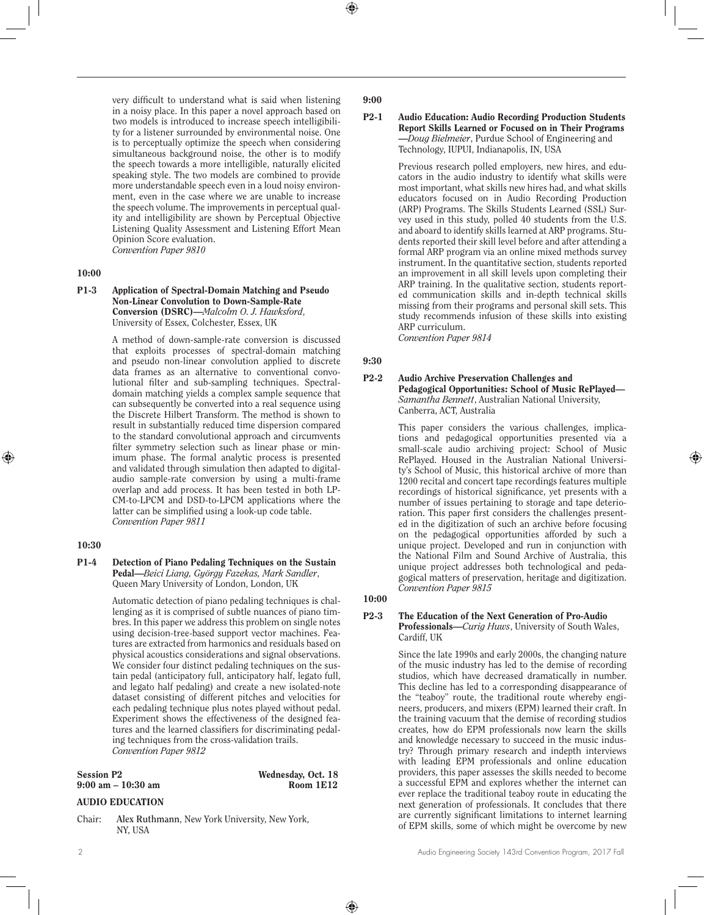very difficult to understand what is said when listening in a noisy place. In this paper a novel approach based on two models is introduced to increase speech intelligibility for a listener surrounded by environmental noise. One is to perceptually optimize the speech when considering simultaneous background noise, the other is to modify the speech towards a more intelligible, naturally elicited speaking style. The two models are combined to provide more understandable speech even in a loud noisy environment, even in the case where we are unable to increase the speech volume. The improvements in perceptual quality and intelligibility are shown by Perceptual Objective Listening Quality Assessment and Listening Effort Mean Opinion Score evaluation. *Convention Paper 9810*

## 10:00

## P1-3 Application of Spectral-Domain Matching and Pseudo Non-Linear Convolution to Down-Sample-Rate Conversion (DSRC)—*Malcolm O. J. Hawksford*, University of Essex, Colchester, Essex, UK

A method of down-sample-rate conversion is discussed that exploits processes of spectral-domain matching and pseudo non-linear convolution applied to discrete data frames as an alternative to conventional convolutional filter and sub-sampling techniques. Spectraldomain matching yields a complex sample sequence that can subsequently be converted into a real sequence using the Discrete Hilbert Transform. The method is shown to result in substantially reduced time dispersion compared to the standard convolutional approach and circumvents filter symmetry selection such as linear phase or minimum phase. The formal analytic process is presented and validated through simulation then adapted to digitalaudio sample-rate conversion by using a multi-frame overlap and add process. It has been tested in both LP-CM-to-LPCM and DSD-to-LPCM applications where the latter can be simplified using a look-up code table. *Convention Paper 9811*

## 10:30

## P1-4 Detection of Piano Pedaling Techniques on the Sustain Pedal—*Beici Liang, György Fazekas, Mark Sandler*, Queen Mary University of London, London, UK

Automatic detection of piano pedaling techniques is challenging as it is comprised of subtle nuances of piano timbres. In this paper we address this problem on single notes using decision-tree-based support vector machines. Features are extracted from harmonics and residuals based on physical acoustics considerations and signal observations. We consider four distinct pedaling techniques on the sustain pedal (anticipatory full, anticipatory half, legato full, and legato half pedaling) and create a new isolated-note dataset consisting of different pitches and velocities for each pedaling technique plus notes played without pedal. Experiment shows the effectiveness of the designed features and the learned classifiers for discriminating pedaling techniques from the cross-validation trails. *Convention Paper 9812*

| <b>Session P2</b>  | Wednesday, Oct. 18 |
|--------------------|--------------------|
| 9:00 am – 10:30 am | Room 1E12          |

## AUDIO EDUCATION

Chair: **Alex Ruthmann**, New York University, New York, NY, USA

## 9:00

#### P2-1 Audio Education: Audio Recording Production Students Report Skills Learned or Focused on in Their Programs —*Doug Bielmeier*, Purdue School of Engineering and Technology, IUPUI, Indianapolis, IN, USA

Previous research polled employers, new hires, and educators in the audio industry to identify what skills were most important, what skills new hires had, and what skills educators focused on in Audio Recording Production (ARP) Programs. The Skills Students Learned (SSL) Survey used in this study, polled 40 students from the U.S. and aboard to identify skills learned at ARP programs. Students reported their skill level before and after attending a formal ARP program via an online mixed methods survey instrument. In the quantitative section, students reported an improvement in all skill levels upon completing their ARP training. In the qualitative section, students reported communication skills and in-depth technical skills missing from their programs and personal skill sets. This study recommends infusion of these skills into existing ARP curriculum.

*Convention Paper 9814* 

## 9:30

#### P2-2 Audio Archive Preservation Challenges and Pedagogical Opportunities: School of Music RePlayed— *Samantha Bennett*, Australian National University, Canberra, ACT, Australia

This paper considers the various challenges, implications and pedagogical opportunities presented via a small-scale audio archiving project: School of Music RePlayed. Housed in the Australian National University's School of Music, this historical archive of more than 1200 recital and concert tape recordings features multiple recordings of historical significance, yet presents with a number of issues pertaining to storage and tape deterioration. This paper first considers the challenges presented in the digitization of such an archive before focusing on the pedagogical opportunities afforded by such a unique project. Developed and run in conjunction with the National Film and Sound Archive of Australia, this unique project addresses both technological and pedagogical matters of preservation, heritage and digitization. *Convention Paper 9815* 

## 10:00

## P2-3 The Education of the Next Generation of Pro-Audio

Professionals—*Curig Huws*, University of South Wales, Cardiff, UK

Since the late 1990s and early 2000s, the changing nature of the music industry has led to the demise of recording studios, which have decreased dramatically in number. This decline has led to a corresponding disappearance of the "teaboy" route, the traditional route whereby engineers, producers, and mixers (EPM) learned their craft. In the training vacuum that the demise of recording studios creates, how do EPM professionals now learn the skills and knowledge necessary to succeed in the music industry? Through primary research and indepth interviews with leading EPM professionals and online education providers, this paper assesses the skills needed to become a successful EPM and explores whether the internet can ever replace the traditional teaboy route in educating the next generation of professionals. It concludes that there are currently significant limitations to internet learning of EPM skills, some of which might be overcome by new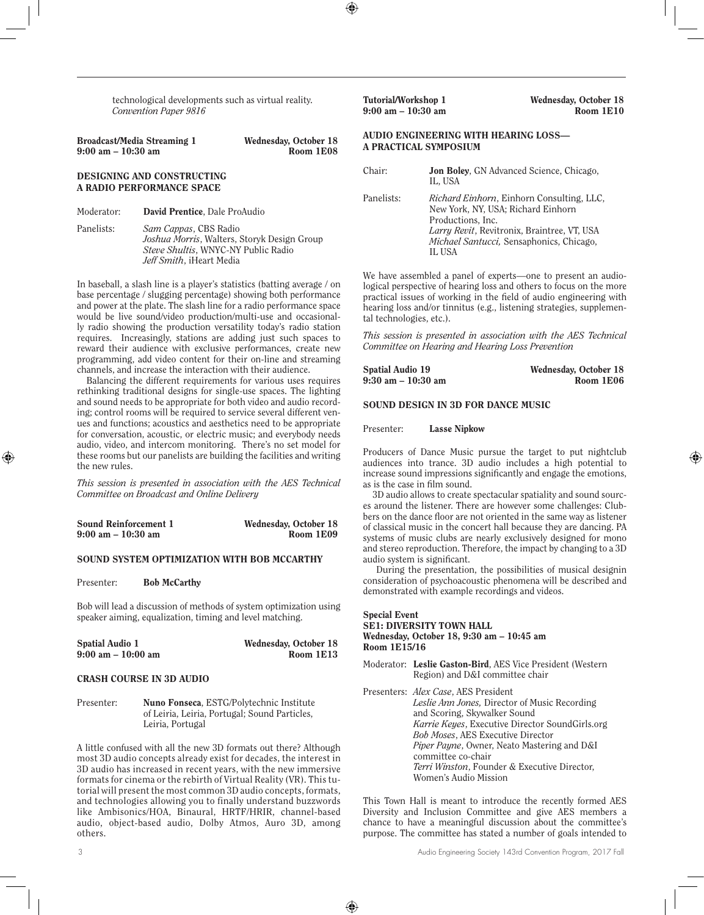technological developments such as virtual reality. *Convention Paper 9816* 

| Broadcast/Media Streaming 1          | Wednesday, October 18 |
|--------------------------------------|-----------------------|
| $9:00 \text{ am} - 10:30 \text{ am}$ | Room 1E08             |

#### DESIGNING AND CONSTRUCTING A RADIO PERFORMANCE SPACE

- Moderator: David Prentice, Dale ProAudio
- Panelists: *Sam Cappas*, CBS Radio *Joshua Morris*, Walters, Storyk Design Group *Steve Shultis*, WNYC-NY Public Radio *Jeff Smith*, iHeart Media

In baseball, a slash line is a player's statistics (batting average / on base percentage / slugging percentage) showing both performance and power at the plate. The slash line for a radio performance space would be live sound/video production/multi-use and occasionally radio showing the production versatility today's radio station requires. Increasingly, stations are adding just such spaces to reward their audience with exclusive performances, create new programming, add video content for their on-line and streaming channels, and increase the interaction with their audience.

Balancing the different requirements for various uses requires rethinking traditional designs for single-use spaces. The lighting and sound needs to be appropriate for both video and audio recording; control rooms will be required to service several different venues and functions; acoustics and aesthetics need to be appropriate for conversation, acoustic, or electric music; and everybody needs audio, video, and intercom monitoring. There's no set model for these rooms but our panelists are building the facilities and writing the new rules.

*This session is presented in association with the AES Technical Committee on Broadcast and Online Delivery*

| <b>Sound Reinforcement 1</b> | Wednesday, October 18 |
|------------------------------|-----------------------|
| 9:00 am – 10:30 am           | Room 1E09             |

#### SOUND SYSTEM OPTIMIZATION WITH BOB MCCARTHY

Presenter: Bob McCarthy

Bob will lead a discussion of methods of system optimization using speaker aiming, equalization, timing and level matching.

| <b>Spatial Audio 1</b>               | Wednesday, October 18 |
|--------------------------------------|-----------------------|
| $9:00 \text{ am} - 10:00 \text{ am}$ | Room 1E13             |

## CRASH COURSE IN 3D AUDIO

Presenter: Nuno Fonseca, ESTG/Polytechnic Institute of Leiria, Leiria, Portugal; Sound Particles, Leiria, Portugal

A little confused with all the new 3D formats out there? Although most 3D audio concepts already exist for decades, the interest in 3D audio has increased in recent years, with the new immersive formats for cinema or the rebirth of Virtual Reality (VR). This tutorial will present the most common 3D audio concepts, formats, and technologies allowing you to finally understand buzzwords like Ambisonics/HOA, Binaural, HRTF/HRIR, channel-based audio, object-based audio, Dolby Atmos, Auro 3D, among others.

 $9:00$  am  $-10:30$  am

Tutorial/Workshop 1 Wednesday, October 18

## AUDIO ENGINEERING WITH HEARING LOSS— A PRACTICAL SYMPOSIUM

| Chair:     | <b>Jon Boley, GN Advanced Science, Chicago,</b><br>IL, USA                                                                                                                                                        |
|------------|-------------------------------------------------------------------------------------------------------------------------------------------------------------------------------------------------------------------|
| Panelists: | Richard Einhorn, Einhorn Consulting, LLC,<br>New York, NY, USA; Richard Einhorn<br>Productions, Inc.<br><i>Larry Revit</i> , Revitronix, Braintree, VT, USA<br>Michael Santucci, Sensaphonics, Chicago,<br>IL HSA |

We have assembled a panel of experts—one to present an audiological perspective of hearing loss and others to focus on the more practical issues of working in the field of audio engineering with hearing loss and/or tinnitus (e.g., listening strategies, supplemental technologies, etc.).

*This session is presented in association with the AES Technical Committee on Hearing and Hearing Loss Prevention*

| Spatial Audio 19   | Wednesday, October 18 |
|--------------------|-----------------------|
| 9:30 am – 10:30 am | Room 1E06             |

#### SOUND DESIGN IN 3D FOR DANCE MUSIC

Presenter: Lasse Nipkow

Producers of Dance Music pursue the target to put nightclub audiences into trance. 3D audio includes a high potential to increase sound impressions significantly and engage the emotions, as is the case in film sound.

3D audio allows to create spectacular spatiality and sound sources around the listener. There are however some challenges: Clubbers on the dance floor are not oriented in the same way as listener of classical music in the concert hall because they are dancing. PA systems of music clubs are nearly exclusively designed for mono and stereo reproduction. Therefore, the impact by changing to a 3D audio system is significant.

 During the presentation, the possibilities of musical designin consideration of psychoacoustic phenomena will be described and demonstrated with example recordings and videos.

#### Special Event SE1: DIVERSITY TOWN HALL Wednesday, October 18, 9:30 am – 10:45 am Room 1E15/16

Moderator: Leslie Gaston-Bird, AES Vice President (Western Region) and D&I committee chair

Presenters: *Alex Case*, AES President *Leslie Ann Jones,* Director of Music Recording and Scoring, Skywalker Sound *Karrie Keyes*, Executive Director SoundGirls.org *Bob Moses*, AES Executive Director *Piper Payne*, Owner, Neato Mastering and D&I committee co-chair *Terri Winston*, Founder & Executive Director, Women's Audio Mission

This Town Hall is meant to introduce the recently formed AES Diversity and Inclusion Committee and give AES members a chance to have a meaningful discussion about the committee's purpose. The committee has stated a number of goals intended to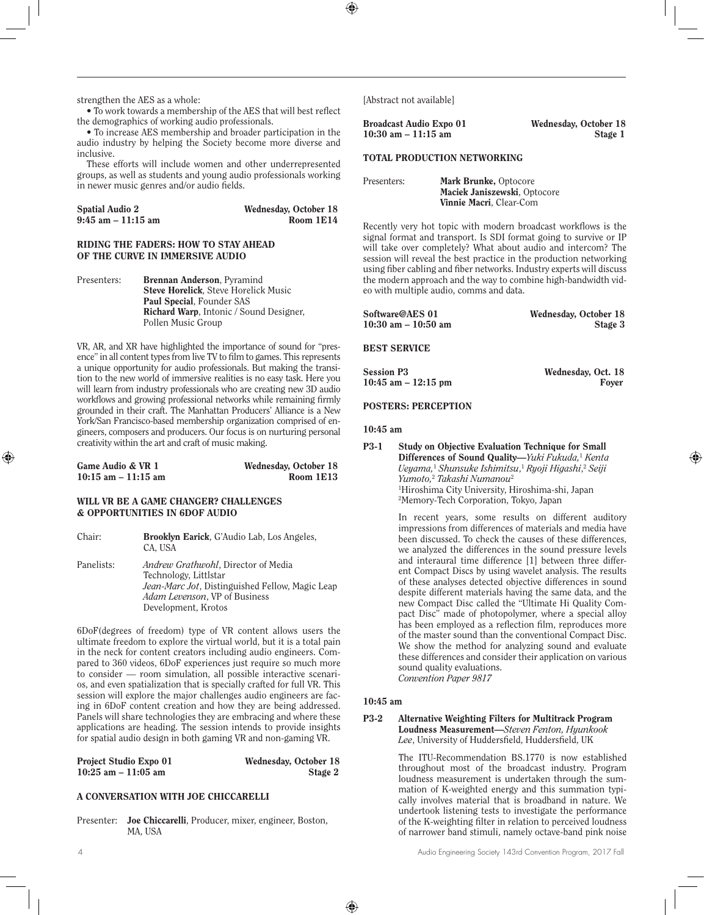strengthen the AES as a whole:

• To work towards a membership of the AES that will best reflect the demographics of working audio professionals.

• To increase AES membership and broader participation in the audio industry by helping the Society become more diverse and inclusive.

These efforts will include women and other underrepresented groups, as well as students and young audio professionals working in newer music genres and/or audio fields.

| <b>Spatial Audio 2</b> | Wednesday, October 18 |
|------------------------|-----------------------|
| $9:45$ am $-11:15$ am  | Room 1E14             |

#### RIDING THE FADERS: HOW TO STAY AHEAD OF THE CURVE IN IMMERSIVE AUDIO

Presenters: Brennan Anderson, Pyramind Steve Horelick, Steve Horelick Music Paul Special, Founder SAS Richard Warp, Intonic / Sound Designer, Pollen Music Group

VR, AR, and XR have highlighted the importance of sound for "presence" in all content types from live TV to film to games. This represents a unique opportunity for audio professionals. But making the transition to the new world of immersive realities is no easy task. Here you will learn from industry professionals who are creating new 3D audio workflows and growing professional networks while remaining firmly grounded in their craft. The Manhattan Producers' Alliance is a New York/San Francisco-based membership organization comprised of engineers, composers and producers. Our focus is on nurturing personal creativity within the art and craft of music making.

| Game Audio & VR 1      | Wednesday, October 18 |
|------------------------|-----------------------|
| $10:15$ am $-11:15$ am | Room 1E13             |

## WILL VR BE A GAME CHANGER? CHALLENGES & OPPORTUNITIES IN 6DOF AUDIO

Chair: Brooklyn Earick, G'Audio Lab, Los Angeles, CA, USA Panelists: *Andrew Grathwohl*, Director of Media Technology, Littlstar *Jean-Marc Jot*, Distinguished Fellow, Magic Leap

*Adam Levenson*, VP of Business Development, Krotos

6DoF(degrees of freedom) type of VR content allows users the ultimate freedom to explore the virtual world, but it is a total pain in the neck for content creators including audio engineers. Compared to 360 videos, 6DoF experiences just require so much more to consider — room simulation, all possible interactive scenarios, and even spatialization that is specially crafted for full VR. This session will explore the major challenges audio engineers are facing in 6DoF content creation and how they are being addressed. Panels will share technologies they are embracing and where these applications are heading. The session intends to provide insights for spatial audio design in both gaming VR and non-gaming VR.

| <b>Project Studio Expo 01</b> | Wednesday, October 18 |
|-------------------------------|-----------------------|
| $10:25$ am $-11:05$ am        | Stage 2               |

## A CONVERSATION WITH JOE CHICCARELLI

Presenter: Joe Chiccarelli, Producer, mixer, engineer, Boston, MA, USA

[Abstract not available]

| <b>Broadcast Audio Expo 01</b> | Wednesday, October 18 |
|--------------------------------|-----------------------|
| $10:30$ am $-11:15$ am         | Stage 1               |

## TOTAL PRODUCTION NETWORKING

| Presenters: | Mark Brunke, Optocore        |  |
|-------------|------------------------------|--|
|             | Maciek Janiszewski, Optocore |  |
|             | Vinnie Macri, Clear-Com      |  |

Recently very hot topic with modern broadcast workflows is the signal format and transport. Is SDI format going to survive or IP will take over completely? What about audio and intercom? The session will reveal the best practice in the production networking using fiber cabling and fiber networks. Industry experts will discuss the modern approach and the way to combine high-bandwidth video with multiple audio, comms and data.

| Software@AES 01         | Wednesday, October 18 |
|-------------------------|-----------------------|
| $10:30$ am $- 10:50$ am | Stage 3               |

BEST SERVICE

| <b>Session P3</b>      | Wednesday, Oct. 18 |
|------------------------|--------------------|
| $10:45$ am $-12:15$ pm | Fover              |

## POSTERS: PERCEPTION

#### 10:45 am

| P3-1 | <b>Study on Objective Evaluation Technique for Small</b>                                |
|------|-----------------------------------------------------------------------------------------|
|      | <b>Differences of Sound Quality—Yuki Fukuda,</b> Kenta                                  |
|      | Ueyama, <sup>1</sup> Shunsuke Ishimitsu, <sup>1</sup> Ryoji Higashi, <sup>2</sup> Seiji |
|      | Yumoto. <sup>2</sup> Takashi Numanou <sup>2</sup>                                       |
|      | <sup>1</sup> Hiroshima City University, Hiroshima-shi, Japan                            |
|      | <sup>2</sup> Memory-Tech Corporation, Tokyo, Japan                                      |

In recent years, some results on different auditory impressions from differences of materials and media have been discussed. To check the causes of these differences, we analyzed the differences in the sound pressure levels and interaural time difference [1] between three different Compact Discs by using wavelet analysis. The results of these analyses detected objective differences in sound despite different materials having the same data, and the new Compact Disc called the "Ultimate Hi Quality Compact Disc" made of photopolymer, where a special alloy has been employed as a reflection film, reproduces more of the master sound than the conventional Compact Disc. We show the method for analyzing sound and evaluate these differences and consider their application on various sound quality evaluations.

*Convention Paper 9817* 

## 10:45 am

#### P3-2 Alternative Weighting Filters for Multitrack Program Loudness Measurement—*Steven Fenton, Hyunkook Lee*, University of Huddersfield, Huddersfield, UK

The ITU-Recommendation BS.1770 is now established throughout most of the broadcast industry. Program loudness measurement is undertaken through the summation of K-weighted energy and this summation typically involves material that is broadband in nature. We undertook listening tests to investigate the performance of the K-weighting filter in relation to perceived loudness of narrower band stimuli, namely octave-band pink noise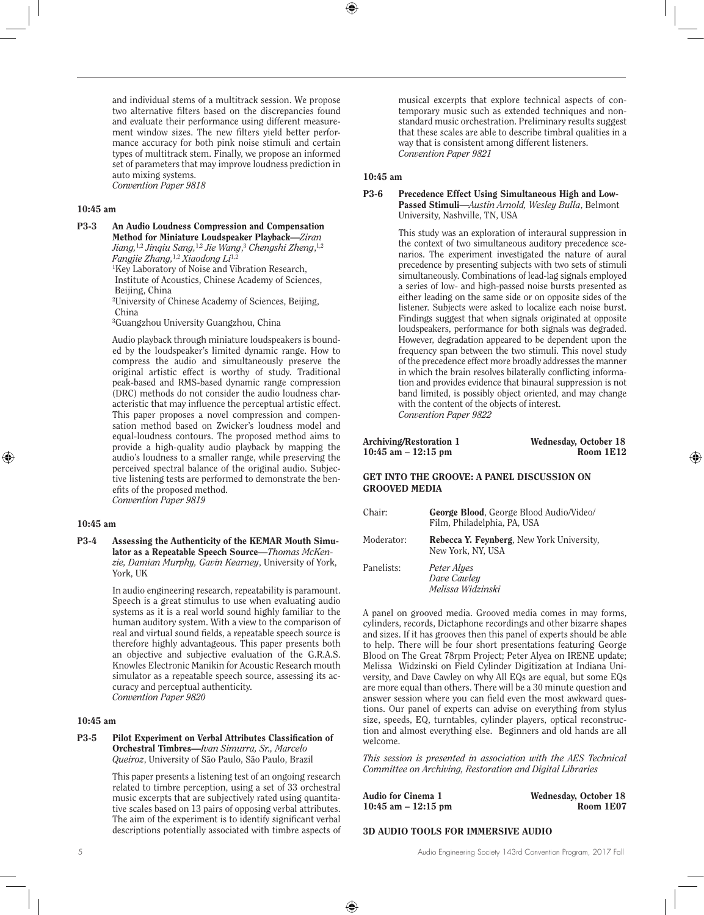and individual stems of a multitrack session. We propose two alternative filters based on the discrepancies found and evaluate their performance using different measurement window sizes. The new filters yield better performance accuracy for both pink noise stimuli and certain types of multitrack stem. Finally, we propose an informed set of parameters that may improve loudness prediction in auto mixing systems. *Convention Paper 9818* 

## 10:45 am

P3-3 An Audio Loudness Compression and Compensation Method for Miniature Loudspeaker Playback—*Ziran Jiang,*1,2 *Jinqiu Sang,*1,2 *Jie Wang*, <sup>3</sup> *Chengshi Zheng*, 1,2 *Fangjie Zhang,*1,2 *Xiaodong Li*1,2

1 Key Laboratory of Noise and Vibration Research, Institute of Acoustics, Chinese Academy of Sciences, Beijing, China

2 University of Chinese Academy of Sciences, Beijing, China

3 Guangzhou University Guangzhou, China

Audio playback through miniature loudspeakers is bounded by the loudspeaker's limited dynamic range. How to compress the audio and simultaneously preserve the original artistic effect is worthy of study. Traditional peak-based and RMS-based dynamic range compression (DRC) methods do not consider the audio loudness characteristic that may influence the perceptual artistic effect. This paper proposes a novel compression and compensation method based on Zwicker's loudness model and equal-loudness contours. The proposed method aims to provide a high-quality audio playback by mapping the audio's loudness to a smaller range, while preserving the perceived spectral balance of the original audio. Subjective listening tests are performed to demonstrate the benefits of the proposed method.

*Convention Paper 9819* 

#### 10:45 am

P3-4 Assessing the Authenticity of the KEMAR Mouth Simulator as a Repeatable Speech Source—*Thomas McKenzie, Damian Murphy, Gavin Kearney*, University of York, York, UK

> In audio engineering research, repeatability is paramount. Speech is a great stimulus to use when evaluating audio systems as it is a real world sound highly familiar to the human auditory system. With a view to the comparison of real and virtual sound fields, a repeatable speech source is therefore highly advantageous. This paper presents both an objective and subjective evaluation of the G.R.A.S. Knowles Electronic Manikin for Acoustic Research mouth simulator as a repeatable speech source, assessing its accuracy and perceptual authenticity. *Convention Paper 9820*

#### 10:45 am

#### P3-5 Pilot Experiment on Verbal Attributes Classification of Orchestral Timbres—*Ivan Simurra, Sr., Marcelo Queiroz*, University of São Paulo, São Paulo, Brazil

This paper presents a listening test of an ongoing research related to timbre perception, using a set of 33 orchestral music excerpts that are subjectively rated using quantitative scales based on 13 pairs of opposing verbal attributes. The aim of the experiment is to identify significant verbal descriptions potentially associated with timbre aspects of

musical excerpts that explore technical aspects of contemporary music such as extended techniques and nonstandard music orchestration. Preliminary results suggest that these scales are able to describe timbral qualities in a way that is consistent among different listeners. *Convention Paper 9821* 

#### 10:45 am

#### P3-6 Precedence Effect Using Simultaneous High and Low-Passed Stimuli—*Austin Arnold, Wesley Bulla*, Belmont University, Nashville, TN, USA

This study was an exploration of interaural suppression in the context of two simultaneous auditory precedence scenarios. The experiment investigated the nature of aural precedence by presenting subjects with two sets of stimuli simultaneously. Combinations of lead-lag signals employed a series of low- and high-passed noise bursts presented as either leading on the same side or on opposite sides of the listener. Subjects were asked to localize each noise burst. Findings suggest that when signals originated at opposite loudspeakers, performance for both signals was degraded. However, degradation appeared to be dependent upon the frequency span between the two stimuli. This novel study of the precedence effect more broadly addresses the manner in which the brain resolves bilaterally conflicting information and provides evidence that binaural suppression is not band limited, is possibly object oriented, and may change with the content of the objects of interest. *Convention Paper 9822* 

| Archiving/Restoration 1 | Wednesday, October 18 |
|-------------------------|-----------------------|
| $10:45$ am $-12:15$ pm  | Room 1E12             |

## GET INTO THE GROOVE: A PANEL DISCUSSION ON GROOVED MEDIA

| Chair:     | <b>George Blood, George Blood Audio/Video/</b><br>Film, Philadelphia, PA, USA |
|------------|-------------------------------------------------------------------------------|
| Moderator: | Rebecca Y. Feynberg, New York University,<br>New York, NY, USA                |
| Panelists: | Peter Alyes<br>Dave Cawley<br>Melissa Widzinski                               |

A panel on grooved media. Grooved media comes in may forms, cylinders, records, Dictaphone recordings and other bizarre shapes and sizes. If it has grooves then this panel of experts should be able to help. There will be four short presentations featuring George Blood on The Great 78rpm Project; Peter Alyea on IRENE update; Melissa Widzinski on Field Cylinder Digitization at Indiana University, and Dave Cawley on why All EQs are equal, but some EQs are more equal than others. There will be a 30 minute question and answer session where you can field even the most awkward questions. Our panel of experts can advise on everything from stylus size, speeds, EQ, turntables, cylinder players, optical reconstruction and almost everything else. Beginners and old hands are all welcome.

*This session is presented in association with the AES Technical Committee on Archiving, Restoration and Digital Libraries*

| Audio for Cinema 1    | Wednesday, October 18 |
|-----------------------|-----------------------|
| 10:45 am $-$ 12:15 pm | Room 1E07             |

#### 3D AUDIO TOOLS FOR IMMERSIVE AUDIO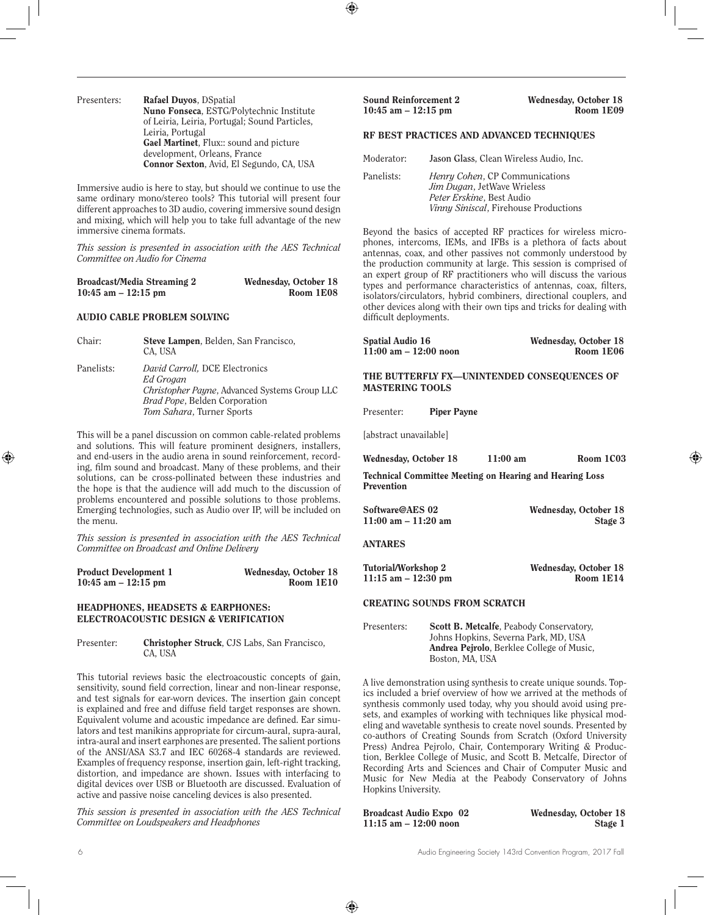Presenters: Rafael Duyos, DSpatial Nuno Fonseca, ESTG/Polytechnic Institute of Leiria, Leiria, Portugal; Sound Particles, Leiria, Portugal Gael Martinet, Flux:: sound and picture development, Orleans, France Connor Sexton, Avid, El Segundo, CA, USA

Immersive audio is here to stay, but should we continue to use the same ordinary mono/stereo tools? This tutorial will present four different approaches to 3D audio, covering immersive sound design and mixing, which will help you to take full advantage of the new immersive cinema formats.

*This session is presented in association with the AES Technical Committee on Audio for Cinema*

| Broadcast/Media Streaming 2 | Wednesday, October 18 |
|-----------------------------|-----------------------|
| 10:45 am $-$ 12:15 pm       | Room 1E08             |

#### AUDIO CABLE PROBLEM SOLVING

Chair: Steve Lampen, Belden, San Francisco, CA, USA Panelists: *David Carroll,* DCE Electronics *Ed Grogan Christopher Payne*, Advanced Systems Group LLC *Brad Pope*, Belden Corporation *Tom Sahara*, Turner Sports

This will be a panel discussion on common cable-related problems and solutions. This will feature prominent designers, installers, and end-users in the audio arena in sound reinforcement, recording, film sound and broadcast. Many of these problems, and their solutions, can be cross-pollinated between these industries and the hope is that the audience will add much to the discussion of problems encountered and possible solutions to those problems. Emerging technologies, such as Audio over IP, will be included on the menu.

*This session is presented in association with the AES Technical Committee on Broadcast and Online Delivery*

| <b>Product Development 1</b> | Wednesday, October 18 |
|------------------------------|-----------------------|
| $10:45$ am $-12:15$ pm       | Room 1E10             |

## HEADPHONES, HEADSETS & EARPHONES: ELECTROACOUSTIC DESIGN & VERIFICATION

Presenter: Christopher Struck, CJS Labs, San Francisco, CA, USA

This tutorial reviews basic the electroacoustic concepts of gain, sensitivity, sound field correction, linear and non-linear response, and test signals for ear-worn devices. The insertion gain concept is explained and free and diffuse field target responses are shown. Equivalent volume and acoustic impedance are defined. Ear simulators and test manikins appropriate for circum-aural, supra-aural, intra-aural and insert earphones are presented. The salient portions of the ANSI/ASA S3.7 and IEC 60268-4 standards are reviewed. Examples of frequency response, insertion gain, left-right tracking, distortion, and impedance are shown. Issues with interfacing to digital devices over USB or Bluetooth are discussed. Evaluation of active and passive noise canceling devices is also presented.

*This session is presented in association with the AES Technical Committee on Loudspeakers and Headphones*

Sound Reinforcement 2 Wednesday, October 18  $10:45$  am  $-12:15$  pm

## RF BEST PRACTICES AND ADVANCED TECHNIQUES

| Moderator: | Jason Glass, Clean Wireless Audio, Inc.                                                                                                    |
|------------|--------------------------------------------------------------------------------------------------------------------------------------------|
| Panelists: | <i>Henry Cohen, CP Communications</i><br>Jim Dugan, JetWave Wrieless<br>Peter Erskine, Best Audio<br>Vinny Siniscal, Firehouse Productions |

Beyond the basics of accepted RF practices for wireless microphones, intercoms, IEMs, and IFBs is a plethora of facts about antennas, coax, and other passives not commonly understood by the production community at large. This session is comprised of an expert group of RF practitioners who will discuss the various types and performance characteristics of antennas, coax, filters, isolators/circulators, hybrid combiners, directional couplers, and other devices along with their own tips and tricks for dealing with difficult deployments.

| <b>Spatial Audio 16</b>                     | Wednesday, October 18 |
|---------------------------------------------|-----------------------|
| $11:00$ am $- 12:00$ noon                   | Room 1E06             |
|                                             |                       |
| THE BUTTERFLY FX-UNINTENDED CONSEQUENCES OF |                       |
| <b>MASTERING TOOLS</b>                      |                       |

Presenter: Piper Payne

[abstract unavailable]

| Wednesday, October 18                                   | $11:00$ am | Room 1C03 |
|---------------------------------------------------------|------------|-----------|
| Toghnical Committee Meeting on Heaving and Heaving Loss |            |           |

Technical Committee Meeting on Hearing and Hearing Loss Prevention

| Software@AES 02       | Wednesday, October 18 |
|-----------------------|-----------------------|
| 11:00 am $-$ 11:20 am | Stage 3               |

ANTARES

| Tutorial/Workshop 2    | Wednesday, October 18 |
|------------------------|-----------------------|
| $11:15$ am $-12:30$ pm | Room 1E14             |

## CREATING SOUNDS FROM SCRATCH

Presenters: Scott B. Metcalfe, Peabody Conservatory, Johns Hopkins, Severna Park, MD, USA Andrea Pejrolo, Berklee College of Music, Boston, MA, USA

A live demonstration using synthesis to create unique sounds. Topics included a brief overview of how we arrived at the methods of synthesis commonly used today, why you should avoid using presets, and examples of working with techniques like physical modeling and wavetable synthesis to create novel sounds. Presented by co-authors of Creating Sounds from Scratch (Oxford University Press) Andrea Pejrolo, Chair, Contemporary Writing & Production, Berklee College of Music, and Scott B. Metcalfe, Director of Recording Arts and Sciences and Chair of Computer Music and Music for New Media at the Peabody Conservatory of Johns Hopkins University.

| <b>Broadcast Audio Expo</b> 02 | Wednesday, October 18 |
|--------------------------------|-----------------------|
| $11:15$ am $-12:00$ noon       | Stage 1               |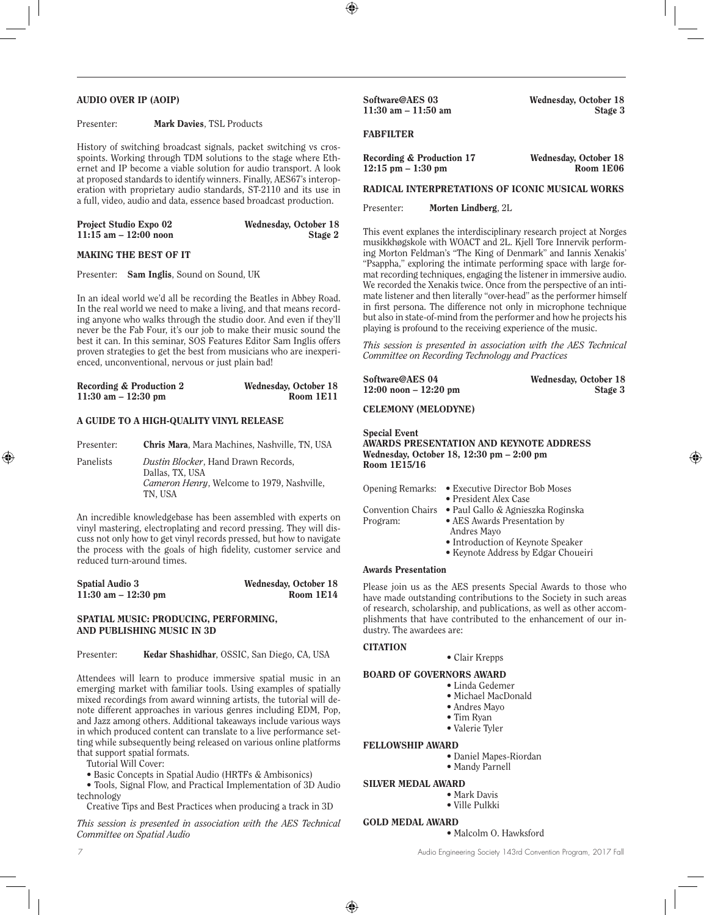## AUDIO OVER IP (AOIP)

#### Presenter: Mark Davies, TSL Products

History of switching broadcast signals, packet switching vs crosspoints. Working through TDM solutions to the stage where Ethernet and IP become a viable solution for audio transport. A look at proposed standards to identify winners. Finally, AES67's interoperation with proprietary audio standards, ST-2110 and its use in a full, video, audio and data, essence based broadcast production.

| <b>Project Studio Expo 02</b> | Wednesday, October 18 |
|-------------------------------|-----------------------|
| $11:15$ am $-12:00$ noon      | Stage 2               |

## MAKING THE BEST OF IT

Presenter: Sam Inglis, Sound on Sound, UK

In an ideal world we'd all be recording the Beatles in Abbey Road. In the real world we need to make a living, and that means recording anyone who walks through the studio door. And even if they'll never be the Fab Four, it's our job to make their music sound the best it can. In this seminar, SOS Features Editor Sam Inglis offers proven strategies to get the best from musicians who are inexperienced, unconventional, nervous or just plain bad!

| Recording & Production 2 | Wednesday, October 18 |
|--------------------------|-----------------------|
| $11:30$ am $-12:30$ pm   | Room 1E11             |

#### A GUIDE TO A HIGH-QUALITY VINYL RELEASE

| Presenter: | <b>Chris Mara, Mara Machines, Nashville, TN, USA</b>                                                            |
|------------|-----------------------------------------------------------------------------------------------------------------|
| Panelists  | Dustin Blocker, Hand Drawn Records,<br>Dallas, TX, USA<br>Cameron Henry, Welcome to 1979, Nashville,<br>TN. USA |

An incredible knowledgebase has been assembled with experts on vinyl mastering, electroplating and record pressing. They will discuss not only how to get vinyl records pressed, but how to navigate the process with the goals of high fidelity, customer service and reduced turn-around times.

| <b>Spatial Audio 3</b> | Wednesday, October 18 |
|------------------------|-----------------------|
| $11:30$ am $-12:30$ pm | Room 1E14             |

## SPATIAL MUSIC: PRODUCING, PERFORMING, AND PUBLISHING MUSIC IN 3D

## Presenter: Kedar Shashidhar, OSSIC, San Diego, CA, USA

Attendees will learn to produce immersive spatial music in an emerging market with familiar tools. Using examples of spatially mixed recordings from award winning artists, the tutorial will denote different approaches in various genres including EDM, Pop, and Jazz among others. Additional takeaways include various ways in which produced content can translate to a live performance setting while subsequently being released on various online platforms that support spatial formats.

Tutorial Will Cover:

• Basic Concepts in Spatial Audio (HRTFs & Ambisonics)

• Tools, Signal Flow, and Practical Implementation of 3D Audio technology

Creative Tips and Best Practices when producing a track in 3D

*This session is presented in association with the AES Technical Committee on Spatial Audio*

Software@AES 03 Wednesday, October 18 11:30 am – 11:50 am Stage 3

#### **FABFILTER**

| Recording & Production 17            | Wednesday, October 18 |
|--------------------------------------|-----------------------|
| $12:15 \text{ pm} - 1:30 \text{ pm}$ | Room 1E06             |

#### RADICAL INTERPRETATIONS OF ICONIC MUSICAL WORKS

Presenter: Morten Lindberg, 2L

This event explanes the interdisciplinary research project at Norges musikkhøgskole with WOACT and 2L. Kjell Tore Innervik performing Morton Feldman's "The King of Denmark" and Iannis Xenakis' "Psappha," exploring the intimate performing space with large format recording techniques, engaging the listener in immersive audio. We recorded the Xenakis twice. Once from the perspective of an intimate listener and then literally "over-head" as the performer himself in first persona. The difference not only in microphone technique but also in state-of-mind from the performer and how he projects his playing is profound to the receiving experience of the music.

*This session is presented in association with the AES Technical Committee on Recording Technology and Practices*

| Software@AES 04          | Wednesday, October 18 |
|--------------------------|-----------------------|
| $12:00$ noon $-12:20$ pm | Stage 3               |

#### CELEMONY (MELODYNE)

#### Special Event AWARDS PRESENTATION AND KEYNOTE ADDRESS Wednesday, October 18, 12:30 pm – 2:00 pm Room 1E15/16

| • Executive Director Bob Moses<br>Opening Remarks: |
|----------------------------------------------------|
| • President Alex Case                              |
| • Paul Gallo & Agnieszka Roginska                  |
| • AES Awards Presentation by                       |
| Andres Mayo                                        |
| • Introduction of Keynote Speaker                  |
|                                                    |

• Keynote Address by Edgar Choueiri

## Awards Presentation

Please join us as the AES presents Special Awards to those who have made outstanding contributions to the Society in such areas of research, scholarship, and publications, as well as other accomplishments that have contributed to the enhancement of our industry. The awardees are:

#### **CITATION**

## • Clair Krepps

#### BOARD OF GOVERNORS AWARD

- Linda Gedemer
	- Michael MacDonald
	- Andres Mayo
	- Tim Ryan
	- Valerie Tyler

#### FELLOWSHIP AWARD

- Daniel Mapes-Riordan
	- Mandy Parnell

#### SILVER MEDAL AWARD

- Mark Davis
- Ville Pulkki

#### GOLD MEDAL AWARD

• Malcolm O. Hawksford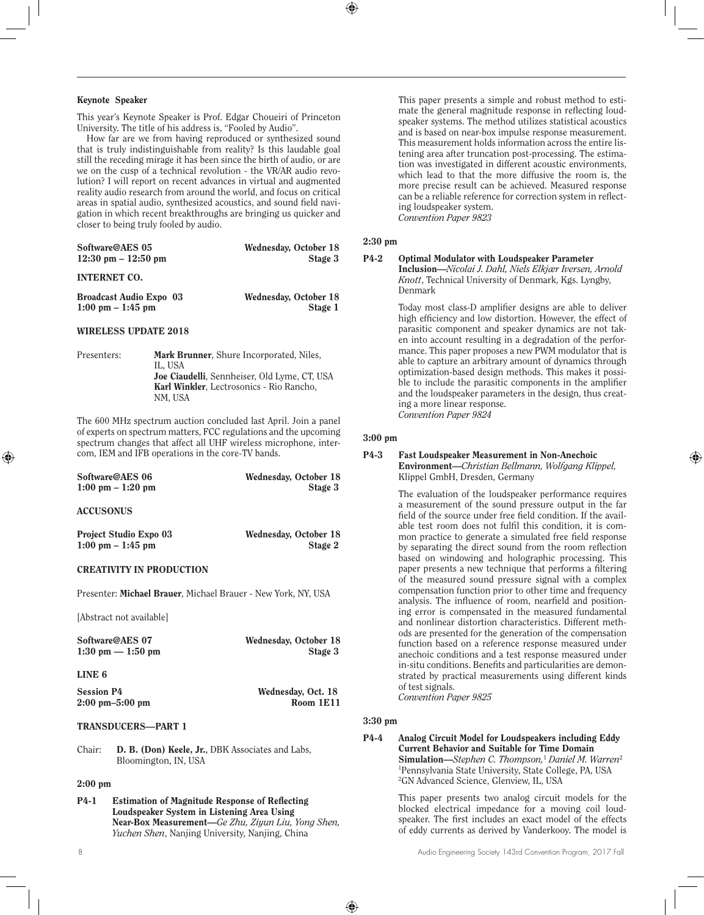#### Keynote Speaker

This year's Keynote Speaker is Prof. Edgar Choueiri of Princeton University. The title of his address is, "Fooled by Audio".

How far are we from having reproduced or synthesized sound that is truly indistinguishable from reality? Is this laudable goal still the receding mirage it has been since the birth of audio, or are we on the cusp of a technical revolution - the VR/AR audio revolution? I will report on recent advances in virtual and augmented reality audio research from around the world, and focus on critical areas in spatial audio, synthesized acoustics, and sound field navigation in which recent breakthroughs are bringing us quicker and closer to being truly fooled by audio.

| Software@AES 05                       | Wednesday, October 18 |
|---------------------------------------|-----------------------|
| $12:30 \text{ pm} - 12:50 \text{ pm}$ | Stage 3               |
|                                       |                       |

## INTERNET CO.

| <b>Broadcast Audio Expo</b> 03      | Wednesday, October 18 |
|-------------------------------------|-----------------------|
| $1:00 \text{ pm} - 1:45 \text{ pm}$ | Stage 1               |

## WIRELESS UPDATE 2018

Presenters: Mark Brunner, Shure Incorporated, Niles, IL, USA Joe Ciaudelli, Sennheiser, Old Lyme, CT, USA Karl Winkler, Lectrosonics - Rio Rancho, NM, USA

The 600 MHz spectrum auction concluded last April. Join a panel of experts on spectrum matters, FCC regulations and the upcoming spectrum changes that affect all UHF wireless microphone, intercom, IEM and IFB operations in the core-TV bands.

| Software@AES 06                     | Wednesday, October 18 |
|-------------------------------------|-----------------------|
| $1:00 \text{ pm} - 1:20 \text{ pm}$ | Stage 3               |
| <b>ACCUSONUS</b>                    |                       |
| <b>Project Studio Expo 03</b>       | Wednesday, October 18 |
| $1:00 \text{ pm} - 1:45 \text{ pm}$ | Stage 2               |

## CREATIVITY IN PRODUCTION

Presenter: Michael Brauer, Michael Brauer - New York, NY, USA

[Abstract not available]

Software@AES 07 Wednesday, October 18 1:30 pm — 1:50 pm Stage 3

#### LINE 6

| <b>Session P4</b>                 | Wednesday, Oct. 18 |
|-----------------------------------|--------------------|
| $2:00 \text{ pm}-5:00 \text{ pm}$ | Room 1E11          |

## TRANSDUCERS—PART 1

Chair: D. B. (Don) Keele, Jr.**,** DBK Associates and Labs, Bloomington, IN, USA

## 2:00 pm

P4-1 Estimation of Magnitude Response of Reflecting Loudspeaker System in Listening Area Using Near-Box Measurement—*Ge Zhu, Ziyun Liu, Yong Shen, Yuchen Shen*, Nanjing University, Nanjing, China

This paper presents a simple and robust method to estimate the general magnitude response in reflecting loudspeaker systems. The method utilizes statistical acoustics and is based on near-box impulse response measurement. This measurement holds information across the entire listening area after truncation post-processing. The estimation was investigated in different acoustic environments, which lead to that the more diffusive the room is, the more precise result can be achieved. Measured response can be a reliable reference for correction system in reflecting loudspeaker system. *Convention Paper 9823*

## 2:30 pm

## P4-2 Optimal Modulator with Loudspeaker Parameter

Inclusion—*Nicolai J. Dahl, Niels Elkjær Iversen, Arnold Knott*, Technical University of Denmark, Kgs. Lyngby, Denmark

Today most class-D amplifier designs are able to deliver high efficiency and low distortion. However, the effect of parasitic component and speaker dynamics are not taken into account resulting in a degradation of the performance. This paper proposes a new PWM modulator that is able to capture an arbitrary amount of dynamics through optimization-based design methods. This makes it possible to include the parasitic components in the amplifier and the loudspeaker parameters in the design, thus creating a more linear response. *Convention Paper 9824*

## 3:00 pm

#### P4-3 Fast Loudspeaker Measurement in Non-Anechoic Environment—*Christian Bellmann, Wolfgang Klippel,*  Klippel GmbH, Dresden, Germany

The evaluation of the loudspeaker performance requires a measurement of the sound pressure output in the far field of the source under free field condition. If the available test room does not fulfil this condition, it is common practice to generate a simulated free field response by separating the direct sound from the room reflection based on windowing and holographic processing. This paper presents a new technique that performs a filtering of the measured sound pressure signal with a complex compensation function prior to other time and frequency analysis. The influence of room, nearfield and positioning error is compensated in the measured fundamental and nonlinear distortion characteristics. Different methods are presented for the generation of the compensation function based on a reference response measured under anechoic conditions and a test response measured under in-situ conditions. Benefits and particularities are demonstrated by practical measurements using different kinds of test signals.

*Convention Paper 9825*

## 3:30 pm

#### P4-4 Analog Circuit Model for Loudspeakers including Eddy Current Behavior and Suitable for Time Domain Simulation—*Stephen C. Thompson,*<sup>1</sup>  *Daniel M. Warren*<sup>2</sup> 1 Pennsylvania State University, State College, PA, USA 2 GN Advanced Science, Glenview, IL, USA

This paper presents two analog circuit models for the blocked electrical impedance for a moving coil loudspeaker. The first includes an exact model of the effects of eddy currents as derived by Vanderkooy. The model is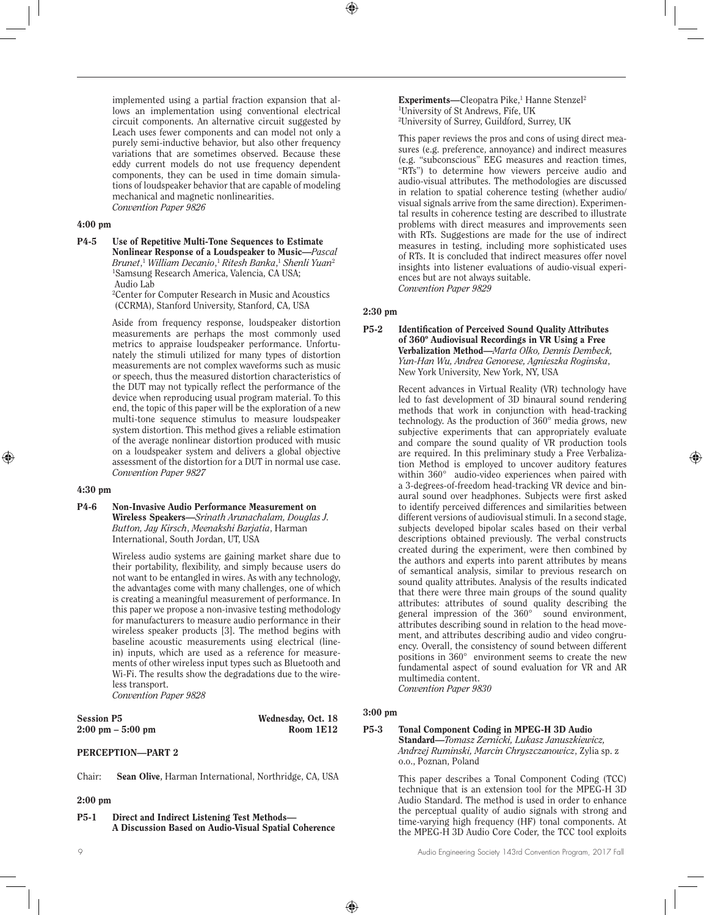implemented using a partial fraction expansion that allows an implementation using conventional electrical circuit components. An alternative circuit suggested by Leach uses fewer components and can model not only a purely semi-inductive behavior, but also other frequency variations that are sometimes observed. Because these eddy current models do not use frequency dependent components, they can be used in time domain simulations of loudspeaker behavior that are capable of modeling mechanical and magnetic nonlinearities. *Convention Paper 9826*

## 4:00 pm

P4-5 Use of Repetitive Multi-Tone Sequences to Estimate Nonlinear Response of a Loudspeaker to Music—*Pascal Brunet*, <sup>1</sup> *William Decanio*, <sup>1</sup> *Ritesh Banka*, <sup>1</sup> *Shenli Yuan*<sup>2</sup> 1 Samsung Research America, Valencia, CA USA; Audio Lab

> 2 Center for Computer Research in Music and Acoustics (CCRMA), Stanford University, Stanford, CA, USA

Aside from frequency response, loudspeaker distortion measurements are perhaps the most commonly used metrics to appraise loudspeaker performance. Unfortunately the stimuli utilized for many types of distortion measurements are not complex waveforms such as music or speech, thus the measured distortion characteristics of the DUT may not typically reflect the performance of the device when reproducing usual program material. To this end, the topic of this paper will be the exploration of a new multi-tone sequence stimulus to measure loudspeaker system distortion. This method gives a reliable estimation of the average nonlinear distortion produced with music on a loudspeaker system and delivers a global objective assessment of the distortion for a DUT in normal use case. *Convention Paper 9827*

#### 4:30 pm

P4-6 Non-Invasive Audio Performance Measurement on Wireless Speakers—*Srinath Arunachalam, Douglas J. Button, Jay Kirsch*, *Meenakshi Barjatia*, Harman International, South Jordan, UT, USA

> Wireless audio systems are gaining market share due to their portability, flexibility, and simply because users do not want to be entangled in wires. As with any technology, the advantages come with many challenges, one of which is creating a meaningful measurement of performance. In this paper we propose a non-invasive testing methodology for manufacturers to measure audio performance in their wireless speaker products [3]. The method begins with baseline acoustic measurements using electrical (linein) inputs, which are used as a reference for measurements of other wireless input types such as Bluetooth and Wi-Fi. The results show the degradations due to the wireless transport. *Convention Paper 9828*

| Session P5        |  |
|-------------------|--|
| 2:00 pm – 5:00 pm |  |

Wednesday, Oct. 18 Room 1E12

## PERCEPTION—PART 2

Chair: Sean Olive**,** Harman International, Northridge, CA, USA

## 2:00 pm

P5-1 Direct and Indirect Listening Test Methods— A Discussion Based on Audio-Visual Spatial Coherence Experiments-Cleopatra Pike,<sup>1</sup> Hanne Stenzel<sup>2</sup> 1 University of St Andrews, Fife, UK 2 University of Surrey, Guildford, Surrey, UK

This paper reviews the pros and cons of using direct measures (e.g. preference, annoyance) and indirect measures (e.g. "subconscious" EEG measures and reaction times, "RTs") to determine how viewers perceive audio and audio-visual attributes. The methodologies are discussed in relation to spatial coherence testing (whether audio/ visual signals arrive from the same direction). Experimental results in coherence testing are described to illustrate problems with direct measures and improvements seen with RTs. Suggestions are made for the use of indirect measures in testing, including more sophisticated uses of RTs. It is concluded that indirect measures offer novel insights into listener evaluations of audio-visual experiences but are not always suitable. *Convention Paper 9829*

## 2:30 pm

P5-2 Identification of Perceived Sound Quality Attributes of 360º Audiovisual Recordings in VR Using a Free Verbalization Method—*Marta Olko, Dennis Dembeck, Yun-Han Wu, Andrea Genovese, Agnieszka Roginska*, New York University, New York, NY, USA

> Recent advances in Virtual Reality (VR) technology have led to fast development of 3D binaural sound rendering methods that work in conjunction with head-tracking technology. As the production of 360° media grows, new subjective experiments that can appropriately evaluate and compare the sound quality of VR production tools are required. In this preliminary study a Free Verbalization Method is employed to uncover auditory features within 360° audio-video experiences when paired with a 3-degrees-of-freedom head-tracking VR device and binaural sound over headphones. Subjects were first asked to identify perceived differences and similarities between different versions of audiovisual stimuli. In a second stage, subjects developed bipolar scales based on their verbal descriptions obtained previously. The verbal constructs created during the experiment, were then combined by the authors and experts into parent attributes by means of semantical analysis, similar to previous research on sound quality attributes. Analysis of the results indicated that there were three main groups of the sound quality attributes: attributes of sound quality describing the general impression of the 360° sound environment, attributes describing sound in relation to the head movement, and attributes describing audio and video congruency. Overall, the consistency of sound between different positions in 360° environment seems to create the new fundamental aspect of sound evaluation for VR and AR multimedia content. *Convention Paper 9830*

## 3:00 pm

#### P5-3 Tonal Component Coding in MPEG-H 3D Audio Standard—*Tomasz Zernicki, Lukasz Januszkiewicz, Andrzej Ruminski, Marcin Chryszczanowicz*, Zylia sp. z o.o., Poznan, Poland

This paper describes a Tonal Component Coding (TCC) technique that is an extension tool for the MPEG-H 3D Audio Standard. The method is used in order to enhance the perceptual quality of audio signals with strong and time-varying high frequency (HF) tonal components. At the MPEG-H 3D Audio Core Coder, the TCC tool exploits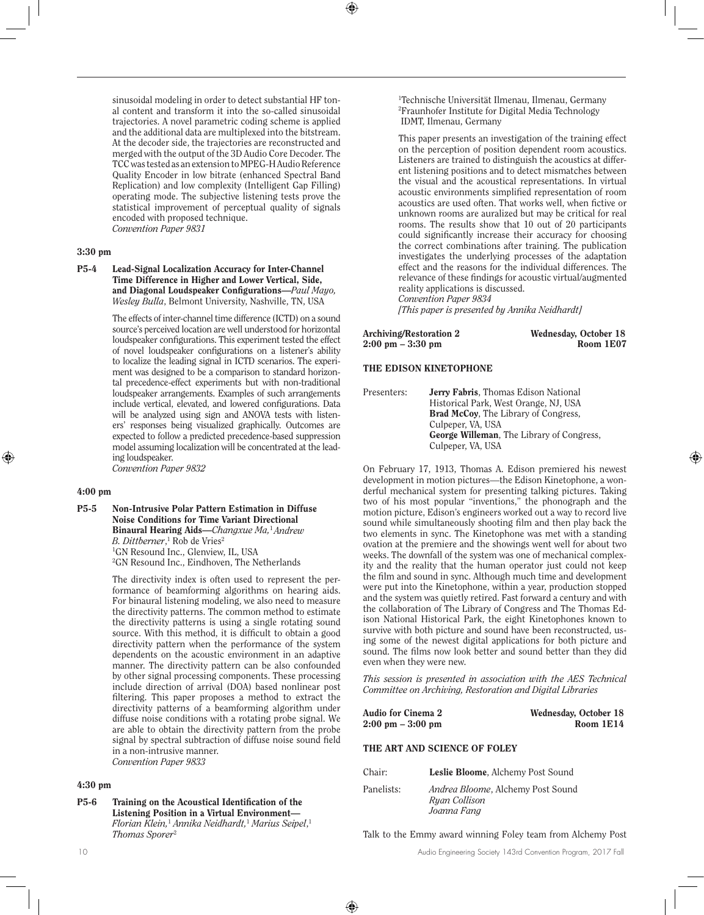sinusoidal modeling in order to detect substantial HF tonal content and transform it into the so-called sinusoidal trajectories. A novel parametric coding scheme is applied and the additional data are multiplexed into the bitstream. At the decoder side, the trajectories are reconstructed and merged with the output of the 3D Audio Core Decoder. The TCC was tested as an extension to MPEG-H Audio Reference Quality Encoder in low bitrate (enhanced Spectral Band Replication) and low complexity (Intelligent Gap Filling) operating mode. The subjective listening tests prove the statistical improvement of perceptual quality of signals encoded with proposed technique. *Convention Paper 9831*

## 3:30 pm

P5-4 Lead-Signal Localization Accuracy for Inter-Channel Time Difference in Higher and Lower Vertical, Side, and Diagonal Loudspeaker Configurations—*Paul Mayo, Wesley Bulla*, Belmont University, Nashville, TN, USA

> The effects of inter-channel time difference (ICTD) on a sound source's perceived location are well understood for horizontal loudspeaker configurations. This experiment tested the effect of novel loudspeaker configurations on a listener's ability to localize the leading signal in ICTD scenarios. The experiment was designed to be a comparison to standard horizontal precedence-effect experiments but with non-traditional loudspeaker arrangements. Examples of such arrangements include vertical, elevated, and lowered configurations. Data will be analyzed using sign and ANOVA tests with listeners' responses being visualized graphically. Outcomes are expected to follow a predicted precedence-based suppression model assuming localization will be concentrated at the leading loudspeaker.

*Convention Paper 9832*

#### 4:00 pm

P5-5 Non-Intrusive Polar Pattern Estimation in Diffuse Noise Conditions for Time Variant Directional Binaural Hearing Aids—*Changxue Ma,*<sup>1</sup>*Andrew B. Dittberner,* <sup>1</sup> Rob de Vries<sup>2</sup> 1 GN Resound Inc., Glenview, IL, USA 2 GN Resound Inc., Eindhoven, The Netherlands

> The directivity index is often used to represent the performance of beamforming algorithms on hearing aids. For binaural listening modeling, we also need to measure the directivity patterns. The common method to estimate the directivity patterns is using a single rotating sound source. With this method, it is difficult to obtain a good directivity pattern when the performance of the system dependents on the acoustic environment in an adaptive manner. The directivity pattern can be also confounded by other signal processing components. These processing include direction of arrival (DOA) based nonlinear post filtering. This paper proposes a method to extract the directivity patterns of a beamforming algorithm under diffuse noise conditions with a rotating probe signal. We are able to obtain the directivity pattern from the probe signal by spectral subtraction of diffuse noise sound field in a non-intrusive manner. *Convention Paper 9833*

#### 4:30 pm

P5-6 Training on the Acoustical Identification of the Listening Position in a Virtual Environment— *Florian Klein,*<sup>1</sup>  *Annika Neidhardt,*<sup>1</sup>  *Marius Seipel*, 1 *Thomas Sporer*<sup>2</sup>

1 Technische Universität Ilmenau, Ilmenau, Germany 2 Fraunhofer Institute for Digital Media Technology IDMT, Ilmenau, Germany

This paper presents an investigation of the training effect on the perception of position dependent room acoustics. Listeners are trained to distinguish the acoustics at different listening positions and to detect mismatches between the visual and the acoustical representations. In virtual acoustic environments simplified representation of room acoustics are used often. That works well, when fictive or unknown rooms are auralized but may be critical for real rooms. The results show that 10 out of 20 participants could significantly increase their accuracy for choosing the correct combinations after training. The publication investigates the underlying processes of the adaptation effect and the reasons for the individual differences. The relevance of these findings for acoustic virtual/augmented reality applications is discussed. *Convention Paper 9834 [This paper is presented by Annika Neidhardt]*

| Archiving/Restoration 2             | Wednesday, October 18 |
|-------------------------------------|-----------------------|
| $2:00 \text{ pm} - 3:30 \text{ pm}$ | Room 1E07             |

#### THE EDISON KINETOPHONE

Presenters: **Jerry Fabris**, Thomas Edison National Historical Park, West Orange, NJ, USA Brad McCoy, The Library of Congress, Culpeper, VA, USA George Willeman, The Library of Congress, Culpeper, VA, USA

On February 17, 1913, Thomas A. Edison premiered his newest development in motion pictures—the Edison Kinetophone, a wonderful mechanical system for presenting talking pictures. Taking two of his most popular "inventions," the phonograph and the motion picture, Edison's engineers worked out a way to record live sound while simultaneously shooting film and then play back the two elements in sync. The Kinetophone was met with a standing ovation at the premiere and the showings went well for about two weeks. The downfall of the system was one of mechanical complexity and the reality that the human operator just could not keep the film and sound in sync. Although much time and development were put into the Kinetophone, within a year, production stopped and the system was quietly retired. Fast forward a century and with the collaboration of The Library of Congress and The Thomas Edison National Historical Park, the eight Kinetophones known to survive with both picture and sound have been reconstructed, using some of the newest digital applications for both picture and sound. The films now look better and sound better than they did even when they were new.

*This session is presented in association with the AES Technical Committee on Archiving, Restoration and Digital Libraries*

| Audio for Cinema 2                  | Wednesday, October 18 |
|-------------------------------------|-----------------------|
| $2:00 \text{ pm} - 3:00 \text{ pm}$ | Room 1E14             |

#### THE ART AND SCIENCE OF FOLEY

| Chair:     | Leslie Bloome, Alchemy Post Sound                                        |
|------------|--------------------------------------------------------------------------|
| Panelists: | <i>Andrea Bloome, Alchemy Post Sound</i><br>Ryan Collison<br>Joanna Fang |

Talk to the Emmy award winning Foley team from Alchemy Post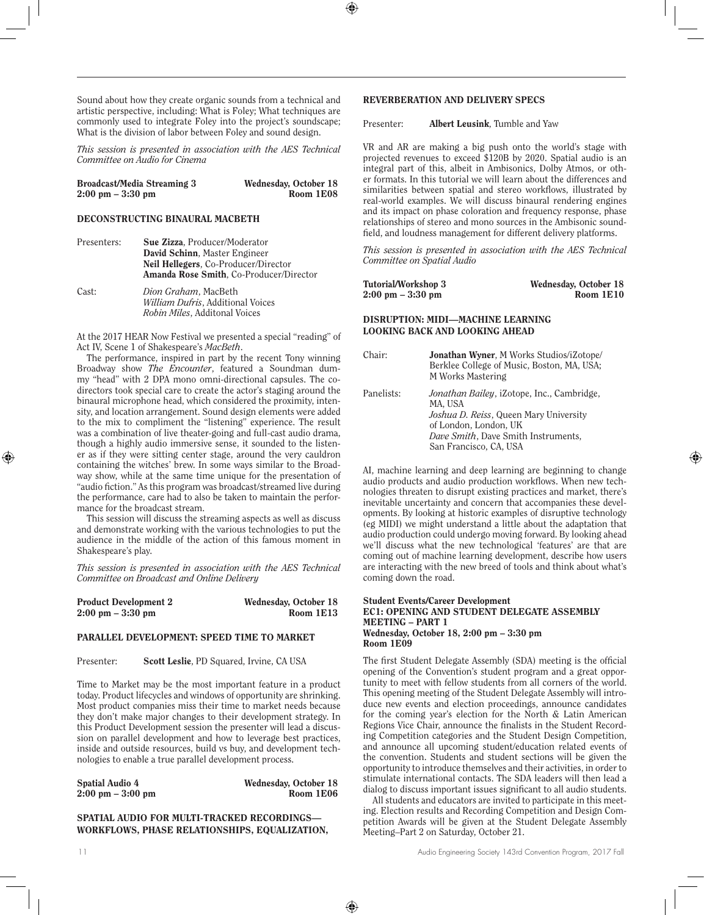Sound about how they create organic sounds from a technical and artistic perspective, including: What is Foley; What techniques are commonly used to integrate Foley into the project's soundscape; What is the division of labor between Foley and sound design.

*This session is presented in association with the AES Technical Committee on Audio for Cinema*

| <b>Broadcast/Media Streaming 3</b>  | Wednesday, October 18 |
|-------------------------------------|-----------------------|
| $2:00 \text{ pm} - 3:30 \text{ pm}$ | Room 1E08             |

## DECONSTRUCTING BINAURAL MACBETH

Presenters: Sue Zizza, Producer/Moderator David Schinn, Master Engineer Neil Hellegers, Co-Producer/Director Amanda Rose Smith, Co-Producer/Director Cast: *Dion Graham*, MacBeth *William Dufris*, Additional Voices *Robin Miles*, Additonal Voices

At the 2017 HEAR Now Festival we presented a special "reading" of Act IV, Scene 1 of Shakespeare's *MacBeth*.

The performance, inspired in part by the recent Tony winning Broadway show *The Encounter*, featured a Soundman dummy "head" with 2 DPA mono omni-directional capsules. The codirectors took special care to create the actor's staging around the binaural microphone head, which considered the proximity, intensity, and location arrangement. Sound design elements were added to the mix to compliment the "listening" experience. The result was a combination of live theater-going and full-cast audio drama, though a highly audio immersive sense, it sounded to the listener as if they were sitting center stage, around the very cauldron containing the witches' brew. In some ways similar to the Broadway show, while at the same time unique for the presentation of "audio fiction." As this program was broadcast/streamed live during the performance, care had to also be taken to maintain the performance for the broadcast stream.

This session will discuss the streaming aspects as well as discuss and demonstrate working with the various technologies to put the audience in the middle of the action of this famous moment in Shakespeare's play.

*This session is presented in association with the AES Technical Committee on Broadcast and Online Delivery*

| <b>Product Development 2</b>        | Wednesday, October 18 |
|-------------------------------------|-----------------------|
| $2:00 \text{ pm} - 3:30 \text{ pm}$ | Room 1E13             |

#### PARALLEL DEVELOPMENT: SPEED TIME TO MARKET

Presenter: Scott Leslie, PD Squared, Irvine, CA USA

Time to Market may be the most important feature in a product today. Product lifecycles and windows of opportunity are shrinking. Most product companies miss their time to market needs because they don't make major changes to their development strategy. In this Product Development session the presenter will lead a discussion on parallel development and how to leverage best practices, inside and outside resources, build vs buy, and development technologies to enable a true parallel development process.

| <b>Spatial Audio 4</b>              | Wednesday, October 18 |
|-------------------------------------|-----------------------|
| $2:00 \text{ pm} - 3:00 \text{ pm}$ | Room 1E06             |

## SPATIAL AUDIO FOR MULTI-TRACKED RECORDINGS— WORKFLOWS, PHASE RELATIONSHIPS, EQUALIZATION,

## REVERBERATION AND DELIVERY SPECS

Presenter: **Albert Leusink**, Tumble and Yaw

VR and AR are making a big push onto the world's stage with projected revenues to exceed \$120B by 2020. Spatial audio is an integral part of this, albeit in Ambisonics, Dolby Atmos, or other formats. In this tutorial we will learn about the differences and similarities between spatial and stereo workflows, illustrated by real-world examples. We will discuss binaural rendering engines and its impact on phase coloration and frequency response, phase relationships of stereo and mono sources in the Ambisonic soundfield, and loudness management for different delivery platforms.

*This session is presented in association with the AES Technical Committee on Spatial Audio*

| Tutorial/Workshop 3                 | Wednesday, October 18 |
|-------------------------------------|-----------------------|
| $2:00 \text{ pm} - 3:30 \text{ pm}$ | Room 1E10             |

## DISRUPTION: MIDI—MACHINE LEARNING LOOKING BACK AND LOOKING AHEAD

| Chair:     | <b>Jonathan Wyner, M Works Studios/iZotope/</b><br>Berklee College of Music, Boston, MA, USA;<br>M Works Mastering                                                                        |
|------------|-------------------------------------------------------------------------------------------------------------------------------------------------------------------------------------------|
| Panelists: | Jonathan Bailey, iZotope, Inc., Cambridge,<br>MA. USA<br>Joshua D. Reiss, Queen Mary University<br>of London, London, UK<br>Dave Smith, Dave Smith Instruments,<br>San Francisco, CA, USA |

AI, machine learning and deep learning are beginning to change audio products and audio production workflows. When new technologies threaten to disrupt existing practices and market, there's inevitable uncertainty and concern that accompanies these developments. By looking at historic examples of disruptive technology (eg MIDI) we might understand a little about the adaptation that audio production could undergo moving forward. By looking ahead we'll discuss what the new technological 'features' are that are coming out of machine learning development, describe how users are interacting with the new breed of tools and think about what's coming down the road.

#### Student Events/Career Development EC1: OPENING AND STUDENT DELEGATE ASSEMBLY MEETING – PART 1 Wednesday, October 18, 2:00 pm – 3:30 pm Room 1E09

The first Student Delegate Assembly (SDA) meeting is the official opening of the Convention's student program and a great opportunity to meet with fellow students from all corners of the world. This opening meeting of the Student Delegate Assembly will introduce new events and election proceedings, announce candidates for the coming year's election for the North & Latin American Regions Vice Chair, announce the finalists in the Student Recording Competition categories and the Student Design Competition, and announce all upcoming student/education related events of the convention. Students and student sections will be given the opportunity to introduce themselves and their activities, in order to stimulate international contacts. The SDA leaders will then lead a dialog to discuss important issues significant to all audio students.

All students and educators are invited to participate in this meeting. Election results and Recording Competition and Design Competition Awards will be given at the Student Delegate Assembly Meeting–Part 2 on Saturday, October 21.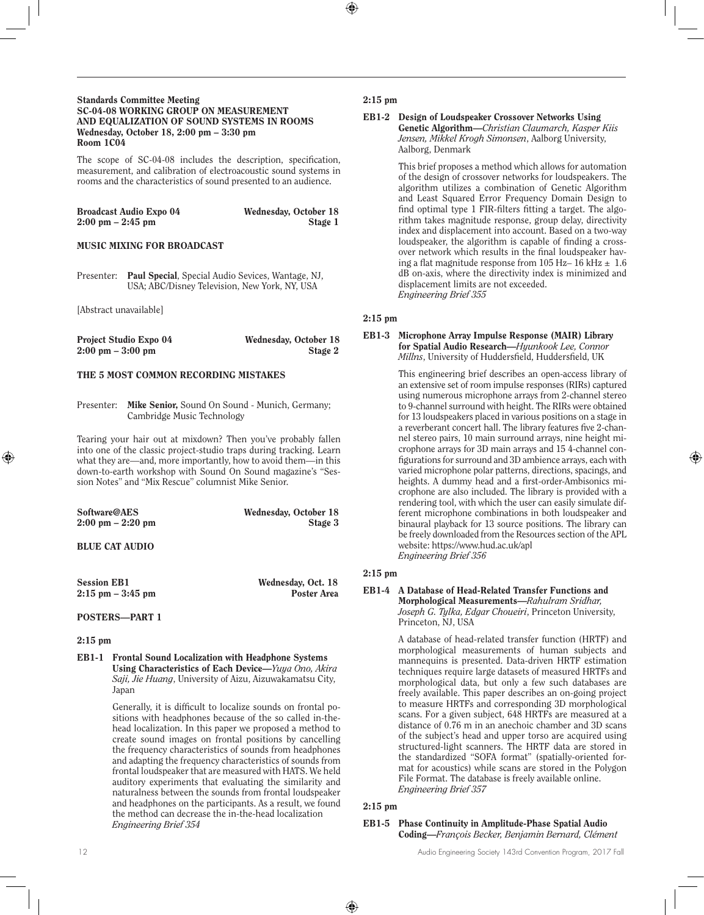#### Standards Committee Meeting SC-04-08 WORKING GROUP ON MEASUREMENT AND EQUALIZATION OF SOUND SYSTEMS IN ROOMS Wednesday, October 18, 2:00 pm – 3:30 pm Room 1C04

The scope of SC-04-08 includes the description, specification, measurement, and calibration of electroacoustic sound systems in rooms and the characteristics of sound presented to an audience.

| <b>Broadcast Audio Expo 04</b>      | Wednesday, October 18 |
|-------------------------------------|-----------------------|
| $2:00 \text{ pm} - 2:45 \text{ pm}$ | Stage 1               |

#### MUSIC MIXING FOR BROADCAST

Presenter: Paul Special, Special Audio Sevices, Wantage, NJ, USA; ABC/Disney Television, New York, NY, USA

[Abstract unavailable]

| <b>Project Studio Expo 04</b>       | Wednesday, October 18 |
|-------------------------------------|-----------------------|
| $2:00 \text{ pm} - 3:00 \text{ pm}$ | Stage 2               |

## THE 5 MOST COMMON RECORDING MISTAKES

Presenter: Mike Senior, Sound On Sound - Munich, Germany; Cambridge Music Technology

Tearing your hair out at mixdown? Then you've probably fallen into one of the classic project-studio traps during tracking. Learn what they are—and, more importantly, how to avoid them—in this down-to-earth workshop with Sound On Sound magazine's "Session Notes" and "Mix Rescue" columnist Mike Senior.

| Software@AES                        | Wednesday, October 18 |
|-------------------------------------|-----------------------|
| $2:00 \text{ pm} - 2:20 \text{ pm}$ | Stage 3               |
|                                     |                       |

## BLUE CAT AUDIO

| <b>Session EB1</b>   | Wednesday, Oct. 18 |
|----------------------|--------------------|
| $2:15$ pm $-3:45$ pm | Poster Area        |

#### POSTERS—PART 1

#### 2:15 pm

EB1-1 Frontal Sound Localization with Headphone Systems Using Characteristics of Each Device—*Yuya Ono, Akira Saji, Jie Huang*, University of Aizu, Aizuwakamatsu City, Japan

> Generally, it is difficult to localize sounds on frontal positions with headphones because of the so called in-thehead localization. In this paper we proposed a method to create sound images on frontal positions by cancelling the frequency characteristics of sounds from headphones and adapting the frequency characteristics of sounds from frontal loudspeaker that are measured with HATS. We held auditory experiments that evaluating the similarity and naturalness between the sounds from frontal loudspeaker and headphones on the participants. As a result, we found the method can decrease the in-the-head localization *Engineering Brief 354*

## 2:15 pm

EB1-2 Design of Loudspeaker Crossover Networks Using Genetic Algorithm—*Christian Claumarch, Kasper Kiis Jensen, Mikkel Krogh Simonsen*, Aalborg University, Aalborg, Denmark

> This brief proposes a method which allows for automation of the design of crossover networks for loudspeakers. The algorithm utilizes a combination of Genetic Algorithm and Least Squared Error Frequency Domain Design to find optimal type 1 FIR-filters fitting a target. The algorithm takes magnitude response, group delay, directivity index and displacement into account. Based on a two-way loudspeaker, the algorithm is capable of finding a crossover network which results in the final loudspeaker having a flat magnitude response from 105 Hz- 16 kHz  $\pm$  1.6 dB on-axis, where the directivity index is minimized and displacement limits are not exceeded. *Engineering Brief 355*

## 2:15 pm

EB1-3 Microphone Array Impulse Response (MAIR) Library for Spatial Audio Research—*Hyunkook Lee, Connor Millns*, University of Huddersfield, Huddersfield, UK

> This engineering brief describes an open-access library of an extensive set of room impulse responses (RIRs) captured using numerous microphone arrays from 2-channel stereo to 9-channel surround with height. The RIRs were obtained for 13 loudspeakers placed in various positions on a stage in a reverberant concert hall. The library features five 2-channel stereo pairs, 10 main surround arrays, nine height microphone arrays for 3D main arrays and 15 4-channel configurations for surround and 3D ambience arrays, each with varied microphone polar patterns, directions, spacings, and heights. A dummy head and a first-order-Ambisonics microphone are also included. The library is provided with a rendering tool, with which the user can easily simulate different microphone combinations in both loudspeaker and binaural playback for 13 source positions. The library can be freely downloaded from the Resources section of the APL website: https://www.hud.ac.uk/apl *Engineering Brief 356*

## 2:15 pm

#### EB1-4 A Database of Head-Related Transfer Functions and Morphological Measurements—*Rahulram Sridhar, Joseph G. Tylka, Edgar Choueiri*, Princeton University, Princeton, NJ, USA

A database of head-related transfer function (HRTF) and morphological measurements of human subjects and mannequins is presented. Data-driven HRTF estimation techniques require large datasets of measured HRTFs and morphological data, but only a few such databases are freely available. This paper describes an on-going project to measure HRTFs and corresponding 3D morphological scans. For a given subject, 648 HRTFs are measured at a distance of 0.76 m in an anechoic chamber and 3D scans of the subject's head and upper torso are acquired using structured-light scanners. The HRTF data are stored in the standardized "SOFA format" (spatially-oriented format for acoustics) while scans are stored in the Polygon File Format. The database is freely available online. *Engineering Brief 357* 

## 2:15 pm

EB1-5 Phase Continuity in Amplitude-Phase Spatial Audio Coding—*François Becker, Benjamin Bernard, Clément*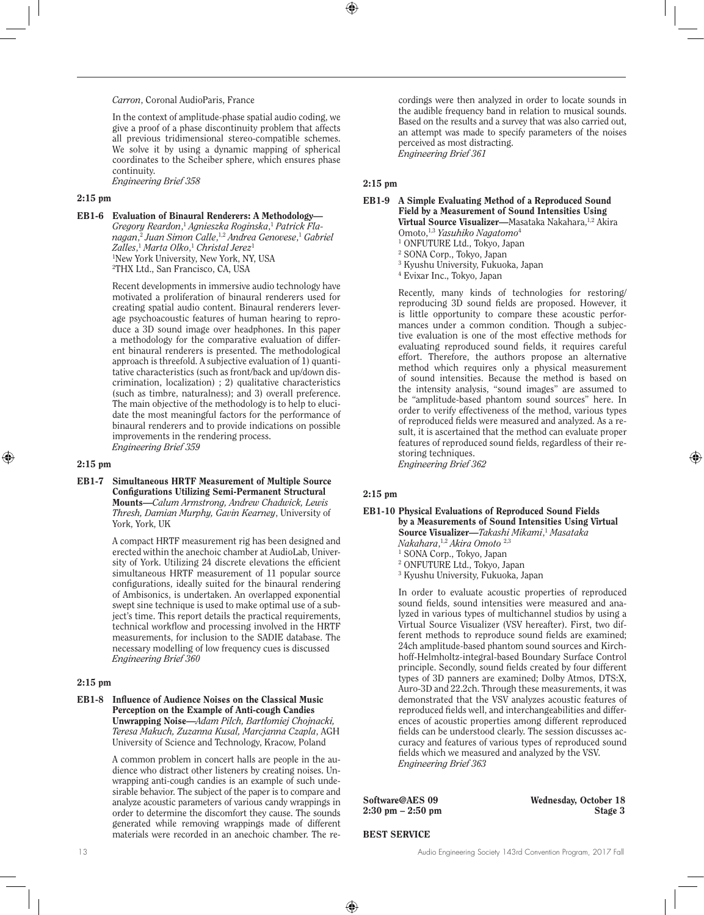## *Carron*, Coronal AudioParis, France

In the context of amplitude-phase spatial audio coding, we give a proof of a phase discontinuity problem that affects all previous tridimensional stereo-compatible schemes. We solve it by using a dynamic mapping of spherical coordinates to the Scheiber sphere, which ensures phase continuity. *Engineering Brief 358* 

## 2:15 pm

EB1-6 Evaluation of Binaural Renderers: A Methodology—

*Gregory Reardon*, <sup>1</sup> *Agnieszka Roginska*, <sup>1</sup> *Patrick Flanagan*, <sup>2</sup> *Juan Simon Calle*, 1,2 *Andrea Genovese*, <sup>1</sup> *Gabriel Zalles*, <sup>1</sup> *Marta Olko*, <sup>1</sup> *Christal Jerez*<sup>1</sup> 1 New York University, New York, NY, USA 2 THX Ltd., San Francisco, CA, USA

Recent developments in immersive audio technology have motivated a proliferation of binaural renderers used for creating spatial audio content. Binaural renderers leverage psychoacoustic features of human hearing to reproduce a 3D sound image over headphones. In this paper a methodology for the comparative evaluation of different binaural renderers is presented. The methodological approach is threefold. A subjective evaluation of 1) quantitative characteristics (such as front/back and up/down discrimination, localization) ; 2) qualitative characteristics (such as timbre, naturalness); and 3) overall preference. The main objective of the methodology is to help to elucidate the most meaningful factors for the performance of binaural renderers and to provide indications on possible improvements in the rendering process. *Engineering Brief 359* 

#### 2:15 pm

EB1-7 Simultaneous HRTF Measurement of Multiple Source Configurations Utilizing Semi-Permanent Structural Mounts—*Calum Armstrong, Andrew Chadwick, Lewis Thresh, Damian Murphy, Gavin Kearney*, University of York, York, UK

> A compact HRTF measurement rig has been designed and erected within the anechoic chamber at AudioLab, University of York. Utilizing 24 discrete elevations the efficient simultaneous HRTF measurement of 11 popular source configurations, ideally suited for the binaural rendering of Ambisonics, is undertaken. An overlapped exponential swept sine technique is used to make optimal use of a subject's time. This report details the practical requirements, technical workflow and processing involved in the HRTF measurements, for inclusion to the SADIE database. The necessary modelling of low frequency cues is discussed *Engineering Brief 360*

#### 2:15 pm

#### EB1-8 Influence of Audience Noises on the Classical Music Perception on the Example of Anti-cough Candies Unwrapping Noise—*Adam Pilch, Bartłomiej Chojnacki, Teresa Makuch, Zuzanna Kusal, Marcjanna Czapla*, AGH University of Science and Technology, Kracow, Poland

A common problem in concert halls are people in the audience who distract other listeners by creating noises. Unwrapping anti-cough candies is an example of such undesirable behavior. The subject of the paper is to compare and analyze acoustic parameters of various candy wrappings in order to determine the discomfort they cause. The sounds generated while removing wrappings made of different materials were recorded in an anechoic chamber. The re-

cordings were then analyzed in order to locate sounds in the audible frequency band in relation to musical sounds. Based on the results and a survey that was also carried out, an attempt was made to specify parameters of the noises perceived as most distracting. *Engineering Brief 361* 

2:15 pm

#### EB1-9 A Simple Evaluating Method of a Reproduced Sound Field by a Measurement of Sound Intensities Using Virtual Source Visualizer—Masataka Nakahara,<sup>1,2</sup> Akira

- Omoto,1,3 *Yasuhiko Nagatomo*<sup>4</sup> 1 ONFUTURE Ltd., Tokyo, Japan
- 2 SONA Corp., Tokyo, Japan
- 3 Kyushu University, Fukuoka, Japan
- 4 Evixar Inc., Tokyo, Japan

Recently, many kinds of technologies for restoring/ reproducing 3D sound fields are proposed. However, it is little opportunity to compare these acoustic performances under a common condition. Though a subjective evaluation is one of the most effective methods for evaluating reproduced sound fields, it requires careful effort. Therefore, the authors propose an alternative method which requires only a physical measurement of sound intensities. Because the method is based on the intensity analysis, "sound images" are assumed to be "amplitude-based phantom sound sources" here. In order to verify effectiveness of the method, various types of reproduced fields were measured and analyzed. As a result, it is ascertained that the method can evaluate proper features of reproduced sound fields, regardless of their restoring techniques.

*Engineering Brief 362* 

## 2:15 pm

#### EB1-10 Physical Evaluations of Reproduced Sound Fields by a Measurements of Sound Intensities Using Virtual Source Visualizer—*Takashi Mikami*, <sup>1</sup> *Masataka*

*Nakahara*, 1,2 *Akira Omoto* 2,3

- 1 SONA Corp., Tokyo, Japan
- 2 ONFUTURE Ltd., Tokyo, Japan 3 Kyushu University, Fukuoka, Japan

In order to evaluate acoustic properties of reproduced sound fields, sound intensities were measured and analyzed in various types of multichannel studios by using a Virtual Source Visualizer (VSV hereafter). First, two different methods to reproduce sound fields are examined; 24ch amplitude-based phantom sound sources and Kirchhoff-Helmholtz-integral-based Boundary Surface Control principle. Secondly, sound fields created by four different types of 3D panners are examined; Dolby Atmos, DTS:X, Auro-3D and 22.2ch. Through these measurements, it was demonstrated that the VSV analyzes acoustic features of reproduced fields well, and interchangeabilities and differences of acoustic properties among different reproduced fields can be understood clearly. The session discusses accuracy and features of various types of reproduced sound fields which we measured and analyzed by the VSV. *Engineering Brief 363* 

Software@AES 09 Wednesday, October 18 2:30 pm – 2:50 pm Stage 3

#### BEST SERVICE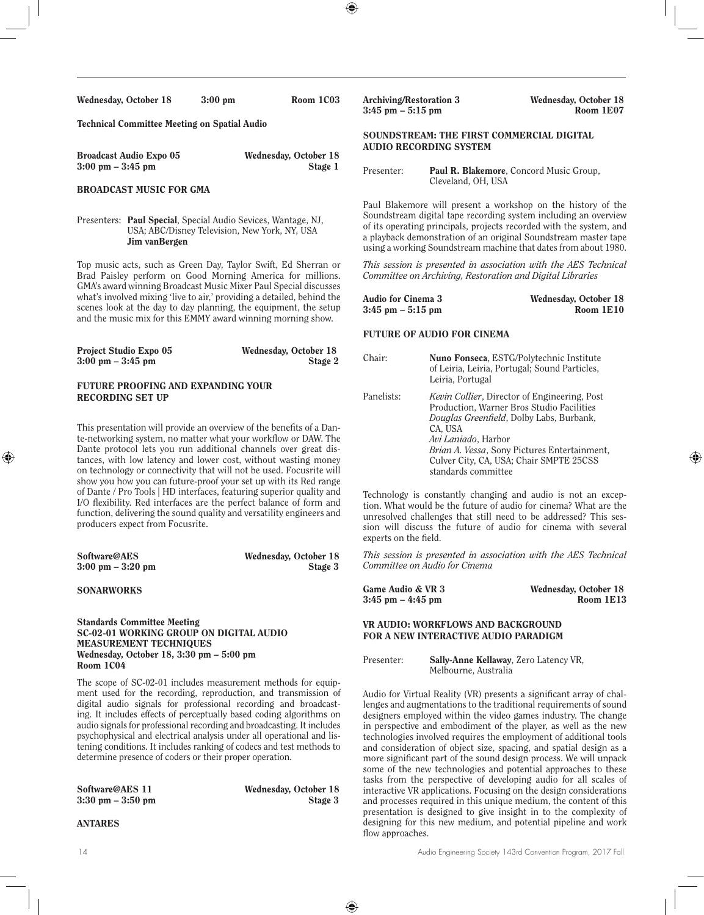| Wednesday, October 18 |  | $3:00 \text{ pm}$ |
|-----------------------|--|-------------------|
|                       |  |                   |

Technical Committee Meeting on Spatial Audio

| <b>Broadcast Audio Expo 05</b>      | Wednesday, October 18 |
|-------------------------------------|-----------------------|
| $3:00 \text{ pm} - 3:45 \text{ pm}$ | Stage 1               |

Room 1C03

## BROADCAST MUSIC FOR GMA

Presenters: Paul Special, Special Audio Sevices, Wantage, NJ, USA; ABC/Disney Television, New York, NY, USA Jim vanBergen

Top music acts, such as Green Day, Taylor Swift, Ed Sherran or Brad Paisley perform on Good Morning America for millions. GMA's award winning Broadcast Music Mixer Paul Special discusses what's involved mixing 'live to air,' providing a detailed, behind the scenes look at the day to day planning, the equipment, the setup and the music mix for this EMMY award winning morning show.

| <b>Project Studio Expo 05</b>       | Wednesday, October 18 |
|-------------------------------------|-----------------------|
| $3:00 \text{ pm} - 3:45 \text{ pm}$ | Stage 2               |

## FUTURE PROOFING AND EXPANDING YOUR RECORDING SET UP

This presentation will provide an overview of the benefits of a Dante-networking system, no matter what your workflow or DAW. The Dante protocol lets you run additional channels over great distances, with low latency and lower cost, without wasting money on technology or connectivity that will not be used. Focusrite will show you how you can future-proof your set up with its Red range of Dante / Pro Tools | HD interfaces, featuring superior quality and I/O flexibility. Red interfaces are the perfect balance of form and function, delivering the sound quality and versatility engineers and producers expect from Focusrite.

| Software@AES                        | Wednesday, October 18 |
|-------------------------------------|-----------------------|
| $3:00 \text{ pm} - 3:20 \text{ pm}$ | Stage 3               |

#### **SONARWORKS**

#### Standards Committee Meeting SC-02-01 WORKING GROUP ON DIGITAL AUDIO MEASUREMENT TECHNIQUES Wednesday, October 18, 3:30 pm – 5:00 pm Room 1C04

The scope of SC-02-01 includes measurement methods for equipment used for the recording, reproduction, and transmission of digital audio signals for professional recording and broadcasting. It includes effects of perceptually based coding algorithms on audio signals for professional recording and broadcasting. It includes psychophysical and electrical analysis under all operational and listening conditions. It includes ranking of codecs and test methods to determine presence of coders or their proper operation.

 $3:30$  pm  $-3:50$  pm

Software@AES 11 Wednesday, October 18<br>3:30 pm – 3:50 pm b Stage 3

## ANTARES

Archiving/Restoration 3 Wednesday, October 18<br>
3:45 nm – 5:15 nm<br>
Room 1E07  $3:45$  pm  $-5:15$  pm SOUNDSTREAM: THE FIRST COMMERCIAL DIGITAL

# AUDIO RECORDING SYSTEM

| Presenter: | <b>Paul R. Blakemore, Concord Music Group,</b> |
|------------|------------------------------------------------|
|            | Cleveland, OH, USA                             |

Paul Blakemore will present a workshop on the history of the Soundstream digital tape recording system including an overview of its operating principals, projects recorded with the system, and a playback demonstration of an original Soundstream master tape using a working Soundstream machine that dates from about 1980.

*This session is presented in association with the AES Technical Committee on Archiving, Restoration and Digital Libraries*

| Audio for Cinema 3   | Wednesday, October 18 |
|----------------------|-----------------------|
| $3:45$ pm $-5:15$ pm | Room 1E10             |

#### FUTURE OF AUDIO FOR CINEMA

| Chair:     | Nuno Fonseca, ESTG/Polytechnic Institute<br>of Leiria, Leiria, Portugal; Sound Particles,<br>Leiria, Portugal                                                                                                                                                                                            |
|------------|----------------------------------------------------------------------------------------------------------------------------------------------------------------------------------------------------------------------------------------------------------------------------------------------------------|
| Panelists: | <i>Kevin Collier</i> , Director of Engineering, Post<br>Production, Warner Bros Studio Facilities<br>Douglas Greenfield, Dolby Labs, Burbank,<br>CA, USA<br>Avi Laniado, Harbor<br><i>Brian A. Vessa, Sony Pictures Entertainment,</i><br>Culver City, CA, USA; Chair SMPTE 25CSS<br>standards committee |

Technology is constantly changing and audio is not an exception. What would be the future of audio for cinema? What are the unresolved challenges that still need to be addressed? This session will discuss the future of audio for cinema with several experts on the field.

*This session is presented in association with the AES Technical Committee on Audio for Cinema*

| <b>Game Audio &amp; VR 3</b> | Wednesday, October 18 |
|------------------------------|-----------------------|
| $3:45$ pm $-4:45$ pm         | Room 1E13             |

#### VR AUDIO: WORKFLOWS AND BACKGROUND FOR A NEW INTERACTIVE AUDIO PARADIGM

Presenter: Sally-Anne Kellaway, Zero Latency VR, Melbourne, Australia

Audio for Virtual Reality (VR) presents a significant array of challenges and augmentations to the traditional requirements of sound designers employed within the video games industry. The change in perspective and embodiment of the player, as well as the new technologies involved requires the employment of additional tools and consideration of object size, spacing, and spatial design as a more significant part of the sound design process. We will unpack some of the new technologies and potential approaches to these tasks from the perspective of developing audio for all scales of interactive VR applications. Focusing on the design considerations and processes required in this unique medium, the content of this presentation is designed to give insight in to the complexity of designing for this new medium, and potential pipeline and work flow approaches.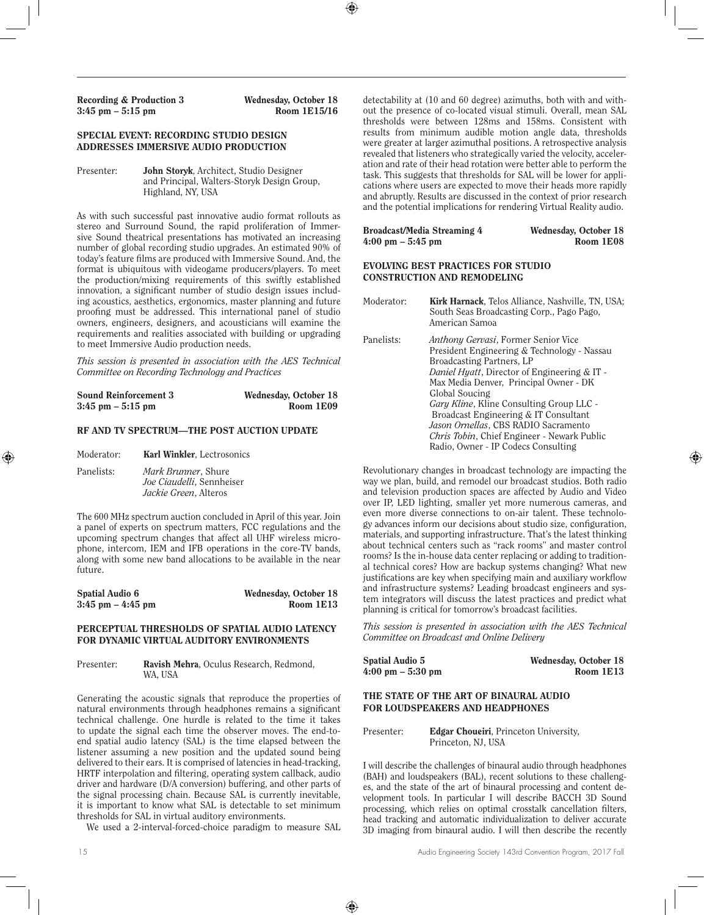Recording & Production 3<br>  $3:45 \text{ pm} - 5:15 \text{ pm}$ <br>
Room 1E15/16  $3:45$  pm  $-5:15$  pm

## SPECIAL EVENT: RECORDING STUDIO DESIGN ADDRESSES IMMERSIVE AUDIO PRODUCTION

Presenter: John Storyk, Architect, Studio Designer and Principal, Walters-Storyk Design Group, Highland, NY, USA

As with such successful past innovative audio format rollouts as stereo and Surround Sound, the rapid proliferation of Immersive Sound theatrical presentations has motivated an increasing number of global recording studio upgrades. An estimated 90% of today's feature films are produced with Immersive Sound. And, the format is ubiquitous with videogame producers/players. To meet the production/mixing requirements of this swiftly established innovation, a significant number of studio design issues including acoustics, aesthetics, ergonomics, master planning and future proofing must be addressed. This international panel of studio owners, engineers, designers, and acousticians will examine the requirements and realities associated with building or upgrading to meet Immersive Audio production needs.

*This session is presented in association with the AES Technical Committee on Recording Technology and Practices*

| <b>Sound Reinforcement 3</b> | Wednesday, October 18 |
|------------------------------|-----------------------|
| $3:45$ pm $-5:15$ pm         | Room 1E09             |

#### RF AND TV SPECTRUM—THE POST AUCTION UPDATE

Moderator: **Karl Winkler**, Lectrosonics

Panelists: *Mark Brunner*, Shure *Joe Ciaudelli*, Sennheiser *Jackie Green*, Alteros

The 600 MHz spectrum auction concluded in April of this year. Join a panel of experts on spectrum matters, FCC regulations and the upcoming spectrum changes that affect all UHF wireless microphone, intercom, IEM and IFB operations in the core-TV bands, along with some new band allocations to be available in the near future.

| <b>Spatial Audio 6</b> | Wednesday, October 18 |
|------------------------|-----------------------|
| $3:45$ pm $-4:45$ pm   | Room 1E13             |

#### PERCEPTUAL THRESHOLDS OF SPATIAL AUDIO LATENCY FOR DYNAMIC VIRTUAL AUDITORY ENVIRONMENTS

#### Presenter: Ravish Mehra, Oculus Research, Redmond, WA, USA

Generating the acoustic signals that reproduce the properties of natural environments through headphones remains a significant technical challenge. One hurdle is related to the time it takes to update the signal each time the observer moves. The end-toend spatial audio latency (SAL) is the time elapsed between the listener assuming a new position and the updated sound being delivered to their ears. It is comprised of latencies in head-tracking, HRTF interpolation and filtering, operating system callback, audio driver and hardware (D/A conversion) buffering, and other parts of the signal processing chain. Because SAL is currently inevitable, it is important to know what SAL is detectable to set minimum thresholds for SAL in virtual auditory environments.

We used a 2-interval-forced-choice paradigm to measure SAL

detectability at (10 and 60 degree) azimuths, both with and without the presence of co-located visual stimuli. Overall, mean SAL thresholds were between 128ms and 158ms. Consistent with results from minimum audible motion angle data, thresholds were greater at larger azimuthal positions. A retrospective analysis revealed that listeners who strategically varied the velocity, acceleration and rate of their head rotation were better able to perform the task. This suggests that thresholds for SAL will be lower for applications where users are expected to move their heads more rapidly and abruptly. Results are discussed in the context of prior research and the potential implications for rendering Virtual Reality audio.

| Broadcast/Media Streaming 4         | Wednesday, October 18 |
|-------------------------------------|-----------------------|
| $4:00 \text{ pm} - 5:45 \text{ pm}$ | Room 1E08             |

#### EVOLVING BEST PRACTICES FOR STUDIO CONSTRUCTION AND REMODELING

| Moderator: | <b>Kirk Harnack</b> , Telos Alliance, Nashville, TN, USA;<br>South Seas Broadcasting Corp., Pago Pago,<br>American Samoa                                                                                                                                                                                                                                                                                                                                              |
|------------|-----------------------------------------------------------------------------------------------------------------------------------------------------------------------------------------------------------------------------------------------------------------------------------------------------------------------------------------------------------------------------------------------------------------------------------------------------------------------|
| Panelists: | <i>Anthony Gervasi</i> , Former Senior Vice<br>President Engineering & Technology - Nassau<br>Broadcasting Partners, LP<br>Daniel Hyatt, Director of Engineering & IT -<br>Max Media Denver, Principal Owner - DK<br>Global Soucing<br><i>Gary Kline, Kline Consulting Group LLC -</i><br>Broadcast Engineering & IT Consultant<br>Jason Ornellas, CBS RADIO Sacramento<br><i>Chris Tobin</i> , Chief Engineer - Newark Public<br>Radio, Owner - IP Codecs Consulting |

Revolutionary changes in broadcast technology are impacting the way we plan, build, and remodel our broadcast studios. Both radio and television production spaces are affected by Audio and Video over IP, LED lighting, smaller yet more numerous cameras, and even more diverse connections to on-air talent. These technology advances inform our decisions about studio size, configuration, materials, and supporting infrastructure. That's the latest thinking about technical centers such as "rack rooms" and master control rooms? Is the in-house data center replacing or adding to traditional technical cores? How are backup systems changing? What new justifications are key when specifying main and auxiliary workflow and infrastructure systems? Leading broadcast engineers and system integrators will discuss the latest practices and predict what planning is critical for tomorrow's broadcast facilities.

*This session is presented in association with the AES Technical Committee on Broadcast and Online Delivery*

| Spatial Audio 5                     | Wednesday, October 18 |
|-------------------------------------|-----------------------|
| $4:00 \text{ pm} - 5:30 \text{ pm}$ | Room 1E13             |

#### THE STATE OF THE ART OF BINAURAL AUDIO FOR LOUDSPEAKERS AND HEADPHONES

Presenter: Edgar Choueiri, Princeton University, Princeton, NJ, USA

I will describe the challenges of binaural audio through headphones (BAH) and loudspeakers (BAL), recent solutions to these challenges, and the state of the art of binaural processing and content development tools. In particular I will describe BACCH 3D Sound processing, which relies on optimal crosstalk cancellation filters, head tracking and automatic individualization to deliver accurate 3D imaging from binaural audio. I will then describe the recently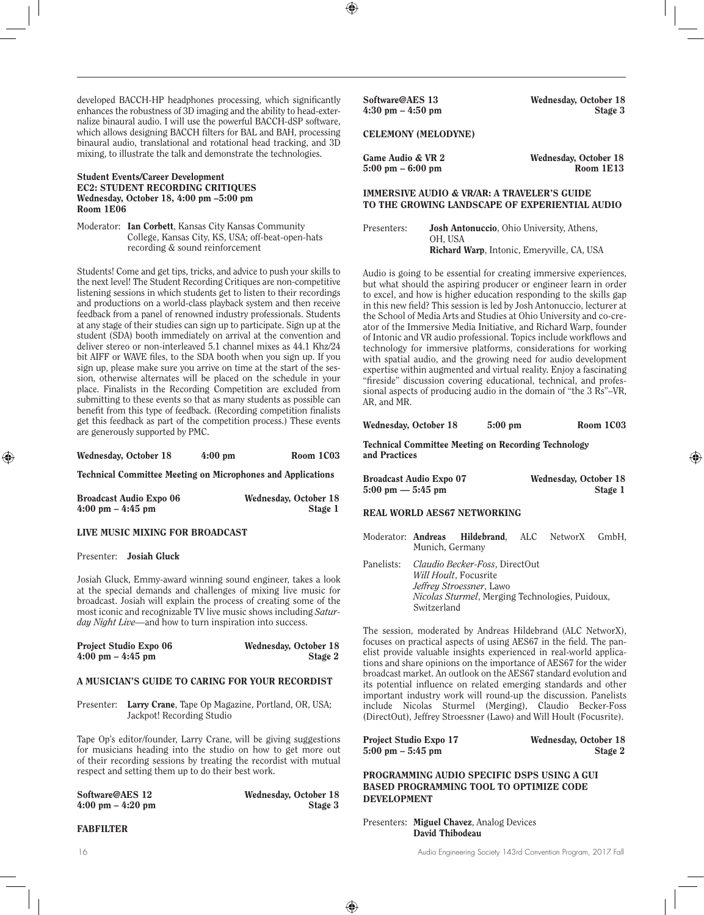developed BACCH-HP headphones processing, which significantly enhances the robustness of 3D imaging and the ability to head-externalize binaural audio. I will use the powerful BACCH-dSP software, which allows designing BACCH filters for BAL and BAH, processing binaural audio, translational and rotational head tracking, and 3D mixing, to illustrate the talk and demonstrate the technologies.

#### Student Events/Career Development EC2: STUDENT RECORDING CRITIQUES Wednesday, October 18, 4:00 pm –5:00 pm Room 1E06

Moderator: Ian Corbett, Kansas City Kansas Community College, Kansas City, KS, USA; off-beat-open-hats recording & sound reinforcement

Students! Come and get tips, tricks, and advice to push your skills to the next level! The Student Recording Critiques are non-competitive listening sessions in which students get to listen to their recordings and productions on a world-class playback system and then receive feedback from a panel of renowned industry professionals. Students at any stage of their studies can sign up to participate. Sign up at the student (SDA) booth immediately on arrival at the convention and deliver stereo or non-interleaved 5.1 channel mixes as 44.1 Khz/24 bit AIFF or WAVE files, to the SDA booth when you sign up. If you sign up, please make sure you arrive on time at the start of the session, otherwise alternates will be placed on the schedule in your place. Finalists in the Recording Competition are excluded from submitting to these events so that as many students as possible can benefit from this type of feedback. (Recording competition finalists get this feedback as part of the competition process.) These events are generously supported by PMC.

| Wednesday, October 18 | $4:00 \text{ pm}$ | Room 1C03 |
|-----------------------|-------------------|-----------|
|                       |                   |           |

Technical Committee Meeting on Microphones and Applications

| <b>Broadcast Audio Expo 06</b>      | Wednesday, October 18 |
|-------------------------------------|-----------------------|
| $4:00 \text{ pm} - 4:45 \text{ pm}$ | Stage 1               |

#### LIVE MUSIC MIXING FOR BROADCAST

#### Presenter: Josiah Gluck

Josiah Gluck, Emmy-award winning sound engineer, takes a look at the special demands and challenges of mixing live music for broadcast. Josiah will explain the process of creating some of the most iconic and recognizable TV live music shows including *Saturday Night Live—*and how to turn inspiration into success.

| <b>Project Studio Expo 06</b>       | Wednesday, October 18 |
|-------------------------------------|-----------------------|
| $4:00 \text{ pm} - 4:45 \text{ pm}$ | Stage 2               |

#### A MUSICIAN'S GUIDE TO CARING FOR YOUR RECORDIST

Presenter: Larry Crane, Tape Op Magazine, Portland, OR, USA; Jackpot! Recording Studio

Tape Op's editor/founder, Larry Crane, will be giving suggestions for musicians heading into the studio on how to get more out of their recording sessions by treating the recordist with mutual respect and setting them up to do their best work.

| Software@AES 12                     | Wednesday, October 18 |
|-------------------------------------|-----------------------|
| $4:00 \text{ pm} - 4:20 \text{ pm}$ | Stage 3               |

FABFILTER

Software@AES 13 Wednesday, October 18 4:30 pm – 4:50 pm Stage 3

CELEMONY (MELODYNE)

Game Audio & VR 2 Wednesday, October 18  $5:00 \text{ pm} - 6:00 \text{ pm}$  Room 1E13

#### IMMERSIVE AUDIO & VR/AR: A TRAVELER'S GUIDE TO THE GROWING LANDSCAPE OF EXPERIENTIAL AUDIO

Presenters: Josh Antonuccio, Ohio University, Athens, OH, USA Richard Warp, Intonic, Emeryville, CA, USA

Audio is going to be essential for creating immersive experiences, but what should the aspiring producer or engineer learn in order to excel, and how is higher education responding to the skills gap in this new field? This session is led by Josh Antonuccio, lecturer at the School of Media Arts and Studies at Ohio University and co-creator of the Immersive Media Initiative, and Richard Warp, founder of Intonic and VR audio professional. Topics include workflows and technology for immersive platforms, considerations for working with spatial audio, and the growing need for audio development expertise within augmented and virtual reality. Enjoy a fascinating "fireside" discussion covering educational, technical, and professional aspects of producing audio in the domain of "the 3 Rs"–VR, AR, and MR.

Wednesday, October 18 5:00 pm Room 1C03

Technical Committee Meeting on Recording Technology and Practices

| <b>Broadcast Audio Expo 07</b>      | Wednesday, October 18 |
|-------------------------------------|-----------------------|
| $5:00 \text{ pm} - 5:45 \text{ pm}$ | Stage 1               |

#### REAL WORLD AES67 NETWORKING

Moderator: Andreas Hildebrand, ALC NetworX GmbH, Munich, Germany

Panelists: *Claudio Becker-Foss*, DirectOut *Will Hoult*, Focusrite *Jeffrey Stroessner*, Lawo *Nicolas Sturmel*, Merging Technologies, Puidoux, Switzerland

The session, moderated by Andreas Hildebrand (ALC NetworX), focuses on practical aspects of using AES67 in the field. The panelist provide valuable insights experienced in real-world applications and share opinions on the importance of AES67 for the wider broadcast market. An outlook on the AES67 standard evolution and its potential influence on related emerging standards and other important industry work will round-up the discussion. Panelists include Nicolas Sturmel (Merging), Claudio Becker-Foss (DirectOut), Jeffrey Stroessner (Lawo) and Will Hoult (Focusrite).

Project Studio Expo 17 Wednesday, October 18 5:00 pm – 5:45 pm Stage 2

PROGRAMMING AUDIO SPECIFIC DSPS USING A GUI BASED PROGRAMMING TOOL TO OPTIMIZE CODE DEVELOPMENT

Presenters: Miguel Chavez, Analog Devices David Thibodeau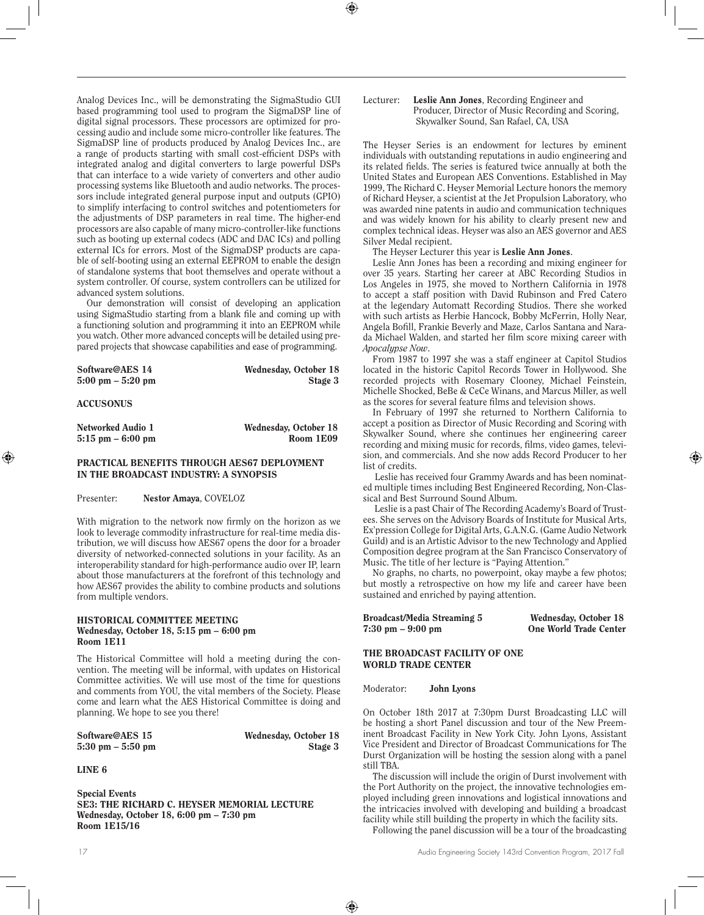Analog Devices Inc., will be demonstrating the SigmaStudio GUI based programming tool used to program the SigmaDSP line of digital signal processors. These processors are optimized for processing audio and include some micro-controller like features. The SigmaDSP line of products produced by Analog Devices Inc., are a range of products starting with small cost-efficient DSPs with integrated analog and digital converters to large powerful DSPs that can interface to a wide variety of converters and other audio processing systems like Bluetooth and audio networks. The processors include integrated general purpose input and outputs (GPIO) to simplify interfacing to control switches and potentiometers for the adjustments of DSP parameters in real time. The higher-end processors are also capable of many micro-controller-like functions such as booting up external codecs (ADC and DAC ICs) and polling external ICs for errors. Most of the SigmaDSP products are capable of self-booting using an external EEPROM to enable the design of standalone systems that boot themselves and operate without a system controller. Of course, system controllers can be utilized for advanced system solutions.

Our demonstration will consist of developing an application using SigmaStudio starting from a blank file and coming up with a functioning solution and programming it into an EEPROM while you watch. Other more advanced concepts will be detailed using prepared projects that showcase capabilities and ease of programming.

| Software@AES 14                     | Wednesday, October 18 |
|-------------------------------------|-----------------------|
| $5:00 \text{ pm} - 5:20 \text{ pm}$ | Stage 3               |

ACCUSONUS

| Networked Audio 1    | Wednesday, October 18 |
|----------------------|-----------------------|
| $5:15$ pm $-6:00$ pm | Room 1E09             |

## PRACTICAL BENEFITS THROUGH AES67 DEPLOYMENT IN THE BROADCAST INDUSTRY: A SYNOPSIS

Presenter: Nestor Amaya, COVELOZ

With migration to the network now firmly on the horizon as we look to leverage commodity infrastructure for real-time media distribution, we will discuss how AES67 opens the door for a broader diversity of networked-connected solutions in your facility. As an interoperability standard for high-performance audio over IP, learn about those manufacturers at the forefront of this technology and how AES67 provides the ability to combine products and solutions from multiple vendors.

#### HISTORICAL COMMITTEE MEETING Wednesday, October 18, 5:15 pm – 6:00 pm Room 1E11

The Historical Committee will hold a meeting during the convention. The meeting will be informal, with updates on Historical Committee activities. We will use most of the time for questions and comments from YOU, the vital members of the Society. Please come and learn what the AES Historical Committee is doing and planning. We hope to see you there!

Software@AES 15 Wednesday, October 18 5:30 pm – 5:50 pm Stage 3

LINE 6

Special Events SE3: THE RICHARD C. HEYSER MEMORIAL LECTURE Wednesday, October 18, 6:00 pm – 7:30 pm Room 1E15/16

#### Lecturer: Leslie Ann Jones, Recording Engineer and Producer, Director of Music Recording and Scoring, Skywalker Sound, San Rafael, CA, USA

The Heyser Series is an endowment for lectures by eminent individuals with outstanding reputations in audio engineering and its related fields. The series is featured twice annually at both the United States and European AES Conventions. Established in May 1999, The Richard C. Heyser Memorial Lecture honors the memory of Richard Heyser, a scientist at the Jet Propulsion Laboratory, who was awarded nine patents in audio and communication techniques and was widely known for his ability to clearly present new and complex technical ideas. Heyser was also an AES governor and AES Silver Medal recipient.

The Heyser Lecturer this year is Leslie Ann Jones.

Leslie Ann Jones has been a recording and mixing engineer for over 35 years. Starting her career at ABC Recording Studios in Los Angeles in 1975, she moved to Northern California in 1978 to accept a staff position with David Rubinson and Fred Catero at the legendary Automatt Recording Studios. There she worked with such artists as Herbie Hancock, Bobby McFerrin, Holly Near, Angela Bofill, Frankie Beverly and Maze, Carlos Santana and Narada Michael Walden, and started her film score mixing career with *Apocalypse Now*.

From 1987 to 1997 she was a staff engineer at Capitol Studios located in the historic Capitol Records Tower in Hollywood. She recorded projects with Rosemary Clooney, Michael Feinstein, Michelle Shocked, BeBe & CeCe Winans, and Marcus Miller, as well as the scores for several feature films and television shows.

In February of 1997 she returned to Northern California to accept a position as Director of Music Recording and Scoring with Skywalker Sound, where she continues her engineering career recording and mixing music for records, films, video games, television, and commercials. And she now adds Record Producer to her list of credits.

 Leslie has received four Grammy Awards and has been nominated multiple times including Best Engineered Recording, Non-Classical and Best Surround Sound Album.

 Leslie is a past Chair of The Recording Academy's Board of Trustees. She serves on the Advisory Boards of Institute for Musical Arts, Ex'pression College for Digital Arts, G.A.N.G. (Game Audio Network Guild) and is an Artistic Advisor to the new Technology and Applied Composition degree program at the San Francisco Conservatory of Music. The title of her lecture is "Paying Attention."

No graphs, no charts, no powerpoint, okay maybe a few photos; but mostly a retrospective on how my life and career have been sustained and enriched by paying attention.

Broadcast/Media Streaming 5 Wednesday, October 18 7:30 pm – 9:00 pm One World Trade Center

#### THE BROADCAST FACILITY OF ONE WORLD TRADE CENTER

#### Moderator: John Lyons

On October 18th 2017 at 7:30pm Durst Broadcasting LLC will be hosting a short Panel discussion and tour of the New Preeminent Broadcast Facility in New York City. John Lyons, Assistant Vice President and Director of Broadcast Communications for The Durst Organization will be hosting the session along with a panel still TBA.

The discussion will include the origin of Durst involvement with the Port Authority on the project, the innovative technologies employed including green innovations and logistical innovations and the intricacies involved with developing and building a broadcast facility while still building the property in which the facility sits.

Following the panel discussion will be a tour of the broadcasting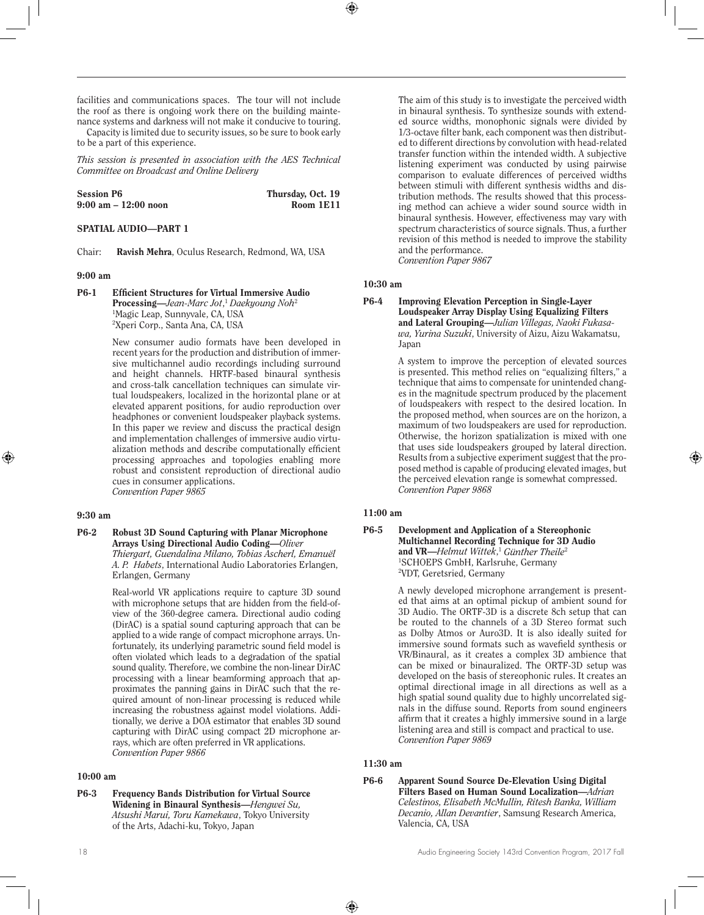facilities and communications spaces. The tour will not include the roof as there is ongoing work there on the building maintenance systems and darkness will not make it conducive to touring.

Capacity is limited due to security issues, so be sure to book early to be a part of this experience.

*This session is presented in association with the AES Technical Committee on Broadcast and Online Delivery*

| <b>Session P6</b>    | Thursday, Oct. 19 |
|----------------------|-------------------|
| 9:00 am – 12:00 noon | Room 1E11         |

#### SPATIAL AUDIO—PART 1

Chair: Ravish Mehra, Oculus Research, Redmond, WA, USA

#### 9:00 am

#### P6-1 Efficient Structures for Virtual Immersive Audio Processing—*Jean-Marc Jot*, <sup>1</sup> *Daekyoung Noh*<sup>2</sup> 1 Magic Leap, Sunnyvale, CA, USA 2 Xperi Corp., Santa Ana, CA, USA

New consumer audio formats have been developed in recent years for the production and distribution of immersive multichannel audio recordings including surround and height channels. HRTF-based binaural synthesis and cross-talk cancellation techniques can simulate virtual loudspeakers, localized in the horizontal plane or at elevated apparent positions, for audio reproduction over headphones or convenient loudspeaker playback systems. In this paper we review and discuss the practical design and implementation challenges of immersive audio virtualization methods and describe computationally efficient processing approaches and topologies enabling more robust and consistent reproduction of directional audio cues in consumer applications. *Convention Paper 9865*

#### 9:30 am

P6-2 Robust 3D Sound Capturing with Planar Microphone Arrays Using Directional Audio Coding—*Oliver Thiergart, Guendalina Milano, Tobias Ascherl, Emanuël A. P. Habets*, International Audio Laboratories Erlangen, Erlangen, Germany

> Real-world VR applications require to capture 3D sound with microphone setups that are hidden from the field-ofview of the 360-degree camera. Directional audio coding (DirAC) is a spatial sound capturing approach that can be applied to a wide range of compact microphone arrays. Unfortunately, its underlying parametric sound field model is often violated which leads to a degradation of the spatial sound quality. Therefore, we combine the non-linear DirAC processing with a linear beamforming approach that approximates the panning gains in DirAC such that the required amount of non-linear processing is reduced while increasing the robustness against model violations. Additionally, we derive a DOA estimator that enables 3D sound capturing with DirAC using compact 2D microphone arrays, which are often preferred in VR applications. *Convention Paper 9866*

#### 10:00 am

P6-3 Frequency Bands Distribution for Virtual Source Widening in Binaural Synthesis—*Hengwei Su, Atsushi Marui, Toru Kamekawa*, Tokyo University of the Arts, Adachi-ku, Tokyo, Japan

The aim of this study is to investigate the perceived width in binaural synthesis. To synthesize sounds with extended source widths, monophonic signals were divided by 1/3-octave filter bank, each component was then distributed to different directions by convolution with head-related transfer function within the intended width. A subjective listening experiment was conducted by using pairwise comparison to evaluate differences of perceived widths between stimuli with different synthesis widths and distribution methods. The results showed that this processing method can achieve a wider sound source width in binaural synthesis. However, effectiveness may vary with spectrum characteristics of source signals. Thus, a further revision of this method is needed to improve the stability and the performance. *Convention Paper 9867*

## 10:30 am

P6-4 Improving Elevation Perception in Single-Layer Loudspeaker Array Display Using Equalizing Filters and Lateral Grouping—*Julian Villegas, Naoki Fukasawa, Yurina Suzuki*, University of Aizu, Aizu Wakamatsu, Japan

> A system to improve the perception of elevated sources is presented. This method relies on "equalizing filters," a technique that aims to compensate for unintended changes in the magnitude spectrum produced by the placement of loudspeakers with respect to the desired location. In the proposed method, when sources are on the horizon, a maximum of two loudspeakers are used for reproduction. Otherwise, the horizon spatialization is mixed with one that uses side loudspeakers grouped by lateral direction. Results from a subjective experiment suggest that the proposed method is capable of producing elevated images, but the perceived elevation range is somewhat compressed. *Convention Paper 9868*

## 11:00 am

#### P6-5 Development and Application of a Stereophonic Multichannel Recording Technique for 3D Audio and VR—*Helmut Wittek*, <sup>1</sup> *Günther Theile*<sup>2</sup> 1 SCHOEPS GmbH, Karlsruhe, Germany 2 VDT, Geretsried, Germany

A newly developed microphone arrangement is presented that aims at an optimal pickup of ambient sound for 3D Audio. The ORTF-3D is a discrete 8ch setup that can be routed to the channels of a 3D Stereo format such as Dolby Atmos or Auro3D. It is also ideally suited for immersive sound formats such as wavefield synthesis or VR/Binaural, as it creates a complex 3D ambience that can be mixed or binauralized. The ORTF-3D setup was developed on the basis of stereophonic rules. It creates an optimal directional image in all directions as well as a high spatial sound quality due to highly uncorrelated signals in the diffuse sound. Reports from sound engineers affirm that it creates a highly immersive sound in a large listening area and still is compact and practical to use. *Convention Paper 9869*

## 11:30 am

#### P6-6 Apparent Sound Source De-Elevation Using Digital Filters Based on Human Sound Localization—*Adrian Celestinos, Elisabeth McMullin, Ritesh Banka, William Decanio, Allan Devantier*, Samsung Research America, Valencia, CA, USA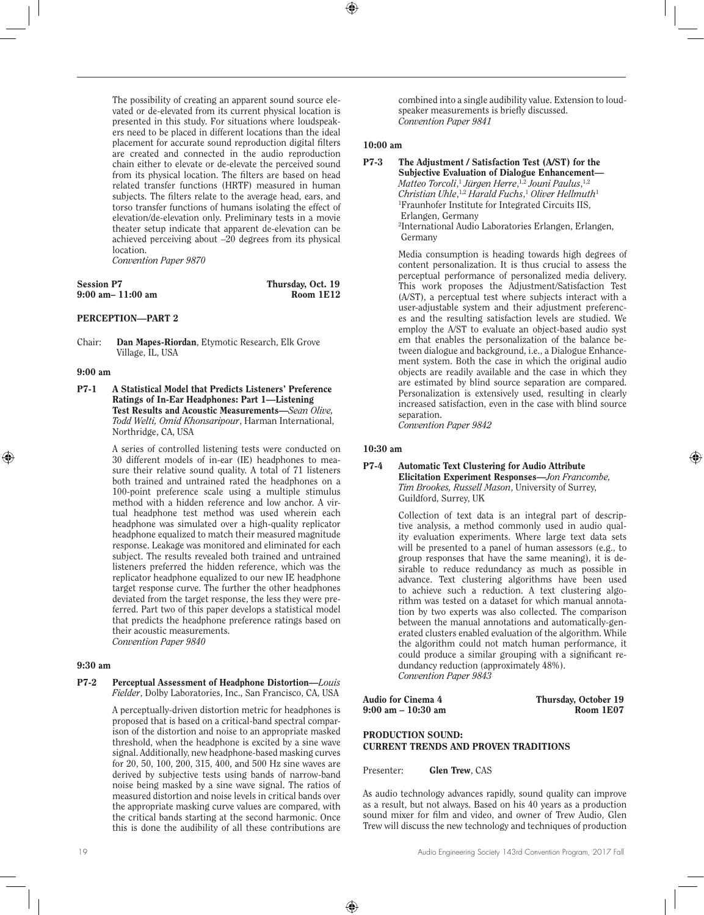The possibility of creating an apparent sound source elevated or de-elevated from its current physical location is presented in this study. For situations where loudspeakers need to be placed in different locations than the ideal placement for accurate sound reproduction digital filters are created and connected in the audio reproduction chain either to elevate or de-elevate the perceived sound from its physical location. The filters are based on head related transfer functions (HRTF) measured in human subjects. The filters relate to the average head, ears, and torso transfer functions of humans isolating the effect of elevation/de-elevation only. Preliminary tests in a movie theater setup indicate that apparent de-elevation can be achieved perceiving about –20 degrees from its physical location. *Convention Paper 9870*

| <b>Session P7</b>     | Thursday, Oct. 19 |
|-----------------------|-------------------|
| $9:00$ am $-11:00$ am | Room 1E12         |

## PERCEPTION—PART 2

Chair: Dan Mapes-Riordan, Etymotic Research, Elk Grove Village, IL, USA

#### 9:00 am

P7-1 A Statistical Model that Predicts Listeners' Preference Ratings of In-Ear Headphones: Part 1—Listening Test Results and Acoustic Measurements—*Sean Olive, Todd Welti, Omid Khonsaripour*, Harman International, Northridge, CA, USA

> A series of controlled listening tests were conducted on 30 different models of in-ear (IE) headphones to measure their relative sound quality. A total of 71 listeners both trained and untrained rated the headphones on a 100-point preference scale using a multiple stimulus method with a hidden reference and low anchor. A virtual headphone test method was used wherein each headphone was simulated over a high-quality replicator headphone equalized to match their measured magnitude response. Leakage was monitored and eliminated for each subject. The results revealed both trained and untrained listeners preferred the hidden reference, which was the replicator headphone equalized to our new IE headphone target response curve. The further the other headphones deviated from the target response, the less they were preferred. Part two of this paper develops a statistical model that predicts the headphone preference ratings based on their acoustic measurements. *Convention Paper 9840*

#### 9:30 am

#### P7-2 Perceptual Assessment of Headphone Distortion—*Louis Fielder*, Dolby Laboratories, Inc., San Francisco, CA, USA

A perceptually-driven distortion metric for headphones is proposed that is based on a critical-band spectral comparison of the distortion and noise to an appropriate masked threshold, when the headphone is excited by a sine wave signal. Additionally, new headphone-based masking curves for 20, 50, 100, 200, 315, 400, and 500 Hz sine waves are derived by subjective tests using bands of narrow-band noise being masked by a sine wave signal. The ratios of measured distortion and noise levels in critical bands over the appropriate masking curve values are compared, with the critical bands starting at the second harmonic. Once this is done the audibility of all these contributions are

combined into a single audibility value. Extension to loudspeaker measurements is briefly discussed. *Convention Paper 9841*

#### 10:00 am

Media consumption is heading towards high degrees of content personalization. It is thus crucial to assess the perceptual performance of personalized media delivery. This work proposes the Adjustment/Satisfaction Test (A/ST), a perceptual test where subjects interact with a user-adjustable system and their adjustment preferences and the resulting satisfaction levels are studied. We employ the A/ST to evaluate an object-based audio syst em that enables the personalization of the balance between dialogue and background, i.e., a Dialogue Enhancement system. Both the case in which the original audio objects are readily available and the case in which they are estimated by blind source separation are compared. Personalization is extensively used, resulting in clearly increased satisfaction, even in the case with blind source separation.

*Convention Paper 9842*

## 10:30 am

#### P7-4 Automatic Text Clustering for Audio Attribute Elicitation Experiment Responses—*Jon Francombe, Tim Brookes, Russell Mason*, University of Surrey, Guildford, Surrey, UK

Collection of text data is an integral part of descriptive analysis, a method commonly used in audio quality evaluation experiments. Where large text data sets will be presented to a panel of human assessors (e.g., to group responses that have the same meaning), it is desirable to reduce redundancy as much as possible in advance. Text clustering algorithms have been used to achieve such a reduction. A text clustering algorithm was tested on a dataset for which manual annotation by two experts was also collected. The comparison between the manual annotations and automatically-generated clusters enabled evaluation of the algorithm. While the algorithm could not match human performance, it could produce a similar grouping with a significant redundancy reduction (approximately 48%). *Convention Paper 9843* 

 $9:00$  am  $-10:30$  am

Audio for Cinema 4 Thursday, October 19

## PRODUCTION SOUND: CURRENT TRENDS AND PROVEN TRADITIONS

Presenter: Glen Trew, CAS

As audio technology advances rapidly, sound quality can improve as a result, but not always. Based on his 40 years as a production sound mixer for film and video, and owner of Trew Audio, Glen Trew will discuss the new technology and techniques of production

P7-3 The Adjustment / Satisfaction Test (A/ST) for the Subjective Evaluation of Dialogue Enhancement— *Matteo Torcoli*, <sup>1</sup> *Jürgen Herre*, 1,2 *Jouni Paulus*, 1,2 *Christian Uhle*, 1,2 *Harald Fuchs*, <sup>1</sup> *Oliver Hellmuth*<sup>1</sup> 1 Fraunhofer Institute for Integrated Circuits IIS, Erlangen, Germany 2 International Audio Laboratories Erlangen, Erlangen, Germany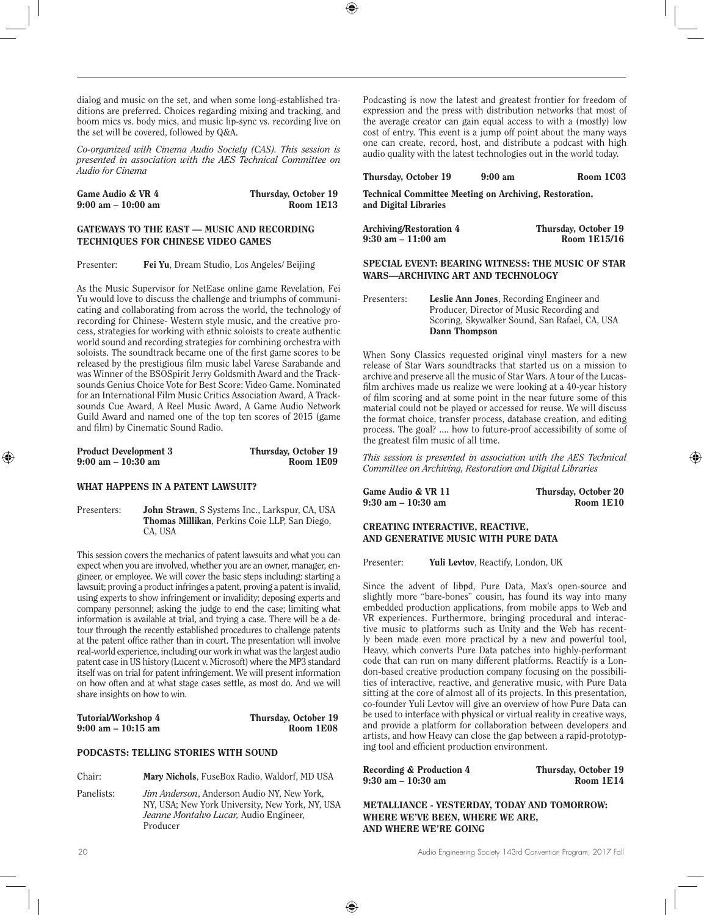dialog and music on the set, and when some long-established traditions are preferred. Choices regarding mixing and tracking, and boom mics vs. body mics, and music lip-sync vs. recording live on the set will be covered, followed by Q&A.

*Co-organized with Cinema Audio Society (CAS). This session is presented in association with the AES Technical Committee on Audio for Cinema*

| Game Audio & VR 4                    | Thursday, October 19 |
|--------------------------------------|----------------------|
| $9:00 \text{ am} - 10:00 \text{ am}$ | Room 1E13            |

## GATEWAYS TO THE EAST — MUSIC AND RECORDING TECHNIQUES FOR CHINESE VIDEO GAMES

Presenter: Fei Yu, Dream Studio, Los Angeles/ Beijing

As the Music Supervisor for NetEase online game Revelation, Fei Yu would love to discuss the challenge and triumphs of communicating and collaborating from across the world, the technology of recording for Chinese- Western style music, and the creative process, strategies for working with ethnic soloists to create authentic world sound and recording strategies for combining orchestra with soloists. The soundtrack became one of the first game scores to be released by the prestigious film music label Varese Sarabande and was Winner of the BSOSpirit Jerry Goldsmith Award and the Tracksounds Genius Choice Vote for Best Score: Video Game. Nominated for an International Film Music Critics Association Award, A Tracksounds Cue Award, A Reel Music Award, A Game Audio Network Guild Award and named one of the top ten scores of 2015 (game and film) by Cinematic Sound Radio.

| <b>Product Development 3</b>         | Thursday, October 19 |
|--------------------------------------|----------------------|
| $9:00 \text{ am} - 10:30 \text{ am}$ | Room 1E09            |

#### WHAT HAPPENS IN A PATENT LAWSUIT?

Presenters: **John Strawn**, S Systems Inc., Larkspur, CA, USA Thomas Millikan, Perkins Coie LLP, San Diego, CA, USA

This session covers the mechanics of patent lawsuits and what you can expect when you are involved, whether you are an owner, manager, engineer, or employee. We will cover the basic steps including: starting a lawsuit; proving a product infringes a patent, proving a patent is invalid, using experts to show infringement or invalidity; deposing experts and company personnel; asking the judge to end the case; limiting what information is available at trial, and trying a case. There will be a detour through the recently established procedures to challenge patents at the patent office rather than in court. The presentation will involve real-world experience, including our work in what was the largest audio patent case in US history (Lucent v. Microsoft) where the MP3 standard itself was on trial for patent infringement. We will present information on how often and at what stage cases settle, as most do. And we will share insights on how to win.

| Tutorial/Workshop 4                  | Thursday, October 19 |
|--------------------------------------|----------------------|
| $9:00 \text{ am} - 10:15 \text{ am}$ | Room 1E08            |

#### PODCASTS: TELLING STORIES WITH SOUND

Chair: Mary Nichols, FuseBox Radio, Waldorf, MD USA

Panelists: *Jim Anderson*, Anderson Audio NY, New York, NY, USA; New York University, New York, NY, USA *Jeanne Montalvo Lucar,* Audio Engineer, Producer

Podcasting is now the latest and greatest frontier for freedom of expression and the press with distribution networks that most of the average creator can gain equal access to with a (mostly) low cost of entry. This event is a jump off point about the many ways one can create, record, host, and distribute a podcast with high audio quality with the latest technologies out in the world today.

#### Thursday, October 19 9:00 am Room 1C03

Technical Committee Meeting on Archiving, Restoration, and Digital Libraries

| Archiving/Restoration 4 | Thursday, October 19 |
|-------------------------|----------------------|
| 9:30 am – 11:00 am      | Room 1E15/16         |

#### SPECIAL EVENT: BEARING WITNESS: THE MUSIC OF STAR WARS—ARCHIVING ART AND TECHNOLOGY

Presenters: Leslie Ann Jones, Recording Engineer and Producer, Director of Music Recording and Scoring, Skywalker Sound, San Rafael, CA, USA Dann Thompson

When Sony Classics requested original vinyl masters for a new release of Star Wars soundtracks that started us on a mission to archive and preserve all the music of Star Wars. A tour of the Lucasfilm archives made us realize we were looking at a 40-year history of film scoring and at some point in the near future some of this material could not be played or accessed for reuse. We will discuss the format choice, transfer process, database creation, and editing process. The goal? .... how to future-proof accessibility of some of the greatest film music of all time.

*This session is presented in association with the AES Technical Committee on Archiving, Restoration and Digital Libraries*

Game Audio & VR 11 Thursday, October 20<br>9:30 am - 10:30 am Room 1E10  $9:30$  am  $-10:30$  am

## CREATING INTERACTIVE, REACTIVE, AND GENERATIVE MUSIC WITH PURE DATA

Presenter: **Yuli Levtov**, Reactify, London, UK

Since the advent of libpd, Pure Data, Max's open-source and slightly more "bare-bones" cousin, has found its way into many embedded production applications, from mobile apps to Web and VR experiences. Furthermore, bringing procedural and interactive music to platforms such as Unity and the Web has recently been made even more practical by a new and powerful tool, Heavy, which converts Pure Data patches into highly-performant code that can run on many different platforms. Reactify is a London-based creative production company focusing on the possibilities of interactive, reactive, and generative music, with Pure Data sitting at the core of almost all of its projects. In this presentation, co-founder Yuli Levtov will give an overview of how Pure Data can be used to interface with physical or virtual reality in creative ways, and provide a platform for collaboration between developers and artists, and how Heavy can close the gap between a rapid-prototyping tool and efficient production environment.

| <b>Recording &amp; Production 4</b> | Thursday, October 19 |
|-------------------------------------|----------------------|
| 9:30 am – 10:30 am                  | Room 1E14            |
|                                     |                      |

METALLIANCE - YESTERDAY, TODAY AND TOMORROW: WHERE WE'VE BEEN, WHERE WE ARE, AND WHERE WE'RE GOING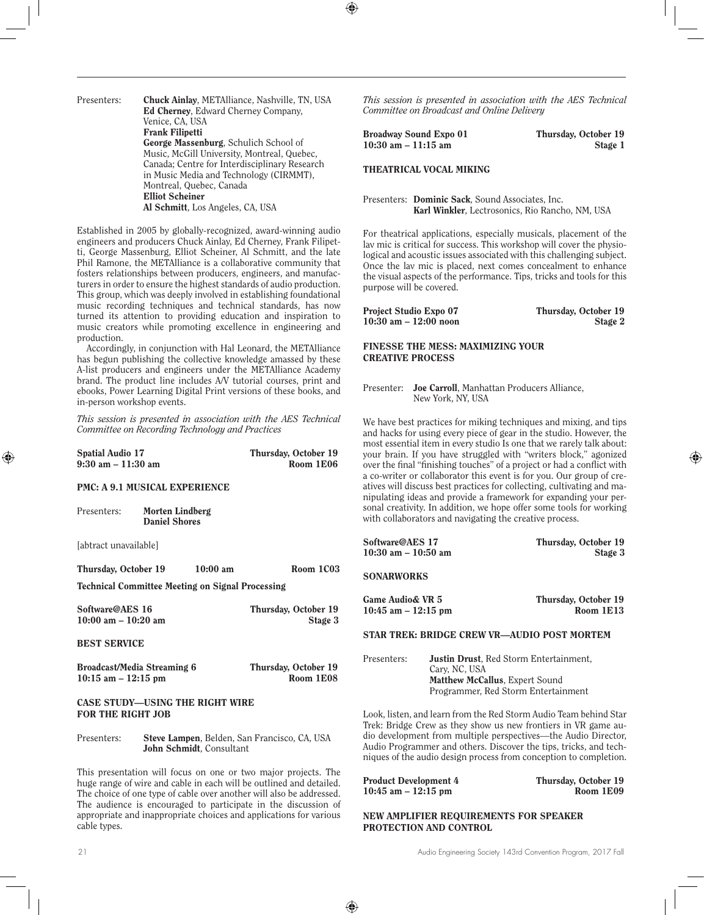Presenters: Chuck Ainlay, METAlliance, Nashville, TN, USA Ed Cherney, Edward Cherney Company, Venice, CA, USA Frank Filipetti George Massenburg, Schulich School of Music, McGill University, Montreal, Quebec, Canada; Centre for Interdisciplinary Research in Music Media and Technology (CIRMMT), Montreal, Quebec, Canada Elliot Scheiner Al Schmitt, Los Angeles, CA, USA

Established in 2005 by globally-recognized, award-winning audio engineers and producers Chuck Ainlay, Ed Cherney, Frank Filipetti, George Massenburg, Elliot Scheiner, Al Schmitt, and the late Phil Ramone, the METAlliance is a collaborative community that fosters relationships between producers, engineers, and manufacturers in order to ensure the highest standards of audio production. This group, which was deeply involved in establishing foundational music recording techniques and technical standards, has now turned its attention to providing education and inspiration to music creators while promoting excellence in engineering and production.

Accordingly, in conjunction with Hal Leonard, the METAlliance has begun publishing the collective knowledge amassed by these A-list producers and engineers under the METAlliance Academy brand. The product line includes A/V tutorial courses, print and ebooks, Power Learning Digital Print versions of these books, and in-person workshop events.

*This session is presented in association with the AES Technical Committee on Recording Technology and Practices*

| <b>Spatial Audio 17</b>              | Thursday, October 19 |
|--------------------------------------|----------------------|
| $9:30 \text{ am} - 11:30 \text{ am}$ | Room 1E06            |

#### PMC: A 9.1 MUSICAL EXPERIENCE

Presenters: Morten Lindberg Daniel Shores

[abtract unavailable]

Thursday, October 19 10:00 am Room 1C03

Technical Committee Meeting on Signal Processing

| Software@AES 16         | Thursday, October 19 |
|-------------------------|----------------------|
| $10:00$ am $- 10:20$ am | Stage 3              |

#### BEST SERVICE

| Broadcast/Media Streaming 6 | Thursday, October 19 |
|-----------------------------|----------------------|
| $10:15$ am $-12:15$ pm      | Room 1E08            |

## CASE STUDY—USING THE RIGHT WIRE FOR THE RIGHT JOB

Presenters: Steve Lampen, Belden, San Francisco, CA, USA John Schmidt, Consultant

This presentation will focus on one or two major projects. The huge range of wire and cable in each will be outlined and detailed. The choice of one type of cable over another will also be addressed. The audience is encouraged to participate in the discussion of appropriate and inappropriate choices and applications for various cable types.

*This session is presented in association with the AES Technical Committee on Broadcast and Online Delivery*

| Broadway Sound Expo 01 | Thursday, October 19 |
|------------------------|----------------------|
| $10:30$ am $-11:15$ am | Stage 1              |

THEATRICAL VOCAL MIKING

Presenters: Dominic Sack, Sound Associates, Inc. Karl Winkler, Lectrosonics, Rio Rancho, NM, USA

For theatrical applications, especially musicals, placement of the lav mic is critical for success. This workshop will cover the physiological and acoustic issues associated with this challenging subject. Once the lav mic is placed, next comes concealment to enhance the visual aspects of the performance. Tips, tricks and tools for this purpose will be covered.

| Project Studio Expo 07   | Thursday, October 19 |
|--------------------------|----------------------|
| $10:30$ am $-12:00$ noon | Stage 2              |

## FINESSE THE MESS: MAXIMIZING YOUR CREATIVE PROCESS

Presenter: Joe Carroll, Manhattan Producers Alliance, New York, NY, USA

We have best practices for miking techniques and mixing, and tips and hacks for using every piece of gear in the studio. However, the most essential item in every studio Is one that we rarely talk about: your brain. If you have struggled with "writers block," agonized over the final "finishing touches" of a project or had a conflict with a co-writer or collaborator this event is for you. Our group of creatives will discuss best practices for collecting, cultivating and manipulating ideas and provide a framework for expanding your personal creativity. In addition, we hope offer some tools for working with collaborators and navigating the creative process.

| Software@AES 17         | Thursday, October 19 |
|-------------------------|----------------------|
| $10:30$ am $- 10:50$ am | Stage 3              |

**SONARWORKS** 

| <b>Game Audio&amp; VR 5</b> | Thursday, October 19 |
|-----------------------------|----------------------|
| $10:45$ am $-12:15$ pm      | Room 1E13            |
|                             |                      |

## STAR TREK: BRIDGE CREW VR—AUDIO POST MORTEM

| Presenters: | <b>Justin Drust</b> , Red Storm Entertainment, |
|-------------|------------------------------------------------|
|             | Cary, NC, USA                                  |
|             | <b>Matthew McCallus. Expert Sound</b>          |
|             | Programmer, Red Storm Entertainment            |

Look, listen, and learn from the Red Storm Audio Team behind Star Trek: Bridge Crew as they show us new frontiers in VR game audio development from multiple perspectives—the Audio Director, Audio Programmer and others. Discover the tips, tricks, and techniques of the audio design process from conception to completion.

| <b>Product Development 4</b> | Thursday, October 19 |
|------------------------------|----------------------|
| $10:45$ am $-12:15$ pm       | Room 1E09            |

NEW AMPLIFIER REQUIREMENTS FOR SPEAKER PROTECTION AND CONTROL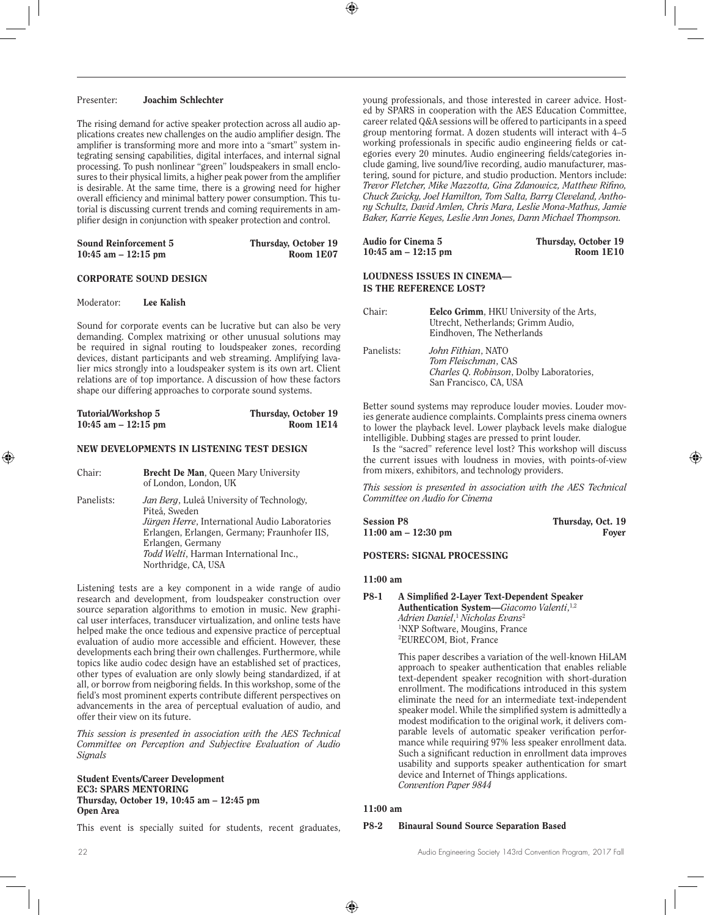## Presenter: Joachim Schlechter

The rising demand for active speaker protection across all audio applications creates new challenges on the audio amplifier design. The amplifier is transforming more and more into a "smart" system integrating sensing capabilities, digital interfaces, and internal signal processing. To push nonlinear "green" loudspeakers in small enclosures to their physical limits, a higher peak power from the amplifier is desirable. At the same time, there is a growing need for higher overall efficiency and minimal battery power consumption. This tutorial is discussing current trends and coming requirements in amplifier design in conjunction with speaker protection and control.

| <b>Sound Reinforcement 5</b> | Thursday, October 19 |
|------------------------------|----------------------|
| 10:45 am $-$ 12:15 pm        | Room 1E07            |

## CORPORATE SOUND DESIGN

#### Moderator: Lee Kalish

Sound for corporate events can be lucrative but can also be very demanding. Complex matrixing or other unusual solutions may be required in signal routing to loudspeaker zones, recording devices, distant participants and web streaming. Amplifying lavalier mics strongly into a loudspeaker system is its own art. Client relations are of top importance. A discussion of how these factors shape our differing approaches to corporate sound systems.

| Tutorial/Workshop 5   | Thursday, October 19 |
|-----------------------|----------------------|
| 10:45 am $-$ 12:15 pm | Room 1E14            |

#### NEW DEVELOPMENTS IN LISTENING TEST DESIGN

| Chair:     | <b>Brecht De Man, Queen Mary University</b><br>of London, London, UK                                                                                                                                                                                       |
|------------|------------------------------------------------------------------------------------------------------------------------------------------------------------------------------------------------------------------------------------------------------------|
| Panelists: | Jan Berg, Luleå University of Technology,<br>Piteå. Sweden<br><i>Jürgen Herre</i> , International Audio Laboratories<br>Erlangen, Erlangen, Germany; Fraunhofer IIS,<br>Erlangen, Germany<br>Todd Welti, Harman International Inc.,<br>Northridge, CA, USA |

Listening tests are a key component in a wide range of audio research and development, from loudspeaker construction over source separation algorithms to emotion in music. New graphical user interfaces, transducer virtualization, and online tests have helped make the once tedious and expensive practice of perceptual evaluation of audio more accessible and efficient. However, these developments each bring their own challenges. Furthermore, while topics like audio codec design have an established set of practices, other types of evaluation are only slowly being standardized, if at all, or borrow from neigboring fields. In this workshop, some of the field's most prominent experts contribute different perspectives on advancements in the area of perceptual evaluation of audio, and offer their view on its future.

*This session is presented in association with the AES Technical Committee on Perception and Subjective Evaluation of Audio Signals*

#### Student Events/Career Development EC3: SPARS MENTORING Thursday, October 19, 10:45 am – 12:45 pm Open Area

This event is specially suited for students, recent graduates,

young professionals, and those interested in career advice. Hosted by SPARS in cooperation with the AES Education Committee, career related Q&A sessions will be offered to participants in a speed group mentoring format. A dozen students will interact with 4–5 working professionals in specific audio engineering fields or categories every 20 minutes. Audio engineering fields/categories include gaming, live sound/live recording, audio manufacturer, mastering, sound for picture, and studio production. Mentors include: *Trevor Fletcher, Mike Mazzotta, Gina Zdanowicz, Matthew Rifino, Chuck Zwicky, Joel Hamilton, Tom Salta, Barry Cleveland, Anthony Schultz, David Amlen, Chris Mara, Leslie Mona-Mathus, Jamie Baker, Karrie Keyes, Leslie Ann Jones, Dann Michael Thompson.*

| Audio for Cinema 5                                   | Thursday, October 19 |
|------------------------------------------------------|----------------------|
| $10:45$ am $-12:15$ pm                               | Room 1E10            |
| LOUDNESS ISSUES IN CINEMA—<br>IS THE REFERENCE LOST? |                      |

| Chair:     | <b>Eelco Grimm</b> , HKU University of the Arts,<br>Utrecht, Netherlands; Grimm Audio,<br>Eindhoven, The Netherlands |
|------------|----------------------------------------------------------------------------------------------------------------------|
| Panelists: | John Fithian, NATO<br>Tom Fleischman, CAS<br>Charles Q. Robinson, Dolby Laboratories,<br>San Francisco, CA, USA      |

Better sound systems may reproduce louder movies. Louder movies generate audience complaints. Complaints press cinema owners to lower the playback level. Lower playback levels make dialogue intelligible. Dubbing stages are pressed to print louder.

Is the "sacred" reference level lost? This workshop will discuss the current issues with loudness in movies, with points-of-view from mixers, exhibitors, and technology providers.

*This session is presented in association with the AES Technical Committee on Audio for Cinema*

| <b>Session P8</b>      | Thursday, Oct. 19 |
|------------------------|-------------------|
| $11:00$ am $-12:30$ pm | Fover             |

## POSTERS: SIGNAL PROCESSING

#### 11:00 am

#### P8-1 A Simplified 2-Layer Text-Dependent Speaker Authentication System—*Giacomo Valenti*, 1,2 *Adrien Daniel*, <sup>1</sup> *Nicholas Evans*<sup>2</sup> 1 NXP Software, Mougins, France 2 EURECOM, Biot, France

This paper describes a variation of the well-known HiLAM approach to speaker authentication that enables reliable text-dependent speaker recognition with short-duration enrollment. The modifications introduced in this system eliminate the need for an intermediate text-independent speaker model. While the simplified system is admittedly a modest modification to the original work, it delivers comparable levels of automatic speaker verification performance while requiring 97% less speaker enrollment data. Such a significant reduction in enrollment data improves usability and supports speaker authentication for smart device and Internet of Things applications. *Convention Paper 9844*

#### 11:00 am

#### P8-2 Binaural Sound Source Separation Based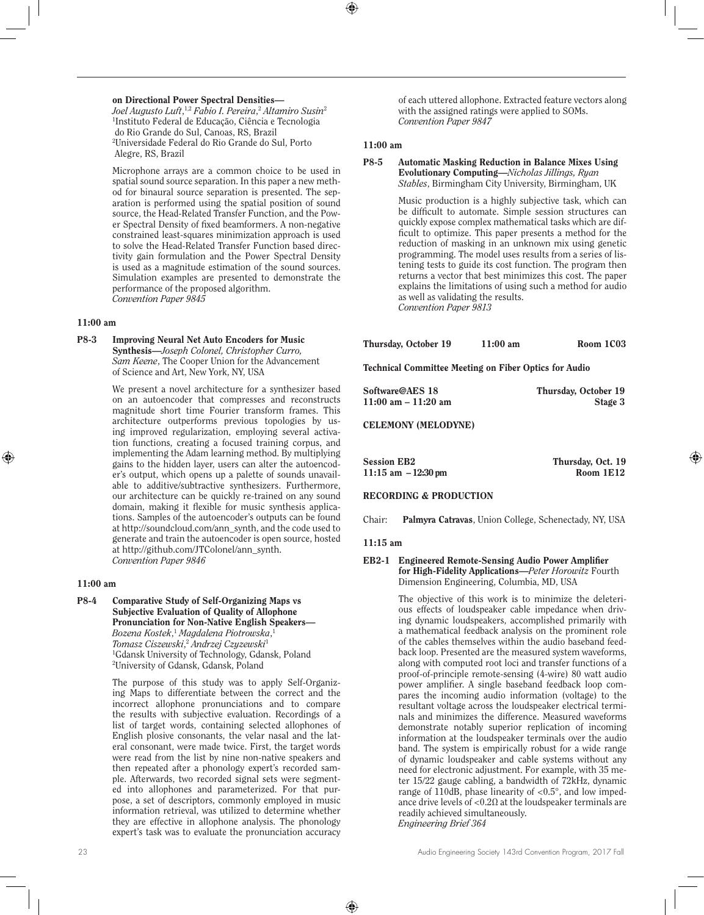#### on Directional Power Spectral Densities—

*Joel Augusto Luft*, 1,2 *Fabio I. Pereira*, <sup>2</sup> *Altamiro Susin*<sup>2</sup> 1 Instituto Federal de Educação, Ciência e Tecnologia do Rio Grande do Sul, Canoas, RS, Brazil 2 Universidade Federal do Rio Grande do Sul, Porto Alegre, RS, Brazil

Microphone arrays are a common choice to be used in spatial sound source separation. In this paper a new method for binaural source separation is presented. The separation is performed using the spatial position of sound source, the Head-Related Transfer Function, and the Power Spectral Density of fixed beamformers. A non-negative constrained least-squares minimization approach is used to solve the Head-Related Transfer Function based directivity gain formulation and the Power Spectral Density is used as a magnitude estimation of the sound sources. Simulation examples are presented to demonstrate the performance of the proposed algorithm. *Convention Paper 9845*

#### 11:00 am

P8-3 Improving Neural Net Auto Encoders for Music Synthesis—*Joseph Colonel, Christopher Curro, Sam Keene*, The Cooper Union for the Advancement of Science and Art, New York, NY, USA

> We present a novel architecture for a synthesizer based on an autoencoder that compresses and reconstructs magnitude short time Fourier transform frames. This architecture outperforms previous topologies by using improved regularization, employing several activation functions, creating a focused training corpus, and implementing the Adam learning method. By multiplying gains to the hidden layer, users can alter the autoencoder's output, which opens up a palette of sounds unavailable to additive/subtractive synthesizers. Furthermore, our architecture can be quickly re-trained on any sound domain, making it flexible for music synthesis applications. Samples of the autoencoder's outputs can be found at http://soundcloud.com/ann\_synth, and the code used to generate and train the autoencoder is open source, hosted at http://github.com/JTColonel/ann\_synth. *Convention Paper 9846*

## 11:00 am

P8-4 Comparative Study of Self-Organizing Maps vs Subjective Evaluation of Quality of Allophone Pronunciation for Non-Native English Speakers— *Bozena Kostek*, <sup>1</sup> *Magdalena Piotrowska*, 1 *Tomasz Ciszewski*, <sup>2</sup> *Andrzej Czyzewski*<sup>1</sup> 1 Gdansk University of Technology, Gdansk, Poland 2 University of Gdansk, Gdansk, Poland

> The purpose of this study was to apply Self-Organizing Maps to differentiate between the correct and the incorrect allophone pronunciations and to compare the results with subjective evaluation. Recordings of a list of target words, containing selected allophones of English plosive consonants, the velar nasal and the lateral consonant, were made twice. First, the target words were read from the list by nine non-native speakers and then repeated after a phonology expert's recorded sample. Afterwards, two recorded signal sets were segmented into allophones and parameterized. For that purpose, a set of descriptors, commonly employed in music information retrieval, was utilized to determine whether they are effective in allophone analysis. The phonology expert's task was to evaluate the pronunciation accuracy

of each uttered allophone. Extracted feature vectors along with the assigned ratings were applied to SOMs. *Convention Paper 9847*

## 11:00 am

## P8-5 Automatic Masking Reduction in Balance Mixes Using Evolutionary Computing—*Nicholas Jillings, Ryan Stables*, Birmingham City University, Birmingham, UK

Music production is a highly subjective task, which can be difficult to automate. Simple session structures can quickly expose complex mathematical tasks which are difficult to optimize. This paper presents a method for the reduction of masking in an unknown mix using genetic programming. The model uses results from a series of listening tests to guide its cost function. The program then returns a vector that best minimizes this cost. The paper explains the limitations of using such a method for audio as well as validating the results. *Convention Paper 9813*

Technical Committee Meeting on Fiber Optics for Audio

| Software@AES 18        | Thursday, October 19 |
|------------------------|----------------------|
| $11:00$ am $-11:20$ am | Stage 3              |

CELEMONY (MELODYNE)

| Session EB2            | Thursday, Oct. 19 |
|------------------------|-------------------|
| $11:15$ am $-12:30$ pm | Room 1E12         |

## RECORDING & PRODUCTION

Chair: Palmyra Catravas, Union College, Schenectady, NY, USA

#### 11:15 am

#### EB2-1 Engineered Remote-Sensing Audio Power Amplifier for High-Fidelity Applications—*Peter Horowitz* Fourth Dimension Engineering, Columbia, MD, USA

The objective of this work is to minimize the deleterious effects of loudspeaker cable impedance when driving dynamic loudspeakers, accomplished primarily with a mathematical feedback analysis on the prominent role of the cables themselves within the audio baseband feedback loop. Presented are the measured system waveforms, along with computed root loci and transfer functions of a proof-of-principle remote-sensing (4-wire) 80 watt audio power amplifier. A single baseband feedback loop compares the incoming audio information (voltage) to the resultant voltage across the loudspeaker electrical terminals and minimizes the difference. Measured waveforms demonstrate notably superior replication of incoming information at the loudspeaker terminals over the audio band. The system is empirically robust for a wide range of dynamic loudspeaker and cable systems without any need for electronic adjustment. For example, with 35 meter 15/22 gauge cabling, a bandwidth of 72kHz, dynamic range of 110dB, phase linearity of  $\langle 0.5^\circ$ , and low impedance drive levels of  $< 0.2\Omega$  at the loudspeaker terminals are readily achieved simultaneously. *Engineering Brief 364*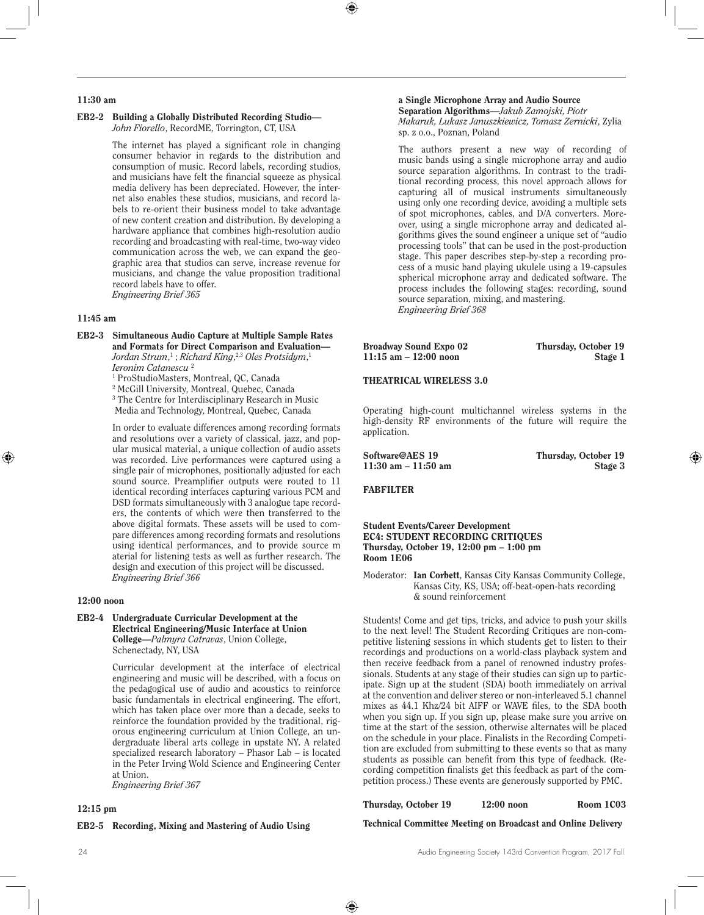## 11:30 am

#### EB2-2 Building a Globally Distributed Recording Studio— *John Fiorello*, RecordME, Torrington, CT, USA

The internet has played a significant role in changing consumer behavior in regards to the distribution and consumption of music. Record labels, recording studios, and musicians have felt the financial squeeze as physical media delivery has been depreciated. However, the internet also enables these studios, musicians, and record labels to re-orient their business model to take advantage of new content creation and distribution. By developing a hardware appliance that combines high-resolution audio recording and broadcasting with real-time, two-way video communication across the web, we can expand the geographic area that studios can serve, increase revenue for musicians, and change the value proposition traditional record labels have to offer. *Engineering Brief 365* 

## 11:45 am

EB2-3 Simultaneous Audio Capture at Multiple Sample Rates and Formats for Direct Comparison and Evaluation— *Jordan Strum*, 1 ; *Richard King*, 2,3 *Oles Protsidym*, 1 *Ieronim Catanescu* <sup>2</sup> 1 ProStudioMasters, Montreal, QC, Canada

2 McGill University, Montreal, Quebec, Canada

3 The Centre for Interdisciplinary Research in Music Media and Technology, Montreal, Quebec, Canada

In order to evaluate differences among recording formats and resolutions over a variety of classical, jazz, and popular musical material, a unique collection of audio assets was recorded. Live performances were captured using a single pair of microphones, positionally adjusted for each sound source. Preamplifier outputs were routed to 11 identical recording interfaces capturing various PCM and DSD formats simultaneously with 3 analogue tape recorders, the contents of which were then transferred to the above digital formats. These assets will be used to compare differences among recording formats and resolutions using identical performances, and to provide source m aterial for listening tests as well as further research. The design and execution of this project will be discussed. *Engineering Brief 366* 

#### 12:00 noon

#### EB2-4 Undergraduate Curricular Development at the Electrical Engineering/Music Interface at Union College—*Palmyra Catravas*, Union College, Schenectady, NY, USA

Curricular development at the interface of electrical engineering and music will be described, with a focus on the pedagogical use of audio and acoustics to reinforce basic fundamentals in electrical engineering. The effort, which has taken place over more than a decade, seeks to reinforce the foundation provided by the traditional, rigorous engineering curriculum at Union College, an undergraduate liberal arts college in upstate NY. A related specialized research laboratory – Phasor Lab – is located in the Peter Irving Wold Science and Engineering Center at Union.

*Engineering Brief 367* 

#### 12:15 pm

#### EB2-5 Recording, Mixing and Mastering of Audio Using

#### a Single Microphone Array and Audio Source Separation Algorithms—*Jakub Zamojski, Piotr Makaruk, Lukasz Januszkiewicz, Tomasz Zernicki*, Zylia sp. z o.o., Poznan, Poland

The authors present a new way of recording of music bands using a single microphone array and audio source separation algorithms. In contrast to the traditional recording process, this novel approach allows for capturing all of musical instruments simultaneously using only one recording device, avoiding a multiple sets of spot microphones, cables, and D/A converters. Moreover, using a single microphone array and dedicated algorithms gives the sound engineer a unique set of "audio processing tools" that can be used in the post-production stage. This paper describes step-by-step a recording process of a music band playing ukulele using a 19-capsules spherical microphone array and dedicated software. The process includes the following stages: recording, sound source separation, mixing, and mastering. *Engineering Brief 368* 

Broadway Sound Expo 02 Thursday, October 19<br>11:15 am - 12:00 noon Stage 1  $11:15$  am  $-12:00$  noon

#### THEATRICAL WIRELESS 3.0

Operating high-count multichannel wireless systems in the high-density RF environments of the future will require the application.

Software@AES 19 Thursday, October 19 11:30 am – 11:50 am Stage 3

## FABFILTER

Student Events/Career Development EC4: STUDENT RECORDING CRITIQUES Thursday, October 19, 12:00 pm – 1:00 pm Room 1E06

Moderator: Ian Corbett, Kansas City Kansas Community College, Kansas City, KS, USA; off-beat-open-hats recording & sound reinforcement

Students! Come and get tips, tricks, and advice to push your skills to the next level! The Student Recording Critiques are non-competitive listening sessions in which students get to listen to their recordings and productions on a world-class playback system and then receive feedback from a panel of renowned industry professionals. Students at any stage of their studies can sign up to participate. Sign up at the student (SDA) booth immediately on arrival at the convention and deliver stereo or non-interleaved 5.1 channel mixes as 44.1 Khz/24 bit AIFF or WAVE files, to the SDA booth when you sign up. If you sign up, please make sure you arrive on time at the start of the session, otherwise alternates will be placed on the schedule in your place. Finalists in the Recording Competition are excluded from submitting to these events so that as many students as possible can benefit from this type of feedback. (Recording competition finalists get this feedback as part of the competition process.) These events are generously supported by PMC.

Thursday, October 19 12:00 noon Room 1C03

Technical Committee Meeting on Broadcast and Online Delivery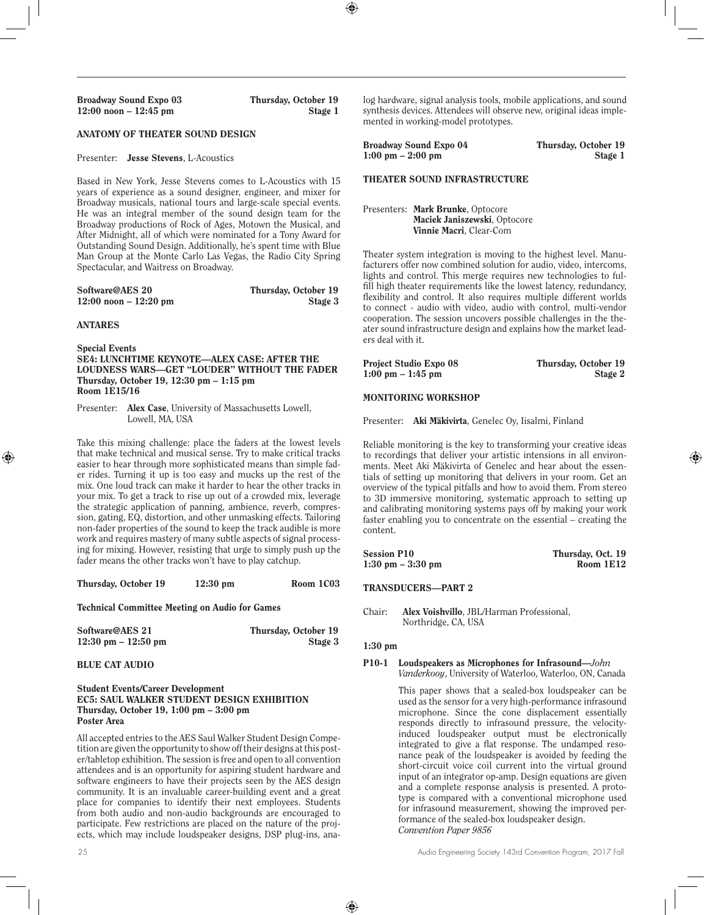## ANATOMY OF THEATER SOUND DESIGN

#### Presenter: Jesse Stevens, L-Acoustics

Based in New York, Jesse Stevens comes to L-Acoustics with 15 years of experience as a sound designer, engineer, and mixer for Broadway musicals, national tours and large-scale special events. He was an integral member of the sound design team for the Broadway productions of Rock of Ages, Motown the Musical, and After Midnight, all of which were nominated for a Tony Award for Outstanding Sound Design. Additionally, he's spent time with Blue Man Group at the Monte Carlo Las Vegas, the Radio City Spring Spectacular, and Waitress on Broadway.

| Software@AES 20          | Thursday, October 19 |
|--------------------------|----------------------|
| $12:00$ noon $-12:20$ pm | Stage 3              |

#### ANTARES

Special Events SE4: LUNCHTIME KEYNOTE—ALEX CASE: AFTER THE LOUDNESS WARS—GET "LOUDER" WITHOUT THE FADER Thursday, October 19, 12:30 pm – 1:15 pm Room 1E15/16

Presenter: Alex Case, University of Massachusetts Lowell, Lowell, MA, USA

Take this mixing challenge: place the faders at the lowest levels that make technical and musical sense. Try to make critical tracks easier to hear through more sophisticated means than simple fader rides. Turning it up is too easy and mucks up the rest of the mix. One loud track can make it harder to hear the other tracks in your mix. To get a track to rise up out of a crowded mix, leverage the strategic application of panning, ambience, reverb, compression, gating, EQ, distortion, and other unmasking effects. Tailoring non-fader properties of the sound to keep the track audible is more work and requires mastery of many subtle aspects of signal processing for mixing. However, resisting that urge to simply push up the fader means the other tracks won't have to play catchup.

Thursday, October 19 12:30 pm Room 1C03

Technical Committee Meeting on Audio for Games

| Software@AES 21                       | Thursday, October 19 |
|---------------------------------------|----------------------|
| $12:30 \text{ pm} - 12:50 \text{ pm}$ | Stage 3              |

#### BLUE CAT AUDIO

#### Student Events/Career Development EC5: SAUL WALKER STUDENT DESIGN EXHIBITION Thursday, October 19, 1:00 pm – 3:00 pm Poster Area

All accepted entries to the AES Saul Walker Student Design Competition are given the opportunity to show off their designs at this poster/tabletop exhibition. The session is free and open to all convention attendees and is an opportunity for aspiring student hardware and software engineers to have their projects seen by the AES design community. It is an invaluable career-building event and a great place for companies to identify their next employees. Students from both audio and non-audio backgrounds are encouraged to participate. Few restrictions are placed on the nature of the projects, which may include loudspeaker designs, DSP plug-ins, ana-

log hardware, signal analysis tools, mobile applications, and sound synthesis devices. Attendees will observe new, original ideas implemented in working-model prototypes.

Broadway Sound Expo 04 Thursday, October 19 1:00 pm – 2:00 pm Stage 1

#### THEATER SOUND INFRASTRUCTURE

Presenters: Mark Brunke, Optocore Maciek Janiszewski, Optocore Vinnie Macri, Clear-Com

Theater system integration is moving to the highest level. Manufacturers offer now combined solution for audio, video, intercoms, lights and control. This merge requires new technologies to fulfill high theater requirements like the lowest latency, redundancy, flexibility and control. It also requires multiple different worlds to connect - audio with video, audio with control, multi-vendor cooperation. The session uncovers possible challenges in the theater sound infrastructure design and explains how the market leaders deal with it.

| Project Studio Expo 08              | Thursday, October 19 |
|-------------------------------------|----------------------|
| $1:00 \text{ pm} - 1:45 \text{ pm}$ | Stage 2              |

#### MONITORING WORKSHOP

Presenter: Aki Mäkivirta, Genelec Oy, Iisalmi, Finland

Reliable monitoring is the key to transforming your creative ideas to recordings that deliver your artistic intensions in all environments. Meet Aki Mäkivirta of Genelec and hear about the essentials of setting up monitoring that delivers in your room. Get an overview of the typical pitfalls and how to avoid them. From stereo to 3D immersive monitoring, systematic approach to setting up and calibrating monitoring systems pays off by making your work faster enabling you to concentrate on the essential – creating the content.

| <b>Session P10</b>                  | Thursday, Oct. 19 |
|-------------------------------------|-------------------|
| $1:30 \text{ pm} - 3:30 \text{ pm}$ | Room 1E12         |

#### TRANSDUCERS—PART 2

#### 1:30 pm

#### P10-1 Loudspeakers as Microphones for Infrasound—*John Vanderkooy*, University of Waterloo, Waterloo, ON, Canada

This paper shows that a sealed-box loudspeaker can be used as the sensor for a very high-performance infrasound microphone. Since the cone displacement essentially responds directly to infrasound pressure, the velocityinduced loudspeaker output must be electronically integrated to give a flat response. The undamped resonance peak of the loudspeaker is avoided by feeding the short-circuit voice coil current into the virtual ground input of an integrator op-amp. Design equations are given and a complete response analysis is presented. A prototype is compared with a conventional microphone used for infrasound measurement, showing the improved performance of the sealed-box loudspeaker design. *Convention Paper 9856*

Chair: Alex Voishvillo, JBL/Harman Professional, Northridge, CA, USA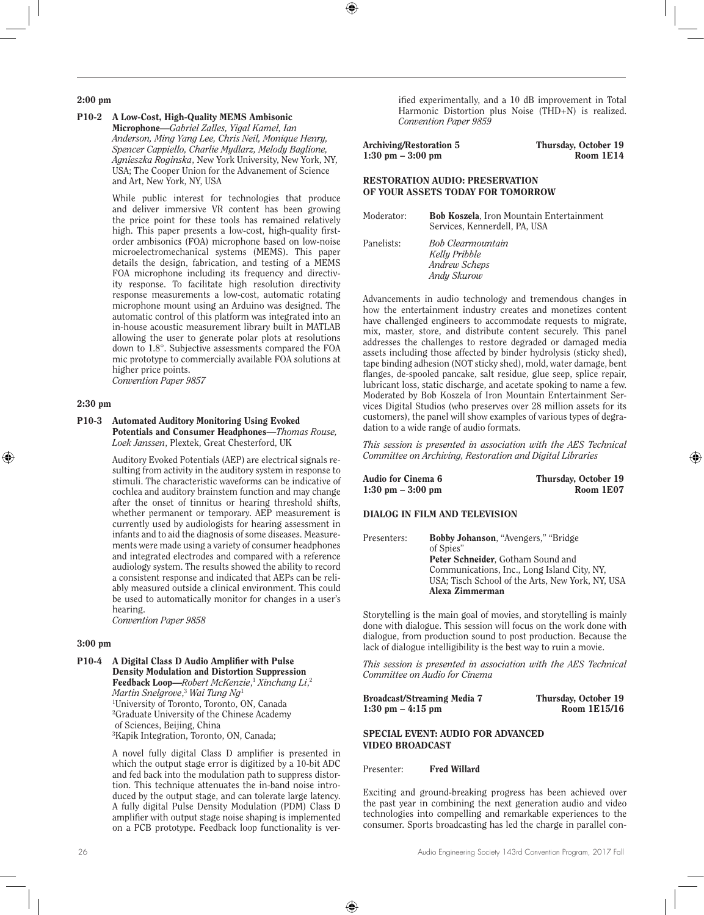#### 2:00 pm

P10-2 A Low-Cost, High-Quality MEMS Ambisonic Microphone—*Gabriel Zalles, Yigal Kamel, Ian Anderson, Ming Yang Lee, Chris Neil, Monique Henry, Spencer Cappiello, Charlie Mydlarz, Melody Baglione, Agnieszka Roginska*, New York University, New York, NY, USA; The Cooper Union for the Advanement of Science and Art, New York, NY, USA

> While public interest for technologies that produce and deliver immersive VR content has been growing the price point for these tools has remained relatively high. This paper presents a low-cost, high-quality firstorder ambisonics (FOA) microphone based on low-noise microelectromechanical systems (MEMS). This paper details the design, fabrication, and testing of a MEMS FOA microphone including its frequency and directivity response. To facilitate high resolution directivity response measurements a low-cost, automatic rotating microphone mount using an Arduino was designed. The automatic control of this platform was integrated into an in-house acoustic measurement library built in MATLAB allowing the user to generate polar plots at resolutions down to 1.8°. Subjective assessments compared the FOA mic prototype to commercially available FOA solutions at higher price points. *Convention Paper 9857*

#### 2:30 pm

#### P10-3 Automated Auditory Monitoring Using Evoked Potentials and Consumer Headphones—*Thomas Rouse, Loek Janssen*, Plextek, Great Chesterford, UK

Auditory Evoked Potentials (AEP) are electrical signals resulting from activity in the auditory system in response to stimuli. The characteristic waveforms can be indicative of cochlea and auditory brainstem function and may change after the onset of tinnitus or hearing threshold shifts, whether permanent or temporary. AEP measurement is currently used by audiologists for hearing assessment in infants and to aid the diagnosis of some diseases. Measurements were made using a variety of consumer headphones and integrated electrodes and compared with a reference audiology system. The results showed the ability to record a consistent response and indicated that AEPs can be reliably measured outside a clinical environment. This could be used to automatically monitor for changes in a user's hearing.

*Convention Paper 9858*

#### 3:00 pm

P10-4 A Digital Class D Audio Amplifier with Pulse Density Modulation and Distortion Suppression Feedback Loop—*Robert McKenzie*, <sup>1</sup> *Xinchang Li*, 2 *Martin Snelgrove*, <sup>3</sup> *Wai Tung Ng*<sup>1</sup> 1 University of Toronto, Toronto, ON, Canada 2 Graduate University of the Chinese Academy of Sciences, Beijing, China 3 Kapik Integration, Toronto, ON, Canada;

> A novel fully digital Class D amplifier is presented in which the output stage error is digitized by a 10-bit ADC and fed back into the modulation path to suppress distortion. This technique attenuates the in-band noise introduced by the output stage, and can tolerate large latency. A fully digital Pulse Density Modulation (PDM) Class D amplifier with output stage noise shaping is implemented on a PCB prototype. Feedback loop functionality is ver-

ified experimentally, and a 10 dB improvement in Total Harmonic Distortion plus Noise (THD+N) is realized. *Convention Paper 9859*

| Archiving/Restoration 5             | Thursday, October 19 |
|-------------------------------------|----------------------|
| $1:30 \text{ pm} - 3:00 \text{ pm}$ | Room 1E14            |

## RESTORATION AUDIO: PRESERVATION OF YOUR ASSETS TODAY FOR TOMORROW

| Moderator: | <b>Bob Koszela, Iron Mountain Entertainment</b><br>Services, Kennerdell, PA, USA |
|------------|----------------------------------------------------------------------------------|
| Panelists: | <b>Bob Clearmountain</b><br>Kelly Pribble<br>Andrew Scheps<br>Andy Skurow        |

Advancements in audio technology and tremendous changes in how the entertainment industry creates and monetizes content have challenged engineers to accommodate requests to migrate, mix, master, store, and distribute content securely. This panel addresses the challenges to restore degraded or damaged media assets including those affected by binder hydrolysis (sticky shed), tape binding adhesion (NOT sticky shed), mold, water damage, bent flanges, de-spooled pancake, salt residue, glue seep, splice repair, lubricant loss, static discharge, and acetate spoking to name a few. Moderated by Bob Koszela of Iron Mountain Entertainment Services Digital Studios (who preserves over 28 million assets for its customers), the panel will show examples of various types of degradation to a wide range of audio formats.

*This session is presented in association with the AES Technical Committee on Archiving, Restoration and Digital Libraries*

| Audio for Cinema 6                  | Thursday, October 19 |
|-------------------------------------|----------------------|
| $1:30 \text{ pm} - 3:00 \text{ pm}$ | Room 1E07            |
|                                     |                      |

## DIALOG IN FILM AND TELEVISION

| Presenters: | Bobby Johanson, "Avengers," "Bridge<br>of Spies" |
|-------------|--------------------------------------------------|
|             | Peter Schneider, Gotham Sound and                |
|             | Communications, Inc., Long Island City, NY.      |
|             | USA; Tisch School of the Arts, New York, NY, USA |
|             | Alexa Zimmerman                                  |

Storytelling is the main goal of movies, and storytelling is mainly done with dialogue. This session will focus on the work done with dialogue, from production sound to post production. Because the lack of dialogue intelligibility is the best way to ruin a movie.

*This session is presented in association with the AES Technical Committee on Audio for Cinema*

| Broadcast/Streaming Media 7         | Thursday, October 19 |
|-------------------------------------|----------------------|
| $1:30 \text{ pm} - 4:15 \text{ pm}$ | Room 1E15/16         |

## SPECIAL EVENT: AUDIO FOR ADVANCED VIDEO BROADCAST

Presenter: Fred Willard

Exciting and ground-breaking progress has been achieved over the past year in combining the next generation audio and video technologies into compelling and remarkable experiences to the consumer. Sports broadcasting has led the charge in parallel con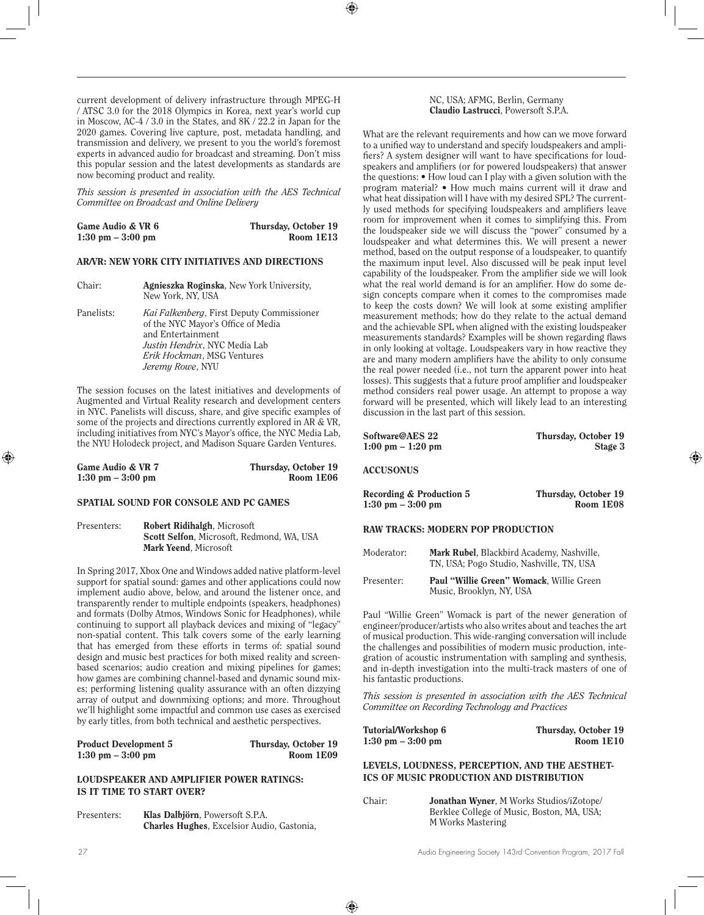current development of delivery infrastructure through MPEG-H / ATSC 3.0 for the 2018 Olympics in Korea, next year's world cup in Moscow, AC-4 / 3.0 in the States, and 8K / 22.2 in Japan for the 2020 games. Covering live capture, post, metadata handling, and transmission and delivery, we present to you the world's foremost experts in advanced audio for broadcast and streaming. Don't miss this popular session and the latest developments as standards are now becoming product and reality.

*This session is presented in association with the AES Technical Committee on Broadcast and Online Delivery*

| Game Audio & VR 6                   | Thursday, October 19 |
|-------------------------------------|----------------------|
| $1:30 \text{ pm} - 3:00 \text{ pm}$ | Room 1E13            |

## AR/VR: NEW YORK CITY INITIATIVES AND DIRECTIONS

| Chair:     | Agnieszka Roginska, New York University,<br>New York, NY, USA                                                                                                                                   |
|------------|-------------------------------------------------------------------------------------------------------------------------------------------------------------------------------------------------|
| Panelists: | <i>Kai Falkenberg</i> , First Deputy Commissioner<br>of the NYC Mayor's Office of Media<br>and Entertainment<br>Justin Hendrix, NYC Media Lab<br>Erik Hockman, MSG Ventures<br>Jeremy Rowe, NYU |

The session focuses on the latest initiatives and developments of Augmented and Virtual Reality research and development centers in NYC. Panelists will discuss, share, and give specific examples of some of the projects and directions currently explored in AR & VR, including initiatives from NYC's Mayor's office, the NYC Media Lab, the NYU Holodeck project, and Madison Square Garden Ventures.

| Game Audio & VR 7                   | Thursday, October 19 |
|-------------------------------------|----------------------|
| $1:30 \text{ pm} - 3:00 \text{ pm}$ | Room 1E06            |

#### SPATIAL SOUND FOR CONSOLE AND PC GAMES

Presenters: Robert Ridihalgh, Microsoft Scott Selfon, Microsoft, Redmond, WA, USA Mark Yeend, Microsoft

In Spring 2017, Xbox One and Windows added native platform-level support for spatial sound: games and other applications could now implement audio above, below, and around the listener once, and transparently render to multiple endpoints (speakers, headphones) and formats (Dolby Atmos, Windows Sonic for Headphones), while continuing to support all playback devices and mixing of "legacy" non-spatial content. This talk covers some of the early learning that has emerged from these efforts in terms of: spatial sound design and music best practices for both mixed reality and screenbased scenarios; audio creation and mixing pipelines for games; how games are combining channel-based and dynamic sound mixes; performing listening quality assurance with an often dizzying array of output and downmixing options; and more. Throughout we'll highlight some impactful and common use cases as exercised by early titles, from both technical and aesthetic perspectives.

| <b>Product Development 5</b>        | Thursday, October 19 |
|-------------------------------------|----------------------|
| $1:30 \text{ pm} - 3:00 \text{ pm}$ | Room 1E09            |

## LOUDSPEAKER AND AMPLIFIER POWER RATINGS: IS IT TIME TO START OVER?

Presenters: **Klas Dalbjörn**, Powersoft S.P.A. Charles Hughes, Excelsior Audio, Gastonia, What are the relevant requirements and how can we move forward to a unified way to understand and specify loudspeakers and amplifiers? A system designer will want to have specifications for loudspeakers and amplifiers (or for powered loudspeakers) that answer the questions: • How loud can I play with a given solution with the program material? • How much mains current will it draw and what heat dissipation will I have with my desired SPL? The currently used methods for specifying loudspeakers and amplifiers leave room for improvement when it comes to simplifying this. From the loudspeaker side we will discuss the "power" consumed by a loudspeaker and what determines this. We will present a newer method, based on the output response of a loudspeaker, to quantify the maximum input level. Also discussed will be peak input level capability of the loudspeaker. From the amplifier side we will look what the real world demand is for an amplifier. How do some design concepts compare when it comes to the compromises made to keep the costs down? We will look at some existing amplifier measurement methods; how do they relate to the actual demand and the achievable SPL when aligned with the existing loudspeaker measurements standards? Examples will be shown regarding flaws in only looking at voltage. Loudspeakers vary in how reactive they are and many modern amplifiers have the ability to only consume the real power needed (i.e., not turn the apparent power into heat losses). This suggests that a future proof amplifier and loudspeaker method considers real power usage. An attempt to propose a way forward will be presented, which will likely lead to an interesting discussion in the last part of this session.

| Software@AES 22                     | Thursday, October 19 |
|-------------------------------------|----------------------|
| $1:00 \text{ pm} - 1:20 \text{ pm}$ | Stage 3              |
| <b>ACCUSONUS</b>                    |                      |

| <b>Recording &amp; Production 5</b> | Thursday, October 19 |
|-------------------------------------|----------------------|
| $1:30 \text{ pm} - 3:00 \text{ pm}$ | Room 1E08            |

## RAW TRACKS: MODERN POP PRODUCTION

| Moderator: | Mark Rubel, Blackbird Academy, Nashville,<br>TN, USA; Pogo Studio, Nashville, TN, USA |
|------------|---------------------------------------------------------------------------------------|
| Presenter: | Paul "Willie Green" Womack, Willie Green<br>Music, Brooklyn, NY, USA                  |

Paul "Willie Green" Womack is part of the newer generation of engineer/producer/artists who also writes about and teaches the art of musical production. This wide-ranging conversation will include the challenges and possibilities of modern music production, integration of acoustic instrumentation with sampling and synthesis, and in-depth investigation into the multi-track masters of one of his fantastic productions.

*This session is presented in association with the AES Technical Committee on Recording Technology and Practices*

| Tutorial/Workshop 6                 | Thursday, October 19 |
|-------------------------------------|----------------------|
| $1:30 \text{ pm} - 3:00 \text{ pm}$ | Room 1E10            |

LEVELS, LOUDNESS, PERCEPTION, AND THE AESTHET-ICS OF MUSIC PRODUCTION AND DISTRIBUTION

Chair: Jonathan Wyner, M Works Studios/iZotope/ Berklee College of Music, Boston, MA, USA; M Works Mastering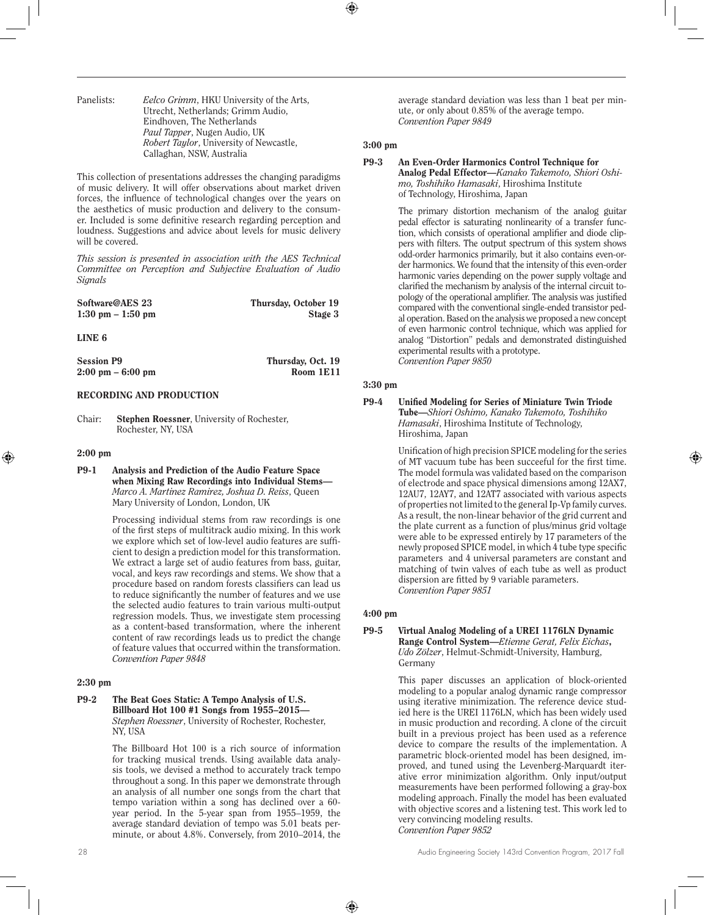Panelists: *Eelco Grimm*, HKU University of the Arts, Utrecht, Netherlands; Grimm Audio, Eindhoven, The Netherlands *Paul Tapper*, Nugen Audio, UK *Robert Taylor*, University of Newcastle, Callaghan, NSW, Australia

This collection of presentations addresses the changing paradigms of music delivery. It will offer observations about market driven forces, the influence of technological changes over the years on the aesthetics of music production and delivery to the consumer. Included is some definitive research regarding perception and loudness. Suggestions and advice about levels for music delivery will be covered.

*This session is presented in association with the AES Technical Committee on Perception and Subjective Evaluation of Audio Signals*

| Software@AES 23                     | Thursday, October 19 |
|-------------------------------------|----------------------|
| $1:30 \text{ pm} - 1:50 \text{ pm}$ | Stage 3              |

LINE 6

| <b>Session P9</b>                   | Thursday, Oct. 19 |
|-------------------------------------|-------------------|
| $2:00 \text{ pm} - 6:00 \text{ pm}$ | Room 1E11         |

## RECORDING AND PRODUCTION

Chair: Stephen Roessner, University of Rochester, Rochester, NY, USA

#### 2:00 pm

P9-1 Analysis and Prediction of the Audio Feature Space when Mixing Raw Recordings into Individual Stems— *Marco A. Martinez Ramirez, Joshua D. Reiss*, Queen Mary University of London, London, UK

> Processing individual stems from raw recordings is one of the first steps of multitrack audio mixing. In this work we explore which set of low-level audio features are sufficient to design a prediction model for this transformation. We extract a large set of audio features from bass, guitar, vocal, and keys raw recordings and stems. We show that a procedure based on random forests classifiers can lead us to reduce significantly the number of features and we use the selected audio features to train various multi-output regression models. Thus, we investigate stem processing as a content-based transformation, where the inherent content of raw recordings leads us to predict the change of feature values that occurred within the transformation. *Convention Paper 9848*

#### 2:30 pm

#### P9-2 The Beat Goes Static: A Tempo Analysis of U.S. Billboard Hot 100 #1 Songs from 1955–2015— *Stephen Roessner*, University of Rochester, Rochester, NY, USA

The Billboard Hot 100 is a rich source of information for tracking musical trends. Using available data analysis tools, we devised a method to accurately track tempo throughout a song. In this paper we demonstrate through an analysis of all number one songs from the chart that tempo variation within a song has declined over a 60 year period. In the 5-year span from 1955–1959, the average standard deviation of tempo was 5.01 beats perminute, or about 4.8%. Conversely, from 2010–2014, the

average standard deviation was less than 1 beat per minute, or only about 0.85% of the average tempo. *Convention Paper 9849* 

#### 3:00 pm

## P9-3 An Even-Order Harmonics Control Technique for Analog Pedal Effector—*Kanako Takemoto, Shiori Oshimo, Toshihiko Hamasaki*, Hiroshima Institute of Technology, Hiroshima, Japan

The primary distortion mechanism of the analog guitar pedal effector is saturating nonlinearity of a transfer function, which consists of operational amplifier and diode clippers with filters. The output spectrum of this system shows odd-order harmonics primarily, but it also contains even-order harmonics. We found that the intensity of this even-order harmonic varies depending on the power supply voltage and clarified the mechanism by analysis of the internal circuit topology of the operational amplifier. The analysis was justified compared with the conventional single-ended transistor pedal operation. Based on the analysis we proposed a new concept of even harmonic control technique, which was applied for analog "Distortion" pedals and demonstrated distinguished experimental results with a prototype. *Convention Paper 9850* 

#### 3:30 pm

P9-4 Unified Modeling for Series of Miniature Twin Triode Tube—*Shiori Oshimo, Kanako Takemoto, Toshihiko Hamasaki*, Hiroshima Institute of Technology, Hiroshima, Japan

> Unification of high precision SPICE modeling for the series of MT vacuum tube has been succeeful for the first time. The model formula was validated based on the comparison of electrode and space physical dimensions among 12AX7, 12AU7, 12AY7, and 12AT7 associated with various aspects of properties not limited to the general Ip-Vp family curves. As a result, the non-linear behavior of the grid current and the plate current as a function of plus/minus grid voltage were able to be expressed entirely by 17 parameters of the newly proposed SPICE model, in which 4 tube type specific parameters and 4 universal parameters are constant and matching of twin valves of each tube as well as product dispersion are fitted by 9 variable parameters. *Convention Paper 9851*

#### 4:00 pm

#### P9-5 Virtual Analog Modeling of a UREI 1176LN Dynamic Range Control System—*Etienne Gerat, Felix Eichas*, *Udo Zölzer*, Helmut-Schmidt-University, Hamburg, Germany

This paper discusses an application of block-oriented modeling to a popular analog dynamic range compressor using iterative minimization. The reference device studied here is the UREI 1176LN, which has been widely used in music production and recording. A clone of the circuit built in a previous project has been used as a reference device to compare the results of the implementation. A parametric block-oriented model has been designed, improved, and tuned using the Levenberg-Marquardt iterative error minimization algorithm. Only input/output measurements have been performed following a gray-box modeling approach. Finally the model has been evaluated with objective scores and a listening test. This work led to very convincing modeling results. *Convention Paper 9852*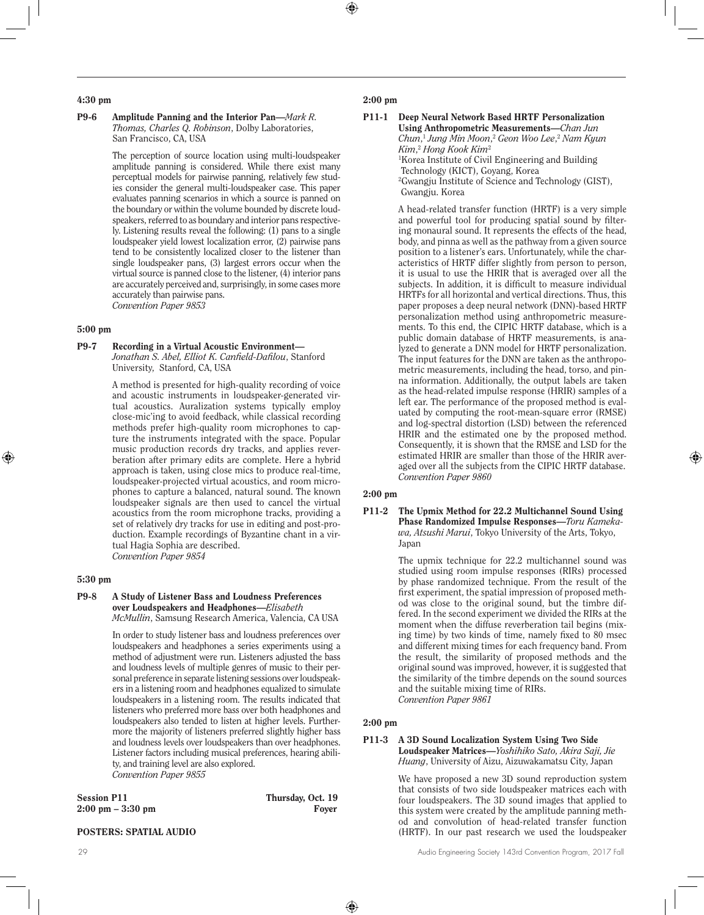#### 4:30 pm

#### P9-6 Amplitude Panning and the Interior Pan—*Mark R. Thomas, Charles Q. Robinson*, Dolby Laboratories, San Francisco, CA, USA

The perception of source location using multi-loudspeaker amplitude panning is considered. While there exist many perceptual models for pairwise panning, relatively few studies consider the general multi-loudspeaker case. This paper evaluates panning scenarios in which a source is panned on the boundary or within the volume bounded by discrete loudspeakers, referred to as boundary and interior pans respectively. Listening results reveal the following: (1) pans to a single loudspeaker yield lowest localization error, (2) pairwise pans tend to be consistently localized closer to the listener than single loudspeaker pans, (3) largest errors occur when the virtual source is panned close to the listener, (4) interior pans are accurately perceived and, surprisingly, in some cases more accurately than pairwise pans. *Convention Paper 9853* 

## 5:00 pm

## P9-7 Recording in a Virtual Acoustic Environment—

*Jonathan S. Abel, Elliot K. Canfield-Dafilou*, Stanford University, Stanford, CA, USA

A method is presented for high-quality recording of voice and acoustic instruments in loudspeaker-generated virtual acoustics. Auralization systems typically employ close-mic'ing to avoid feedback, while classical recording methods prefer high-quality room microphones to capture the instruments integrated with the space. Popular music production records dry tracks, and applies reverberation after primary edits are complete. Here a hybrid approach is taken, using close mics to produce real-time, loudspeaker-projected virtual acoustics, and room microphones to capture a balanced, natural sound. The known loudspeaker signals are then used to cancel the virtual acoustics from the room microphone tracks, providing a set of relatively dry tracks for use in editing and post-production. Example recordings of Byzantine chant in a virtual Hagia Sophia are described. *Convention Paper 9854* 

## 5:30 pm

## P9-8 A Study of Listener Bass and Loudness Preferences over Loudspeakers and Headphones—*Elisabeth*

*McMullin*, Samsung Research America, Valencia, CA USA

In order to study listener bass and loudness preferences over loudspeakers and headphones a series experiments using a method of adjustment were run. Listeners adjusted the bass and loudness levels of multiple genres of music to their personal preference in separate listening sessions over loudspeakers in a listening room and headphones equalized to simulate loudspeakers in a listening room. The results indicated that listeners who preferred more bass over both headphones and loudspeakers also tended to listen at higher levels. Furthermore the majority of listeners preferred slightly higher bass and loudness levels over loudspeakers than over headphones. Listener factors including musical preferences, hearing ability, and training level are also explored. *Convention Paper 9855* 

| <b>Session P11</b>                  | Thursday, Oct. 19 |
|-------------------------------------|-------------------|
| $2:00 \text{ pm} - 3:30 \text{ pm}$ | Fover             |

## POSTERS: SPATIAL AUDIO

## 2:00 pm

P11-1 Deep Neural Network Based HRTF Personalization Using Anthropometric Measurements—*Chan Jun Chun*, <sup>1</sup> *Jung Min Moon*, <sup>2</sup> *Geon Woo Lee*, <sup>2</sup> *Nam Kyun Kim*, <sup>2</sup> *Hong Kook Kim*<sup>2</sup> 1 Korea Institute of Civil Engineering and Building Technology (KICT), Goyang, Korea 2 Gwangju Institute of Science and Technology (GIST), Gwangju. Korea

> A head-related transfer function (HRTF) is a very simple and powerful tool for producing spatial sound by filtering monaural sound. It represents the effects of the head, body, and pinna as well as the pathway from a given source position to a listener's ears. Unfortunately, while the characteristics of HRTF differ slightly from person to person, it is usual to use the HRIR that is averaged over all the subjects. In addition, it is difficult to measure individual HRTFs for all horizontal and vertical directions. Thus, this paper proposes a deep neural network (DNN)-based HRTF personalization method using anthropometric measurements. To this end, the CIPIC HRTF database, which is a public domain database of HRTF measurements, is analyzed to generate a DNN model for HRTF personalization. The input features for the DNN are taken as the anthropometric measurements, including the head, torso, and pinna information. Additionally, the output labels are taken as the head-related impulse response (HRIR) samples of a left ear. The performance of the proposed method is evaluated by computing the root-mean-square error (RMSE) and log-spectral distortion (LSD) between the referenced HRIR and the estimated one by the proposed method. Consequently, it is shown that the RMSE and LSD for the estimated HRIR are smaller than those of the HRIR averaged over all the subjects from the CIPIC HRTF database. *Convention Paper 9860*

## 2:00 pm

P11-2 The Upmix Method for 22.2 Multichannel Sound Using Phase Randomized Impulse Responses—*Toru Kamekawa, Atsushi Marui*, Tokyo University of the Arts, Tokyo, Japan

> The upmix technique for 22.2 multichannel sound was studied using room impulse responses (RIRs) processed by phase randomized technique. From the result of the first experiment, the spatial impression of proposed method was close to the original sound, but the timbre differed. In the second experiment we divided the RIRs at the moment when the diffuse reverberation tail begins (mixing time) by two kinds of time, namely fixed to 80 msec and different mixing times for each frequency band. From the result, the similarity of proposed methods and the original sound was improved, however, it is suggested that the similarity of the timbre depends on the sound sources and the suitable mixing time of RIRs. *Convention Paper 9861*

## 2:00 pm

#### P11-3 A 3D Sound Localization System Using Two Side Loudspeaker Matrices—*Yoshihiko Sato, Akira Saji, Jie Huang*, University of Aizu, Aizuwakamatsu City, Japan

We have proposed a new 3D sound reproduction system that consists of two side loudspeaker matrices each with four loudspeakers. The 3D sound images that applied to this system were created by the amplitude panning method and convolution of head-related transfer function (HRTF). In our past research we used the loudspeaker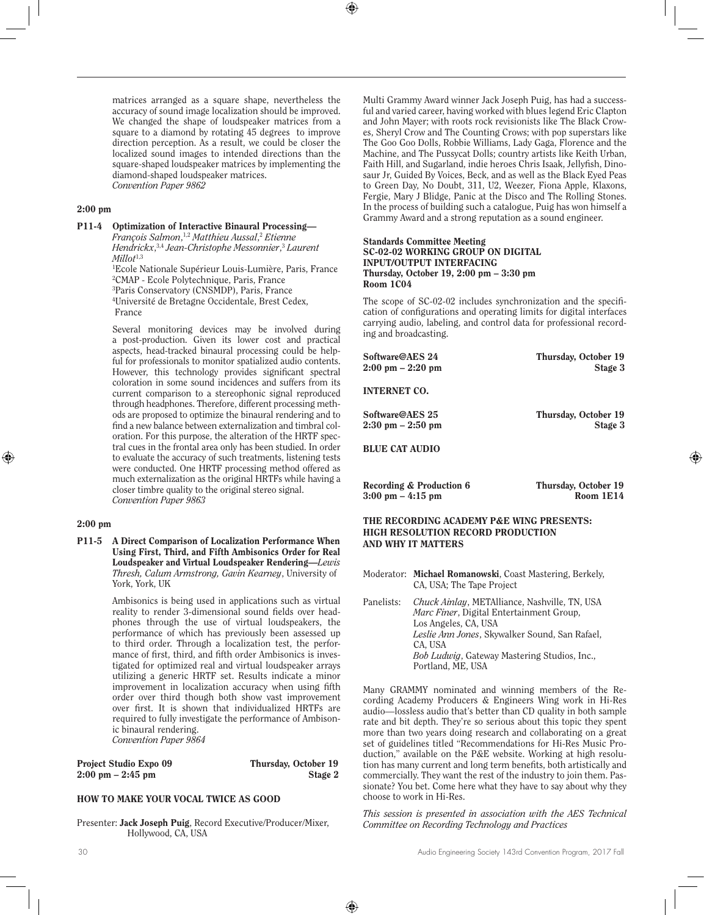matrices arranged as a square shape, nevertheless the accuracy of sound image localization should be improved. We changed the shape of loudspeaker matrices from a square to a diamond by rotating 45 degrees to improve direction perception. As a result, we could be closer the localized sound images to intended directions than the square-shaped loudspeaker matrices by implementing the diamond-shaped loudspeaker matrices. *Convention Paper 9862* 

## 2:00 pm

P11-4 Optimization of Interactive Binaural Processing— *François Salmon*, 1,2 *Matthieu Aussal*, <sup>2</sup> *Etienne Hendrickx*, 3,4 *Jean-Christophe Messonnier*, <sup>3</sup> *Laurent Millot*1,3 1 Ecole Nationale Supérieur Louis-Lumière, Paris, France 2 CMAP - Ecole Polytechnique, Paris, France 3 Paris Conservatory (CNSMDP), Paris, France

4 Université de Bretagne Occidentale, Brest Cedex, France

Several monitoring devices may be involved during a post-production. Given its lower cost and practical aspects, head-tracked binaural processing could be helpful for professionals to monitor spatialized audio contents. However, this technology provides significant spectral coloration in some sound incidences and suffers from its current comparison to a stereophonic signal reproduced through headphones. Therefore, different processing methods are proposed to optimize the binaural rendering and to find a new balance between externalization and timbral coloration. For this purpose, the alteration of the HRTF spectral cues in the frontal area only has been studied. In order to evaluate the accuracy of such treatments, listening tests were conducted. One HRTF processing method offered as much externalization as the original HRTFs while having a closer timbre quality to the original stereo signal. *Convention Paper 9863* 

#### 2:00 pm

P11-5 A Direct Comparison of Localization Performance When Using First, Third, and Fifth Ambisonics Order for Real Loudspeaker and Virtual Loudspeaker Rendering—*Lewis Thresh, Calum Armstrong, Gavin Kearney*, University of York, York, UK

> Ambisonics is being used in applications such as virtual reality to render 3-dimensional sound fields over headphones through the use of virtual loudspeakers, the performance of which has previously been assessed up to third order. Through a localization test, the performance of first, third, and fifth order Ambisonics is investigated for optimized real and virtual loudspeaker arrays utilizing a generic HRTF set. Results indicate a minor improvement in localization accuracy when using fifth order over third though both show vast improvement over first. It is shown that individualized HRTFs are required to fully investigate the performance of Ambisonic binaural rendering. *Convention Paper 9864*

| <b>Project Studio Expo 09</b>       | Thursday, October 19 |
|-------------------------------------|----------------------|
| $2:00 \text{ pm} - 2:45 \text{ pm}$ | Stage 2              |

## HOW TO MAKE YOUR VOCAL TWICE AS GOOD

Presenter: Jack Joseph Puig, Record Executive/Producer/Mixer, Hollywood, CA, USA

Multi Grammy Award winner Jack Joseph Puig, has had a successful and varied career, having worked with blues legend Eric Clapton and John Mayer; with roots rock revisionists like The Black Crowes, Sheryl Crow and The Counting Crows; with pop superstars like The Goo Goo Dolls, Robbie Williams, Lady Gaga, Florence and the Machine, and The Pussycat Dolls; country artists like Keith Urban, Faith Hill, and Sugarland, indie heroes Chris Isaak, Jellyfish, Dinosaur Jr, Guided By Voices, Beck, and as well as the Black Eyed Peas to Green Day, No Doubt, 311, U2, Weezer, Fiona Apple, Klaxons, Fergie, Mary J Blidge, Panic at the Disco and The Rolling Stones. In the process of building such a catalogue, Puig has won himself a Grammy Award and a strong reputation as a sound engineer.

#### Standards Committee Meeting SC-02-02 WORKING GROUP ON DIGITAL INPUT/OUTPUT INTERFACING Thursday, October 19, 2:00 pm – 3:30 pm Room 1C04

The scope of SC-02-02 includes synchronization and the specification of configurations and operating limits for digital interfaces carrying audio, labeling, and control data for professional recording and broadcasting.

| Software@AES 24                          | Thursday, October 19 |
|------------------------------------------|----------------------|
| $2:00 \text{ pm} - 2:20 \text{ pm}$      | Stage 3              |
| <b>INTERNET CO.</b>                      |                      |
| Software@AES 25                          | Thursday, October 19 |
| $2:30 \text{ pm} - 2:50 \text{ pm}$      | Stage 3              |
| <b>BLUE CAT AUDIO</b>                    |                      |
| Recording & Production 6                 | Thursday, October 19 |
| $3:00 \text{ pm} - 4:15 \text{ pm}$      | Room 1E14            |
| THE RECORDING ACADEMY P&E WING PRESENTS: |                      |

## HIGH RESOLUTION RECORD PRODUCTION AND WHY IT MATTERS

- Moderator: Michael Romanowski, Coast Mastering, Berkely, CA, USA; The Tape Project
- Panelists: *Chuck Ainlay*, METAlliance, Nashville, TN, USA *Marc Finer*, Digital Entertainment Group, Los Angeles, CA, USA *Leslie Ann Jones*, Skywalker Sound, San Rafael, CA, USA *Bob Ludwig*, Gateway Mastering Studios, Inc., Portland, ME, USA

Many GRAMMY nominated and winning members of the Recording Academy Producers & Engineers Wing work in Hi-Res audio—lossless audio that's better than CD quality in both sample rate and bit depth. They're so serious about this topic they spent more than two years doing research and collaborating on a great set of guidelines titled "Recommendations for Hi-Res Music Production," available on the P&E website. Working at high resolution has many current and long term benefits, both artistically and commercially. They want the rest of the industry to join them. Passionate? You bet. Come here what they have to say about why they choose to work in Hi-Res.

*This session is presented in association with the AES Technical Committee on Recording Technology and Practices*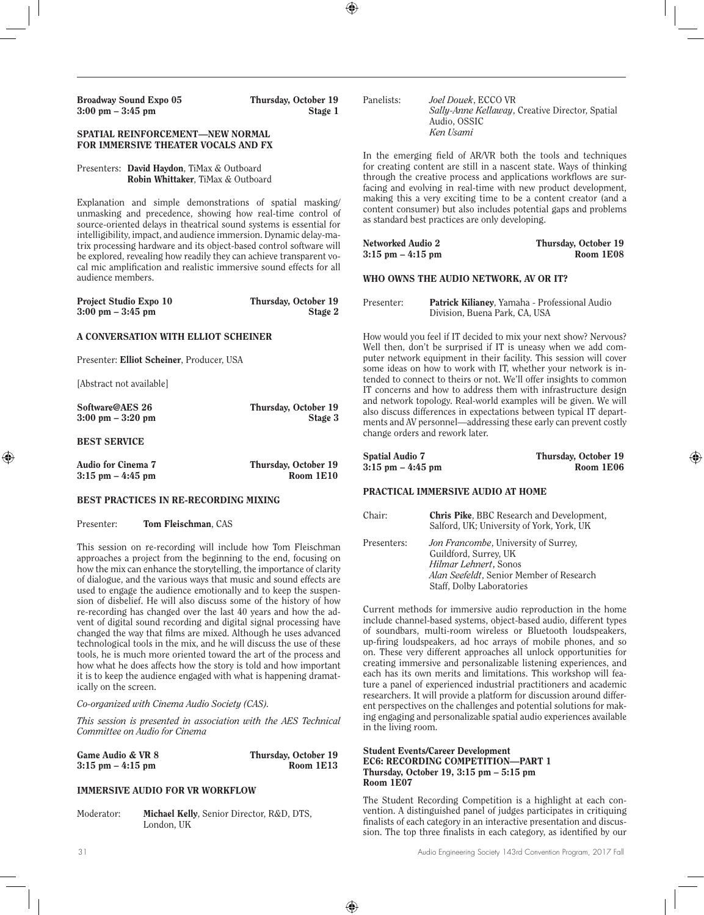| <b>Broadway Sound Expo 05</b><br>$3:00 \text{ pm} - 3:45 \text{ pm}$                                                                                                                                                                                                                                                                                                                                                                                                                      | Thursday, October 19<br>Stage 1   | Panelists:                                                                                                                           | Joel Douek, ECCO VR<br>Audio, OSSIC             | Sally-Anne Kellaway, Creative Director, Spatial                                                                                                                                                                                                                           |
|-------------------------------------------------------------------------------------------------------------------------------------------------------------------------------------------------------------------------------------------------------------------------------------------------------------------------------------------------------------------------------------------------------------------------------------------------------------------------------------------|-----------------------------------|--------------------------------------------------------------------------------------------------------------------------------------|-------------------------------------------------|---------------------------------------------------------------------------------------------------------------------------------------------------------------------------------------------------------------------------------------------------------------------------|
| SPATIAL REINFORCEMENT-NEW NORMAL<br>FOR IMMERSIVE THEATER VOCALS AND FX                                                                                                                                                                                                                                                                                                                                                                                                                   |                                   |                                                                                                                                      | Ken Usami                                       |                                                                                                                                                                                                                                                                           |
| Presenters: David Haydon, TiMax & Outboard<br>Robin Whittaker, TiMax & Outboard                                                                                                                                                                                                                                                                                                                                                                                                           |                                   |                                                                                                                                      |                                                 | In the emerging field of AR/VR both the tools and techniques<br>for creating content are still in a nascent state. Ways of thinking<br>through the creative process and applications workflows are sur-<br>facing and evolving in real-time with new product development, |
| Explanation and simple demonstrations of spatial masking/<br>unmasking and precedence, showing how real-time control of<br>source-oriented delays in theatrical sound systems is essential for<br>intelligibility, impact, and audience immersion. Dynamic delay-ma-<br>trix processing hardware and its object-based control software will<br>be explored, revealing how readily they can achieve transparent vo-<br>cal mic amplification and realistic immersive sound effects for all |                                   |                                                                                                                                      | as standard best practices are only developing. | making this a very exciting time to be a content creator (and a<br>content consumer) but also includes potential gaps and problems                                                                                                                                        |
|                                                                                                                                                                                                                                                                                                                                                                                                                                                                                           |                                   | <b>Networked Audio 2</b><br>$3:15$ pm $-4:15$ pm                                                                                     |                                                 | Thursday, October 19<br>Room 1E08                                                                                                                                                                                                                                         |
| audience members.                                                                                                                                                                                                                                                                                                                                                                                                                                                                         |                                   |                                                                                                                                      | WHO OWNS THE AUDIO NETWORK, AV OR IT?           |                                                                                                                                                                                                                                                                           |
| Project Studio Expo 10<br>$3:00 \text{ pm} - 3:45 \text{ pm}$                                                                                                                                                                                                                                                                                                                                                                                                                             | Thursday, October 19<br>Stage 2   | Presenter:                                                                                                                           | Division, Buena Park, CA, USA                   | Patrick Kilianey, Yamaha - Professional Audio                                                                                                                                                                                                                             |
| A CONVERSATION WITH ELLIOT SCHEINER                                                                                                                                                                                                                                                                                                                                                                                                                                                       |                                   |                                                                                                                                      |                                                 | How would you feel if IT decided to mix your next show? Nervous?<br>Well then, don't be surprised if IT is uneasy when we add com-                                                                                                                                        |
| Presenter: Elliot Scheiner, Producer, USA                                                                                                                                                                                                                                                                                                                                                                                                                                                 |                                   | puter network equipment in their facility. This session will cover<br>some ideas on how to work with IT, whether your network is in- |                                                 |                                                                                                                                                                                                                                                                           |
| [Abstract not available]                                                                                                                                                                                                                                                                                                                                                                                                                                                                  |                                   |                                                                                                                                      |                                                 | tended to connect to theirs or not. We'll offer insights to common<br>IT concerns and how to address them with infrastructure design                                                                                                                                      |
| Software@AES 26<br>$3:00 \text{ pm} - 3:20 \text{ pm}$                                                                                                                                                                                                                                                                                                                                                                                                                                    | Thursday, October 19<br>Stage 3   |                                                                                                                                      | change orders and rework later.                 | and network topology. Real-world examples will be given. We will<br>also discuss differences in expectations between typical IT depart-<br>ments and AV personnel—addressing these early can prevent costly                                                               |
| <b>BEST SERVICE</b>                                                                                                                                                                                                                                                                                                                                                                                                                                                                       |                                   |                                                                                                                                      |                                                 |                                                                                                                                                                                                                                                                           |
| <b>Audio for Cinema 7</b><br>$3:15$ pm $-4:45$ pm                                                                                                                                                                                                                                                                                                                                                                                                                                         | Thursday, October 19<br>Room 1E10 | <b>Spatial Audio 7</b><br>$3:15$ pm $-4:45$ pm                                                                                       |                                                 | Thursday, October 19<br>Room 1E06                                                                                                                                                                                                                                         |
| <b>BEST PRACTICES IN RE-RECORDING MIXING</b>                                                                                                                                                                                                                                                                                                                                                                                                                                              |                                   |                                                                                                                                      | PRACTICAL IMMERSIVE AUDIO AT HOME               |                                                                                                                                                                                                                                                                           |
| Tom Fleischman, CAS<br>Presenter:                                                                                                                                                                                                                                                                                                                                                                                                                                                         |                                   | Chair:                                                                                                                               |                                                 | Chris Pike, BBC Research and Development,<br>Salford, UK; University of York, York, UK                                                                                                                                                                                    |

This session on re-recording will include how Tom Fleischman approaches a project from the beginning to the end, focusing on how the mix can enhance the storytelling, the importance of clarity of dialogue, and the various ways that music and sound effects are used to engage the audience emotionally and to keep the suspension of disbelief. He will also discuss some of the history of how re-recording has changed over the last 40 years and how the advent of digital sound recording and digital signal processing have changed the way that films are mixed. Although he uses advanced technological tools in the mix, and he will discuss the use of these tools, he is much more oriented toward the art of the process and how what he does affects how the story is told and how important it is to keep the audience engaged with what is happening dramatically on the screen.

#### *Co-organized with Cinema Audio Society (CAS).*

*This session is presented in association with the AES Technical Committee on Audio for Cinema*

| Game Audio & VR 8    | Thursday, October 19 |
|----------------------|----------------------|
| $3:15$ pm $-4:15$ pm | Room 1E13            |

#### IMMERSIVE AUDIO FOR VR WORKFLOW

Moderator: Michael Kelly, Senior Director, R&D, DTS, London, UK

The Student Recording Competition is a highlight at each convention. A distinguished panel of judges participates in critiquing finalists of each category in an interactive presentation and discussion. The top three finalists in each category, as identified by our

Presenters: *Jon Francombe*, University of Surrey, Guildford, Surrey, UK *Hilmar Lehnert***,** Sonos

in the living room.

Room 1E07

Student Events/Career Development

EC6: RECORDING COMPETITION—PART 1 Thursday, October 19, 3:15 pm – 5:15 pm

Staff, Dolby Laboratories

Current methods for immersive audio reproduction in the home include channel-based systems, object-based audio, different types of soundbars, multi-room wireless or Bluetooth loudspeakers, up-firing loudspeakers, ad hoc arrays of mobile phones, and so on. These very different approaches all unlock opportunities for creating immersive and personalizable listening experiences, and each has its own merits and limitations. This workshop will feature a panel of experienced industrial practitioners and academic researchers. It will provide a platform for discussion around different perspectives on the challenges and potential solutions for making engaging and personalizable spatial audio experiences available

*Alan Seefeldt*, Senior Member of Research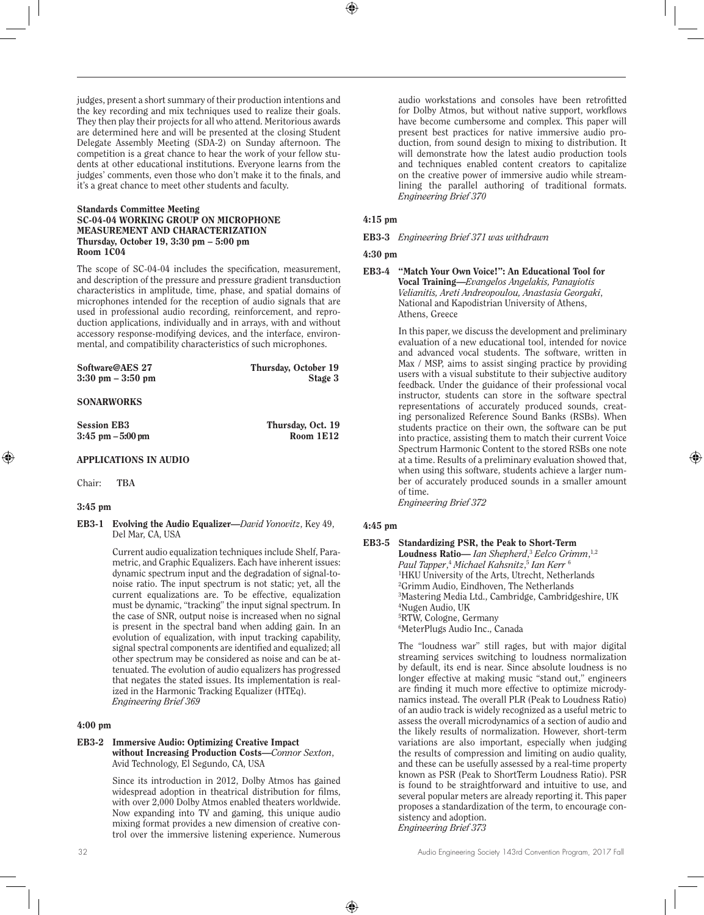judges, present a short summary of their production intentions and the key recording and mix techniques used to realize their goals. They then play their projects for all who attend. Meritorious awards are determined here and will be presented at the closing Student Delegate Assembly Meeting (SDA-2) on Sunday afternoon. The competition is a great chance to hear the work of your fellow students at other educational institutions. Everyone learns from the judges' comments, even those who don't make it to the finals, and it's a great chance to meet other students and faculty.

#### Standards Committee Meeting SC-04-04 WORKING GROUP ON MICROPHONE MEASUREMENT AND CHARACTERIZATION Thursday, October 19, 3:30 pm – 5:00 pm Room 1C04

The scope of SC-04-04 includes the specification, measurement, and description of the pressure and pressure gradient transduction characteristics in amplitude, time, phase, and spatial domains of microphones intended for the reception of audio signals that are used in professional audio recording, reinforcement, and reproduction applications, individually and in arrays, with and without accessory response-modifying devices, and the interface, environmental, and compatibility characteristics of such microphones.

| Thursday, October 19 |
|----------------------|
| Stage 3              |
|                      |
|                      |
|                      |

| <b>Session EB3</b>   | Thursday, Oct. 19 |
|----------------------|-------------------|
| $3:45$ pm $-5:00$ pm | Room 1E12         |

## APPLICATIONS IN AUDIO

Chair: **TBA**

#### 3:45 pm

EB3-1 Evolving the Audio Equalizer—*David Yonovitz*, Key 49, Del Mar, CA, USA

> Current audio equalization techniques include Shelf, Parametric, and Graphic Equalizers. Each have inherent issues: dynamic spectrum input and the degradation of signal-tonoise ratio. The input spectrum is not static; yet, all the current equalizations are. To be effective, equalization must be dynamic, "tracking" the input signal spectrum. In the case of SNR, output noise is increased when no signal is present in the spectral band when adding gain. In an evolution of equalization, with input tracking capability, signal spectral components are identified and equalized; all other spectrum may be considered as noise and can be attenuated. The evolution of audio equalizers has progressed that negates the stated issues. Its implementation is realized in the Harmonic Tracking Equalizer (HTEq). *Engineering Brief 369*

#### 4:00 pm

## EB3-2 Immersive Audio: Optimizing Creative Impact

without Increasing Production Costs—*Connor Sexton*, Avid Technology, El Segundo, CA, USA

Since its introduction in 2012, Dolby Atmos has gained widespread adoption in theatrical distribution for films, with over 2,000 Dolby Atmos enabled theaters worldwide. Now expanding into TV and gaming, this unique audio mixing format provides a new dimension of creative control over the immersive listening experience. Numerous audio workstations and consoles have been retrofitted for Dolby Atmos, but without native support, workflows have become cumbersome and complex. This paper will present best practices for native immersive audio production, from sound design to mixing to distribution. It will demonstrate how the latest audio production tools and techniques enabled content creators to capitalize on the creative power of immersive audio while streamlining the parallel authoring of traditional formats. *Engineering Brief 370* 

## 4:15 pm

EB3-3 *Engineering Brief 371 was withdrawn*

## 4:30 pm

#### EB3-4 "Match Your Own Voice!": An Educational Tool for Vocal Training—*Evangelos Angelakis, Panayiotis Velianitis, Areti Andreopoulou, Anastasia Georgaki*, National and Kapodistrian University of Athens, Athens, Greece

In this paper, we discuss the development and preliminary evaluation of a new educational tool, intended for novice and advanced vocal students. The software, written in Max / MSP, aims to assist singing practice by providing users with a visual substitute to their subjective auditory feedback. Under the guidance of their professional vocal instructor, students can store in the software spectral representations of accurately produced sounds, creating personalized Reference Sound Banks (RSBs). When students practice on their own, the software can be put into practice, assisting them to match their current Voice Spectrum Harmonic Content to the stored RSBs one note at a time. Results of a preliminary evaluation showed that, when using this software, students achieve a larger number of accurately produced sounds in a smaller amount of time.

*Engineering Brief 372* 

## 4:45 pm

#### EB3-5 Standardizing PSR, the Peak to Short-Term

Loudness Ratio— *Ian Shepherd*, <sup>3</sup> *Eelco Grimm*, 1,2 *Paul Tapper*, <sup>4</sup> *Michael Kahsnitz*, <sup>5</sup> *Ian Kerr* <sup>6</sup> HKU University of the Arts, Utrecht, Netherlands Grimm Audio, Eindhoven, The Netherlands Mastering Media Ltd., Cambridge, Cambridgeshire, UK Nugen Audio, UK RTW, Cologne, Germany MeterPlugs Audio Inc., Canada

The "loudness war" still rages, but with major digital streaming services switching to loudness normalization by default, its end is near. Since absolute loudness is no longer effective at making music "stand out," engineers are finding it much more effective to optimize microdynamics instead. The overall PLR (Peak to Loudness Ratio) of an audio track is widely recognized as a useful metric to assess the overall microdynamics of a section of audio and the likely results of normalization. However, short-term variations are also important, especially when judging the results of compression and limiting on audio quality, and these can be usefully assessed by a real-time property known as PSR (Peak to ShortTerm Loudness Ratio). PSR is found to be straightforward and intuitive to use, and several popular meters are already reporting it. This paper proposes a standardization of the term, to encourage consistency and adoption. *Engineering Brief 373*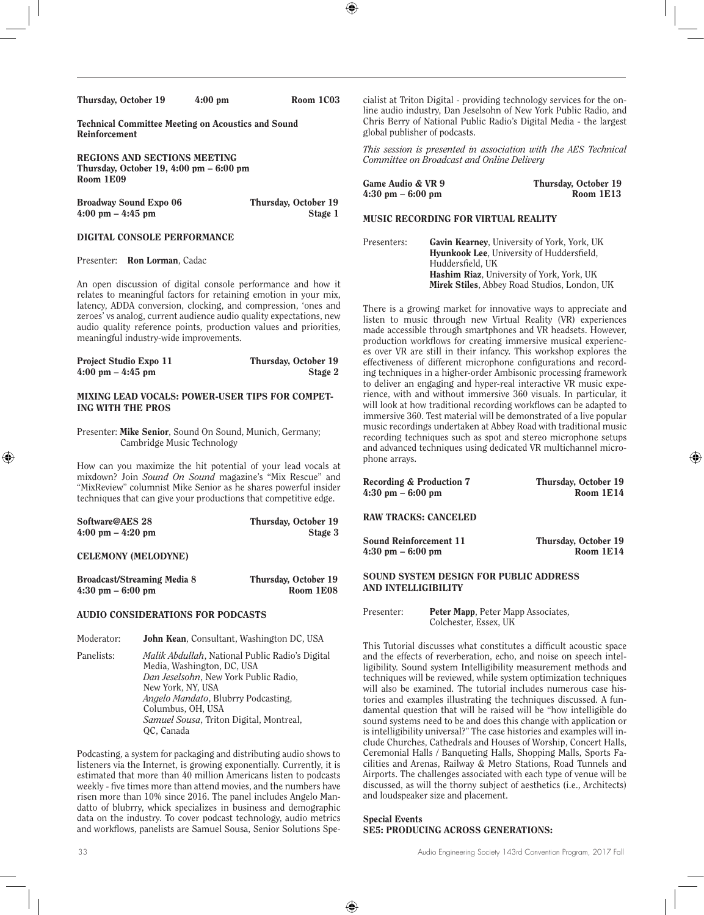| Thursday, October 19 | $4:00 \text{ pm}$ | Room 1C03 |
|----------------------|-------------------|-----------|
|                      |                   |           |

Technical Committee Meeting on Acoustics and Sound Reinforcement

REGIONS AND SECTIONS MEETING Thursday, October 19, 4:00 pm – 6:00 pm Room 1E09

Broadway Sound Expo 06 Thursday, October 19

4:00 pm – 4:45 pm Stage 1

#### DIGITAL CONSOLE PERFORMANCE

Presenter: Ron Lorman, Cadac

An open discussion of digital console performance and how it relates to meaningful factors for retaining emotion in your mix, latency, ADDA conversion, clocking, and compression, 'ones and zeroes' vs analog, current audience audio quality expectations, new audio quality reference points, production values and priorities, meaningful industry-wide improvements.

| <b>Project Studio Expo 11</b>       | Thursday, October 19 |
|-------------------------------------|----------------------|
| $4:00 \text{ pm} - 4:45 \text{ pm}$ | Stage 2              |

#### MIXING LEAD VOCALS: POWER-USER TIPS FOR COMPET-ING WITH THE PROS

Presenter: Mike Senior, Sound On Sound, Munich, Germany; Cambridge Music Technology

How can you maximize the hit potential of your lead vocals at mixdown? Join *Sound On Sound* magazine's "Mix Rescue" and "MixReview" columnist Mike Senior as he shares powerful insider techniques that can give your productions that competitive edge.

| Software@AES 28                     | Thursday, October 19 |
|-------------------------------------|----------------------|
| $4:00 \text{ pm} - 4:20 \text{ pm}$ | Stage 3              |

#### CELEMONY (MELODYNE)

| Broadcast/Streaming Media 8         | Thursday, October 19 |
|-------------------------------------|----------------------|
| $4:30 \text{ pm} - 6:00 \text{ pm}$ | Room 1E08            |

#### AUDIO CONSIDERATIONS FOR PODCASTS

- Moderator: **John Kean**, Consultant, Washington DC, USA
- Panelists: *Malik Abdullah*, National Public Radio's Digital Media, Washington, DC, USA *Dan Jeselsohn*, New York Public Radio, New York, NY, USA *Angelo Mandato*, Blubrry Podcasting, Columbus, OH, USA *Samuel Sousa*, Triton Digital, Montreal, QC, Canada

Podcasting, a system for packaging and distributing audio shows to listeners via the Internet, is growing exponentially. Currently, it is estimated that more than 40 million Americans listen to podcasts weekly - five times more than attend movies, and the numbers have risen more than 10% since 2016. The panel includes Angelo Mandatto of blubrry, whick specializes in business and demographic data on the industry. To cover podcast technology, audio metrics and workflows, panelists are Samuel Sousa, Senior Solutions Specialist at Triton Digital - providing technology services for the online audio industry, Dan Jeselsohn of New York Public Radio, and Chris Berry of National Public Radio's Digital Media - the largest global publisher of podcasts.

*This session is presented in association with the AES Technical Committee on Broadcast and Online Delivery*

| Game Audio & VR 9                   | Thursday, October 19 |
|-------------------------------------|----------------------|
| $4:30 \text{ pm} - 6:00 \text{ pm}$ | Room 1E13            |

## MUSIC RECORDING FOR VIRTUAL REALITY

Presenters: Gavin Kearney, University of York, York, UK Hyunkook Lee, University of Huddersfield, Huddersfield, UK Hashim Riaz, University of York, York, UK Mirek Stiles, Abbey Road Studios, London, UK

There is a growing market for innovative ways to appreciate and listen to music through new Virtual Reality (VR) experiences made accessible through smartphones and VR headsets. However, production workflows for creating immersive musical experiences over VR are still in their infancy. This workshop explores the effectiveness of different microphone configurations and recording techniques in a higher-order Ambisonic processing framework to deliver an engaging and hyper-real interactive VR music experience, with and without immersive 360 visuals. In particular, it will look at how traditional recording workflows can be adapted to immersive 360. Test material will be demonstrated of a live popular music recordings undertaken at Abbey Road with traditional music recording techniques such as spot and stereo microphone setups and advanced techniques using dedicated VR multichannel microphone arrays.

| <b>Recording &amp; Production 7</b>                           | Thursday, October 19 |
|---------------------------------------------------------------|----------------------|
| $4:30 \text{ pm} - 6:00 \text{ pm}$                           | Room 1E14            |
| RAW TRACKS: CANCELED                                          |                      |
| Sound Reinforcement 11                                        | Thursday, October 19 |
| 4:30 pm – 6:00 pm                                             | Room 1E14            |
| SOUND SYSTEM DESIGN FOR PUBLIC ADDRESS<br>AND INTELLIGIBILITY |                      |

Presenter: Peter Mapp, Peter Mapp Associates, Colchester, Essex, UK

This Tutorial discusses what constitutes a difficult acoustic space and the effects of reverberation, echo, and noise on speech intelligibility. Sound system Intelligibility measurement methods and techniques will be reviewed, while system optimization techniques will also be examined. The tutorial includes numerous case histories and examples illustrating the techniques discussed. A fundamental question that will be raised will be "how intelligible do sound systems need to be and does this change with application or is intelligibility universal?" The case histories and examples will include Churches, Cathedrals and Houses of Worship, Concert Halls, Ceremonial Halls / Banqueting Halls, Shopping Malls, Sports Facilities and Arenas, Railway & Metro Stations, Road Tunnels and Airports. The challenges associated with each type of venue will be discussed, as will the thorny subject of aesthetics (i.e., Architects) and loudspeaker size and placement.

Special Events SE5: PRODUCING ACROSS GENERATIONS: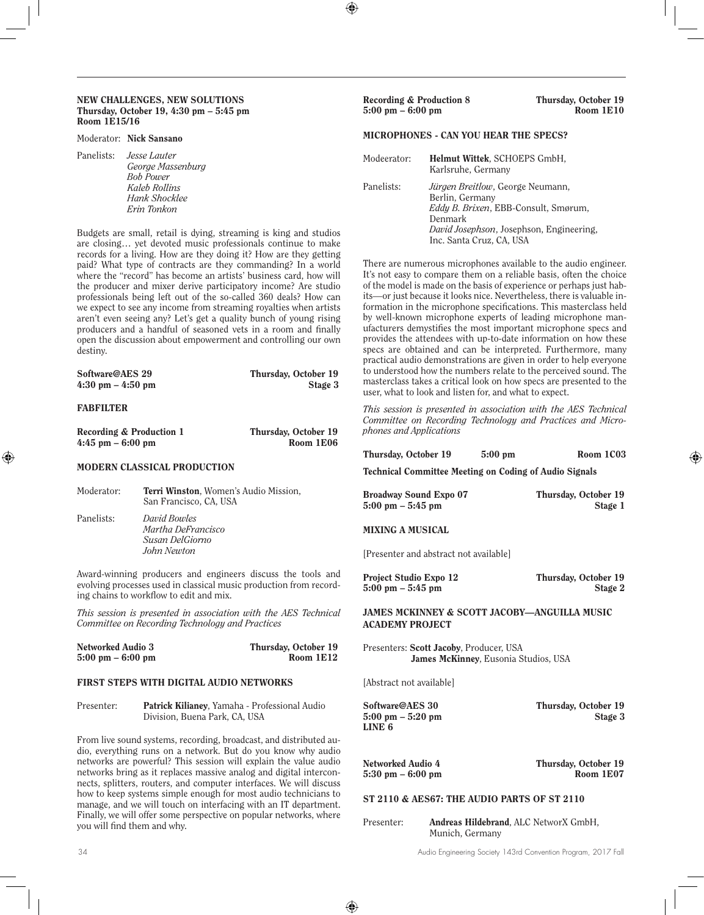#### NEW CHALLENGES, NEW SOLUTIONS Thursday, October 19, 4:30 pm – 5:45 pm Room 1E15/16

#### Moderator: Nick Sansano

Panelists: *Jesse Lauter George Massenburg Bob Power Kaleb Rollins Hank Shocklee Erin Tonkon*

Budgets are small, retail is dying, streaming is king and studios are closing… yet devoted music professionals continue to make records for a living. How are they doing it? How are they getting paid? What type of contracts are they commanding? In a world where the "record" has become an artists' business card, how will the producer and mixer derive participatory income? Are studio professionals being left out of the so-called 360 deals? How can we expect to see any income from streaming royalties when artists aren't even seeing any? Let's get a quality bunch of young rising producers and a handful of seasoned vets in a room and finally open the discussion about empowerment and controlling our own destiny.

| Software@AES 29                     | Thursday, October 19 |
|-------------------------------------|----------------------|
| $4:30 \text{ pm} - 4:50 \text{ pm}$ | Stage 3              |

#### FABFILTER

| Recording & Production 1 | Thursday, October 19 |
|--------------------------|----------------------|
| $4:45$ pm $-6:00$ pm     | Room 1E06            |

#### MODERN CLASSICAL PRODUCTION

| Moderator: | <b>Terri Winston, Women's Audio Mission,</b><br>San Francisco, CA, USA |
|------------|------------------------------------------------------------------------|
| Panelists: | David Bowles<br>Martha DeFrancisco<br>Susan DelGiorno<br>John Newton   |

Award-winning producers and engineers discuss the tools and evolving processes used in classical music production from recording chains to workflow to edit and mix.

*This session is presented in association with the AES Technical Committee on Recording Technology and Practices*

| <b>Networked Audio 3</b>            | Thursday, October 19 |
|-------------------------------------|----------------------|
| $5:00 \text{ pm} - 6:00 \text{ pm}$ | Room $1E12$          |

#### FIRST STEPS WITH DIGITAL AUDIO NETWORKS

| Presenter: | Patrick Kilianey, Yamaha - Professional Audio |
|------------|-----------------------------------------------|
|            | Division, Buena Park, CA, USA                 |

From live sound systems, recording, broadcast, and distributed audio, everything runs on a network. But do you know why audio networks are powerful? This session will explain the value audio networks bring as it replaces massive analog and digital interconnects, splitters, routers, and computer interfaces. We will discuss how to keep systems simple enough for most audio technicians to manage, and we will touch on interfacing with an IT department. Finally, we will offer some perspective on popular networks, where you will find them and why.

#### Recording & Production 8 Thursday, October 19<br>5:00 pm – 6:00 pm  $5:00 \text{ pm} - 6:00 \text{ pm}$

#### MICROPHONES - CAN YOU HEAR THE SPECS?

| Modeerator: | Helmut Wittek, SCHOEPS GmbH,<br>Karlsruhe, Germany                                                                                                                                            |
|-------------|-----------------------------------------------------------------------------------------------------------------------------------------------------------------------------------------------|
| Panelists:  | <i>Jürgen Breitlow</i> , George Neumann,<br>Berlin, Germany<br>Eddy B. Brixen, EBB-Consult, Smørum,<br>Denmark<br><i>David Josephson, Josephson, Engineering,</i><br>Inc. Santa Cruz, CA, USA |

There are numerous microphones available to the audio engineer. It's not easy to compare them on a reliable basis, often the choice of the model is made on the basis of experience or perhaps just habits—or just because it looks nice. Nevertheless, there is valuable information in the microphone specifications. This masterclass held by well-known microphone experts of leading microphone manufacturers demystifies the most important microphone specs and provides the attendees with up-to-date information on how these specs are obtained and can be interpreted. Furthermore, many practical audio demonstrations are given in order to help everyone to understood how the numbers relate to the perceived sound. The masterclass takes a critical look on how specs are presented to the user, what to look and listen for, and what to expect.

*This session is presented in association with the AES Technical Committee on Recording Technology and Practices and Microphones and Applications*

| Thursday, October 19 | Room 1C03<br>$5:00 \text{ pm}$ |  |
|----------------------|--------------------------------|--|
|----------------------|--------------------------------|--|

Technical Committee Meeting on Coding of Audio Signals

| <b>Broadway Sound Expo 07</b>       | Thursday, October 19 |
|-------------------------------------|----------------------|
| $5:00 \text{ pm} - 5:45 \text{ pm}$ | Stage 1              |

MIXING A MUSICAL

[Presenter and abstract not available]

| Project Studio Expo 12              | Thursday, October 19 |
|-------------------------------------|----------------------|
| $5:00 \text{ pm} - 5:45 \text{ pm}$ | Stage 2              |

JAMES MCKINNEY & SCOTT JACOBY—ANGUILLA MUSIC ACADEMY PROJECT

Presenters: Scott Jacoby, Producer, USA James McKinney, Eusonia Studios, USA

[Abstract not available]

LINE 6

Software@AES 30 Thursday, October 19 5:00 pm – 5:20 pm Stage 3

 $5:30$  pm  $-6:00$  pm

Networked Audio 4 Thursday, October 19<br>5:30 pm – 6:00 pm

#### ST 2110 & AES67: THE AUDIO PARTS OF ST 2110

Presenter: Andreas Hildebrand, ALC NetworX GmbH, Munich, Germany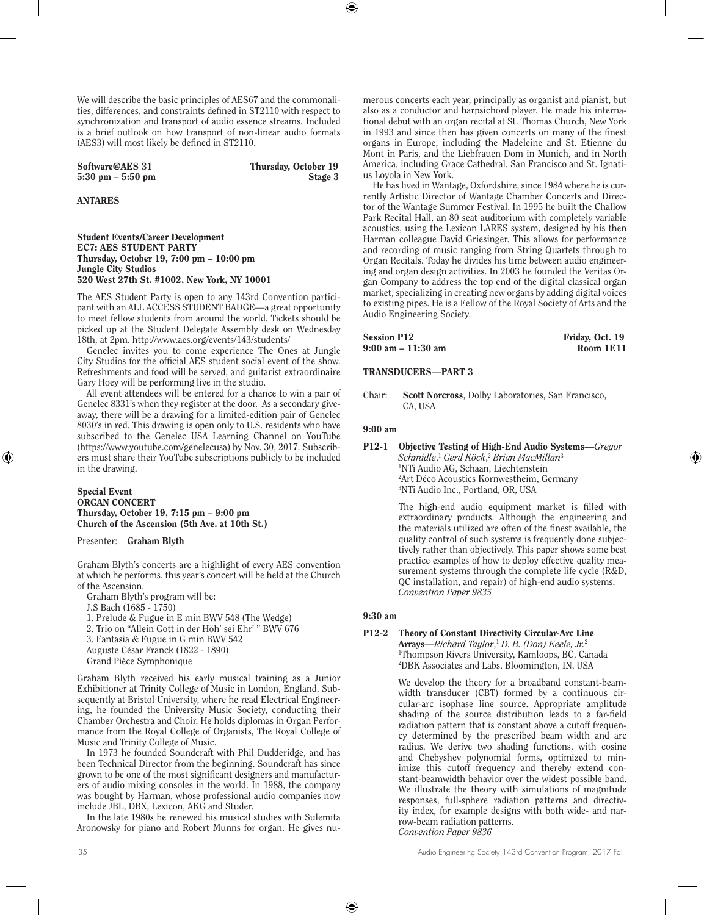We will describe the basic principles of AES67 and the commonalities, differences, and constraints defined in ST2110 with respect to synchronization and transport of audio essence streams. Included is a brief outlook on how transport of non-linear audio formats (AES3) will most likely be defined in ST2110.

 $5:30$  pm  $-5:50$  pm

Software@AES 31 Thursday, October 19<br>5:30 pm – 5:50 pm Stage 3

## ANTARES

#### Student Events/Career Development EC7: AES STUDENT PARTY Thursday, October 19, 7:00 pm – 10:00 pm Jungle City Studios 520 West 27th St. #1002, New York, NY 10001

The AES Student Party is open to any 143rd Convention participant with an ALL ACCESS STUDENT BADGE—a great opportunity to meet fellow students from around the world. Tickets should be picked up at the Student Delegate Assembly desk on Wednesday 18th, at 2pm. http://www.aes.org/events/143/students/

Genelec invites you to come experience The Ones at Jungle City Studios for the official AES student social event of the show. Refreshments and food will be served, and guitarist extraordinaire Gary Hoey will be performing live in the studio.

All event attendees will be entered for a chance to win a pair of Genelec 8331's when they register at the door. As a secondary giveaway, there will be a drawing for a limited-edition pair of Genelec 8030's in red. This drawing is open only to U.S. residents who have subscribed to the Genelec USA Learning Channel on YouTube (https://www.youtube.com/genelecusa) by Nov. 30, 2017. Subscribers must share their YouTube subscriptions publicly to be included in the drawing.

Special Event ORGAN CONCERT Thursday, October 19, 7:15 pm – 9:00 pm Church of the Ascension (5th Ave. at 10th St.)

Presenter: Graham Blyth

Graham Blyth's concerts are a highlight of every AES convention at which he performs. this year's concert will be held at the Church of the Ascension.

Graham Blyth's program will be:

J.S Bach (1685 - 1750)

1. Prelude & Fugue in E min BWV 548 (The Wedge)

2. Trio on "Allein Gott in der Höh' sei Ehr' " BWV 676

3. Fantasia & Fugue in G min BWV 542

Auguste César Franck (1822 - 1890)

Grand Pièce Symphonique

Graham Blyth received his early musical training as a Junior Exhibitioner at Trinity College of Music in London, England. Subsequently at Bristol University, where he read Electrical Engineering, he founded the University Music Society, conducting their Chamber Orchestra and Choir. He holds diplomas in Organ Performance from the Royal College of Organists, The Royal College of Music and Trinity College of Music.

In 1973 he founded Soundcraft with Phil Dudderidge, and has been Technical Director from the beginning. Soundcraft has since grown to be one of the most significant designers and manufacturers of audio mixing consoles in the world. In 1988, the company was bought by Harman, whose professional audio companies now include JBL, DBX, Lexicon, AKG and Studer.

In the late 1980s he renewed his musical studies with Sulemita Aronowsky for piano and Robert Munns for organ. He gives numerous concerts each year, principally as organist and pianist, but also as a conductor and harpsichord player. He made his international debut with an organ recital at St. Thomas Church, New York in 1993 and since then has given concerts on many of the finest organs in Europe, including the Madeleine and St. Etienne du Mont in Paris, and the Liebfrauen Dom in Munich, and in North America, including Grace Cathedral, San Francisco and St. Ignatius Loyola in New York.

He has lived in Wantage, Oxfordshire, since 1984 where he is currently Artistic Director of Wantage Chamber Concerts and Director of the Wantage Summer Festival. In 1995 he built the Challow Park Recital Hall, an 80 seat auditorium with completely variable acoustics, using the Lexicon LARES system, designed by his then Harman colleague David Griesinger. This allows for performance and recording of music ranging from String Quartets through to Organ Recitals. Today he divides his time between audio engineering and organ design activities. In 2003 he founded the Veritas Organ Company to address the top end of the digital classical organ market, specializing in creating new organs by adding digital voices to existing pipes. He is a Fellow of the Royal Society of Arts and the Audio Engineering Society.

| <b>Session P12</b> | Friday, Oct. 19 |
|--------------------|-----------------|
| 9:00 am – 11:30 am | Room 1E11       |

## TRANSDUCERS—PART 3

Chair: Scott Norcross, Dolby Laboratories, San Francisco, CA, USA

#### 9:00 am

| P12-1 | Objective Testing of High-End Audio Systems—Gregor                          |
|-------|-----------------------------------------------------------------------------|
|       | Schmidle, <sup>1</sup> Gerd Köck, <sup>2</sup> Brian MacMillan <sup>3</sup> |
|       | <sup>1</sup> NTi Audio AG. Schaan. Liechtenstein                            |
|       | <sup>2</sup> Art Déco Acoustics Kornwestheim. Germany                       |
|       | <sup>3</sup> NTi Audio Inc., Portland, OR, USA                              |

The high-end audio equipment market is filled with extraordinary products. Although the engineering and the materials utilized are often of the finest available, the quality control of such systems is frequently done subjectively rather than objectively. This paper shows some best practice examples of how to deploy effective quality measurement systems through the complete life cycle (R&D, QC installation, and repair) of high-end audio systems. *Convention Paper 9835*

## 9:30 am

#### P12-2 Theory of Constant Directivity Circular-Arc Line Arrays—*Richard Taylor*, <sup>1</sup> *D. B. (Don) Keele, Jr.*<sup>2</sup> 1 Thompson Rivers University, Kamloops, BC, Canada 2 DBK Associates and Labs, Bloomington, IN, USA

We develop the theory for a broadband constant-beamwidth transducer (CBT) formed by a continuous circular-arc isophase line source. Appropriate amplitude shading of the source distribution leads to a far-field radiation pattern that is constant above a cutoff frequency determined by the prescribed beam width and arc radius. We derive two shading functions, with cosine and Chebyshev polynomial forms, optimized to minimize this cutoff frequency and thereby extend constant-beamwidth behavior over the widest possible band. We illustrate the theory with simulations of magnitude responses, full-sphere radiation patterns and directivity index, for example designs with both wide- and narrow-beam radiation patterns. *Convention Paper 9836*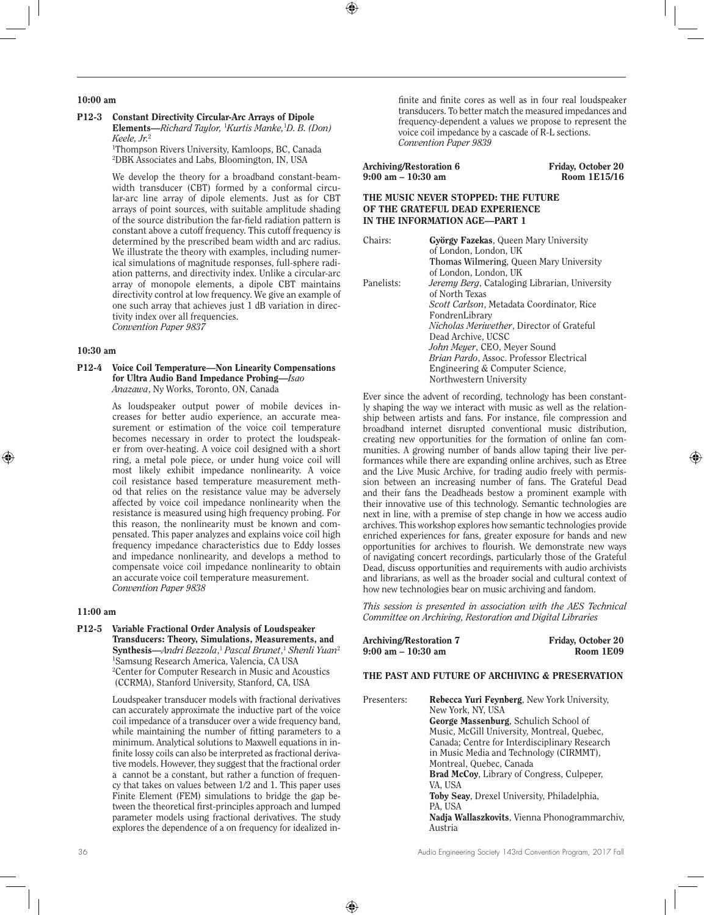## 10:00 am

P12-3 Constant Directivity Circular-Arc Arrays of Dipole Elements—*Richard Taylor,* <sup>1</sup> *Kurtis Manke,*<sup>1</sup> *D. B. (Don) Keele, Jr.*<sup>2</sup>

1 Thompson Rivers University, Kamloops, BC, Canada 2 DBK Associates and Labs, Bloomington, IN, USA

We develop the theory for a broadband constant-beamwidth transducer (CBT) formed by a conformal circular-arc line array of dipole elements. Just as for CBT arrays of point sources, with suitable amplitude shading of the source distribution the far-field radiation pattern is constant above a cutoff frequency. This cutoff frequency is determined by the prescribed beam width and arc radius. We illustrate the theory with examples, including numerical simulations of magnitude responses, full-sphere radiation patterns, and directivity index. Unlike a circular-arc array of monopole elements, a dipole CBT maintains directivity control at low frequency. We give an example of one such array that achieves just 1 dB variation in directivity index over all frequencies. *Convention Paper 9837*

#### 10:30 am

## P12-4 Voice Coil Temperature—Non Linearity Compensations for Ultra Audio Band Impedance Probing—*Isao Anazawa*, Ny Works, Toronto, ON, Canada

As loudspeaker output power of mobile devices increases for better audio experience, an accurate measurement or estimation of the voice coil temperature becomes necessary in order to protect the loudspeaker from over-heating. A voice coil designed with a short ring, a metal pole piece, or under hung voice coil will most likely exhibit impedance nonlinearity. A voice coil resistance based temperature measurement method that relies on the resistance value may be adversely affected by voice coil impedance nonlinearity when the resistance is measured using high frequency probing. For this reason, the nonlinearity must be known and compensated. This paper analyzes and explains voice coil high frequency impedance characteristics due to Eddy losses and impedance nonlinearity, and develops a method to compensate voice coil impedance nonlinearity to obtain an accurate voice coil temperature measurement. *Convention Paper 9838*

#### 11:00 am

P12-5 Variable Fractional Order Analysis of Loudspeaker Transducers: Theory, Simulations, Measurements, and Synthesis—*Andri Bezzola*, <sup>1</sup> *Pascal Brunet*, <sup>1</sup> *Shenli Yuan*<sup>2</sup> 1 Samsung Research America, Valencia, CA USA 2 Center for Computer Research in Music and Acoustics (CCRMA), Stanford University, Stanford, CA, USA

> Loudspeaker transducer models with fractional derivatives can accurately approximate the inductive part of the voice coil impedance of a transducer over a wide frequency band, while maintaining the number of fitting parameters to a minimum. Analytical solutions to Maxwell equations in infinite lossy coils can also be interpreted as fractional derivative models. However, they suggest that the fractional order a cannot be a constant, but rather a function of frequency that takes on values between 1/2 and 1. This paper uses Finite Element (FEM) simulations to bridge the gap between the theoretical first-principles approach and lumped parameter models using fractional derivatives. The study explores the dependence of a on frequency for idealized in-

finite and finite cores as well as in four real loudspeaker transducers. To better match the measured impedances and frequency-dependent a values we propose to represent the voice coil impedance by a cascade of R-L sections. *Convention Paper 9839*

| Archiving/Restoration 6 | Friday, October 20 |
|-------------------------|--------------------|
| 9:00 am – 10:30 am      | Room 1E15/16       |

## THE MUSIC NEVER STOPPED: THE FUTURE OF THE GRATEFUL DEAD EXPERIENCE IN THE INFORMATION AGE—PART 1

| Chairs:    | György Fazekas, Queen Mary University                |
|------------|------------------------------------------------------|
|            | of London, London, UK                                |
|            | Thomas Wilmering, Queen Mary University              |
|            | of London, London, UK                                |
| Panelists: | <i>Jeremy Berg, Cataloging Librarian, University</i> |
|            | of North Texas                                       |
|            | <i>Scott Carlson</i> , Metadata Coordinator, Rice    |
|            | FondrenLibrary                                       |
|            | <i>Nicholas Meriwether</i> , Director of Grateful    |
|            | Dead Archive, UCSC                                   |
|            | John Meyer, CEO, Meyer Sound                         |
|            | <i>Brian Pardo, Assoc. Professor Electrical</i>      |
|            | Engineering & Computer Science,                      |
|            | Northwestern University                              |

Ever since the advent of recording, technology has been constantly shaping the way we interact with music as well as the relationship between artists and fans. For instance, file compression and broadband internet disrupted conventional music distribution, creating new opportunities for the formation of online fan communities. A growing number of bands allow taping their live performances while there are expanding online archives, such as Etree and the Live Music Archive, for trading audio freely with permission between an increasing number of fans. The Grateful Dead and their fans the Deadheads bestow a prominent example with their innovative use of this technology. Semantic technologies are next in line, with a premise of step change in how we access audio archives. This workshop explores how semantic technologies provide enriched experiences for fans, greater exposure for bands and new opportunities for archives to flourish. We demonstrate new ways of navigating concert recordings, particularly those of the Grateful Dead, discuss opportunities and requirements with audio archivists and librarians, as well as the broader social and cultural context of how new technologies bear on music archiving and fandom.

*This session is presented in association with the AES Technical Committee on Archiving, Restoration and Digital Libraries*

| Archiving/Restoration 7 | Friday, October 20 |
|-------------------------|--------------------|
| 9:00 am – 10:30 am      | Room 1E09          |

## THE PAST AND FUTURE OF ARCHIVING & PRESERVATION

| Presenters: | Rebecca Yuri Feynberg, New York University,<br>New York, NY, USA |
|-------------|------------------------------------------------------------------|
|             | George Massenburg, Schulich School of                            |
|             |                                                                  |
|             | Music, McGill University, Montreal, Quebec,                      |
|             | Canada: Centre for Interdisciplinary Research                    |
|             | in Music Media and Technology (CIRMMT),                          |
|             | Montreal, Quebec, Canada                                         |
|             | <b>Brad McCoy, Library of Congress, Culpeper,</b>                |
|             | VA, USA                                                          |
|             | <b>Toby Seav.</b> Drexel University, Philadelphia,               |
|             | PA, USA                                                          |
|             | <b>Nadja Wallaszkovits</b> , Vienna Phonogrammarchiv,            |
|             | Austria                                                          |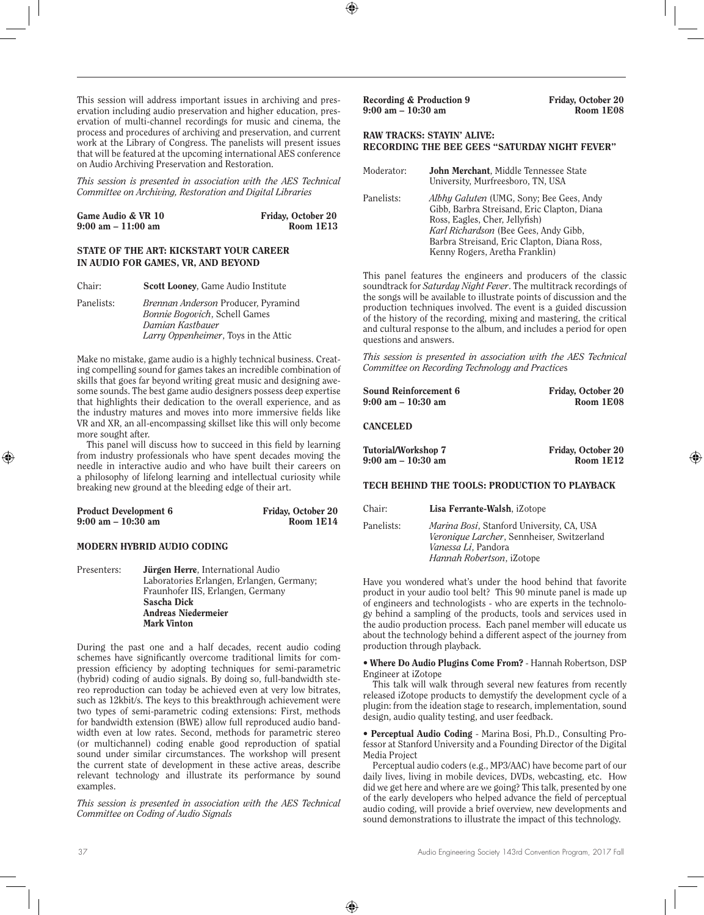This session will address important issues in archiving and preservation including audio preservation and higher education, preservation of multi-channel recordings for music and cinema, the process and procedures of archiving and preservation, and current work at the Library of Congress. The panelists will present issues that will be featured at the upcoming international AES conference on Audio Archiving Preservation and Restoration.

*This session is presented in association with the AES Technical Committee on Archiving, Restoration and Digital Libraries*

| Game Audio & VR 10                   | Friday, October 20 |
|--------------------------------------|--------------------|
| $9:00 \text{ am} - 11:00 \text{ am}$ | Room 1E13          |

#### STATE OF THE ART: KICKSTART YOUR CAREER IN AUDIO FOR GAMES, VR, AND BEYOND

| Chair:     | Scott Looney, Game Audio Institute                                                                                                               |
|------------|--------------------------------------------------------------------------------------------------------------------------------------------------|
| Panelists: | Brennan Anderson Producer, Pyramind<br><i>Bonnie Bogovich</i> , Schell Games<br>Damian Kastbauer<br><i>Larry Oppenheimer</i> , Toys in the Attic |

Make no mistake, game audio is a highly technical business. Creating compelling sound for games takes an incredible combination of skills that goes far beyond writing great music and designing awesome sounds. The best game audio designers possess deep expertise that highlights their dedication to the overall experience, and as the industry matures and moves into more immersive fields like VR and XR, an all-encompassing skillset like this will only become more sought after.

This panel will discuss how to succeed in this field by learning from industry professionals who have spent decades moving the needle in interactive audio and who have built their careers on a philosophy of lifelong learning and intellectual curiosity while breaking new ground at the bleeding edge of their art.

| <b>Product Development 6</b>         | Friday, October 20 |
|--------------------------------------|--------------------|
| $9:00 \text{ am} - 10:30 \text{ am}$ | Room 1E14          |

## MODERN HYBRID AUDIO CODING

Presenters: **Jürgen Herre**, International Audio Laboratories Erlangen, Erlangen, Germany; Fraunhofer IIS, Erlangen, Germany Sascha Dick Andreas Niedermeier Mark Vinton

During the past one and a half decades, recent audio coding schemes have significantly overcome traditional limits for compression efficiency by adopting techniques for semi-parametric (hybrid) coding of audio signals. By doing so, full-bandwidth stereo reproduction can today be achieved even at very low bitrates, such as 12kbit/s. The keys to this breakthrough achievement were two types of semi-parametric coding extensions: First, methods for bandwidth extension (BWE) allow full reproduced audio bandwidth even at low rates. Second, methods for parametric stereo (or multichannel) coding enable good reproduction of spatial sound under similar circumstances. The workshop will present the current state of development in these active areas, describe relevant technology and illustrate its performance by sound examples.

*This session is presented in association with the AES Technical Committee on Coding of Audio Signals*

Recording & Production 9<br>  $9:00 \text{ am} - 10:30 \text{ am}$ <br>
Room 1E08  $9:00$  am  $-10:30$  am

## RAW TRACKS: STAYIN' ALIVE: RECORDING THE BEE GEES "SATURDAY NIGHT FEVER"

| Moderator: | John Merchant, Middle Tennessee State<br>University, Murfreesboro, TN, USA                                                                                                                                                                          |
|------------|-----------------------------------------------------------------------------------------------------------------------------------------------------------------------------------------------------------------------------------------------------|
| Panelists: | Albhy Galuten (UMG, Sony; Bee Gees, Andy<br>Gibb, Barbra Streisand, Eric Clapton, Diana<br>Ross, Eagles, Cher, Jellyfish)<br>Karl Richardson (Bee Gees, Andy Gibb,<br>Barbra Streisand, Eric Clapton, Diana Ross,<br>Kenny Rogers, Aretha Franklin) |

This panel features the engineers and producers of the classic soundtrack for *Saturday Night Fever*. The multitrack recordings of the songs will be available to illustrate points of discussion and the production techniques involved. The event is a guided discussion of the history of the recording, mixing and mastering, the critical and cultural response to the album, and includes a period for open questions and answers.

*This session is presented in association with the AES Technical Committee on Recording Technology and Practice*s

| Sound Reinforcement 6                | Friday, October 20        |
|--------------------------------------|---------------------------|
| $9:00 \text{ am} - 10:30 \text{ am}$ | Room 1E08                 |
|                                      |                           |
| <b>CANCELED</b>                      |                           |
| Tutorial/Workshop 7                  | <b>Friday, October 20</b> |
| $9:00$ am $-10:30$ am                | Room 1E12                 |

#### TECH BEHIND THE TOOLS: PRODUCTION TO PLAYBACK

| Chair:     | Lisa Ferrante-Walsh, iZotope                                                                                                                                |
|------------|-------------------------------------------------------------------------------------------------------------------------------------------------------------|
| Panelists: | <i>Marina Bosi</i> , Stanford University, CA, USA<br>Veronique Larcher, Sennheiser, Switzerland<br>Vanessa Li, Pandora<br><i>Hannah Robertson</i> , iZotope |

Have you wondered what's under the hood behind that favorite product in your audio tool belt? This 90 minute panel is made up of engineers and technologists - who are experts in the technology behind a sampling of the products, tools and services used in the audio production process. Each panel member will educate us about the technology behind a different aspect of the journey from production through playback.

**•** Where Do Audio Plugins Come From? - Hannah Robertson, DSP Engineer at iZotope

This talk will walk through several new features from recently released iZotope products to demystify the development cycle of a plugin: from the ideation stage to research, implementation, sound design, audio quality testing, and user feedback.

**•** Perceptual Audio Coding - Marina Bosi, Ph.D., Consulting Professor at Stanford University and a Founding Director of the Digital Media Project

Perceptual audio coders (e.g., MP3/AAC) have become part of our daily lives, living in mobile devices, DVDs, webcasting, etc. How did we get here and where are we going? This talk, presented by one of the early developers who helped advance the field of perceptual audio coding, will provide a brief overview, new developments and sound demonstrations to illustrate the impact of this technology.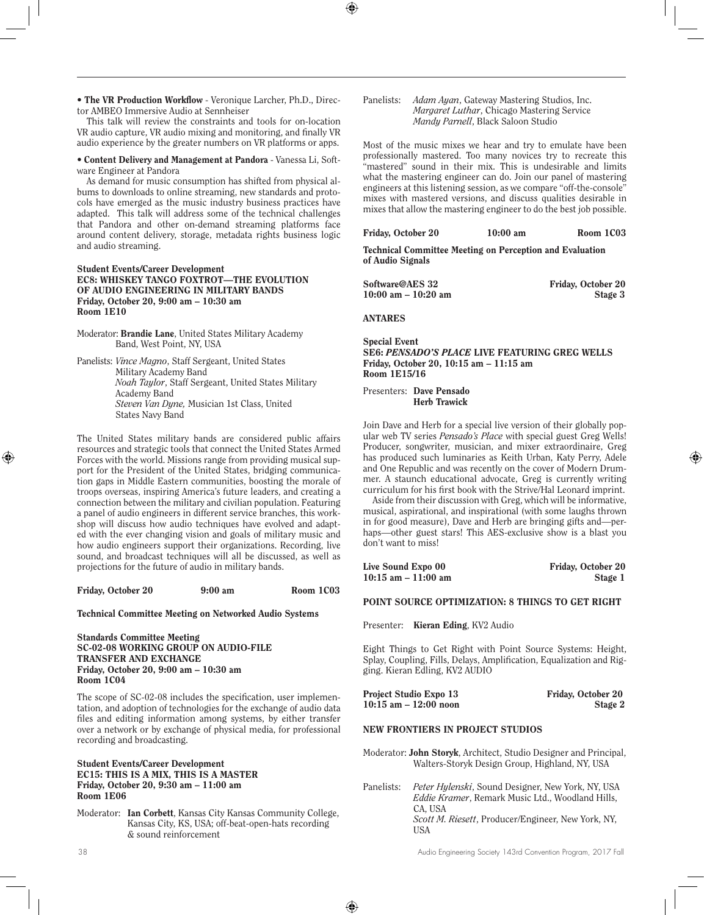tor AMBEO Immersive Audio at Sennheiser

**•** Content Delivery and Management at Pandora - Vanessa Li, Software Engineer at Pandora

**•** The VR Production Workflow - Veronique Larcher, Ph.D., Direc-

This talk will review the constraints and tools for on-location

As demand for music consumption has shifted from physical albums to downloads to online streaming, new standards and protocols have emerged as the music industry business practices have adapted. This talk will address some of the technical challenges that Pandora and other on-demand streaming platforms face around content delivery, storage, metadata rights business logic and audio streaming.

#### Student Events/Career Development EC8: WHISKEY TANGO FOXTROT—THE EVOLUTION OF AUDIO ENGINEERING IN MILITARY BANDS Friday, October 20, 9:00 am – 10:30 am Room 1E10

Moderator: Brandie Lane, United States Military Academy Band, West Point, NY, USA

Panelists: *Vince Magno*, Staff Sergeant, United States Military Academy Band *Noah Taylor*, Staff Sergeant, United States Military Academy Band *Steven Van Dyne,* Musician 1st Class, United States Navy Band

The United States military bands are considered public affairs resources and strategic tools that connect the United States Armed Forces with the world. Missions range from providing musical support for the President of the United States, bridging communication gaps in Middle Eastern communities, boosting the morale of troops overseas, inspiring America's future leaders, and creating a connection between the military and civilian population. Featuring a panel of audio engineers in different service branches, this workshop will discuss how audio techniques have evolved and adapted with the ever changing vision and goals of military music and how audio engineers support their organizations. Recording, live sound, and broadcast techniques will all be discussed, as well as projections for the future of audio in military bands.

#### Friday, October 20 9:00 am Room 1C03

#### Technical Committee Meeting on Networked Audio Systems

Standards Committee Meeting SC-02-08 WORKING GROUP ON AUDIO-FILE TRANSFER AND EXCHANGE Friday, October 20, 9:00 am – 10:30 am Room 1C04

The scope of SC-02-08 includes the specification, user implementation, and adoption of technologies for the exchange of audio data files and editing information among systems, by either transfer over a network or by exchange of physical media, for professional recording and broadcasting.

#### Student Events/Career Development EC15: THIS IS A MIX, THIS IS A MASTER Friday, October 20, 9:30 am – 11:00 am Room 1E06

Moderator: Ian Corbett, Kansas City Kansas Community College, Kansas City, KS, USA; off-beat-open-hats recording & sound reinforcement

Panelists: *Adam Ayan*, Gateway Mastering Studios, Inc. *Margaret Luthar*, Chicago Mastering Service *Mandy Parnell*, Black Saloon Studio

Most of the music mixes we hear and try to emulate have been professionally mastered. Too many novices try to recreate this "mastered" sound in their mix. This is undesirable and limits what the mastering engineer can do. Join our panel of mastering engineers at this listening session, as we compare "off-the-console" mixes with mastered versions, and discuss qualities desirable in mixes that allow the mastering engineer to do the best job possible.

| Friday, October 20 | $10:00$ am | Room 1C03 |
|--------------------|------------|-----------|
|                    |            |           |

Technical Committee Meeting on Perception and Evaluation of Audio Signals

| Software@AES 32         | Friday, October 20 |
|-------------------------|--------------------|
| $10:00$ am $- 10:20$ am | Stage 3            |

ANTARES

Special Event SE6: *PENSADO'S PLACE* LIVE FEATURING GREG WELLS Friday, October 20, 10:15 am – 11:15 am Room 1E15/16

Presenters: Dave Pensado Herb Trawick

Join Dave and Herb for a special live version of their globally popular web TV series *Pensado's Place* with special guest Greg Wells! Producer, songwriter, musician, and mixer extraordinaire, Greg has produced such luminaries as Keith Urban, Katy Perry, Adele and One Republic and was recently on the cover of Modern Drummer. A staunch educational advocate, Greg is currently writing curriculum for his first book with the Strive/Hal Leonard imprint.

Aside from their discussion with Greg, which will be informative, musical, aspirational, and inspirational (with some laughs thrown in for good measure), Dave and Herb are bringing gifts and—perhaps—other guest stars! This AES-exclusive show is a blast you don't want to miss!

| Live Sound Expo 00     | Friday, October 20 |
|------------------------|--------------------|
| $10:15$ am $-11:00$ am | Stage 1            |

## POINT SOURCE OPTIMIZATION: 8 THINGS TO GET RIGHT

Presenter: Kieran Eding, KV2 Audio

Eight Things to Get Right with Point Source Systems: Height, Splay, Coupling, Fills, Delays, Amplification, Equalization and Rigging. Kieran Edling, KV2 AUDIO

| Project Studio Expo 13   | Friday, October 20 |
|--------------------------|--------------------|
| $10:15$ am $-12:00$ noon | Stage 2            |

## NEW FRONTIERS IN PROJECT STUDIOS

Moderator: John Storyk, Architect, Studio Designer and Principal, Walters-Storyk Design Group, Highland, NY, USA

Panelists: *Peter Hylenski*, Sound Designer, New York, NY, USA *Eddie Kramer*, Remark Music Ltd., Woodland Hills, CA, USA *Scott M. Riesett*, Producer/Engineer, New York, NY, USA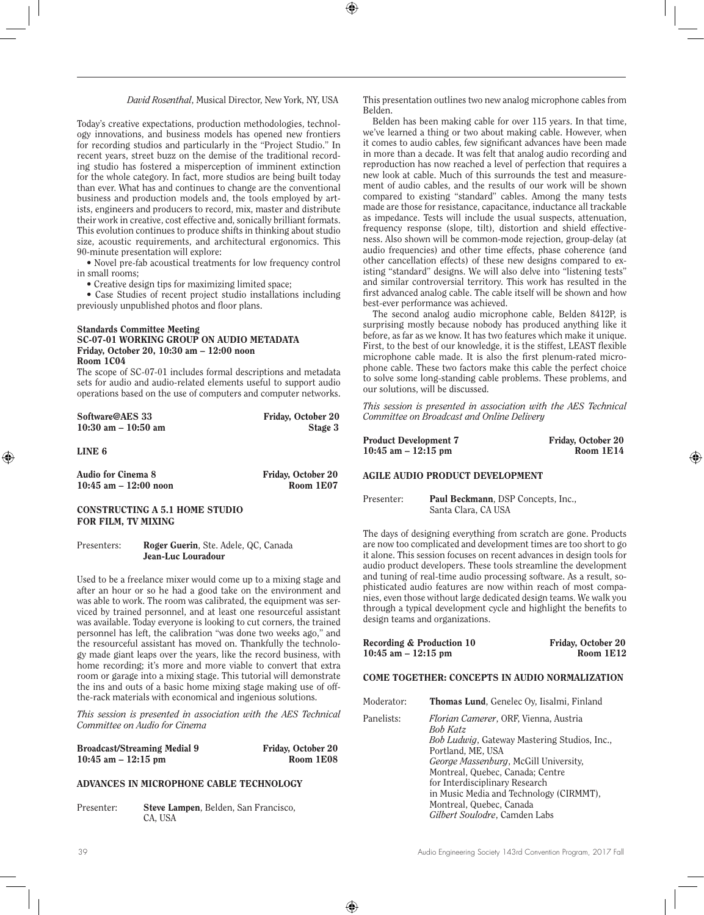*David Rosenthal*, Musical Director, New York, NY, USA

Today's creative expectations, production methodologies, technology innovations, and business models has opened new frontiers for recording studios and particularly in the "Project Studio." In recent years, street buzz on the demise of the traditional recording studio has fostered a misperception of imminent extinction for the whole category. In fact, more studios are being built today than ever. What has and continues to change are the conventional business and production models and, the tools employed by artists, engineers and producers to record, mix, master and distribute their work in creative, cost effective and, sonically brilliant formats. This evolution continues to produce shifts in thinking about studio size, acoustic requirements, and architectural ergonomics. This 90-minute presentation will explore:

• Novel pre-fab acoustical treatments for low frequency control in small rooms;

• Creative design tips for maximizing limited space;

• Case Studies of recent project studio installations including previously unpublished photos and floor plans.

#### Standards Committee Meeting SC-07-01 WORKING GROUP ON AUDIO METADATA Friday, October 20, 10:30 am – 12:00 noon Room 1C04

The scope of SC-07-01 includes formal descriptions and metadata sets for audio and audio-related elements useful to support audio operations based on the use of computers and computer networks.

| Software@AES 33         | Friday, October 20 |
|-------------------------|--------------------|
| $10:30$ am $- 10:50$ am | Stage 3            |

LINE 6

Audio for Cinema 8 Friday, October 20 10:45 am – 12:00 noon Room 1E07

## CONSTRUCTING A 5.1 HOME STUDIO FOR FILM, TV MIXING

Presenters: Roger Guerin, Ste. Adele, QC, Canada Jean-Luc Louradour

Used to be a freelance mixer would come up to a mixing stage and after an hour or so he had a good take on the environment and was able to work. The room was calibrated, the equipment was serviced by trained personnel, and at least one resourceful assistant was available. Today everyone is looking to cut corners, the trained personnel has left, the calibration "was done two weeks ago," and the resourceful assistant has moved on. Thankfully the technology made giant leaps over the years, like the record business, with home recording; it's more and more viable to convert that extra room or garage into a mixing stage. This tutorial will demonstrate the ins and outs of a basic home mixing stage making use of offthe-rack materials with economical and ingenious solutions.

*This session is presented in association with the AES Technical Committee on Audio for Cinema*

Broadcast/Streaming Medial 9 Friday, October 20 10:45 am – 12:15 pm Room 1E08

## ADVANCES IN MICROPHONE CABLE TECHNOLOGY

Presenter: Steve Lampen, Belden, San Francisco, CA, USA

This presentation outlines two new analog microphone cables from Belden.

Belden has been making cable for over 115 years. In that time, we've learned a thing or two about making cable. However, when it comes to audio cables, few significant advances have been made in more than a decade. It was felt that analog audio recording and reproduction has now reached a level of perfection that requires a new look at cable. Much of this surrounds the test and measurement of audio cables, and the results of our work will be shown compared to existing "standard" cables. Among the many tests made are those for resistance, capacitance, inductance all trackable as impedance. Tests will include the usual suspects, attenuation, frequency response (slope, tilt), distortion and shield effectiveness. Also shown will be common-mode rejection, group-delay (at audio frequencies) and other time effects, phase coherence (and other cancellation effects) of these new designs compared to existing "standard" designs. We will also delve into "listening tests" and similar controversial territory. This work has resulted in the first advanced analog cable. The cable itself will be shown and how best-ever performance was achieved.

The second analog audio microphone cable, Belden 8412P, is surprising mostly because nobody has produced anything like it before, as far as we know. It has two features which make it unique. First, to the best of our knowledge, it is the stiffest, LEAST flexible microphone cable made. It is also the first plenum-rated microphone cable. These two factors make this cable the perfect choice to solve some long-standing cable problems. These problems, and our solutions, will be discussed.

*This session is presented in association with the AES Technical Committee on Broadcast and Online Delivery*

| <b>Product Development 7</b> | Friday, October 20 |
|------------------------------|--------------------|
| $10:45$ am $-12:15$ pm       | Room 1E14          |

## AGILE AUDIO PRODUCT DEVELOPMENT

Presenter: Paul Beckmann, DSP Concepts, Inc.,

Santa Clara, CA USA

The days of designing everything from scratch are gone. Products are now too complicated and development times are too short to go it alone. This session focuses on recent advances in design tools for audio product developers. These tools streamline the development and tuning of real-time audio processing software. As a result, sophisticated audio features are now within reach of most companies, even those without large dedicated design teams. We walk you through a typical development cycle and highlight the benefits to design teams and organizations.

| Recording & Production 10 | Friday, October 20 |
|---------------------------|--------------------|
| $10:45$ am $-12:15$ pm    | Room $1E12$        |

## COME TOGETHER: CONCEPTS IN AUDIO NORMALIZATION

| Moderator: | <b>Thomas Lund, Genelec Ov, Iisalmi, Finland</b>                 |
|------------|------------------------------------------------------------------|
| Panelists: | <i>Florian Camerer</i> , ORF, Vienna, Austria<br><b>Bob Katz</b> |
|            | <i>Bob Ludwig</i> , Gateway Mastering Studios, Inc.,             |
|            | Portland, ME, USA<br>George Massenburg, McGill University,       |
|            | Montreal, Quebec, Canada; Centre                                 |
|            | for Interdisciplinary Research                                   |
|            | in Music Media and Technology (CIRMMT),                          |
|            | Montreal, Quebec, Canada<br>Gilbert Soulodre, Camden Labs        |
|            |                                                                  |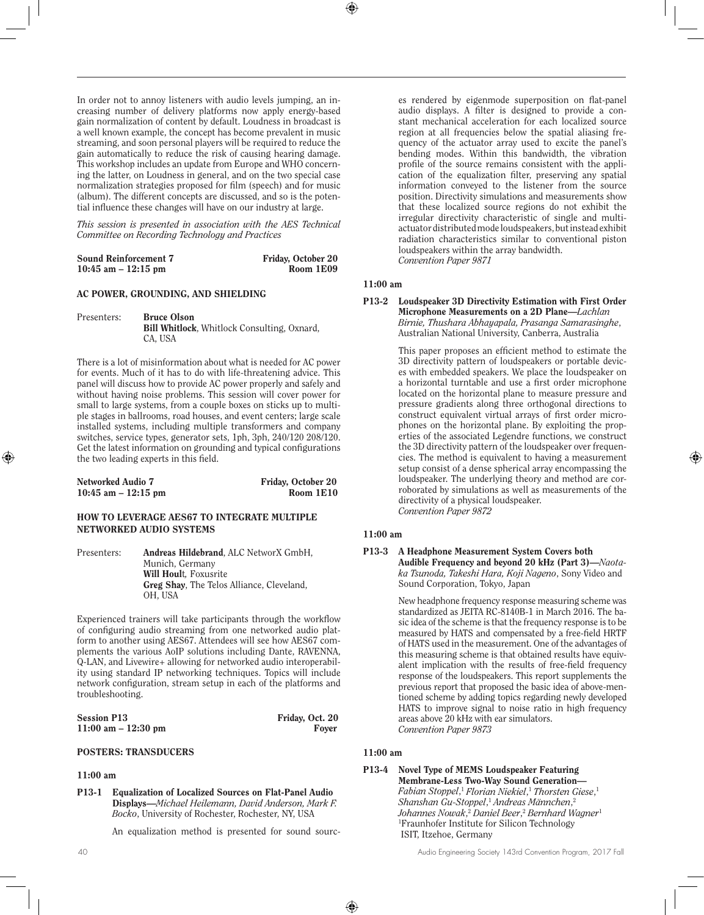In order not to annoy listeners with audio levels jumping, an increasing number of delivery platforms now apply energy-based gain normalization of content by default. Loudness in broadcast is a well known example, the concept has become prevalent in music streaming, and soon personal players will be required to reduce the gain automatically to reduce the risk of causing hearing damage. This workshop includes an update from Europe and WHO concerning the latter, on Loudness in general, and on the two special case normalization strategies proposed for film (speech) and for music (album). The different concepts are discussed, and so is the potential influence these changes will have on our industry at large.

*This session is presented in association with the AES Technical Committee on Recording Technology and Practices*

| <b>Sound Reinforcement 7</b> | Friday, October 20 |
|------------------------------|--------------------|
| $10:45$ am $-12:15$ pm       | Room 1E09          |

#### AC POWER, GROUNDING, AND SHIELDING

Presenters: Bruce Olson

Bill Whitlock, Whitlock Consulting, Oxnard, CA, USA

There is a lot of misinformation about what is needed for AC power for events. Much of it has to do with life-threatening advice. This panel will discuss how to provide AC power properly and safely and without having noise problems. This session will cover power for small to large systems, from a couple boxes on sticks up to multiple stages in ballrooms, road houses, and event centers; large scale installed systems, including multiple transformers and company switches, service types, generator sets, 1ph, 3ph, 240/120 208/120. Get the latest information on grounding and typical configurations the two leading experts in this field.

| Networked Audio 7     | Friday, October 20 |
|-----------------------|--------------------|
| 10:45 am $-$ 12:15 pm | Room 1E10          |

## HOW TO LEVERAGE AES67 TO INTEGRATE MULTIPLE NETWORKED AUDIO SYSTEMS

Presenters: Andreas Hildebrand, ALC NetworX GmbH, Munich, Germany Will Hoult*,* Foxusrite Greg Shay, The Telos Alliance, Cleveland, OH, USA

Experienced trainers will take participants through the workflow of configuring audio streaming from one networked audio platform to another using AES67. Attendees will see how AES67 complements the various AoIP solutions including Dante, RAVENNA, Q-LAN, and Livewire+ allowing for networked audio interoperability using standard IP networking techniques. Topics will include network configuration, stream setup in each of the platforms and troubleshooting.

| <b>Session P13</b>     | Friday, Oct. 20 |
|------------------------|-----------------|
| $11:00$ am $-12:30$ pm | Fover           |

#### POSTERS: TRANSDUCERS

## 11:00 am

P13-1 Equalization of Localized Sources on Flat-Panel Audio Displays—*Michael Heilemann, David Anderson, Mark F. Bocko*, University of Rochester, Rochester, NY, USA

An equalization method is presented for sound sourc-

es rendered by eigenmode superposition on flat-panel audio displays. A filter is designed to provide a constant mechanical acceleration for each localized source region at all frequencies below the spatial aliasing frequency of the actuator array used to excite the panel's bending modes. Within this bandwidth, the vibration profile of the source remains consistent with the application of the equalization filter, preserving any spatial information conveyed to the listener from the source position. Directivity simulations and measurements show that these localized source regions do not exhibit the irregular directivity characteristic of single and multiactuator distributed mode loudspeakers, but instead exhibit radiation characteristics similar to conventional piston loudspeakers within the array bandwidth. *Convention Paper 9871*

#### 11:00 am

P13-2 Loudspeaker 3D Directivity Estimation with First Order Microphone Measurements on a 2D Plane—*Lachlan Birnie, Thushara Abhayapala, Prasanga Samarasinghe*, Australian National University, Canberra, Australia

> This paper proposes an efficient method to estimate the 3D directivity pattern of loudspeakers or portable devices with embedded speakers. We place the loudspeaker on a horizontal turntable and use a first order microphone located on the horizontal plane to measure pressure and pressure gradients along three orthogonal directions to construct equivalent virtual arrays of first order microphones on the horizontal plane. By exploiting the properties of the associated Legendre functions, we construct the 3D directivity pattern of the loudspeaker over frequencies. The method is equivalent to having a measurement setup consist of a dense spherical array encompassing the loudspeaker. The underlying theory and method are corroborated by simulations as well as measurements of the directivity of a physical loudspeaker. *Convention Paper 9872*

#### 11:00 am

#### P13-3 A Headphone Measurement System Covers both Audible Frequency and beyond 20 kHz (Part 3)—*Naotaka Tsunoda, Takeshi Hara, Koji Nageno*, Sony Video and Sound Corporation, Tokyo, Japan

New headphone frequency response measuring scheme was standardized as JEITA RC-8140B-1 in March 2016. The basic idea of the scheme is that the frequency response is to be measured by HATS and compensated by a free-field HRTF of HATS used in the measurement. One of the advantages of this measuring scheme is that obtained results have equivalent implication with the results of free-field frequency response of the loudspeakers. This report supplements the previous report that proposed the basic idea of above-mentioned scheme by adding topics regarding newly developed HATS to improve signal to noise ratio in high frequency areas above 20 kHz with ear simulators. *Convention Paper 9873*

## 11:00 am

#### P13-4 Novel Type of MEMS Loudspeaker Featuring Membrane-Less Two-Way Sound Generation— *Fabian Stoppel*, <sup>1</sup> *Florian Niekiel*, <sup>1</sup> *Thorsten Giese*, 1 *Shanshan Gu-Stoppel*, <sup>1</sup> *Andreas Männchen*, 2 *Johannes Nowak*, <sup>2</sup> *Daniel Beer*, <sup>2</sup> *Bernhard Wagner*<sup>1</sup> 1 Fraunhofer Institute for Silicon Technology ISIT, Itzehoe, Germany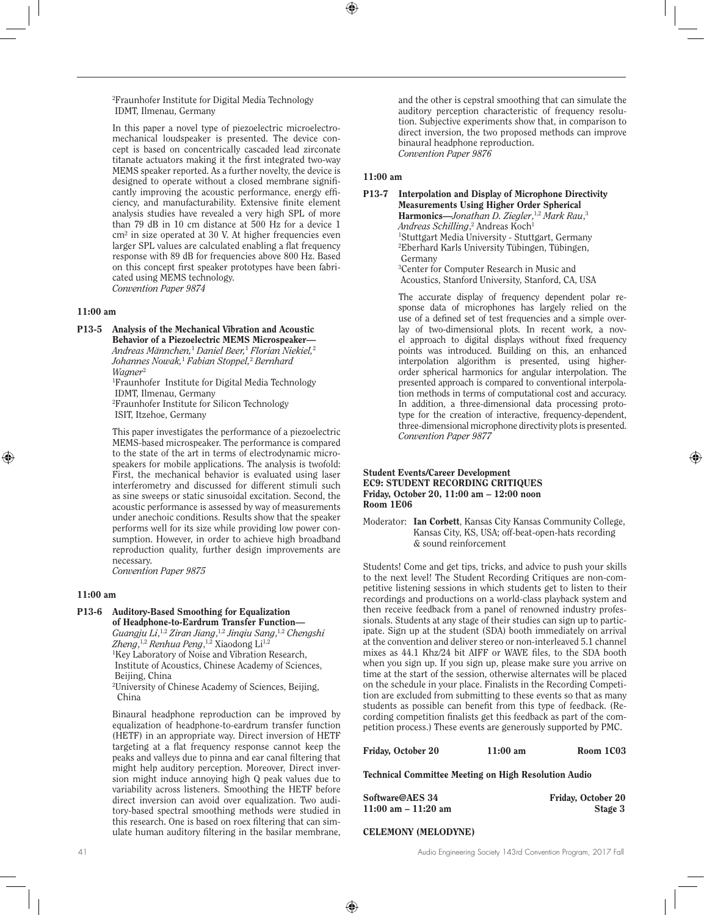2 Fraunhofer Institute for Digital Media Technology IDMT, Ilmenau, Germany

In this paper a novel type of piezoelectric microelectromechanical loudspeaker is presented. The device concept is based on concentrically cascaded lead zirconate titanate actuators making it the first integrated two-way MEMS speaker reported. As a further novelty, the device is designed to operate without a closed membrane significantly improving the acoustic performance, energy efficiency, and manufacturability. Extensive finite element analysis studies have revealed a very high SPL of more than 79 dB in 10 cm distance at 500 Hz for a device 1 cm² in size operated at 30 V. At higher frequencies even larger SPL values are calculated enabling a flat frequency response with 89 dB for frequencies above 800 Hz. Based on this concept first speaker prototypes have been fabricated using MEMS technology. *Convention Paper 9874*

#### 11:00 am

P13-5 Analysis of the Mechanical Vibration and Acoustic Behavior of a Piezoelectric MEMS Microspeaker— *Andreas Männchen,*<sup>1</sup>  *Daniel Beer,*<sup>1</sup>  *Florian Niekiel,*<sup>2</sup> *Johannes Nowak,*<sup>1</sup>  *Fabian Stoppel,*<sup>2</sup>  *Bernhard Wagner*<sup>2</sup>

> 1 Fraunhofer Institute for Digital Media Technology IDMT, Ilmenau, Germany

2 Fraunhofer Institute for Silicon Technology ISIT, Itzehoe, Germany

This paper investigates the performance of a piezoelectric MEMS-based microspeaker. The performance is compared to the state of the art in terms of electrodynamic microspeakers for mobile applications. The analysis is twofold: First, the mechanical behavior is evaluated using laser interferometry and discussed for different stimuli such as sine sweeps or static sinusoidal excitation. Second, the acoustic performance is assessed by way of measurements under anechoic conditions. Results show that the speaker performs well for its size while providing low power consumption. However, in order to achieve high broadband reproduction quality, further design improvements are necessary.

*Convention Paper 9875*

## 11:00 am

#### P13-6 Auditory-Based Smoothing for Equalization of Headphone-to-Eardrum Transfer Function—

*Guangju Li*, 1,2 *Ziran Jiang*, 1,2 *Jinqiu Sang*, 1,2 *Chengshi Zheng*, 1,2 *Renhua Peng*, 1,2 Xiaodong Li1,2 1 Key Laboratory of Noise and Vibration Research, Institute of Acoustics, Chinese Academy of Sciences,

 Beijing, China 2 University of Chinese Academy of Sciences, Beijing,

China

Binaural headphone reproduction can be improved by equalization of headphone-to-eardrum transfer function (HETF) in an appropriate way. Direct inversion of HETF targeting at a flat frequency response cannot keep the peaks and valleys due to pinna and ear canal filtering that might help auditory perception. Moreover, Direct inversion might induce annoying high Q peak values due to variability across listeners. Smoothing the HETF before direct inversion can avoid over equalization. Two auditory-based spectral smoothing methods were studied in this research. One is based on roex filtering that can simulate human auditory filtering in the basilar membrane,

and the other is cepstral smoothing that can simulate the auditory perception characteristic of frequency resolution. Subjective experiments show that, in comparison to direct inversion, the two proposed methods can improve binaural headphone reproduction. *Convention Paper 9876*

#### 11:00 am

## P13-7 Interpolation and Display of Microphone Directivity Measurements Using Higher Order Spherical Harmonics—Jonathan D. Ziegler,<sup>1,2</sup> Mark Rau,<sup>3</sup> *Andreas Schilling*, 2 Andreas Koch1 1 Stuttgart Media University - Stuttgart, Germany 2 Eberhard Karls University Tübingen, Tübingen, Germany 3 Center for Computer Research in Music and Acoustics, Stanford University, Stanford, CA, USA

The accurate display of frequency dependent polar response data of microphones has largely relied on the use of a defined set of test frequencies and a simple overlay of two-dimensional plots. In recent work, a novel approach to digital displays without fixed frequency points was introduced. Building on this, an enhanced interpolation algorithm is presented, using higherorder spherical harmonics for angular interpolation. The presented approach is compared to conventional interpolation methods in terms of computational cost and accuracy. In addition, a three-dimensional data processing prototype for the creation of interactive, frequency-dependent, three-dimensional microphone directivity plots is presented. *Convention Paper 9877*

#### Student Events/Career Development EC9: STUDENT RECORDING CRITIQUES Friday, October 20, 11:00 am – 12:00 noon Room 1E06

Moderator: Ian Corbett, Kansas City Kansas Community College, Kansas City, KS, USA; off-beat-open-hats recording & sound reinforcement

Students! Come and get tips, tricks, and advice to push your skills to the next level! The Student Recording Critiques are non-competitive listening sessions in which students get to listen to their recordings and productions on a world-class playback system and then receive feedback from a panel of renowned industry professionals. Students at any stage of their studies can sign up to participate. Sign up at the student (SDA) booth immediately on arrival at the convention and deliver stereo or non-interleaved 5.1 channel mixes as 44.1 Khz/24 bit AIFF or WAVE files, to the SDA booth when you sign up. If you sign up, please make sure you arrive on time at the start of the session, otherwise alternates will be placed on the schedule in your place. Finalists in the Recording Competition are excluded from submitting to these events so that as many students as possible can benefit from this type of feedback. (Recording competition finalists get this feedback as part of the competition process.) These events are generously supported by PMC.

Friday, October 20 11:00 am Room 1C03

Technical Committee Meeting on High Resolution Audio

| Software@AES 34       | Friday, October 20 |
|-----------------------|--------------------|
| 11:00 am $-$ 11:20 am | Stage 3            |

## CELEMONY (MELODYNE)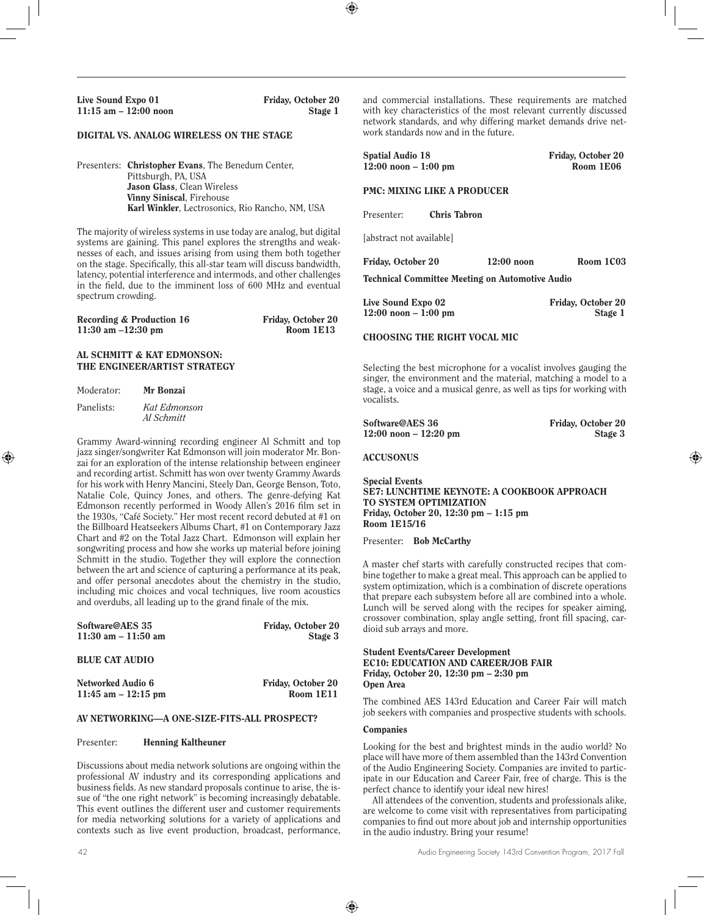## DIGITAL VS. ANALOG WIRELESS ON THE STAGE

Presenters: Christopher Evans, The Benedum Center, Pittsburgh, PA, USA Jason Glass, Clean Wireless Vinny Siniscal, Firehouse Karl Winkler, Lectrosonics, Rio Rancho, NM, USA

The majority of wireless systems in use today are analog, but digital systems are gaining. This panel explores the strengths and weaknesses of each, and issues arising from using them both together on the stage. Specifically, this all-star team will discuss bandwidth, latency, potential interference and intermods, and other challenges in the field, due to the imminent loss of 600 MHz and eventual spectrum crowding.

| Recording & Production 16 | Friday, October 20 |
|---------------------------|--------------------|
| 11:30 am $-12:30$ pm      | Room 1E13          |

## AL SCHMITT & KAT EDMONSON: THE ENGINEER/ARTIST STRATEGY

| Moderator: | Mr Bonzai                  |
|------------|----------------------------|
| Panelists: | Kat Edmonson<br>Al Schmitt |

Grammy Award-winning recording engineer Al Schmitt and top jazz singer/songwriter Kat Edmonson will join moderator Mr. Bonzai for an exploration of the intense relationship between engineer and recording artist. Schmitt has won over twenty Grammy Awards for his work with Henry Mancini, Steely Dan, George Benson, Toto, Natalie Cole, Quincy Jones, and others. The genre-defying Kat Edmonson recently performed in Woody Allen's 2016 film set in the 1930s, "Café Society." Her most recent record debuted at #1 on the Billboard Heatseekers Albums Chart, #1 on Contemporary Jazz Chart and #2 on the Total Jazz Chart. Edmonson will explain her songwriting process and how she works up material before joining Schmitt in the studio. Together they will explore the connection between the art and science of capturing a performance at its peak, and offer personal anecdotes about the chemistry in the studio, including mic choices and vocal techniques, live room acoustics and overdubs, all leading up to the grand finale of the mix.

| Software@AES 35        | <b>Friday, October 20</b> |  |
|------------------------|---------------------------|--|
| $11:30$ am $-11:50$ am | Stage 3                   |  |
|                        |                           |  |
| <b>BLUE CAT AUDIO</b>  |                           |  |
|                        |                           |  |
| Networked Audio 6      | <b>Friday, October 20</b> |  |

11:45 am – 12:15 pm Room 1E11

#### AV NETWORKING—A ONE-SIZE-FITS-ALL PROSPECT?

#### Presenter: Henning Kaltheuner

Discussions about media network solutions are ongoing within the professional AV industry and its corresponding applications and business fields. As new standard proposals continue to arise, the issue of "the one right network" is becoming increasingly debatable. This event outlines the different user and customer requirements for media networking solutions for a variety of applications and contexts such as live event production, broadcast, performance,

and commercial installations. These requirements are matched with key characteristics of the most relevant currently discussed network standards, and why differing market demands drive network standards now and in the future.

| <b>Spatial Audio 18</b><br>$12:00$ noon $-1:00$ pm |                     |              | Friday, October 20<br>Room 1E06      |
|----------------------------------------------------|---------------------|--------------|--------------------------------------|
| <b>PMC: MIXING LIKE A PRODUCER</b>                 |                     |              |                                      |
| Presenter:                                         | <b>Chris Tabron</b> |              |                                      |
| [abstract not available]                           |                     |              |                                      |
| <b>Friday, October 20</b>                          |                     | $12:00$ noon | Room 1C03                            |
| Technical Committee Meeting on Automotive Audio    |                     |              |                                      |
| Live Sound Expo 02<br>$12:00$ noon $-1:00$ pm      |                     |              | <b>Friday, October 20</b><br>Stage 1 |

#### CHOOSING THE RIGHT VOCAL MIC

Selecting the best microphone for a vocalist involves gauging the singer, the environment and the material, matching a model to a stage, a voice and a musical genre, as well as tips for working with vocalists.

| Software@AES 36           | Friday, October 20 |
|---------------------------|--------------------|
| $12:00$ noon – $12:20$ pm | Stage 3            |

#### ACCUSONUS

Special Events SE7: LUNCHTIME KEYNOTE: A COOKBOOK APPROACH TO SYSTEM OPTIMIZATION Friday, October 20, 12:30 pm – 1:15 pm Room 1E15/16

Presenter: Bob McCarthy

A master chef starts with carefully constructed recipes that combine together to make a great meal. This approach can be applied to system optimization, which is a combination of discrete operations that prepare each subsystem before all are combined into a whole. Lunch will be served along with the recipes for speaker aiming, crossover combination, splay angle setting, front fill spacing, cardioid sub arrays and more.

Student Events/Career Development EC10: EDUCATION AND CAREER/JOB FAIR Friday, October 20, 12:30 pm – 2:30 pm Open Area

The combined AES 143rd Education and Career Fair will match job seekers with companies and prospective students with schools.

#### **Companies**

Looking for the best and brightest minds in the audio world? No place will have more of them assembled than the 143rd Convention of the Audio Engineering Society. Companies are invited to participate in our Education and Career Fair, free of charge. This is the perfect chance to identify your ideal new hires!

All attendees of the convention, students and professionals alike, are welcome to come visit with representatives from participating companies to find out more about job and internship opportunities in the audio industry. Bring your resume!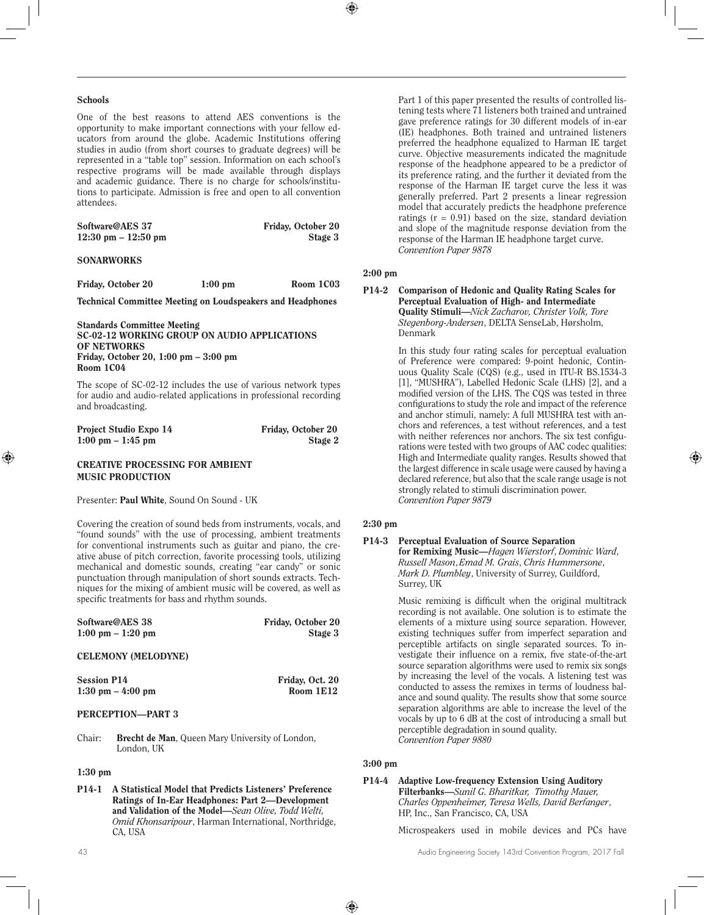#### **Schools**

One of the best reasons to attend AES conventions is the opportunity to make important connections with your fellow educators from around the globe. Academic Institutions offering studies in audio (from short courses to graduate degrees) will be represented in a "table top" session. Information on each school's respective programs will be made available through displays and academic guidance. There is no charge for schools/institutions to participate. Admission is free and open to all convention attendees.

| Software@AES 37                       | Friday, October 20 |
|---------------------------------------|--------------------|
| $12:30 \text{ pm} - 12:50 \text{ pm}$ | Stage 3            |

#### **SONARWORKS**

Friday, October 20 1:00 pm Room 1C03

Technical Committee Meeting on Loudspeakers and Headphones

Standards Committee Meeting SC-02-12 WORKING GROUP ON AUDIO APPLICATIONS OF NETWORKS Friday, October 20, 1:00 pm – 3:00 pm Room 1C04

The scope of SC-02-12 includes the use of various network types for audio and audio-related applications in professional recording and broadcasting.

| <b>Project Studio Expo 14</b>       | Friday, October 20 |
|-------------------------------------|--------------------|
| $1:00 \text{ pm} - 1:45 \text{ pm}$ | Stage 2            |

#### CREATIVE PROCESSING FOR AMBIENT MUSIC PRODUCTION

Presenter: Paul White, Sound On Sound - UK

Covering the creation of sound beds from instruments, vocals, and "found sounds" with the use of processing, ambient treatments for conventional instruments such as guitar and piano, the creative abuse of pitch correction, favorite processing tools, utilizing mechanical and domestic sounds, creating "ear candy" or sonic punctuation through manipulation of short sounds extracts. Techniques for the mixing of ambient music will be covered, as well as specific treatments for bass and rhythm sounds.

| Software@AES 38                     | Friday, October 20 |
|-------------------------------------|--------------------|
| $1:00 \text{ pm} - 1:20 \text{ pm}$ | Stage 3            |
| <b>CELEMONY (MELODYNE)</b>          |                    |
| <b>Session P14</b>                  | Friday, Oct. 20    |

# 1:30 pm – 4:00 pm Room 1E12

#### PERCEPTION—PART 3

Chair: Brecht de Man, Queen Mary University of London, London, UK

## 1:30 pm

P14-1 A Statistical Model that Predicts Listeners' Preference Ratings of In-Ear Headphones: Part 2—Development and Validation of the Model—*Sean Olive, Todd Welti, Omid Khonsaripour*, Harman International, Northridge, CA, USA

Part 1 of this paper presented the results of controlled listening tests where 71 listeners both trained and untrained gave preference ratings for 30 different models of in-ear (IE) headphones. Both trained and untrained listeners preferred the headphone equalized to Harman IE target curve. Objective measurements indicated the magnitude response of the headphone appeared to be a predictor of its preference rating, and the further it deviated from the response of the Harman IE target curve the less it was generally preferred. Part 2 presents a linear regression model that accurately predicts the headphone preference ratings  $(r = 0.91)$  based on the size, standard deviation and slope of the magnitude response deviation from the response of the Harman IE headphone target curve. *Convention Paper 9878* 

#### 2:00 pm

P14-2 Comparison of Hedonic and Quality Rating Scales for Perceptual Evaluation of High- and Intermediate Quality Stimuli—*Nick Zacharov, Christer Volk, Tore Stegenborg-Andersen*, DELTA SenseLab, Hørsholm, Denmark

> In this study four rating scales for perceptual evaluation of Preference were compared: 9-point hedonic, Continuous Quality Scale (CQS) (e.g., used in ITU-R BS.1534-3 [1], "MUSHRA"), Labelled Hedonic Scale (LHS) [2], and a modified version of the LHS. The CQS was tested in three configurations to study the role and impact of the reference and anchor stimuli, namely: A full MUSHRA test with anchors and references, a test without references, and a test with neither references nor anchors. The six test configurations were tested with two groups of AAC codec qualities: High and Intermediate quality ranges. Results showed that the largest difference in scale usage were caused by having a declared reference, but also that the scale range usage is not strongly related to stimuli discrimination power. *Convention Paper 9879*

## 2:30 pm

#### P14-3 Perceptual Evaluation of Source Separation for Remixing Music—*Hagen Wierstorf*, *Dominic Ward*, *Russell Mason*,*Emad M. Grais*, *Chris Hummersone*, *Mark D. Plumbley*, University of Surrey, Guildford, Surrey, UK

Music remixing is difficult when the original multitrack recording is not available. One solution is to estimate the elements of a mixture using source separation. However, existing techniques suffer from imperfect separation and perceptible artifacts on single separated sources. To investigate their influence on a remix, five state-of-the-art source separation algorithms were used to remix six songs by increasing the level of the vocals. A listening test was conducted to assess the remixes in terms of loudness balance and sound quality. The results show that some source separation algorithms are able to increase the level of the vocals by up to 6 dB at the cost of introducing a small but perceptible degradation in sound quality. *Convention Paper 9880* 

## 3:00 pm

#### P14-4 Adaptive Low-frequency Extension Using Auditory Filterbanks—*Sunil G. Bharitkar, Timothy Mauer, Charles Oppenheimer, Teresa Wells, David Berfanger*, HP, Inc., San Francisco, CA, USA

Microspeakers used in mobile devices and PCs have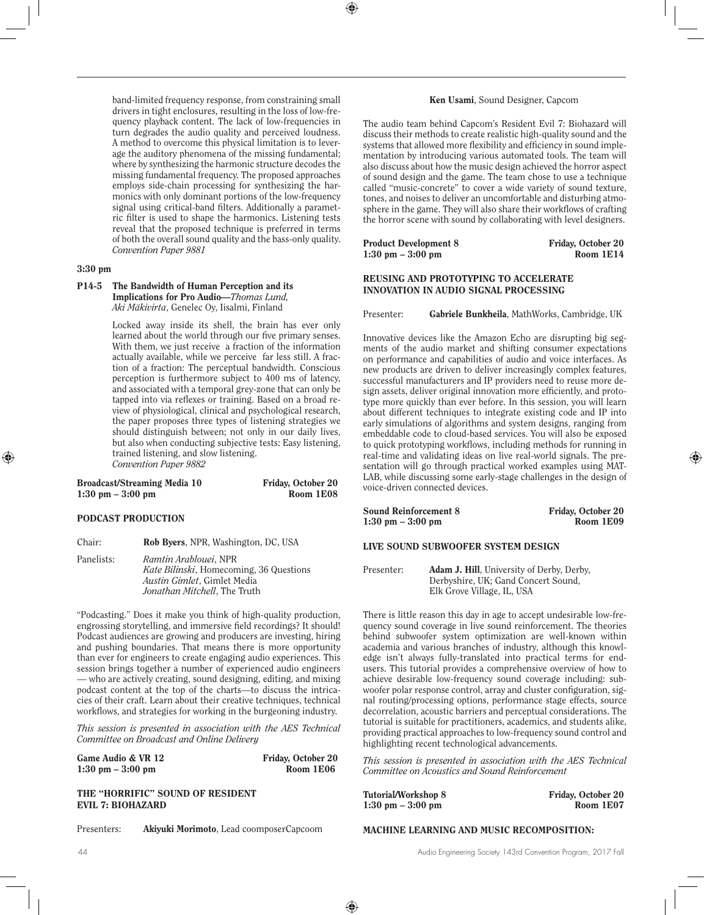band-limited frequency response, from constraining small drivers in tight enclosures, resulting in the loss of low-frequency playback content. The lack of low-frequencies in turn degrades the audio quality and perceived loudness. A method to overcome this physical limitation is to leverage the auditory phenomena of the missing fundamental; where by synthesizing the harmonic structure decodes the missing fundamental frequency. The proposed approaches employs side-chain processing for synthesizing the harmonics with only dominant portions of the low-frequency signal using critical-band filters. Additionally a parametric filter is used to shape the harmonics. Listening tests reveal that the proposed technique is preferred in terms of both the overall sound quality and the bass-only quality. *Convention Paper 9881* 

## 3:30 pm

#### P14-5 The Bandwidth of Human Perception and its Implications for Pro Audio—*Thomas Lund, Aki Mäkivirta*, Genelec Oy, Iisalmi, Finland

Locked away inside its shell, the brain has ever only learned about the world through our five primary senses. With them, we just receive a fraction of the information actually available, while we perceive far less still. A fraction of a fraction: The perceptual bandwidth. Conscious perception is furthermore subject to 400 ms of latency, and associated with a temporal grey-zone that can only be tapped into via reflexes or training. Based on a broad review of physiological, clinical and psychological research, the paper proposes three types of listening strategies we should distinguish between; not only in our daily lives, but also when conducting subjective tests: Easy listening, trained listening, and slow listening. *Convention Paper 9882* 

| Broadcast/Streaming Media 10        | Friday, October 20 |
|-------------------------------------|--------------------|
| $1:30 \text{ pm} - 3:00 \text{ pm}$ | Room 1E08          |

#### PODCAST PRODUCTION

Chair: Rob Byers, NPR, Washington, DC, USA

Panelists: *Ramtin Arablouei*, NPR *Kate Bilinski*, Homecoming, 36 Questions *Austin Gimlet*, Gimlet Media *Jonathan Mitchell*, The Truth

"Podcasting." Does it make you think of high-quality production, engrossing storytelling, and immersive field recordings? It should! Podcast audiences are growing and producers are investing, hiring and pushing boundaries. That means there is more opportunity than ever for engineers to create engaging audio experiences. This session brings together a number of experienced audio engineers — who are actively creating, sound designing, editing, and mixing podcast content at the top of the charts—to discuss the intricacies of their craft. Learn about their creative techniques, technical workflows, and strategies for working in the burgeoning industry.

*This session is presented in association with the AES Technical Committee on Broadcast and Online Delivery*

| Game Audio & VR 12                  | Friday, October 20 |
|-------------------------------------|--------------------|
| $1:30 \text{ pm} - 3:00 \text{ pm}$ | Room 1E06          |

THE "HORRIFIC" SOUND OF RESIDENT EVIL 7: BIOHAZARD

Presenters: Akiyuki Morimoto, Lead coomposerCapcoom

#### Ken Usami, Sound Designer, Capcom

The audio team behind Capcom's Resident Evil 7: Biohazard will discuss their methods to create realistic high-quality sound and the systems that allowed more flexibility and efficiency in sound implementation by introducing various automated tools. The team will also discuss about how the music design achieved the horror aspect of sound design and the game. The team chose to use a technique called "music-concrete" to cover a wide variety of sound texture, tones, and noises to deliver an uncomfortable and disturbing atmosphere in the game. They will also share their workflows of crafting the horror scene with sound by collaborating with level designers.

| <b>Product Development 8</b>        | Friday, October 20 |
|-------------------------------------|--------------------|
| $1:30 \text{ pm} - 3:00 \text{ pm}$ | Room 1E14          |

## REUSING AND PROTOTYPING TO ACCELERATE INNOVATION IN AUDIO SIGNAL PROCESSING

Presenter: Gabriele Bunkheila, MathWorks, Cambridge, UK

Innovative devices like the Amazon Echo are disrupting big segments of the audio market and shifting consumer expectations on performance and capabilities of audio and voice interfaces. As new products are driven to deliver increasingly complex features, successful manufacturers and IP providers need to reuse more design assets, deliver original innovation more efficiently, and prototype more quickly than ever before. In this session, you will learn about different techniques to integrate existing code and IP into early simulations of algorithms and system designs, ranging from embeddable code to cloud-based services. You will also be exposed to quick prototyping workflows, including methods for running in real-time and validating ideas on live real-world signals. The presentation will go through practical worked examples using MAT-LAB, while discussing some early-stage challenges in the design of voice-driven connected devices.

| <b>Sound Reinforcement 8</b>        | Friday, October 20 |
|-------------------------------------|--------------------|
| $1:30 \text{ pm} - 3:00 \text{ pm}$ | Room 1E09          |

## LIVE SOUND SUBWOOFER SYSTEM DESIGN

Presenter: **Adam J. Hill**, University of Derby, Derby, Derbyshire, UK; Gand Concert Sound, Elk Grove Village, IL, USA

There is little reason this day in age to accept undesirable low-frequency sound coverage in live sound reinforcement. The theories behind subwoofer system optimization are well-known within academia and various branches of industry, although this knowledge isn't always fully-translated into practical terms for endusers. This tutorial provides a comprehensive overview of how to achieve desirable low-frequency sound coverage including: subwoofer polar response control, array and cluster configuration, signal routing/processing options, performance stage effects, source decorrelation, acoustic barriers and perceptual considerations. The tutorial is suitable for practitioners, academics, and students alike, providing practical approaches to low-frequency sound control and highlighting recent technological advancements.

*This session is presented in association with the AES Technical Committee on Acoustics and Sound Reinforcement*

| Tutorial/Workshop 8                 | Friday, October 20 |
|-------------------------------------|--------------------|
| $1:30 \text{ pm} - 3:00 \text{ pm}$ | Room 1E07          |

## MACHINE LEARNING AND MUSIC RECOMPOSITION: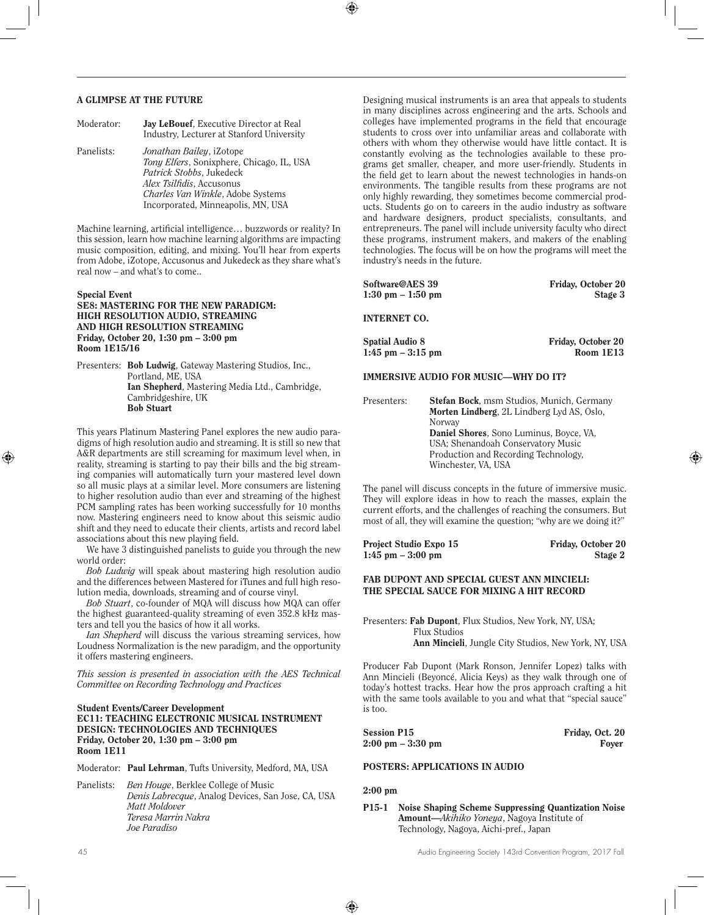#### A GLIMPSE AT THE FUTURE

| Progetator. | <b>Jay Lebouel</b> , Executive Director at Real<br>Industry, Lecturer at Stanford University                                                                                                                            |
|-------------|-------------------------------------------------------------------------------------------------------------------------------------------------------------------------------------------------------------------------|
| Panelists:  | Jonathan Bailey, iZotope<br>Tony Elfers, Sonixphere, Chicago, IL, USA<br>Patrick Stobbs, Jukedeck<br><i>Alex Tsilfidis, Accusonus</i><br><i>Charles Van Winkle, Adobe Systems</i><br>Incorporated, Minneapolis, MN, USA |

Moderator: Jay LeBouef, Executive Director at Real

Machine learning, artificial intelligence… buzzwords or reality? In this session, learn how machine learning algorithms are impacting music composition, editing, and mixing. You'll hear from experts from Adobe, iZotope, Accusonus and Jukedeck as they share what's real now – and what's to come..

#### Special Event SE8: MASTERING FOR THE NEW PARADIGM: HIGH RESOLUTION AUDIO, STREAMING AND HIGH RESOLUTION STREAMING Friday, October 20, 1:30 pm – 3:00 pm Room 1E15/16

Presenters: Bob Ludwig, Gateway Mastering Studios, Inc., Portland, ME, USA Ian Shepherd, Mastering Media Ltd., Cambridge, Cambridgeshire, UK Bob Stuart

This years Platinum Mastering Panel explores the new audio paradigms of high resolution audio and streaming. It is still so new that A&R departments are still screaming for maximum level when, in reality, streaming is starting to pay their bills and the big streaming companies will automatically turn your mastered level down so all music plays at a similar level. More consumers are listening to higher resolution audio than ever and streaming of the highest PCM sampling rates has been working successfully for 10 months now. Mastering engineers need to know about this seismic audio shift and they need to educate their clients, artists and record label associations about this new playing field.

We have 3 distinguished panelists to guide you through the new world order:

*Bob Ludwig* will speak about mastering high resolution audio and the differences between Mastered for iTunes and full high resolution media, downloads, streaming and of course vinyl.

*Bob Stuart*, co-founder of MQA will discuss how MQA can offer the highest guaranteed-quality streaming of even 352.8 kHz masters and tell you the basics of how it all works.

*Ian Shepherd* will discuss the various streaming services, how Loudness Normalization is the new paradigm, and the opportunity it offers mastering engineers.

*This session is presented in association with the AES Technical Committee on Recording Technology and Practices*

#### Student Events/Career Development EC11: TEACHING ELECTRONIC MUSICAL INSTRUMENT DESIGN: TECHNOLOGIES AND TECHNIQUES Friday, October 20, 1:30 pm – 3:00 pm Room 1E11

| Moderator: Paul Lehrman, Tufts University, Medford, MA, USA |  |  |  |
|-------------------------------------------------------------|--|--|--|
|                                                             |  |  |  |

Panelists: *Ben Houge*, Berklee College of Music *Denis Labrecque*, Analog Devices, San Jose, CA, USA *Matt Moldover Teresa Marrin Nakra Joe Paradiso*

Designing musical instruments is an area that appeals to students in many disciplines across engineering and the arts. Schools and colleges have implemented programs in the field that encourage students to cross over into unfamiliar areas and collaborate with others with whom they otherwise would have little contact. It is constantly evolving as the technologies available to these programs get smaller, cheaper, and more user-friendly. Students in the field get to learn about the newest technologies in hands-on environments. The tangible results from these programs are not only highly rewarding, they sometimes become commercial products. Students go on to careers in the audio industry as software and hardware designers, product specialists, consultants, and entrepreneurs. The panel will include university faculty who direct these programs, instrument makers, and makers of the enabling technologies. The focus will be on how the programs will meet the industry's needs in the future.

| Software@AES 39<br>$1:30 \text{ pm} - 1:50 \text{ pm}$ |                                                                                                                                                                                                          | Friday, October 20<br>Stage 3          |
|--------------------------------------------------------|----------------------------------------------------------------------------------------------------------------------------------------------------------------------------------------------------------|----------------------------------------|
| <b>INTERNET CO.</b>                                    |                                                                                                                                                                                                          |                                        |
| <b>Spatial Audio 8</b><br>$1:45$ pm $-3:15$ pm         |                                                                                                                                                                                                          | <b>Friday, October 20</b><br>Room 1E13 |
|                                                        | <b>IMMERSIVE AUDIO FOR MUSIC—WHY DO IT?</b>                                                                                                                                                              |                                        |
| Presenters:                                            | <b>Stefan Bock, msm Studios, Munich, Germany</b><br><b>Morten Lindberg, 2L Lindberg Lyd AS, Oslo,</b><br>Norway<br><b>Daniel Shores</b> , Sono Luminus, Boyce, VA.<br>USA: Shenandoah Conservatory Music |                                        |

Production and Recording Technology, Winchester, VA, USA

The panel will discuss concepts in the future of immersive music. They will explore ideas in how to reach the masses, explain the current efforts, and the challenges of reaching the consumers. But most of all, they will examine the question; "why are we doing it?"

Project Studio Expo 15 Friday, October 20 1:45 pm – 3:00 pm Stage 2

## FAB DUPONT AND SPECIAL GUEST ANN MINCIELI: THE SPECIAL SAUCE FOR MIXING A HIT RECORD

Presenters: Fab Dupont, Flux Studios, New York, NY, USA; Flux Studios Ann Mincieli, Jungle City Studios, New York, NY, USA

Producer Fab Dupont (Mark Ronson, Jennifer Lopez) talks with Ann Mincieli (Beyoncé, Alicia Keys) as they walk through one of today's hottest tracks. Hear how the pros approach crafting a hit with the same tools available to you and what that "special sauce" is too.

Session P15 Friday, Oct. 20<br>
2:00 pm – 3:30 pm  $2:00 \text{ pm} - 3:30 \text{ pm}$ 

## POSTERS: APPLICATIONS IN AUDIO

2:00 pm

P15-1 Noise Shaping Scheme Suppressing Quantization Noise Amount—*Akihiko Yoneya*, Nagoya Institute of Technology, Nagoya, Aichi-pref., Japan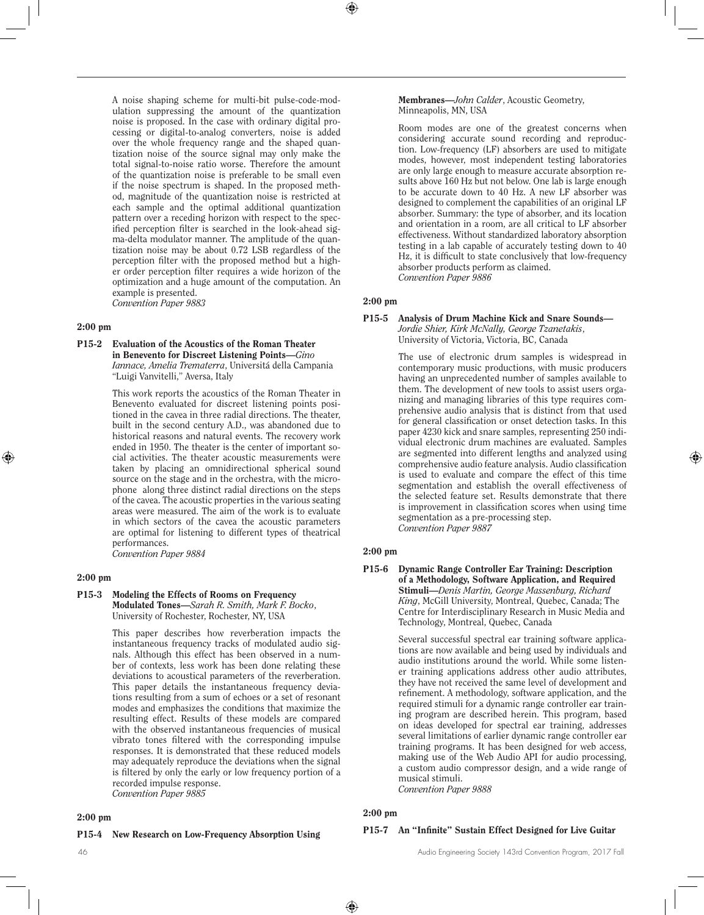A noise shaping scheme for multi-bit pulse-code-modulation suppressing the amount of the quantization noise is proposed. In the case with ordinary digital processing or digital-to-analog converters, noise is added over the whole frequency range and the shaped quantization noise of the source signal may only make the total signal-to-noise ratio worse. Therefore the amount of the quantization noise is preferable to be small even if the noise spectrum is shaped. In the proposed method, magnitude of the quantization noise is restricted at each sample and the optimal additional quantization pattern over a receding horizon with respect to the specified perception filter is searched in the look-ahead sigma-delta modulator manner. The amplitude of the quantization noise may be about 0.72 LSB regardless of the perception filter with the proposed method but a higher order perception filter requires a wide horizon of the optimization and a huge amount of the computation. An example is presented. *Convention Paper 9883*

#### 2:00 pm

P15-2 Evaluation of the Acoustics of the Roman Theater in Benevento for Discreet Listening Points—*Gino Iannace, Amelia Trematerra*, Universitá della Campania "Luigi Vanvitelli," Aversa, Italy

> This work reports the acoustics of the Roman Theater in Benevento evaluated for discreet listening points positioned in the cavea in three radial directions. The theater, built in the second century A.D., was abandoned due to historical reasons and natural events. The recovery work ended in 1950. The theater is the center of important social activities. The theater acoustic measurements were taken by placing an omnidirectional spherical sound source on the stage and in the orchestra, with the microphone along three distinct radial directions on the steps of the cavea. The acoustic properties in the various seating areas were measured. The aim of the work is to evaluate in which sectors of the cavea the acoustic parameters are optimal for listening to different types of theatrical performances. *Convention Paper 9884*

#### 2:00 pm

#### P15-3 Modeling the Effects of Rooms on Frequency Modulated Tones—*Sarah R. Smith, Mark F. Bocko*, University of Rochester, Rochester, NY, USA

This paper describes how reverberation impacts the instantaneous frequency tracks of modulated audio signals. Although this effect has been observed in a number of contexts, less work has been done relating these deviations to acoustical parameters of the reverberation. This paper details the instantaneous frequency deviations resulting from a sum of echoes or a set of resonant modes and emphasizes the conditions that maximize the resulting effect. Results of these models are compared with the observed instantaneous frequencies of musical vibrato tones filtered with the corresponding impulse responses. It is demonstrated that these reduced models may adequately reproduce the deviations when the signal is filtered by only the early or low frequency portion of a recorded impulse response. *Convention Paper 9885*

#### 2:00 pm

#### P15-4 New Research on Low-Frequency Absorption Using

Membranes—*John Calder*, Acoustic Geometry, Minneapolis, MN, USA

Room modes are one of the greatest concerns when considering accurate sound recording and reproduction. Low-frequency (LF) absorbers are used to mitigate modes, however, most independent testing laboratories are only large enough to measure accurate absorption results above 160 Hz but not below. One lab is large enough to be accurate down to 40 Hz. A new LF absorber was designed to complement the capabilities of an original LF absorber. Summary: the type of absorber, and its location and orientation in a room, are all critical to LF absorber effectiveness. Without standardized laboratory absorption testing in a lab capable of accurately testing down to 40 Hz, it is difficult to state conclusively that low-frequency absorber products perform as claimed. *Convention Paper 9886*

#### 2:00 pm

#### P15-5 Analysis of Drum Machine Kick and Snare Sounds— *Jordie Shier, Kirk McNally, George Tzanetakis*, University of Victoria, Victoria, BC, Canada

The use of electronic drum samples is widespread in contemporary music productions, with music producers having an unprecedented number of samples available to them. The development of new tools to assist users organizing and managing libraries of this type requires comprehensive audio analysis that is distinct from that used for general classification or onset detection tasks. In this paper 4230 kick and snare samples, representing 250 individual electronic drum machines are evaluated. Samples are segmented into different lengths and analyzed using comprehensive audio feature analysis. Audio classification is used to evaluate and compare the effect of this time segmentation and establish the overall effectiveness of the selected feature set. Results demonstrate that there is improvement in classification scores when using time segmentation as a pre-processing step. *Convention Paper 9887*

#### 2:00 pm

P15-6 Dynamic Range Controller Ear Training: Description of a Methodology, Software Application, and Required Stimuli—*Denis Martin, George Massenburg, Richard King*, McGill University, Montreal, Quebec, Canada; The Centre for Interdisciplinary Research in Music Media and Technology, Montreal, Quebec, Canada

> Several successful spectral ear training software applications are now available and being used by individuals and audio institutions around the world. While some listener training applications address other audio attributes, they have not received the same level of development and refinement. A methodology, software application, and the required stimuli for a dynamic range controller ear training program are described herein. This program, based on ideas developed for spectral ear training, addresses several limitations of earlier dynamic range controller ear training programs. It has been designed for web access, making use of the Web Audio API for audio processing, a custom audio compressor design, and a wide range of musical stimuli.

*Convention Paper 9888*

## 2:00 pm

## P15-7 An "Infinite" Sustain Effect Designed for Live Guitar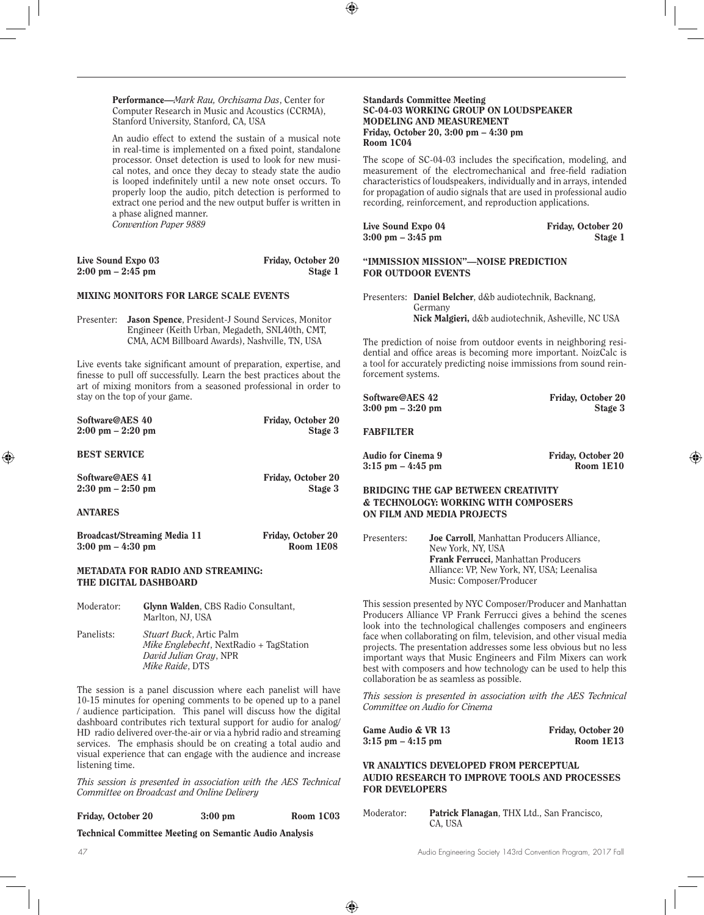Performance—*Mark Rau, Orchisama Das*, Center for Computer Research in Music and Acoustics (CCRMA), Stanford University, Stanford, CA, USA

An audio effect to extend the sustain of a musical note in real-time is implemented on a fixed point, standalone processor. Onset detection is used to look for new musical notes, and once they decay to steady state the audio is looped indefinitely until a new note onset occurs. To properly loop the audio, pitch detection is performed to extract one period and the new output buffer is written in a phase aligned manner. *Convention Paper 9889*

| Live Sound Expo 03                  | Friday, October 20 |
|-------------------------------------|--------------------|
| $2:00 \text{ pm} - 2:45 \text{ pm}$ | Stage 1            |

## MIXING MONITORS FOR LARGE SCALE EVENTS

Presenter: Jason Spence, President-J Sound Services, Monitor Engineer (Keith Urban, Megadeth, SNL40th, CMT, CMA, ACM Billboard Awards), Nashville, TN, USA

Live events take significant amount of preparation, expertise, and finesse to pull off successfully. Learn the best practices about the art of mixing monitors from a seasoned professional in order to stay on the top of your game.

| Software@AES 40<br>$2:00 \text{ pm} - 2:20 \text{ pm}$              |                                                                                                                     | Friday, October 20<br>Stage 3   |
|---------------------------------------------------------------------|---------------------------------------------------------------------------------------------------------------------|---------------------------------|
| <b>BEST SERVICE</b>                                                 |                                                                                                                     |                                 |
| Software@AES 41<br>$2:30 \text{ pm} - 2:50 \text{ pm}$              |                                                                                                                     | Friday, October 20<br>Stage 3   |
| <b>ANTARES</b>                                                      |                                                                                                                     |                                 |
| Broadcast/Streaming Media 11<br>$3:00 \text{ pm} - 4:30 \text{ pm}$ |                                                                                                                     | Friday, October 20<br>Room 1E08 |
|                                                                     | METADATA FOR RADIO AND STREAMING:<br>THE DIGITAL DASHBOARD                                                          |                                 |
| Moderator:                                                          | Glynn Walden, CBS Radio Consultant,<br>Marlton, NJ, USA                                                             |                                 |
| Panelists:                                                          | <i>Stuart Buck</i> , Artic Palm<br><i>Mike Englebecht</i> , NextRadio + TagStation<br><i>David Julian Gray, NPR</i> |                                 |

The session is a panel discussion where each panelist will have 10-15 minutes for opening comments to be opened up to a panel / audience participation. This panel will discuss how the digital dashboard contributes rich textural support for audio for analog/ HD radio delivered over-the-air or via a hybrid radio and streaming services. The emphasis should be on creating a total audio and visual experience that can engage with the audience and increase listening time.

*Mike Raide*, DTS

*This session is presented in association with the AES Technical Committee on Broadcast and Online Delivery*

Friday, October 20 3:00 pm Room 1C03

Technical Committee Meeting on Semantic Audio Analysis

#### Standards Committee Meeting SC-04-03 WORKING GROUP ON LOUDSPEAKER MODELING AND MEASUREMENT Friday, October 20, 3:00 pm – 4:30 pm Room 1C04

The scope of SC-04-03 includes the specification, modeling, and measurement of the electromechanical and free-field radiation characteristics of loudspeakers, individually and in arrays, intended for propagation of audio signals that are used in professional audio recording, reinforcement, and reproduction applications.

| Live Sound Expo 04                  | Friday, October 20 |
|-------------------------------------|--------------------|
| $3:00 \text{ pm} - 3:45 \text{ pm}$ | Stage 1            |

 $3:00 \text{ pm} - 3:45 \text{ pm}$  Stage 1

## "IMMISSION MISSION"—NOISE PREDICTION FOR OUTDOOR EVENTS

Presenters: Daniel Belcher, d&b audiotechnik, Backnang, Germany Nick Malgieri, d&b audiotechnik, Asheville, NC USA

The prediction of noise from outdoor events in neighboring residential and office areas is becoming more important. NoizCalc is a tool for accurately predicting noise immissions from sound reinforcement systems.

| Software@AES 42 |                   |
|-----------------|-------------------|
|                 | 3:00 pm – 3:20 pm |

Friday, October 20 Stage 3

## FABFILTER

Audio for Cinema 9 Friday, October 20<br>3:15 pm – 4:45 pm Room 1E10  $3:15$  pm  $-4:45$  pm

## BRIDGING THE GAP BETWEEN CREATIVITY & TECHNOLOGY: WORKING WITH COMPOSERS ON FILM AND MEDIA PROJECTS

Presenters: Joe Carroll, Manhattan Producers Alliance, New York, NY, USA Frank Ferrucci**,** Manhattan Producers Alliance: VP, New York, NY, USA; Leenalisa Music: Composer/Producer

This session presented by NYC Composer/Producer and Manhattan Producers Alliance VP Frank Ferrucci gives a behind the scenes look into the technological challenges composers and engineers face when collaborating on film, television, and other visual media projects. The presentation addresses some less obvious but no less important ways that Music Engineers and Film Mixers can work best with composers and how technology can be used to help this collaboration be as seamless as possible.

*This session is presented in association with the AES Technical Committee on Audio for Cinema*

| Game Audio & VR 13   | Friday, October 20 |
|----------------------|--------------------|
| $3:15$ pm $-4:15$ pm | Room 1E13          |

## VR ANALYTICS DEVELOPED FROM PERCEPTUAL AUDIO RESEARCH TO IMPROVE TOOLS AND PROCESSES FOR DEVELOPERS

Moderator: Patrick Flanagan, THX Ltd., San Francisco, CA, USA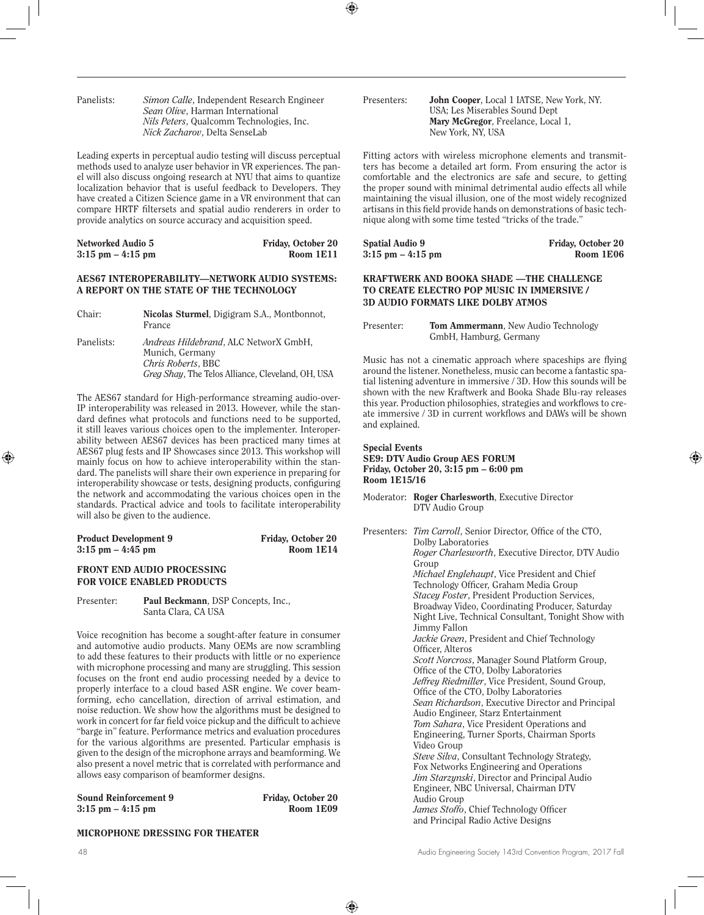| Panelists: | Simon Calle, Independent Research Engineer      |
|------------|-------------------------------------------------|
|            | <i>Sean Olive</i> . Harman International        |
|            | <i>Nils Peters, Qualcomm Technologies, Inc.</i> |
|            | <i>Nick Zacharov</i> , Delta SenseLab           |

Leading experts in perceptual audio testing will discuss perceptual methods used to analyze user behavior in VR experiences. The panel will also discuss ongoing research at NYU that aims to quantize localization behavior that is useful feedback to Developers. They have created a Citizen Science game in a VR environment that can compare HRTF filtersets and spatial audio renderers in order to provide analytics on source accuracy and acquisition speed.

| Networked Audio 5    | Friday, October 20 |
|----------------------|--------------------|
| $3:15$ pm $-4:15$ pm | Room 1E11          |

## AES67 INTEROPERABILITY—NETWORK AUDIO SYSTEMS: A REPORT ON THE STATE OF THE TECHNOLOGY

| Chair:     | Nicolas Sturmel, Digigram S.A., Montbonnot,<br>France                                 |
|------------|---------------------------------------------------------------------------------------|
| Panelists: | <i>Andreas Hildebrand, ALC NetworX GmbH,</i><br>Munich, Germany<br>Chris Roberts, BBC |

*Greg Shay*, The Telos Alliance, Cleveland, OH, USA

The AES67 standard for High-performance streaming audio-over-IP interoperability was released in 2013. However, while the standard defines what protocols and functions need to be supported, it still leaves various choices open to the implementer. Interoperability between AES67 devices has been practiced many times at AES67 plug fests and IP Showcases since 2013. This workshop will mainly focus on how to achieve interoperability within the standard. The panelists will share their own experience in preparing for interoperability showcase or tests, designing products, configuring the network and accommodating the various choices open in the standards. Practical advice and tools to facilitate interoperability will also be given to the audience.

| <b>Product Development 9</b> | Friday, October 20 |
|------------------------------|--------------------|
| $3:15$ pm $-4:45$ pm         | Room 1E14          |

## FRONT END AUDIO PROCESSING FOR VOICE ENABLED PRODUCTS

Presenter: Paul Beckmann, DSP Concepts, Inc., Santa Clara, CA USA

Voice recognition has become a sought-after feature in consumer and automotive audio products. Many OEMs are now scrambling to add these features to their products with little or no experience with microphone processing and many are struggling. This session focuses on the front end audio processing needed by a device to properly interface to a cloud based ASR engine. We cover beamforming, echo cancellation, direction of arrival estimation, and noise reduction. We show how the algorithms must be designed to work in concert for far field voice pickup and the difficult to achieve "barge in" feature. Performance metrics and evaluation procedures for the various algorithms are presented. Particular emphasis is given to the design of the microphone arrays and beamforming. We also present a novel metric that is correlated with performance and allows easy comparison of beamformer designs.

| <b>Sound Reinforcement 9</b> | Friday, October 20 |
|------------------------------|--------------------|
| $3:15$ pm $-4:15$ pm         | Room 1E09          |

Presenters: John Cooper, Local 1 IATSE, New York, NY. USA; Les Miserables Sound Dept Mary McGregor, Freelance, Local 1, New York, NY, USA

Fitting actors with wireless microphone elements and transmitters has become a detailed art form. From ensuring the actor is comfortable and the electronics are safe and secure, to getting the proper sound with minimal detrimental audio effects all while maintaining the visual illusion, one of the most widely recognized artisans in this field provide hands on demonstrations of basic technique along with some time tested "tricks of the trade."

| Spatial Audio 9      | Friday, October 20 |
|----------------------|--------------------|
| $3:15$ pm $-4:15$ pm | Room 1E06          |

## KRAFTWERK AND BOOKA SHADE —THE CHALLENGE TO CREATE ELECTRO POP MUSIC IN IMMERSIVE / 3D AUDIO FORMATS LIKE DOLBY ATMOS

| Presenter: | <b>Tom Ammermann</b> , New Audio Technology |
|------------|---------------------------------------------|
|            | GmbH, Hamburg, Germany                      |

Music has not a cinematic approach where spaceships are flying around the listener. Nonetheless, music can become a fantastic spatial listening adventure in immersive / 3D. How this sounds will be shown with the new Kraftwerk and Booka Shade Blu-ray releases this year. Production philosophies, strategies and workflows to create immersive / 3D in current workflows and DAWs will be shown and explained.

#### Special Events SE9: DTV Audio Group AES FORUM Friday, October 20, 3:15 pm – 6:00 pm Room 1E15/16

Moderator: Roger Charlesworth, Executive Director DTV Audio Group

Presenters: *Tim Carroll*, Senior Director, Office of the CTO, Dolby Laboratories *Roger Charlesworth*, Executive Director, DTV Audio Group *Michael Englehaupt*, Vice President and Chief Technology Officer, Graham Media Group *Stacey Foster*, President Production Services, Broadway Video, Coordinating Producer, Saturday Night Live, Technical Consultant, Tonight Show with Jimmy Fallon *Jackie Green*, President and Chief Technology Officer, Alteros *Scott Norcross*, Manager Sound Platform Group, Office of the CTO, Dolby Laboratories *Jeffrey Riedmiller*, Vice President, Sound Group, Office of the CTO, Dolby Laboratories *Sean Richardson*, Executive Director and Principal Audio Engineer, Starz Entertainment *Tom Sahara*, Vice President Operations and Engineering, Turner Sports, Chairman Sports Video Group *Steve Silva*, Consultant Technology Strategy, Fox Networks Engineering and Operations *Jim Starzynski*, Director and Principal Audio Engineer, NBC Universal, Chairman DTV Audio Group *James Stoffo*, Chief Technology Officer and Principal Radio Active Designs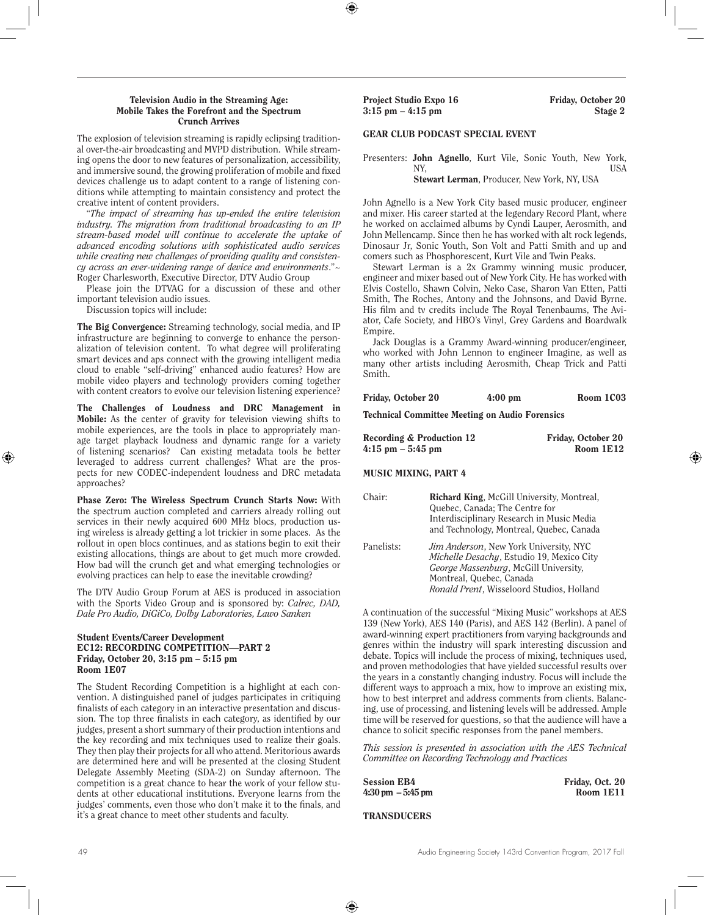#### Television Audio in the Streaming Age: Mobile Takes the Forefront and the Spectrum Crunch Arrives

The explosion of television streaming is rapidly eclipsing traditional over-the-air broadcasting and MVPD distribution. While streaming opens the door to new features of personalization, accessibility, and immersive sound, the growing proliferation of mobile and fixed devices challenge us to adapt content to a range of listening conditions while attempting to maintain consistency and protect the creative intent of content providers.

"*The impact of streaming has up-ended the entire television industry. The migration from traditional broadcasting to an IP stream-based model will continue to accelerate the uptake of advanced encoding solutions with sophisticated audio services while creating new challenges of providing quality and consistency across an ever-widening range of device and environments*."~ Roger Charlesworth, Executive Director, DTV Audio Group

Please join the DTVAG for a discussion of these and other important television audio issues.

Discussion topics will include:

The Big Convergence: Streaming technology, social media, and IP infrastructure are beginning to converge to enhance the personalization of television content. To what degree will proliferating smart devices and aps connect with the growing intelligent media cloud to enable "self-driving" enhanced audio features? How are mobile video players and technology providers coming together with content creators to evolve our television listening experience?

The Challenges of Loudness and DRC Management in Mobile: As the center of gravity for television viewing shifts to mobile experiences, are the tools in place to appropriately manage target playback loudness and dynamic range for a variety of listening scenarios? Can existing metadata tools be better leveraged to address current challenges? What are the prospects for new CODEC-independent loudness and DRC metadata approaches?

Phase Zero: The Wireless Spectrum Crunch Starts Now: With the spectrum auction completed and carriers already rolling out services in their newly acquired 600 MHz blocs, production using wireless is already getting a lot trickier in some places. As the rollout in open blocs continues, and as stations begin to exit their existing allocations, things are about to get much more crowded. How bad will the crunch get and what emerging technologies or evolving practices can help to ease the inevitable crowding?

The DTV Audio Group Forum at AES is produced in association with the Sports Video Group and is sponsored by: *Calrec, DAD, Dale Pro Audio, DiGiCo, Dolby Laboratories, Lawo Sanken*

#### Student Events/Career Development EC12: RECORDING COMPETITION—PART 2 Friday, October 20, 3:15 pm – 5:15 pm Room 1E07

The Student Recording Competition is a highlight at each convention. A distinguished panel of judges participates in critiquing finalists of each category in an interactive presentation and discussion. The top three finalists in each category, as identified by our judges, present a short summary of their production intentions and the key recording and mix techniques used to realize their goals. They then play their projects for all who attend. Meritorious awards are determined here and will be presented at the closing Student Delegate Assembly Meeting (SDA-2) on Sunday afternoon. The competition is a great chance to hear the work of your fellow students at other educational institutions. Everyone learns from the judges' comments, even those who don't make it to the finals, and it's a great chance to meet other students and faculty.

Project Studio Expo 16 Friday, October 20  $3:15 \text{ pm} - 4:15 \text{ pm}$  Stage 2

## GEAR CLUB PODCAST SPECIAL EVENT

Presenters: John Agnello, Kurt Vile, Sonic Youth, New York, NY, USA Stewart Lerman, Producer, New York, NY, USA

John Agnello is a New York City based music producer, engineer and mixer. His career started at the legendary Record Plant, where he worked on acclaimed albums by Cyndi Lauper, Aerosmith, and John Mellencamp. Since then he has worked with alt rock legends, Dinosaur Jr, Sonic Youth, Son Volt and Patti Smith and up and comers such as Phosphorescent, Kurt Vile and Twin Peaks.

Stewart Lerman is a 2x Grammy winning music producer, engineer and mixer based out of New York City. He has worked with Elvis Costello, Shawn Colvin, Neko Case, Sharon Van Etten, Patti Smith, The Roches, Antony and the Johnsons, and David Byrne. His film and tv credits include The Royal Tenenbaums, The Aviator, Cafe Society, and HBO's Vinyl, Grey Gardens and Boardwalk Empire.

Jack Douglas is a Grammy Award-winning producer/engineer, who worked with John Lennon to engineer Imagine, as well as many other artists including Aerosmith, Cheap Trick and Patti Smith.

| Friday, October 20 | $4:00 \text{ pm}$ | Room 1C03 |
|--------------------|-------------------|-----------|
|                    |                   |           |

Technical Committee Meeting on Audio Forensics

| <b>Recording &amp; Production 12</b> | Friday, October 20 |
|--------------------------------------|--------------------|
| $4:15$ pm $-5:45$ pm                 | Room 1E12          |

MUSIC MIXING, PART 4

| Chair:     | Richard King, McGill University, Montreal,     |
|------------|------------------------------------------------|
|            | Quebec, Canada; The Centre for                 |
|            | Interdisciplinary Research in Music Media      |
|            | and Technology, Montreal, Quebec, Canada       |
| Panelists: | <i>Jim Anderson</i> , New York University, NYC |
|            | Michelle Desachy, Estudio 19, Mexico City      |
|            | George Massenburg, McGill University,          |
|            | Montreal, Quebec, Canada                       |
|            | Ronald Prent, Wisseloord Studios, Holland      |

A continuation of the successful "Mixing Music" workshops at AES 139 (New York), AES 140 (Paris), and AES 142 (Berlin). A panel of award-winning expert practitioners from varying backgrounds and genres within the industry will spark interesting discussion and debate. Topics will include the process of mixing, techniques used, and proven methodologies that have yielded successful results over the years in a constantly changing industry. Focus will include the different ways to approach a mix, how to improve an existing mix, how to best interpret and address comments from clients. Balancing, use of processing, and listening levels will be addressed. Ample time will be reserved for questions, so that the audience will have a chance to solicit specific responses from the panel members.

*This session is presented in association with the AES Technical Committee on Recording Technology and Practices*

| <b>Session EB4</b>                   | Friday, Oct. 20 |
|--------------------------------------|-----------------|
| $4:30 \text{ pm } -5:45 \text{ pm }$ | Room 1E11       |

**TRANSDUCERS**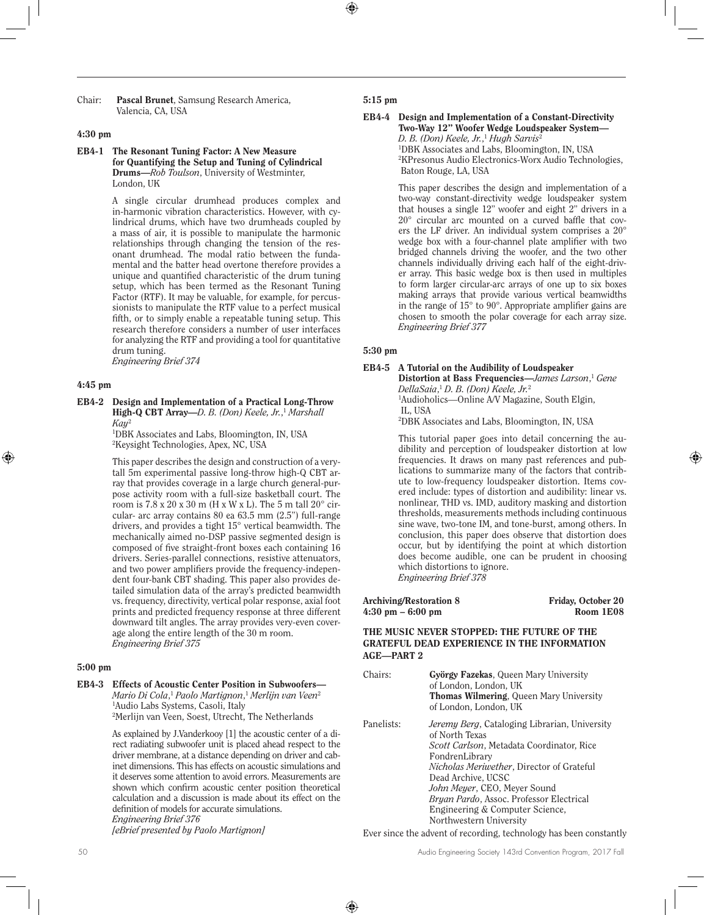Chair: Pascal Brunet, Samsung Research America, Valencia, CA, USA

## 4:30 pm

#### EB4-1 The Resonant Tuning Factor: A New Measure for Quantifying the Setup and Tuning of Cylindrical Drums—*Rob Toulson*, University of Westminter, London, UK

A single circular drumhead produces complex and in-harmonic vibration characteristics. However, with cylindrical drums, which have two drumheads coupled by a mass of air, it is possible to manipulate the harmonic relationships through changing the tension of the resonant drumhead. The modal ratio between the fundamental and the batter head overtone therefore provides a unique and quantified characteristic of the drum tuning setup, which has been termed as the Resonant Tuning Factor (RTF). It may be valuable, for example, for percussionists to manipulate the RTF value to a perfect musical fifth, or to simply enable a repeatable tuning setup. This research therefore considers a number of user interfaces for analyzing the RTF and providing a tool for quantitative drum tuning.

*Engineering Brief 374* 

## 4:45 pm

EB4-2 Design and Implementation of a Practical Long-Throw High-Q CBT Array—*D. B. (Don) Keele, Jr.*, <sup>1</sup> *Marshall Kay*<sup>2</sup>

1 DBK Associates and Labs, Bloomington, IN, USA 2 Keysight Technologies, Apex, NC, USA

This paper describes the design and construction of a verytall 5m experimental passive long-throw high-Q CBT array that provides coverage in a large church general-purpose activity room with a full-size basketball court. The room is  $7.8 \times 20 \times 30$  m (H x W x L). The 5 m tall  $20^{\circ}$  circular- arc array contains 80 ea 63.5 mm (2.5") full-range drivers, and provides a tight 15° vertical beamwidth. The mechanically aimed no-DSP passive segmented design is composed of five straight-front boxes each containing 16 drivers. Series-parallel connections, resistive attenuators, and two power amplifiers provide the frequency-independent four-bank CBT shading. This paper also provides detailed simulation data of the array's predicted beamwidth vs. frequency, directivity, vertical polar response, axial foot prints and predicted frequency response at three different downward tilt angles. The array provides very-even coverage along the entire length of the 30 m room. *Engineering Brief 375* 

#### 5:00 pm

## EB4-3 Effects of Acoustic Center Position in Subwoofers—

*Mario Di Cola*, <sup>1</sup> *Paolo Martignon*, <sup>1</sup> *Merlijn van Veen*<sup>2</sup> 1 Audio Labs Systems, Casoli, Italy 2 Merlijn van Veen, Soest, Utrecht, The Netherlands

As explained by J.Vanderkooy [1] the acoustic center of a direct radiating subwoofer unit is placed ahead respect to the driver membrane, at a distance depending on driver and cabinet dimensions. This has effects on acoustic simulations and it deserves some attention to avoid errors. Measurements are shown which confirm acoustic center position theoretical calculation and a discussion is made about its effect on the definition of models for accurate simulations. *Engineering Brief 376* 

*[eBrief presented by Paolo Martignon]*

#### 5:15 pm

#### EB4-4 Design and Implementation of a Constant-Directivity Two-Way 12" Woofer Wedge Loudspeaker System— *D. B. (Don) Keele, Jr.*, <sup>1</sup> *Hugh Sarvis*<sup>2</sup> 1 DBK Associates and Labs, Bloomington, IN, USA

2 KPresonus Audio Electronics-Worx Audio Technologies, Baton Rouge, LA, USA

This paper describes the design and implementation of a two-way constant-directivity wedge loudspeaker system that houses a single 12" woofer and eight 2" drivers in a 20° circular arc mounted on a curved baffle that covers the LF driver. An individual system comprises a 20° wedge box with a four-channel plate amplifier with two bridged channels driving the woofer, and the two other channels individually driving each half of the eight-driver array. This basic wedge box is then used in multiples to form larger circular-arc arrays of one up to six boxes making arrays that provide various vertical beamwidths in the range of  $15^{\circ}$  to  $90^{\circ}$ . Appropriate amplifier gains are chosen to smooth the polar coverage for each array size. *Engineering Brief 377* 

#### 5:30 pm

#### EB4-5 A Tutorial on the Audibility of Loudspeaker

Distortion at Bass Frequencies—*James Larson*, <sup>1</sup> *Gene DellaSaia*, <sup>1</sup> *D. B. (Don) Keele, Jr.*<sup>2</sup> 1 Audioholics—Online A/V Magazine, South Elgin,

IL, USA

2 DBK Associates and Labs, Bloomington, IN, USA

This tutorial paper goes into detail concerning the audibility and perception of loudspeaker distortion at low frequencies. It draws on many past references and publications to summarize many of the factors that contribute to low-frequency loudspeaker distortion. Items covered include: types of distortion and audibility: linear vs. nonlinear, THD vs. IMD, auditory masking and distortion thresholds, measurements methods including continuous sine wave, two-tone IM, and tone-burst, among others. In conclusion, this paper does observe that distortion does occur, but by identifying the point at which distortion does become audible, one can be prudent in choosing which distortions to ignore. *Engineering Brief 378*

Archiving/Restoration 8 Friday, October 20<br>4:30 pm – 6:00 pm  $4:30$  pm  $-6:00$  pm

## THE MUSIC NEVER STOPPED: THE FUTURE OF THE GRATEFUL DEAD EXPERIENCE IN THE INFORMATION AGE—PART 2

| Chairs:    | György Fazekas, Queen Mary University<br>of London, London, UK<br><b>Thomas Wilmering, Queen Mary University</b><br>of London, London, UK                                                                                                                                                                                                                         |
|------------|-------------------------------------------------------------------------------------------------------------------------------------------------------------------------------------------------------------------------------------------------------------------------------------------------------------------------------------------------------------------|
| Panelists: | <i>Jeremy Berg, Cataloging Librarian, University</i><br>of North Texas<br>Scott Carlson, Metadata Coordinator, Rice<br>FondrenLibrary<br><i>Nicholas Meriwether</i> , Director of Grateful<br>Dead Archive, UCSC<br>John Meyer, CEO, Meyer Sound<br><i>Bryan Pardo, Assoc. Professor Electrical</i><br>Engineering & Computer Science,<br>Northwestern University |

Ever since the advent of recording, technology has been constantly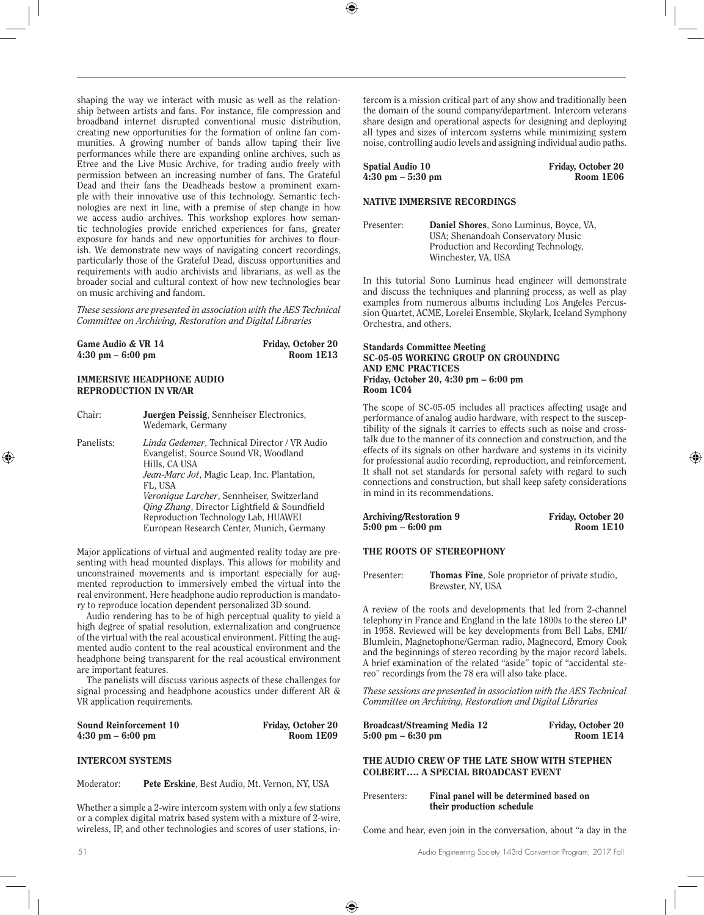shaping the way we interact with music as well as the relationship between artists and fans. For instance, file compression and broadband internet disrupted conventional music distribution, creating new opportunities for the formation of online fan communities. A growing number of bands allow taping their live performances while there are expanding online archives, such as Etree and the Live Music Archive, for trading audio freely with permission between an increasing number of fans. The Grateful Dead and their fans the Deadheads bestow a prominent example with their innovative use of this technology. Semantic technologies are next in line, with a premise of step change in how we access audio archives. This workshop explores how semantic technologies provide enriched experiences for fans, greater exposure for bands and new opportunities for archives to flourish. We demonstrate new ways of navigating concert recordings, particularly those of the Grateful Dead, discuss opportunities and requirements with audio archivists and librarians, as well as the broader social and cultural context of how new technologies bear on music archiving and fandom.

*These sessions are presented in association with the AES Technical Committee on Archiving, Restoration and Digital Libraries*

| Game Audio & VR 14                  | Friday, October 20 |
|-------------------------------------|--------------------|
| $4:30 \text{ pm} - 6:00 \text{ pm}$ | Room 1E13          |

## IMMERSIVE HEADPHONE AUDIO REPRODUCTION IN VR/AR

| Chair:     | Juergen Peissig, Sennheiser Electronics,<br>Wedemark, Germany                                                                                                                          |
|------------|----------------------------------------------------------------------------------------------------------------------------------------------------------------------------------------|
| Panelists: | <i>Linda Gedemer</i> , Technical Director / VR Audio<br>Evangelist, Source Sound VR, Woodland<br>Hills. CA USA<br><i>Jean-Marc Jot</i> , Magic Leap, Inc. Plantation,<br>FL. USA       |
|            | Veronique Larcher, Sennheiser, Switzerland<br><i>Qing Zhang</i> , Director Lightfield & Soundfield<br>Reproduction Technology Lab, HUAWEI<br>European Research Center, Munich, Germany |

Major applications of virtual and augmented reality today are presenting with head mounted displays. This allows for mobility and unconstrained movements and is important especially for augmented reproduction to immersively embed the virtual into the real environment. Here headphone audio reproduction is mandatory to reproduce location dependent personalized 3D sound.

Audio rendering has to be of high perceptual quality to yield a high degree of spatial resolution, externalization and congruence of the virtual with the real acoustical environment. Fitting the augmented audio content to the real acoustical environment and the headphone being transparent for the real acoustical environment are important features.

The panelists will discuss various aspects of these challenges for signal processing and headphone acoustics under different AR & VR application requirements.

| <b>Sound Reinforcement 10</b>       | Friday, October 20 |
|-------------------------------------|--------------------|
| $4:30 \text{ pm} - 6:00 \text{ pm}$ | Room 1E09          |

## INTERCOM SYSTEMS

#### Moderator: Pete Erskine, Best Audio, Mt. Vernon, NY, USA

Whether a simple a 2-wire intercom system with only a few stations or a complex digital matrix based system with a mixture of 2-wire, wireless, IP, and other technologies and scores of user stations, intercom is a mission critical part of any show and traditionally been the domain of the sound company/department. Intercom veterans share design and operational aspects for designing and deploying all types and sizes of intercom systems while minimizing system noise, controlling audio levels and assigning individual audio paths.

| <b>Spatial Audio 10</b>             | Friday, October 20 |
|-------------------------------------|--------------------|
| $4:30 \text{ pm} - 5:30 \text{ pm}$ | Room 1E06          |

## NATIVE IMMERSIVE RECORDINGS

| Presenter: | Daniel Shores, Sono Luminus, Boyce, VA,<br>USA: Shenandoah Conservatory Music |
|------------|-------------------------------------------------------------------------------|
|            | Production and Recording Technology,<br>Winchester, VA. USA                   |

In this tutorial Sono Luminus head engineer will demonstrate and discuss the techniques and planning process, as well as play examples from numerous albums including Los Angeles Percussion Quartet, ACME, Lorelei Ensemble, Skylark, Iceland Symphony Orchestra, and others.

#### Standards Committee Meeting SC-05-05 WORKING GROUP ON GROUNDING AND EMC PRACTICES Friday, October 20, 4:30 pm – 6:00 pm Room 1C04

The scope of SC-05-05 includes all practices affecting usage and performance of analog audio hardware, with respect to the susceptibility of the signals it carries to effects such as noise and crosstalk due to the manner of its connection and construction, and the effects of its signals on other hardware and systems in its vicinity for professional audio recording, reproduction, and reinforcement. It shall not set standards for personal safety with regard to such connections and construction, but shall keep safety considerations in mind in its recommendations.

| Archiving/Restoration 9             | Friday, October 20 |
|-------------------------------------|--------------------|
| $5:00 \text{ pm} - 6:00 \text{ pm}$ | Room 1E10          |

## THE ROOTS OF STEREOPHONY

| Presenter: | <b>Thomas Fine.</b> Sole proprietor of private studio, |
|------------|--------------------------------------------------------|
|            | Brewster, NY, USA                                      |

A review of the roots and developments that led from 2-channel telephony in France and England in the late 1800s to the stereo LP in 1958. Reviewed will be key developments from Bell Labs, EMI/ Blumlein, Magnetophone/German radio, Magnecord, Emory Cook and the beginnings of stereo recording by the major record labels. A brief examination of the related "aside" topic of "accidental stereo" recordings from the 78 era will also take place.

*These sessions are presented in association with the AES Technical Committee on Archiving, Restoration and Digital Libraries*

| Broadcast/Streaming Media 12        | Friday, October 20 |
|-------------------------------------|--------------------|
| $5:00 \text{ pm} - 6:30 \text{ pm}$ | Room 1E14          |

THE AUDIO CREW OF THE LATE SHOW WITH STEPHEN COLBERT…. A SPECIAL BROADCAST EVENT

| Presenters: | Final panel will be determined based on |
|-------------|-----------------------------------------|
|             | their production schedule               |

Come and hear, even join in the conversation, about "a day in the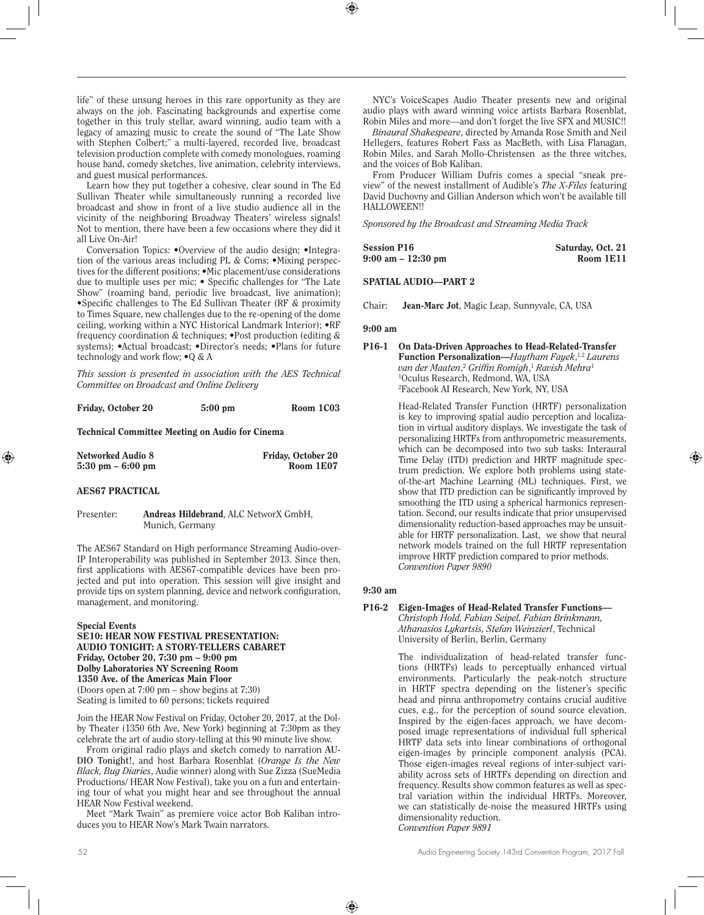life" of these unsung heroes in this rare opportunity as they are always on the job. Fascinating backgrounds and expertise come together in this truly stellar, award winning, audio team with a legacy of amazing music to create the sound of "The Late Show with Stephen Colbert;" a multi-layered, recorded live, broadcast television production complete with comedy monologues, roaming house band, comedy sketches, live animation, celebrity interviews, and guest musical performances.

Learn how they put together a cohesive, clear sound in The Ed Sullivan Theater while simultaneously running a recorded live broadcast and show in front of a live studio audience all in the vicinity of the neighboring Broadway Theaters' wireless signals! Not to mention, there have been a few occasions where they did it all Live On-Air!

Conversation Topics: •Overview of the audio design; •Integration of the various areas including PL & Coms; •Mixing perspectives for the different positions; •Mic placement/use considerations due to multiple uses per mic; • Specific challenges for "The Late Show" (roaming band, periodic live broadcast, live animation); •Specific challenges to The Ed Sullivan Theater (RF & proximity to Times Square, new challenges due to the re-opening of the dome ceiling, working within a NYC Historical Landmark Interior); •RF frequency coordination & techniques; •Post production (editing & systems); •Actual broadcast; •Director's needs; •Plans for future technology and work flow; •Q & A

*This session is presented in association with the AES Technical Committee on Broadcast and Online Delivery*

| Friday, October 20 | $5:00$ pm | Room 1C03 |
|--------------------|-----------|-----------|
|                    |           |           |

Technical Committee Meeting on Audio for Cinema

| Networked Audio 8                   | Friday, October 20 |
|-------------------------------------|--------------------|
| $5:30 \text{ pm} - 6:00 \text{ pm}$ | Room 1E07          |

#### AES67 PRACTICAL

#### Presenter: Andreas Hildebrand, ALC NetworX GmbH, Munich, Germany

The AES67 Standard on High performance Streaming Audio-over-IP Interoperability was published in September 2013. Since then, first applications with AES67-compatible devices have been projected and put into operation. This session will give insight and provide tips on system planning, device and network configuration, management, and monitoring.

#### Special Events

SE10: HEAR NOW FESTIVAL PRESENTATION: AUDIO TONIGHT: A STORY-TELLERS CABARET Friday, October 20, 7:30 pm – 9:00 pm Dolby Laboratories NY Screening Room 1350 Ave. of the Americas Main Floor (Doors open at 7:00 pm – show begins at 7:30) Seating is limited to 60 persons; tickets required

Join the HEAR Now Festival on Friday, October 20, 2017, at the Dolby Theater (1350 6th Ave, New York) beginning at 7:30pm as they celebrate the art of audio story-telling at this 90 minute live show.

From original radio plays and sketch comedy to narration **AU-DIO Tonight!**, and host Barbara Rosenblat (*Orange Is the New Black, Bug Diaries*, Audie winner) along with Sue Zizza (SueMedia Productions/ HEAR Now Festival), take you on a fun and entertaining tour of what you might hear and see throughout the annual HEAR Now Festival weekend.

Meet "Mark Twain" as premiere voice actor Bob Kaliban introduces you to HEAR Now's Mark Twain narrators.

NYC's VoiceScapes Audio Theater presents new and original audio plays with award winning voice artists Barbara Rosenblat, Robin Miles and more—and don't forget the live SFX and MUSIC!!

*Binaural Shakespeare*, directed by Amanda Rose Smith and Neil Hellegers, features Robert Fass as MacBeth, with Lisa Flanagan, Robin Miles, and Sarah Mollo-Christensen as the three witches, and the voices of Bob Kaliban.

From Producer William Dufris comes a special "sneak preview" of the newest installment of Audible's *The X-Files* featuring David Duchovny and Gillian Anderson which won't be available till HALLOWEEN!!

*Sponsored by the Broadcast and Streaming Media Track*

| <b>Session P16</b>                   | Saturday, Oct. 21 |
|--------------------------------------|-------------------|
| $9:00 \text{ am} - 12:30 \text{ pm}$ | Room 1E11         |

SPATIAL AUDIO—PART 2

Chair: Jean-Marc Jot, Magic Leap, Sunnyvale, CA, USA

## 9:00 am

P16-1 On Data-Driven Approaches to Head-Related-Transfer Function Personalization—*Haytham Fayek*, 1,2 *Laurens van der Maaten*, <sup>2</sup> *Griffin Romigh*, <sup>1</sup> *Ravish Mehra*<sup>1</sup> 1 Oculus Research, Redmond, WA, USA 2 Facebook AI Research, New York, NY, USA

> Head-Related Transfer Function (HRTF) personalization is key to improving spatial audio perception and localization in virtual auditory displays. We investigate the task of personalizing HRTFs from anthropometric measurements, which can be decomposed into two sub tasks: Interaural Time Delay (ITD) prediction and HRTF magnitude spectrum prediction. We explore both problems using stateof-the-art Machine Learning (ML) techniques. First, we show that ITD prediction can be significantly improved by smoothing the ITD using a spherical harmonics representation. Second, our results indicate that prior unsupervised dimensionality reduction-based approaches may be unsuitable for HRTF personalization. Last, we show that neural network models trained on the full HRTF representation improve HRTF prediction compared to prior methods. *Convention Paper 9890*

#### 9:30 am

#### P16-2 Eigen-Images of Head-Related Transfer Functions— *Christoph Hold, Fabian Seipel, Fabian Brinkmann, Athanasios Lykartsis, Stefan Weinzierl*, Technical University of Berlin, Berlin, Germany

The individualization of head-related transfer functions (HRTFs) leads to perceptually enhanced virtual environments. Particularly the peak-notch structure in HRTF spectra depending on the listener's specific head and pinna anthropometry contains crucial auditive cues, e.g., for the perception of sound source elevation. Inspired by the eigen-faces approach, we have decomposed image representations of individual full spherical HRTF data sets into linear combinations of orthogonal eigen-images by principle component analysis (PCA). Those eigen-images reveal regions of inter-subject variability across sets of HRTFs depending on direction and frequency. Results show common features as well as spectral variation within the individual HRTFs. Moreover, we can statistically de-noise the measured HRTFs using dimensionality reduction. *Convention Paper 9891*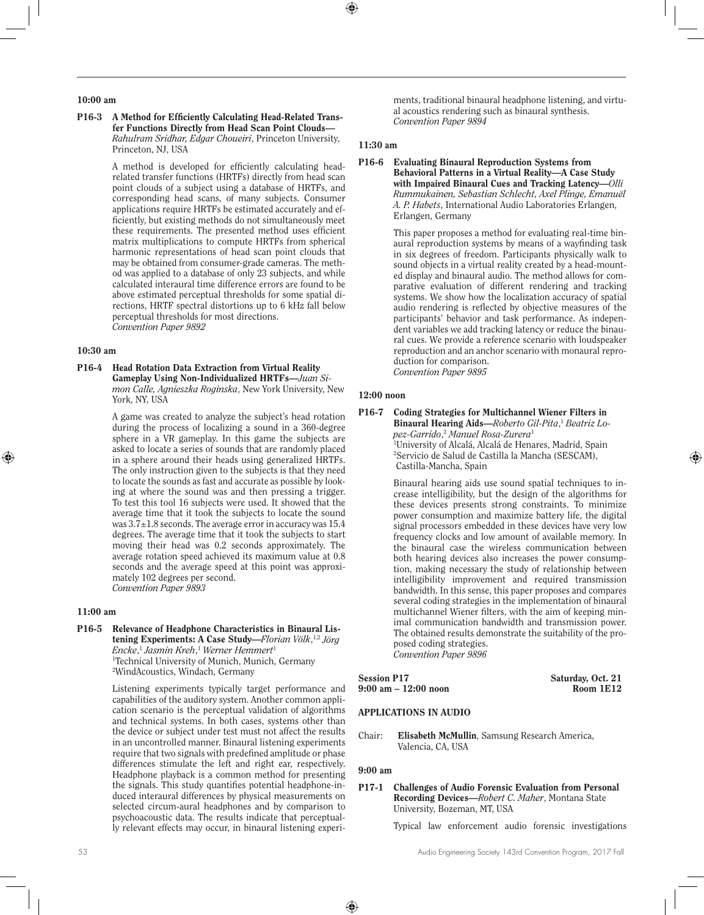## 10:00 am

#### P16-3 A Method for Efficiently Calculating Head-Related Transfer Functions Directly from Head Scan Point Clouds— *Rahulram Sridhar, Edgar Choueiri*, Princeton University, Princeton, NJ, USA

A method is developed for efficiently calculating headrelated transfer functions (HRTFs) directly from head scan point clouds of a subject using a database of HRTFs, and corresponding head scans, of many subjects. Consumer applications require HRTFs be estimated accurately and efficiently, but existing methods do not simultaneously meet these requirements. The presented method uses efficient matrix multiplications to compute HRTFs from spherical harmonic representations of head scan point clouds that may be obtained from consumer-grade cameras. The method was applied to a database of only 23 subjects, and while calculated interaural time difference errors are found to be above estimated perceptual thresholds for some spatial directions, HRTF spectral distortions up to 6 kHz fall below perceptual thresholds for most directions. *Convention Paper 9892* 

#### 10:30 am

#### P16-4 Head Rotation Data Extraction from Virtual Reality Gameplay Using Non-Individualized HRTFs—*Juan Simon Calle, Agnieszka Roginska*, New York University, New York, NY, USA

A game was created to analyze the subject's head rotation during the process of localizing a sound in a 360-degree sphere in a VR gameplay. In this game the subjects are asked to locate a series of sounds that are randomly placed in a sphere around their heads using generalized HRTFs. The only instruction given to the subjects is that they need to locate the sounds as fast and accurate as possible by looking at where the sound was and then pressing a trigger. To test this tool 16 subjects were used. It showed that the average time that it took the subjects to locate the sound was 3.7±1.8 seconds. The average error in accuracy was 15.4 degrees. The average time that it took the subjects to start moving their head was 0.2 seconds approximately. The average rotation speed achieved its maximum value at 0.8 seconds and the average speed at this point was approximately 102 degrees per second. *Convention Paper 9893* 

#### 11:00 am

P16-5 Relevance of Headphone Characteristics in Binaural Listening Experiments: A Case Study—*Florian Völk*,<sup>1,2</sup> Jörg *Encke*, <sup>1</sup> *Jasmin Kreh*, <sup>1</sup> *Werner Hemmert*<sup>1</sup> 1 Technical University of Munich, Munich, Germany 2 WindAcoustics, Windach, Germany

> Listening experiments typically target performance and capabilities of the auditory system. Another common application scenario is the perceptual validation of algorithms and technical systems. In both cases, systems other than the device or subject under test must not affect the results in an uncontrolled manner. Binaural listening experiments require that two signals with predefined amplitude or phase differences stimulate the left and right ear, respectively. Headphone playback is a common method for presenting the signals. This study quantifies potential headphone-induced interaural differences by physical measurements on selected circum-aural headphones and by comparison to psychoacoustic data. The results indicate that perceptually relevant effects may occur, in binaural listening experi

ments, traditional binaural headphone listening, and virtual acoustics rendering such as binaural synthesis. *Convention Paper 9894* 

## 11:30 am

#### P16-6 Evaluating Binaural Reproduction Systems from Behavioral Patterns in a Virtual Reality—A Case Study with Impaired Binaural Cues and Tracking Latency—*Olli Rummukainen, Sebastian Schlecht, Axel Plinge, Emanuël A. P. Habets*, International Audio Laboratories Erlangen, Erlangen, Germany

This paper proposes a method for evaluating real-time binaural reproduction systems by means of a wayfinding task in six degrees of freedom. Participants physically walk to sound objects in a virtual reality created by a head-mounted display and binaural audio. The method allows for comparative evaluation of different rendering and tracking systems. We show how the localization accuracy of spatial audio rendering is reflected by objective measures of the participants' behavior and task performance. As independent variables we add tracking latency or reduce the binaural cues. We provide a reference scenario with loudspeaker reproduction and an anchor scenario with monaural reproduction for comparison. *Convention Paper 9895* 

## 12:00 noon

#### P16-7 Coding Strategies for Multichannel Wiener Filters in Binaural Hearing Aids—*Roberto Gil-Pita*, <sup>1</sup> *Beatriz Lopez-Garrido*, <sup>2</sup> *Manuel Rosa-Zurera*<sup>1</sup> 1 University of Alcalá, Alcalá de Henares, Madrid, Spain 2 Servicio de Salud de Castilla la Mancha (SESCAM), Castilla-Mancha, Spain

Binaural hearing aids use sound spatial techniques to increase intelligibility, but the design of the algorithms for these devices presents strong constraints. To minimize power consumption and maximize battery life, the digital signal processors embedded in these devices have very low frequency clocks and low amount of available memory. In the binaural case the wireless communication between both hearing devices also increases the power consumption, making necessary the study of relationship between intelligibility improvement and required transmission bandwidth. In this sense, this paper proposes and compares several coding strategies in the implementation of binaural multichannel Wiener filters, with the aim of keeping minimal communication bandwidth and transmission power. The obtained results demonstrate the suitability of the proposed coding strategies.

*Convention Paper 9896* 

Session P17 Saturday, Oct. 21 9:00 am – 12:00 noon Room 1E12

## APPLICATIONS IN AUDIO

Chair: Elisabeth McMullin, Samsung Research America, Valencia, CA, USA

#### 9:00 am

#### P17-1 Challenges of Audio Forensic Evaluation from Personal Recording Devices—*Robert C. Maher*, Montana State University, Bozeman, MT, USA

Typical law enforcement audio forensic investigations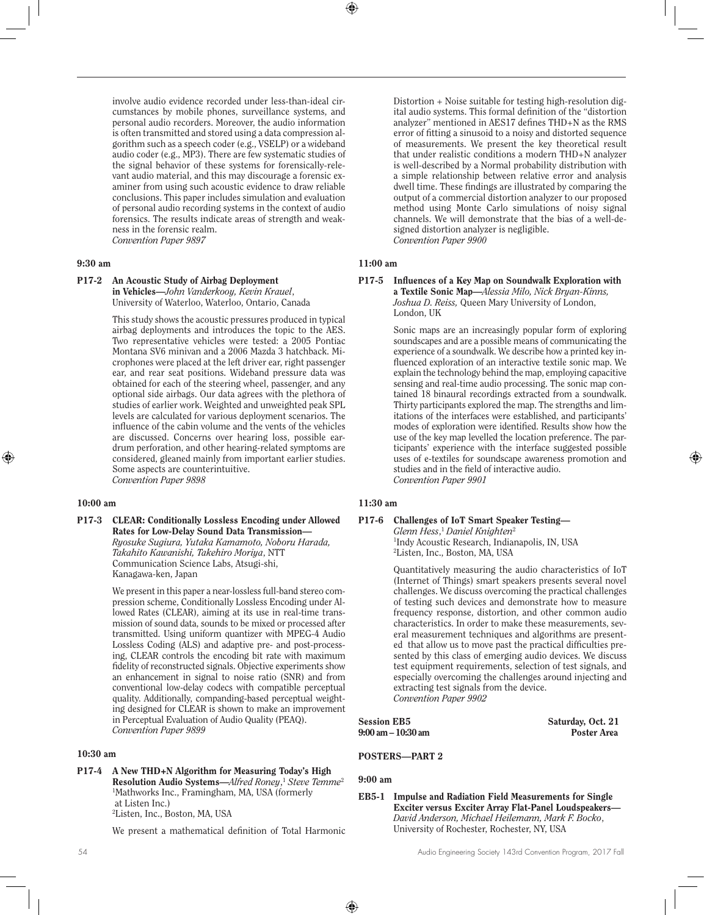involve audio evidence recorded under less-than-ideal circumstances by mobile phones, surveillance systems, and personal audio recorders. Moreover, the audio information is often transmitted and stored using a data compression algorithm such as a speech coder (e.g., VSELP) or a wideband audio coder (e.g., MP3). There are few systematic studies of the signal behavior of these systems for forensically-relevant audio material, and this may discourage a forensic examiner from using such acoustic evidence to draw reliable conclusions. This paper includes simulation and evaluation of personal audio recording systems in the context of audio forensics. The results indicate areas of strength and weakness in the forensic realm. *Convention Paper 9897* 

#### 9:30 am

## P17-2 An Acoustic Study of Airbag Deployment

in Vehicles—*John Vanderkooy, Kevin Krauel*, University of Waterloo, Waterloo, Ontario, Canada

This study shows the acoustic pressures produced in typical airbag deployments and introduces the topic to the AES. Two representative vehicles were tested: a 2005 Pontiac Montana SV6 minivan and a 2006 Mazda 3 hatchback. Microphones were placed at the left driver ear, right passenger ear, and rear seat positions. Wideband pressure data was obtained for each of the steering wheel, passenger, and any optional side airbags. Our data agrees with the plethora of studies of earlier work. Weighted and unweighted peak SPL levels are calculated for various deployment scenarios. The influence of the cabin volume and the vents of the vehicles are discussed. Concerns over hearing loss, possible eardrum perforation, and other hearing-related symptoms are considered, gleaned mainly from important earlier studies. Some aspects are counterintuitive. *Convention Paper 9898* 

#### 10:00 am

P17-3 CLEAR: Conditionally Lossless Encoding under Allowed Rates for Low-Delay Sound Data Transmission— *Ryosuke Sugiura, Yutaka Kamamoto, Noboru Harada, Takahito Kawanishi, Takehiro Moriya*, NTT Communication Science Labs, Atsugi-shi, Kanagawa-ken, Japan

> We present in this paper a near-lossless full-band stereo compression scheme, Conditionally Lossless Encoding under Allowed Rates (CLEAR), aiming at its use in real-time transmission of sound data, sounds to be mixed or processed after transmitted. Using uniform quantizer with MPEG-4 Audio Lossless Coding (ALS) and adaptive pre- and post-processing, CLEAR controls the encoding bit rate with maximum fidelity of reconstructed signals. Objective experiments show an enhancement in signal to noise ratio (SNR) and from conventional low-delay codecs with compatible perceptual quality. Additionally, companding-based perceptual weighting designed for CLEAR is shown to make an improvement in Perceptual Evaluation of Audio Quality (PEAQ). *Convention Paper 9899*

## 10:30 am

P17-4 A New THD+N Algorithm for Measuring Today's High Resolution Audio Systems—*Alfred Roney*, <sup>1</sup> *Steve Temme*<sup>2</sup> 1 Mathworks Inc., Framingham, MA, USA (formerly at Listen Inc.) 2 Listen, Inc., Boston, MA, USA

We present a mathematical definition of Total Harmonic

Distortion + Noise suitable for testing high-resolution digital audio systems. This formal definition of the "distortion analyzer" mentioned in AES17 defines THD+N as the RMS error of fitting a sinusoid to a noisy and distorted sequence of measurements. We present the key theoretical result that under realistic conditions a modern THD+N analyzer is well-described by a Normal probability distribution with a simple relationship between relative error and analysis dwell time. These findings are illustrated by comparing the output of a commercial distortion analyzer to our proposed method using Monte Carlo simulations of noisy signal channels. We will demonstrate that the bias of a well-designed distortion analyzer is negligible. *Convention Paper 9900* 

## 11:00 am

#### P17-5 Influences of a Key Map on Soundwalk Exploration with a Textile Sonic Map—*Alessia Milo, Nick Bryan-Kinns, Joshua D. Reiss,* Queen Mary University of London, London, UK

Sonic maps are an increasingly popular form of exploring soundscapes and are a possible means of communicating the experience of a soundwalk. We describe how a printed key influenced exploration of an interactive textile sonic map. We explain the technology behind the map, employing capacitive sensing and real-time audio processing. The sonic map contained 18 binaural recordings extracted from a soundwalk. Thirty participants explored the map. The strengths and limitations of the interfaces were established, and participants' modes of exploration were identified. Results show how the use of the key map levelled the location preference. The participants' experience with the interface suggested possible uses of e-textiles for soundscape awareness promotion and studies and in the field of interactive audio. *Convention Paper 9901* 

## 11:30 am

## P17-6 Challenges of IoT Smart Speaker Testing—

*Glenn Hess*, <sup>1</sup> *Daniel Knighten*<sup>2</sup> 1 Indy Acoustic Research, Indianapolis, IN, USA 2 Listen, Inc., Boston, MA, USA

Quantitatively measuring the audio characteristics of IoT (Internet of Things) smart speakers presents several novel challenges. We discuss overcoming the practical challenges of testing such devices and demonstrate how to measure frequency response, distortion, and other common audio characteristics. In order to make these measurements, several measurement techniques and algorithms are presented that allow us to move past the practical difficulties presented by this class of emerging audio devices. We discuss test equipment requirements, selection of test signals, and especially overcoming the challenges around injecting and extracting test signals from the device. *Convention Paper 9902* 

Session EB5 Session EB5 Saturday, Oct. 21<br>
9:00 am - 10:30 am Saturday, Oct. 21  $9:00 \text{ am} - 10:30 \text{ am}$ 

## POSTERS—PART 2

## 9:00 am

EB5-1 Impulse and Radiation Field Measurements for Single Exciter versus Exciter Array Flat-Panel Loudspeakers— *David Anderson, Michael Heilemann, Mark F. Bocko*, University of Rochester, Rochester, NY, USA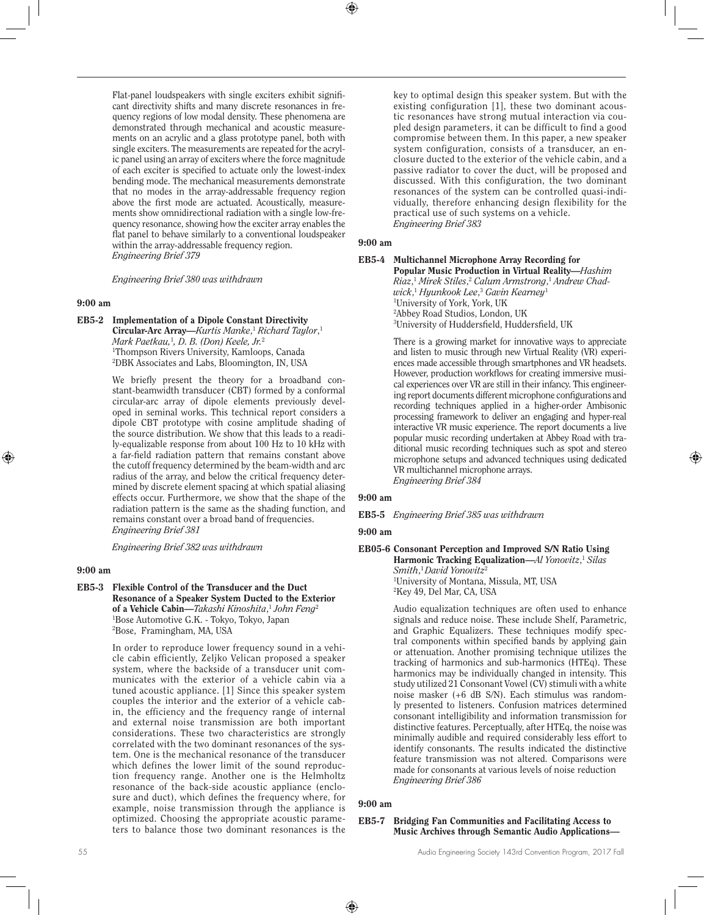Flat-panel loudspeakers with single exciters exhibit significant directivity shifts and many discrete resonances in frequency regions of low modal density. These phenomena are demonstrated through mechanical and acoustic measurements on an acrylic and a glass prototype panel, both with single exciters. The measurements are repeated for the acrylic panel using an array of exciters where the force magnitude of each exciter is specified to actuate only the lowest-index bending mode. The mechanical measurements demonstrate that no modes in the array-addressable frequency region above the first mode are actuated. Acoustically, measurements show omnidirectional radiation with a single low-frequency resonance, showing how the exciter array enables the flat panel to behave similarly to a conventional loudspeaker within the array-addressable frequency region. *Engineering Brief 379* 

*Engineering Brief 380 was withdrawn*

#### 9:00 am

EB5-2 Implementation of a Dipole Constant Directivity Circular-Arc Array—*Kurtis Manke*, <sup>1</sup> *Richard Taylor*, 1

*Mark Paetkau,*<sup>1</sup> *, D. B. (Don) Keele, Jr.*<sup>2</sup> 1 Thompson Rivers University, Kamloops, Canada 2 DBK Associates and Labs, Bloomington, IN, USA

We briefly present the theory for a broadband constant-beamwidth transducer (CBT) formed by a conformal circular-arc array of dipole elements previously developed in seminal works. This technical report considers a dipole CBT prototype with cosine amplitude shading of the source distribution. We show that this leads to a readily-equalizable response from about 100 Hz to 10 kHz with a far-field radiation pattern that remains constant above the cutoff frequency determined by the beam-width and arc radius of the array, and below the critical frequency determined by discrete element spacing at which spatial aliasing effects occur. Furthermore, we show that the shape of the radiation pattern is the same as the shading function, and remains constant over a broad band of frequencies. *Engineering Brief 381* 

*Engineering Brief 382 was withdrawn*

## 9:00 am

EB5-3 Flexible Control of the Transducer and the Duct Resonance of a Speaker System Ducted to the Exterior of a Vehicle Cabin—*Takashi Kinoshita*, <sup>1</sup> *John Feng*<sup>2</sup> 1 Bose Automotive G.K. - Tokyo, Tokyo, Japan 2 Bose, Framingham, MA, USA

> In order to reproduce lower frequency sound in a vehicle cabin efficiently, Zeljko Velican proposed a speaker system, where the backside of a transducer unit communicates with the exterior of a vehicle cabin via a tuned acoustic appliance. [1] Since this speaker system couples the interior and the exterior of a vehicle cabin, the efficiency and the frequency range of internal and external noise transmission are both important considerations. These two characteristics are strongly correlated with the two dominant resonances of the system. One is the mechanical resonance of the transducer which defines the lower limit of the sound reproduction frequency range. Another one is the Helmholtz resonance of the back-side acoustic appliance (enclosure and duct), which defines the frequency where, for example, noise transmission through the appliance is optimized. Choosing the appropriate acoustic parameters to balance those two dominant resonances is the

key to optimal design this speaker system. But with the existing configuration [1], these two dominant acoustic resonances have strong mutual interaction via coupled design parameters, it can be difficult to find a good compromise between them. In this paper, a new speaker system configuration, consists of a transducer, an enclosure ducted to the exterior of the vehicle cabin, and a passive radiator to cover the duct, will be proposed and discussed. With this configuration, the two dominant resonances of the system can be controlled quasi-individually, therefore enhancing design flexibility for the practical use of such systems on a vehicle. *Engineering Brief 383* 

## 9:00 am

#### EB5-4 Multichannel Microphone Array Recording for Popular Music Production in Virtual Reality—*Hashim Riaz*, <sup>1</sup> *Mirek Stiles*, <sup>2</sup> *Calum Armstrong*, <sup>1</sup> *Andrew Chadwick*, <sup>1</sup> *Hyunkook Lee*, <sup>3</sup> *Gavin Kearney*<sup>1</sup> 1 University of York, York, UK 2 Abbey Road Studios, London, UK 3 University of Huddersfield, Huddersfield, UK

There is a growing market for innovative ways to appreciate and listen to music through new Virtual Reality (VR) experiences made accessible through smartphones and VR headsets. However, production workflows for creating immersive musical experiences over VR are still in their infancy. This engineering report documents different microphone configurations and recording techniques applied in a higher-order Ambisonic processing framework to deliver an engaging and hyper-real interactive VR music experience. The report documents a live popular music recording undertaken at Abbey Road with traditional music recording techniques such as spot and stereo microphone setups and advanced techniques using dedicated VR multichannel microphone arrays. *Engineering Brief 384* 

#### 9:00 am

EB5-5 *Engineering Brief 385 was withdrawn*

#### 9:00 am

## EB05-6 Consonant Perception and Improved S/N Ratio Using Harmonic Tracking Equalization—*Al Yonovitz*, <sup>1</sup> *Silas Smith*, <sup>1</sup>*David Yonovitz*<sup>2</sup>

1 University of Montana, Missula, MT, USA 2 Key 49, Del Mar, CA, USA

Audio equalization techniques are often used to enhance signals and reduce noise. These include Shelf, Parametric, and Graphic Equalizers. These techniques modify spectral components within specified bands by applying gain or attenuation. Another promising technique utilizes the tracking of harmonics and sub-harmonics (HTEq). These harmonics may be individually changed in intensity. This study utilized 21 Consonant Vowel (CV) stimuli with a white noise masker (+6 dB S/N). Each stimulus was randomly presented to listeners. Confusion matrices determined consonant intelligibility and information transmission for distinctive features. Perceptually, after HTEq, the noise was minimally audible and required considerably less effort to identify consonants. The results indicated the distinctive feature transmission was not altered. Comparisons were made for consonants at various levels of noise reduction *Engineering Brief 386* 

#### 9:00 am

EB5-7 Bridging Fan Communities and Facilitating Access to Music Archives through Semantic Audio Applications—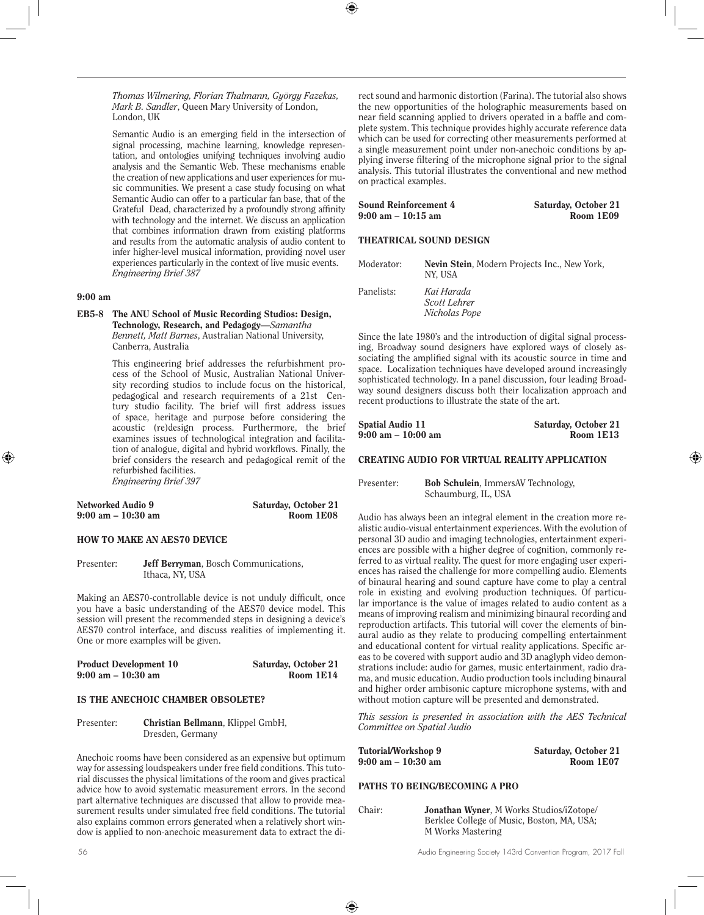*Thomas Wilmering, Florian Thalmann, György Fazekas, Mark B. Sandler*, Queen Mary University of London, London, UK

Semantic Audio is an emerging field in the intersection of signal processing, machine learning, knowledge representation, and ontologies unifying techniques involving audio analysis and the Semantic Web. These mechanisms enable the creation of new applications and user experiences for music communities. We present a case study focusing on what Semantic Audio can offer to a particular fan base, that of the Grateful Dead, characterized by a profoundly strong affinity with technology and the internet. We discuss an application that combines information drawn from existing platforms and results from the automatic analysis of audio content to infer higher-level musical information, providing novel user experiences particularly in the context of live music events. *Engineering Brief 387*

#### 9:00 am

EB5-8 The ANU School of Music Recording Studios: Design, Technology, Research, and Pedagogy—*Samantha Bennett, Matt Barnes*, Australian National University, Canberra, Australia

> This engineering brief addresses the refurbishment process of the School of Music, Australian National University recording studios to include focus on the historical, pedagogical and research requirements of a 21st Century studio facility. The brief will first address issues of space, heritage and purpose before considering the acoustic (re)design process. Furthermore, the brief examines issues of technological integration and facilitation of analogue, digital and hybrid workflows. Finally, the brief considers the research and pedagogical remit of the refurbished facilities. *Engineering Brief 397*

| Networked Audio 9                    | Saturday, October 21 |
|--------------------------------------|----------------------|
| $9:00 \text{ am} - 10:30 \text{ am}$ | Room 1E08            |

#### HOW TO MAKE AN AES70 DEVICE

Presenter: Jeff Berryman, Bosch Communications, Ithaca, NY, USA

Making an AES70-controllable device is not unduly difficult, once you have a basic understanding of the AES70 device model. This session will present the recommended steps in designing a device's AES70 control interface, and discuss realities of implementing it. One or more examples will be given.

| <b>Product Development 10</b>        | Saturday, October 21 |
|--------------------------------------|----------------------|
| $9:00 \text{ am} - 10:30 \text{ am}$ | Room 1E14            |

## IS THE ANECHOIC CHAMBER OBSOLETE?

Presenter: Christian Bellmann, Klippel GmbH, Dresden, Germany

Anechoic rooms have been considered as an expensive but optimum way for assessing loudspeakers under free field conditions. This tutorial discusses the physical limitations of the room and gives practical advice how to avoid systematic measurement errors. In the second part alternative techniques are discussed that allow to provide measurement results under simulated free field conditions. The tutorial also explains common errors generated when a relatively short window is applied to non-anechoic measurement data to extract the di-

rect sound and harmonic distortion (Farina). The tutorial also shows the new opportunities of the holographic measurements based on near field scanning applied to drivers operated in a baffle and complete system. This technique provides highly accurate reference data which can be used for correcting other measurements performed at a single measurement point under non-anechoic conditions by applying inverse filtering of the microphone signal prior to the signal analysis. This tutorial illustrates the conventional and new method on practical examples.

| <b>Sound Reinforcement 4</b>         | Saturday, October 21 |
|--------------------------------------|----------------------|
| $9:00 \text{ am} - 10:15 \text{ am}$ | Room 1E09            |
|                                      |                      |

## THEATRICAL SOUND DESIGN

| Moderator: | Nevin Stein, Modern Projects Inc., New York,<br>NY, USA |
|------------|---------------------------------------------------------|
| Panelists: | Kai Harada<br>Scott Lehrer<br>Nicholas Pope             |

Since the late 1980's and the introduction of digital signal processing, Broadway sound designers have explored ways of closely associating the amplified signal with its acoustic source in time and space. Localization techniques have developed around increasingly sophisticated technology. In a panel discussion, four leading Broadway sound designers discuss both their localization approach and recent productions to illustrate the state of the art.

| Spatial Audio 11   | Saturday, October 21 |
|--------------------|----------------------|
| 9:00 am – 10:00 am | Room 1E13            |

## CREATING AUDIO FOR VIRTUAL REALITY APPLICATION

Presenter: Bob Schulein, ImmersAV Technology, Schaumburg, IL, USA

Audio has always been an integral element in the creation more realistic audio-visual entertainment experiences. With the evolution of personal 3D audio and imaging technologies, entertainment experiences are possible with a higher degree of cognition, commonly referred to as virtual reality. The quest for more engaging user experiences has raised the challenge for more compelling audio. Elements of binaural hearing and sound capture have come to play a central role in existing and evolving production techniques. Of particular importance is the value of images related to audio content as a means of improving realism and minimizing binaural recording and reproduction artifacts. This tutorial will cover the elements of binaural audio as they relate to producing compelling entertainment and educational content for virtual reality applications. Specific areas to be covered with support audio and 3D anaglyph video demonstrations include: audio for games, music entertainment, radio drama, and music education. Audio production tools including binaural and higher order ambisonic capture microphone systems, with and without motion capture will be presented and demonstrated.

*This session is presented in association with the AES Technical Committee on Spatial Audio*

| Tutorial/Workshop 9 | Saturday, October 21 |
|---------------------|----------------------|
| 9:00 am – 10:30 am  | Room 1E07            |

## PATHS TO BEING/BECOMING A PRO

| Chair: | Jonathan Wyner, M Works Studios/iZotope/   |
|--------|--------------------------------------------|
|        | Berklee College of Music, Boston, MA, USA; |
|        | M Works Mastering                          |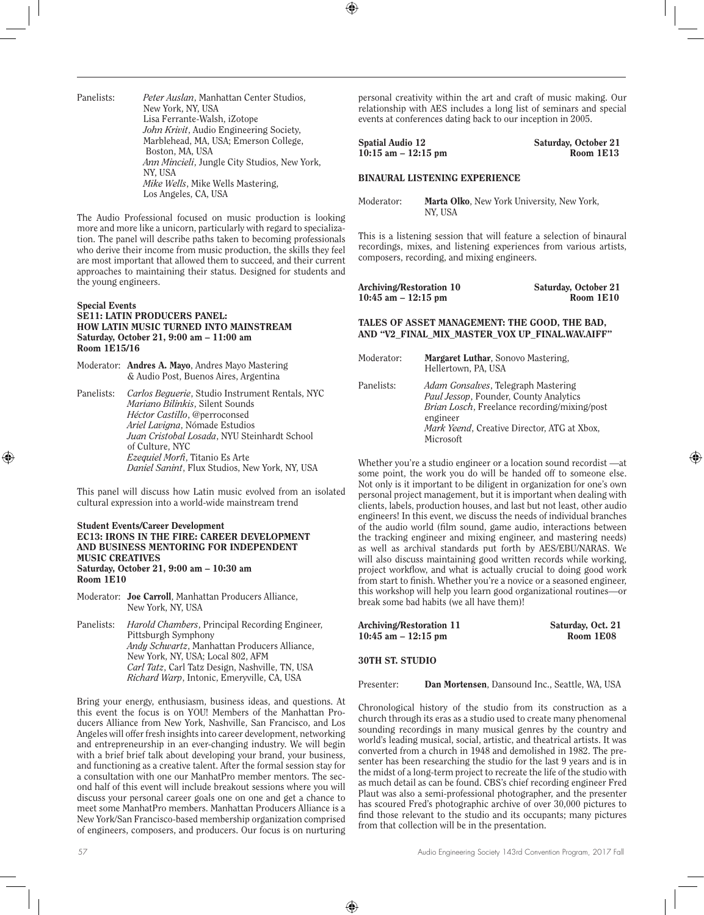| Panelists: | <i>Peter Auslan</i> , Manhattan Center Studios, |
|------------|-------------------------------------------------|
|            | New York, NY, USA                               |
|            | Lisa Ferrante-Walsh, iZotope                    |
|            | John Krivit, Audio Engineering Society,         |
|            | Marblehead, MA, USA; Emerson College,           |
|            | Boston, MA, USA                                 |
|            | Ann Mincieli, Jungle City Studios, New York,    |
|            | NY. USA                                         |
|            | Mike Wells, Mike Wells Mastering,               |
|            | Los Angeles, CA, USA                            |

The Audio Professional focused on music production is looking more and more like a unicorn, particularly with regard to specialization. The panel will describe paths taken to becoming professionals who derive their income from music production, the skills they feel are most important that allowed them to succeed, and their current approaches to maintaining their status. Designed for students and the young engineers.

## Special Events

#### SE11: LATIN PRODUCERS PANEL: HOW LATIN MUSIC TURNED INTO MAINSTREAM Saturday, October 21, 9:00 am – 11:00 am Room 1E15/16

Moderator: Andres A. Mayo, Andres Mayo Mastering & Audio Post, Buenos Aires, Argentina

Panelists: *Carlos Beguerie*, Studio Instrument Rentals, NYC *Mariano Bilinkis*, Silent Sounds *Héctor Castillo*, @perroconsed *Ariel Lavigna*, Nómade Estudios *Juan Cristobal Losada*, NYU Steinhardt School of Culture, NYC *Ezequiel Morfi*, Titanio Es Arte *Daniel Sanint*, Flux Studios, New York, NY, USA

This panel will discuss how Latin music evolved from an isolated cultural expression into a world-wide mainstream trend

#### Student Events/Career Development EC13: IRONS IN THE FIRE: CAREER DEVELOPMENT AND BUSINESS MENTORING FOR INDEPENDENT MUSIC CREATIVES Saturday, October 21, 9:00 am – 10:30 am Room 1E10

- Moderator: Joe Carroll, Manhattan Producers Alliance, New York, NY, USA
- Panelists: *Harold Chambers*, Principal Recording Engineer, Pittsburgh Symphony *Andy Schwartz*, Manhattan Producers Alliance, New York, NY, USA; Local 802, AFM *Carl Tatz*, Carl Tatz Design, Nashville, TN, USA *Richard Warp*, Intonic, Emeryville, CA, USA

Bring your energy, enthusiasm, business ideas, and questions. At this event the focus is on YOU! Members of the Manhattan Producers Alliance from New York, Nashville, San Francisco, and Los Angeles will offer fresh insights into career development, networking and entrepreneurship in an ever-changing industry. We will begin with a brief brief talk about developing your brand, your business, and functioning as a creative talent. After the formal session stay for a consultation with one our ManhatPro member mentors. The second half of this event will include breakout sessions where you will discuss your personal career goals one on one and get a chance to meet some ManhatPro members. Manhattan Producers Alliance is a New York/San Francisco-based membership organization comprised of engineers, composers, and producers. Our focus is on nurturing

personal creativity within the art and craft of music making. Our relationship with AES includes a long list of seminars and special events at conferences dating back to our inception in 2005.

| Spatial Audio 12       | Saturday, October 21 |
|------------------------|----------------------|
| $10:15$ am $-12:15$ pm | Room 1E13            |

## BINAURAL LISTENING EXPERIENCE

Moderator: Marta Olko, New York University, New York, NY, USA

This is a listening session that will feature a selection of binaural recordings, mixes, and listening experiences from various artists, composers, recording, and mixing engineers.

| Archiving/Restoration 10 | Saturday, October 21 |
|--------------------------|----------------------|
| $10:45$ am $-12:15$ pm   | Room 1E10            |

TALES OF ASSET MANAGEMENT: THE GOOD, THE BAD, AND "V2\_FINAL\_MIX\_MASTER\_VOX UP\_FINAL.WAV.AIFF"

| Moderator: | Margaret Luthar, Sonovo Mastering,<br>Hellertown, PA, USA                                                                                                                                                             |
|------------|-----------------------------------------------------------------------------------------------------------------------------------------------------------------------------------------------------------------------|
| Panelists: | <i>Adam Gonsalves</i> , Telegraph Mastering<br>Paul Jessop, Founder, County Analytics<br><i>Brian Losch</i> , Freelance recording/mixing/post<br>engineer<br>Mark Yeend, Creative Director, ATG at Xbox,<br>Microsoft |

Whether you're a studio engineer or a location sound recordist —at some point, the work you do will be handed off to someone else. Not only is it important to be diligent in organization for one's own personal project management, but it is important when dealing with clients, labels, production houses, and last but not least, other audio engineers! In this event, we discuss the needs of individual branches of the audio world (film sound, game audio, interactions between the tracking engineer and mixing engineer, and mastering needs) as well as archival standards put forth by AES/EBU/NARAS. We will also discuss maintaining good written records while working, project workflow, and what is actually crucial to doing good work from start to finish. Whether you're a novice or a seasoned engineer, this workshop will help you learn good organizational routines—or break some bad habits (we all have them)!

| Saturday, Oct. 21 |
|-------------------|
| Room 1E08         |
|                   |

#### 30TH ST. STUDIO

Presenter: Dan Mortensen, Dansound Inc., Seattle, WA, USA

Chronological history of the studio from its construction as a church through its eras as a studio used to create many phenomenal sounding recordings in many musical genres by the country and world's leading musical, social, artistic, and theatrical artists. It was converted from a church in 1948 and demolished in 1982. The presenter has been researching the studio for the last 9 years and is in the midst of a long-term project to recreate the life of the studio with as much detail as can be found. CBS's chief recording engineer Fred Plaut was also a semi-professional photographer, and the presenter has scoured Fred's photographic archive of over 30,000 pictures to find those relevant to the studio and its occupants; many pictures from that collection will be in the presentation.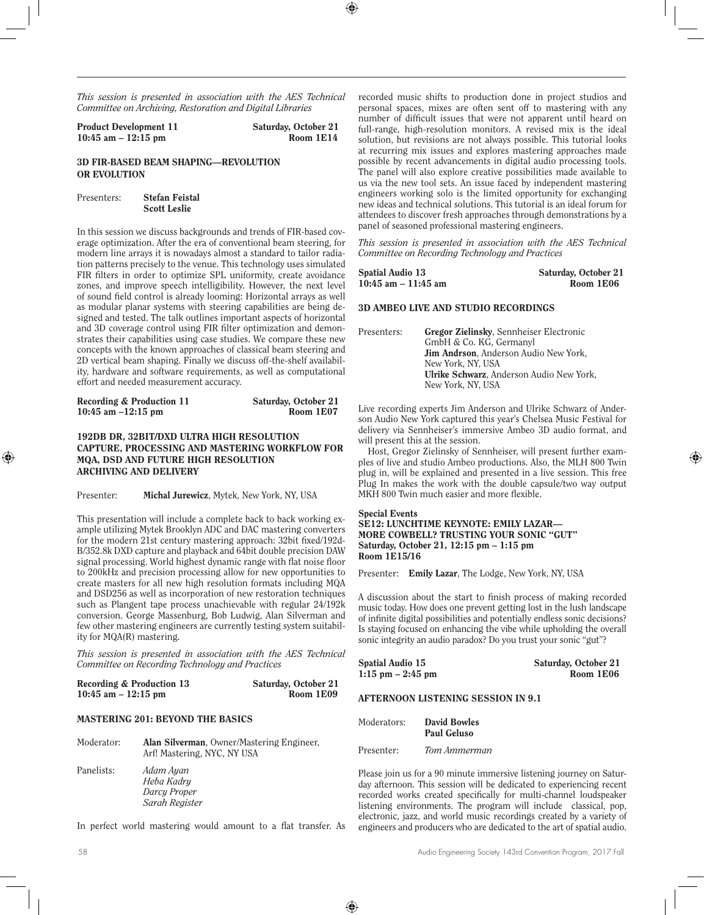*This session is presented in association with the AES Technical Committee on Archiving, Restoration and Digital Libraries*

| Product Development 11 | Saturday, October 21 |
|------------------------|----------------------|
| $10:45$ am $-12:15$ pm | Room 1E14            |

#### 3D FIR-BASED BEAM SHAPING—REVOLUTION OR EVOLUTION

Presenters: Stefan Feistal Scott Leslie

In this session we discuss backgrounds and trends of FIR-based coverage optimization. After the era of conventional beam steering, for modern line arrays it is nowadays almost a standard to tailor radiation patterns precisely to the venue. This technology uses simulated FIR filters in order to optimize SPL uniformity, create avoidance zones, and improve speech intelligibility. However, the next level of sound field control is already looming: Horizontal arrays as well as modular planar systems with steering capabilities are being designed and tested. The talk outlines important aspects of horizontal and 3D coverage control using FIR filter optimization and demonstrates their capabilities using case studies. We compare these new concepts with the known approaches of classical beam steering and 2D vertical beam shaping. Finally we discuss off-the-shelf availability, hardware and software requirements, as well as computational effort and needed measurement accuracy.

| Recording & Production 11 | Saturday, October 21 |
|---------------------------|----------------------|
| 10:45 am $-12:15$ pm      | Room 1E07            |

## 192DB DR, 32BIT/DXD ULTRA HIGH RESOLUTION CAPTURE, PROCESSING AND MASTERING WORKFLOW FOR MQA, DSD AND FUTURE HIGH RESOLUTION ARCHIVING AND DELIVERY

Presenter: Michal Jurewicz, Mytek, New York, NY, USA

This presentation will include a complete back to back working example utilizing Mytek Brooklyn ADC and DAC mastering converters for the modern 21st century mastering approach: 32bit fixed/192d-B/352.8k DXD capture and playback and 64bit double precision DAW signal processing. World highest dynamic range with flat noise floor to 200kHz and precision processing allow for new opportunities to create masters for all new high resolution formats including MQA and DSD256 as well as incorporation of new restoration techniques such as Plangent tape process unachievable with regular 24/192k conversion. George Massenburg, Bob Ludwig, Alan Silverman and few other mastering engineers are currently testing system suitability for MQA(R) mastering.

*This session is presented in association with the AES Technical Committee on Recording Technology and Practices*

| Recording & Production 13 | Saturday, October 21 |
|---------------------------|----------------------|
| 10:45 am $-$ 12:15 pm     | Room 1E09            |

## MASTERING 201: BEYOND THE BASICS

| Moderator: | <b>Alan Silverman, Owner/Mastering Engineer,</b><br>Arf! Mastering, NYC, NY USA |
|------------|---------------------------------------------------------------------------------|
| Panelists: | Adam Ayan<br>Heba Kadry                                                         |

*Darcy Proper Sarah Register*

In perfect world mastering would amount to a flat transfer. As

recorded music shifts to production done in project studios and personal spaces, mixes are often sent off to mastering with any number of difficult issues that were not apparent until heard on full-range, high-resolution monitors. A revised mix is the ideal solution, but revisions are not always possible. This tutorial looks at recurring mix issues and explores mastering approaches made possible by recent advancements in digital audio processing tools. The panel will also explore creative possibilities made available to us via the new tool sets. An issue faced by independent mastering engineers working solo is the limited opportunity for exchanging new ideas and technical solutions. This tutorial is an ideal forum for attendees to discover fresh approaches through demonstrations by a panel of seasoned professional mastering engineers.

*This session is presented in association with the AES Technical Committee on Recording Technology and Practices*

| Spatial Audio 13       | Saturday, October 21 |
|------------------------|----------------------|
| $10:45$ am $-11:45$ am | Room 1E06            |

#### 3D AMBEO LIVE AND STUDIO RECORDINGS

| Presenters: | Gregor Zielinsky, Sennheiser Electronic          |
|-------------|--------------------------------------------------|
|             | GmbH & Co. KG. Germanyl                          |
|             | <b>Jim Andrson.</b> Anderson Audio New York.     |
|             | New York, NY, USA                                |
|             | <b>Ulrike Schwarz</b> . Anderson Audio New York. |
|             | New York, NY, USA                                |

Live recording experts Jim Anderson and Ulrike Schwarz of Anderson Audio New York captured this year's Chelsea Music Festival for delivery via Sennheiser's immersive Ambeo 3D audio format, and will present this at the session.

Host, Gregor Zielinsky of Sennheiser, will present further examples of live and studio Ambeo productions. Also, the MLH 800 Twin plug in, will be explained and presented in a live session. This free Plug In makes the work with the double capsule/two way output MKH 800 Twin much easier and more flexible.

#### Special Events SE12: LUNCHTIME KEYNOTE: EMILY LAZAR— MORE COWBELL? TRUSTING YOUR SONIC "GUT" Saturday, October 21, 12:15 pm – 1:15 pm Room 1E15/16

Presenter: Emily Lazar, The Lodge, New York, NY, USA

A discussion about the start to finish process of making recorded music today. How does one prevent getting lost in the lush landscape of infinite digital possibilities and potentially endless sonic decisions? Is staying focused on enhancing the vibe while upholding the overall sonic integrity an audio paradox? Do you trust your sonic "gut"?

| Spatial Audio 15     | Saturday, October 21 |
|----------------------|----------------------|
| $1:15$ pm $-2:45$ pm | Room 1E06            |

#### AFTERNOON LISTENING SESSION IN 9.1

| Moderators: | <b>David Bowles</b> |
|-------------|---------------------|
|             | Paul Geluso         |
|             |                     |

Presenter: *Tom Ammerman*

Please join us for a 90 minute immersive listening journey on Saturday afternoon. This session will be dedicated to experiencing recent recorded works created specifically for multi-channel loudspeaker listening environments. The program will include classical, pop, electronic, jazz, and world music recordings created by a variety of engineers and producers who are dedicated to the art of spatial audio.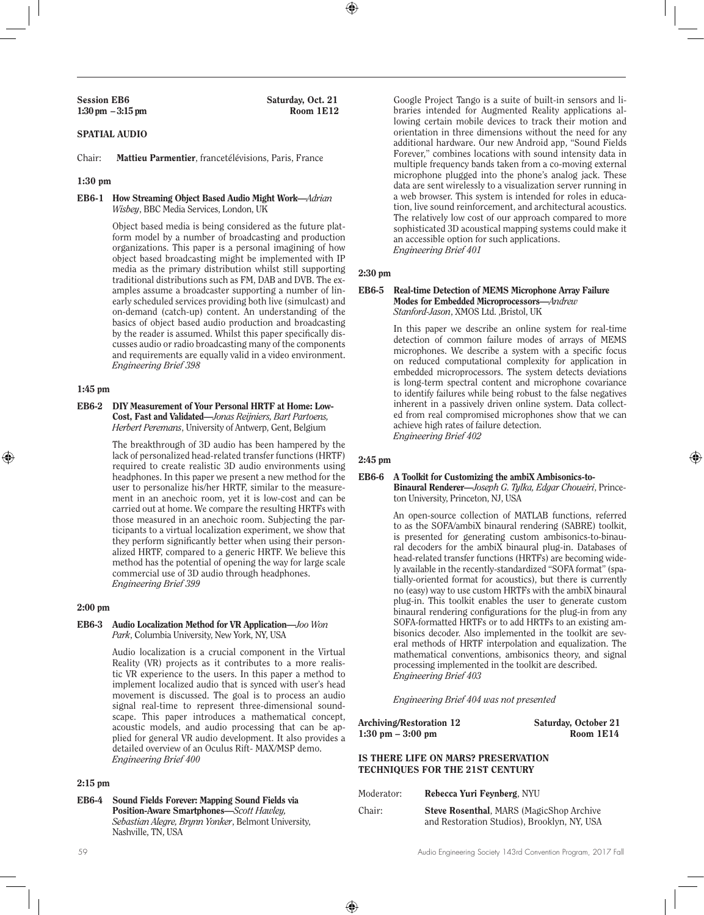Session EB6 Saturday, Oct. 21<br>1:30 pm – 3:15 pm Room 1E12

## SPATIAL AUDIO

Chair: Mattieu Parmentier, francetélévisions, Paris, France

## 1:30 pm

#### EB6-1 How Streaming Object Based Audio Might Work—*Adrian Wisbey*, BBC Media Services, London, UK

Object based media is being considered as the future platform model by a number of broadcasting and production organizations. This paper is a personal imagining of how object based broadcasting might be implemented with IP media as the primary distribution whilst still supporting traditional distributions such as FM, DAB and DVB. The examples assume a broadcaster supporting a number of linearly scheduled services providing both live (simulcast) and on-demand (catch-up) content. An understanding of the basics of object based audio production and broadcasting by the reader is assumed. Whilst this paper specifically discusses audio or radio broadcasting many of the components and requirements are equally valid in a video environment. *Engineering Brief 398* 

## 1:45 pm

EB6-2 DIY Measurement of Your Personal HRTF at Home: Low-Cost, Fast and Validated—*Jonas Reijniers, Bart Partoens, Herbert Peremans*, University of Antwerp, Gent, Belgium

> The breakthrough of 3D audio has been hampered by the lack of personalized head-related transfer functions (HRTF) required to create realistic 3D audio environments using headphones. In this paper we present a new method for the user to personalize his/her HRTF, similar to the measurement in an anechoic room, yet it is low-cost and can be carried out at home. We compare the resulting HRTFs with those measured in an anechoic room. Subjecting the participants to a virtual localization experiment, we show that they perform significantly better when using their personalized HRTF, compared to a generic HRTF. We believe this method has the potential of opening the way for large scale commercial use of 3D audio through headphones. *Engineering Brief 399*

## 2:00 pm

#### EB6-3 Audio Localization Method for VR Application—*Joo Won Park*, Columbia University, New York, NY, USA

Audio localization is a crucial component in the Virtual Reality (VR) projects as it contributes to a more realistic VR experience to the users. In this paper a method to implement localized audio that is synced with user's head movement is discussed. The goal is to process an audio signal real-time to represent three-dimensional soundscape. This paper introduces a mathematical concept, acoustic models, and audio processing that can be applied for general VR audio development. It also provides a detailed overview of an Oculus Rift- MAX/MSP demo. *Engineering Brief 400* 

#### 2:15 pm

EB6-4 Sound Fields Forever: Mapping Sound Fields via Position-Aware Smartphones—*Scott Hawley, Sebastian Alegre, Brynn Yonker*, Belmont University, Nashville, TN, USA

Google Project Tango is a suite of built-in sensors and libraries intended for Augmented Reality applications allowing certain mobile devices to track their motion and orientation in three dimensions without the need for any additional hardware. Our new Android app, "Sound Fields Forever," combines locations with sound intensity data in multiple frequency bands taken from a co-moving external microphone plugged into the phone's analog jack. These data are sent wirelessly to a visualization server running in a web browser. This system is intended for roles in education, live sound reinforcement, and architectural acoustics. The relatively low cost of our approach compared to more sophisticated 3D acoustical mapping systems could make it an accessible option for such applications. *Engineering Brief 401* 

## 2:30 pm

#### EB6-5 Real-time Detection of MEMS Microphone Array Failure Modes for Embedded Microprocessors—*Andrew Stanford-Jason*, XMOS Ltd. ,Bristol, UK

In this paper we describe an online system for real-time detection of common failure modes of arrays of MEMS microphones. We describe a system with a specific focus on reduced computational complexity for application in embedded microprocessors. The system detects deviations is long-term spectral content and microphone covariance to identify failures while being robust to the false negatives inherent in a passively driven online system. Data collected from real compromised microphones show that we can achieve high rates of failure detection. *Engineering Brief 402* 

#### 2:45 pm

#### EB6-6 A Toolkit for Customizing the ambiX Ambisonics-to-Binaural Renderer—*Joseph G. Tylka, Edgar Choueiri*, Prince-

ton University, Princeton, NJ, USA

An open-source collection of MATLAB functions, referred to as the SOFA/ambiX binaural rendering (SABRE) toolkit, is presented for generating custom ambisonics-to-binaural decoders for the ambiX binaural plug-in. Databases of head-related transfer functions (HRTFs) are becoming widely available in the recently-standardized "SOFA format" (spatially-oriented format for acoustics), but there is currently no (easy) way to use custom HRTFs with the ambiX binaural plug-in. This toolkit enables the user to generate custom binaural rendering configurations for the plug-in from any SOFA-formatted HRTFs or to add HRTFs to an existing ambisonics decoder. Also implemented in the toolkit are several methods of HRTF interpolation and equalization. The mathematical conventions, ambisonics theory, and signal processing implemented in the toolkit are described. *Engineering Brief 403* 

*Engineering Brief 404 was not presented*

| Archiving/Restoration 12            | Saturday, October 21 |
|-------------------------------------|----------------------|
| $1:30 \text{ pm} - 3:00 \text{ pm}$ | Room 1E14            |

## IS THERE LIFE ON MARS? PRESERVATION TECHNIQUES FOR THE 21ST CENTURY

| Moderator: | Rebecca Yuri Fevnberg, NYU                                                                      |
|------------|-------------------------------------------------------------------------------------------------|
| Chair:     | <b>Steve Rosenthal, MARS (MagicShop Archive)</b><br>and Restoration Studios), Brooklyn, NY, USA |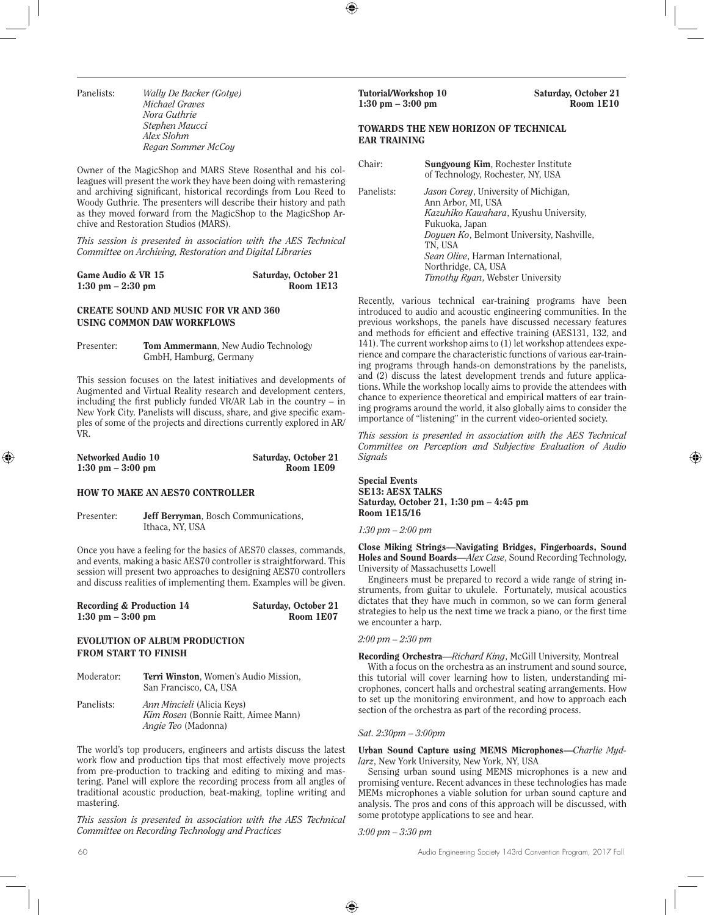Panelists: *Wally De Backer (Gotye) Michael Graves Nora Guthrie Stephen Maucci Alex Slohm Regan Sommer McCoy*

Owner of the MagicShop and MARS Steve Rosenthal and his colleagues will present the work they have been doing with remastering and archiving significant, historical recordings from Lou Reed to Woody Guthrie. The presenters will describe their history and path as they moved forward from the MagicShop to the MagicShop Archive and Restoration Studios (MARS).

*This session is presented in association with the AES Technical Committee on Archiving, Restoration and Digital Libraries*

| Game Audio & VR 15                  | Saturday, October 21 |
|-------------------------------------|----------------------|
| $1:30 \text{ pm} - 2:30 \text{ pm}$ | Room 1E13            |

## CREATE SOUND AND MUSIC FOR VR AND 360 USING COMMON DAW WORKFLOWS

Presenter: Tom Ammermann, New Audio Technology GmbH, Hamburg, Germany

This session focuses on the latest initiatives and developments of Augmented and Virtual Reality research and development centers, including the first publicly funded VR/AR Lab in the country – in New York City. Panelists will discuss, share, and give specific examples of some of the projects and directions currently explored in AR/ VR.

| Networked Audio 10                  | Saturday, October 21 |
|-------------------------------------|----------------------|
| $1:30 \text{ pm} - 3:00 \text{ pm}$ | Room 1E09            |

#### HOW TO MAKE AN AES70 CONTROLLER

Presenter: **Jeff Berryman**, Bosch Communications, Ithaca, NY, USA

Once you have a feeling for the basics of AES70 classes, commands, and events, making a basic AES70 controller is straightforward. This session will present two approaches to designing AES70 controllers and discuss realities of implementing them. Examples will be given.

| Recording & Production 14           | Saturday, October 21 |
|-------------------------------------|----------------------|
| $1:30 \text{ pm} - 3:00 \text{ pm}$ | Room 1E07            |

## EVOLUTION OF ALBUM PRODUCTION FROM START TO FINISH

- Moderator: Terri Winston, Women's Audio Mission, San Francisco, CA, USA
- Panelists: *Ann Mincieli* (Alicia Keys) *Kim Rosen* (Bonnie Raitt, Aimee Mann) *Angie Teo* (Madonna)

The world's top producers, engineers and artists discuss the latest work flow and production tips that most effectively move projects from pre-production to tracking and editing to mixing and mastering. Panel will explore the recording process from all angles of traditional acoustic production, beat-making, topline writing and mastering.

*This session is presented in association with the AES Technical Committee on Recording Technology and Practices*

## TOWARDS THE NEW HORIZON OF TECHNICAL EAR TRAINING

| Chair:     | Sungvoung Kim, Rochester Institute<br>of Technology, Rochester, NY, USA                                                                                                                                                                                                                       |
|------------|-----------------------------------------------------------------------------------------------------------------------------------------------------------------------------------------------------------------------------------------------------------------------------------------------|
| Panelists: | <i>Jason Corey</i> , University of Michigan,<br>Ann Arbor, MI, USA<br>Kazuhiko Kawahara, Kyushu University,<br>Fukuoka, Japan<br>Doyuen Ko, Belmont University, Nashville,<br>TN, USA<br><i>Sean Olive</i> , Harman International,<br>Northridge, CA, USA<br>Timothy Ryan, Webster University |

Recently, various technical ear-training programs have been introduced to audio and acoustic engineering communities. In the previous workshops, the panels have discussed necessary features and methods for efficient and effective training (AES131, 132, and 141). The current workshop aims to (1) let workshop attendees experience and compare the characteristic functions of various ear-training programs through hands-on demonstrations by the panelists, and (2) discuss the latest development trends and future applications. While the workshop locally aims to provide the attendees with chance to experience theoretical and empirical matters of ear training programs around the world, it also globally aims to consider the importance of "listening" in the current video-oriented society.

*This session is presented in association with the AES Technical Committee on Perception and Subjective Evaluation of Audio Signals*

Special Events SE13: AESX TALKS Saturday, October 21, 1:30 pm – 4:45 pm Room 1E15/16

## *1:30 pm – 2:00 pm*

Close Miking Strings—Navigating Bridges, Fingerboards, Sound Holes and Sound Boards—*Alex Case*, Sound Recording Technology, University of Massachusetts Lowell

Engineers must be prepared to record a wide range of string instruments, from guitar to ukulele. Fortunately, musical acoustics dictates that they have much in common, so we can form general strategies to help us the next time we track a piano, or the first time we encounter a harp.

#### *2:00 pm – 2:30 pm*

Recording Orchestra—*Richard King*, McGill University, Montreal With a focus on the orchestra as an instrument and sound source, this tutorial will cover learning how to listen, understanding microphones, concert halls and orchestral seating arrangements. How to set up the monitoring environment, and how to approach each section of the orchestra as part of the recording process.

#### *Sat. 2:30pm – 3:00pm*

#### Urban Sound Capture using MEMS Microphones—*Charlie Mydlarz*, New York University, New York, NY, USA

Sensing urban sound using MEMS microphones is a new and promising venture. Recent advances in these technologies has made MEMs microphones a viable solution for urban sound capture and analysis. The pros and cons of this approach will be discussed, with some prototype applications to see and hear.

*3:00 pm – 3:30 pm*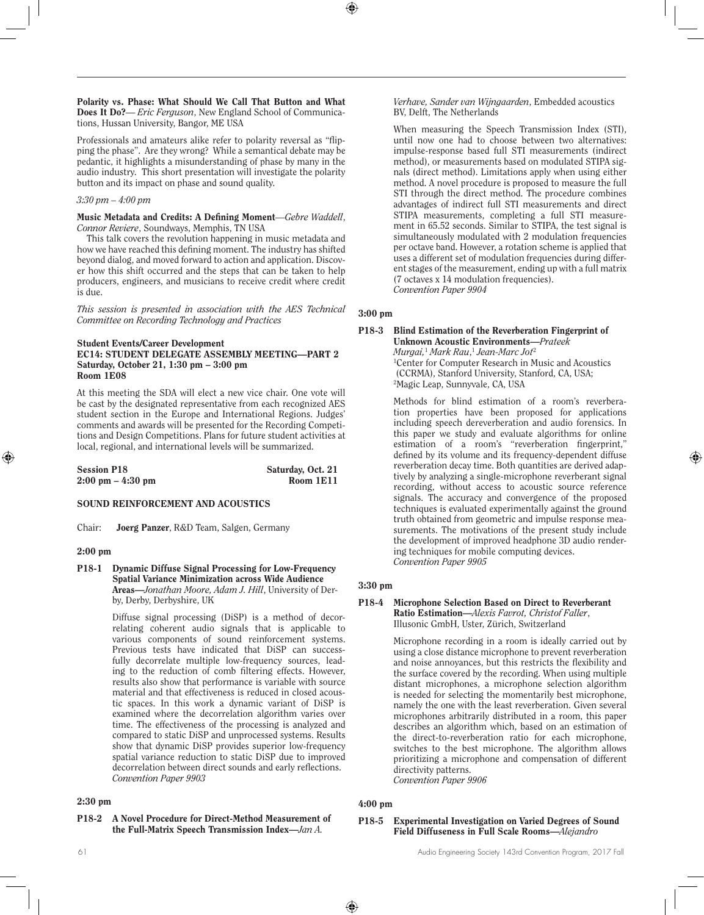Polarity vs. Phase: What Should We Call That Button and What Does It Do?**—** *Eric Ferguson*, New England School of Communications, Hussan University, Bangor, ME USA

Professionals and amateurs alike refer to polarity reversal as "flipping the phase". Are they wrong? While a semantical debate may be pedantic, it highlights a misunderstanding of phase by many in the audio industry. This short presentation will investigate the polarity button and its impact on phase and sound quality.

## *3:30 pm – 4:00 pm*

Music Metadata and Credits: A Defining Moment—*Gebre Waddell*, *Connor Reviere*, Soundways, Memphis, TN USA

This talk covers the revolution happening in music metadata and how we have reached this defining moment. The industry has shifted beyond dialog, and moved forward to action and application. Discover how this shift occurred and the steps that can be taken to help producers, engineers, and musicians to receive credit where credit is due.

*This session is presented in association with the AES Technical Committee on Recording Technology and Practices*

#### Student Events/Career Development EC14: STUDENT DELEGATE ASSEMBLY MEETING—PART 2 Saturday, October 21, 1:30 pm – 3:00 pm Room 1E08

At this meeting the SDA will elect a new vice chair. One vote will be cast by the designated representative from each recognized AES student section in the Europe and International Regions. Judges' comments and awards will be presented for the Recording Competitions and Design Competitions. Plans for future student activities at local, regional, and international levels will be summarized.

| <b>Session P18</b>                  | Saturday, Oct. 21 |
|-------------------------------------|-------------------|
| $2:00 \text{ pm} - 4:30 \text{ pm}$ | Room 1E11         |

#### SOUND REINFORCEMENT AND ACOUSTICS

Chair: Joerg Panzer, R&D Team, Salgen, Germany

#### 2:00 pm

P18-1 Dynamic Diffuse Signal Processing for Low-Frequency Spatial Variance Minimization across Wide Audience Areas—*Jonathan Moore, Adam J. Hill*, University of Derby, Derby, Derbyshire, UK

> Diffuse signal processing (DiSP) is a method of decorrelating coherent audio signals that is applicable to various components of sound reinforcement systems. Previous tests have indicated that DiSP can successfully decorrelate multiple low-frequency sources, leading to the reduction of comb filtering effects. However, results also show that performance is variable with source material and that effectiveness is reduced in closed acoustic spaces. In this work a dynamic variant of DiSP is examined where the decorrelation algorithm varies over time. The effectiveness of the processing is analyzed and compared to static DiSP and unprocessed systems. Results show that dynamic DiSP provides superior low-frequency spatial variance reduction to static DiSP due to improved decorrelation between direct sounds and early reflections. *Convention Paper 9903*

#### 2:30 pm

P18-2 A Novel Procedure for Direct-Method Measurement of the Full-Matrix Speech Transmission Index—*Jan A.* 

*Verhave, Sander van Wijngaarden*, Embedded acoustics BV, Delft, The Netherlands

When measuring the Speech Transmission Index (STI), until now one had to choose between two alternatives: impulse-response based full STI measurements (indirect method), or measurements based on modulated STIPA signals (direct method). Limitations apply when using either method. A novel procedure is proposed to measure the full STI through the direct method. The procedure combines advantages of indirect full STI measurements and direct STIPA measurements, completing a full STI measurement in 65.52 seconds. Similar to STIPA, the test signal is simultaneously modulated with 2 modulation frequencies per octave band. However, a rotation scheme is applied that uses a different set of modulation frequencies during different stages of the measurement, ending up with a full matrix (7 octaves x 14 modulation frequencies). *Convention Paper 9904* 

## 3:00 pm

#### P18-3 Blind Estimation of the Reverberation Fingerprint of Unknown Acoustic Environments—*Prateek Murgai,*<sup>1</sup>  *Mark Rau*, <sup>1</sup> *Jean-Marc Jot*<sup>2</sup> 1 Center for Computer Research in Music and Acoustics

 (CCRMA), Stanford University, Stanford, CA, USA; 2 Magic Leap, Sunnyvale, CA, USA

Methods for blind estimation of a room's reverberation properties have been proposed for applications including speech dereverberation and audio forensics. In this paper we study and evaluate algorithms for online estimation of a room's "reverberation fingerprint," defined by its volume and its frequency-dependent diffuse reverberation decay time. Both quantities are derived adaptively by analyzing a single-microphone reverberant signal recording, without access to acoustic source reference signals. The accuracy and convergence of the proposed techniques is evaluated experimentally against the ground truth obtained from geometric and impulse response measurements. The motivations of the present study include the development of improved headphone 3D audio rendering techniques for mobile computing devices. *Convention Paper 9905* 

## 3:30 pm

#### P18-4 Microphone Selection Based on Direct to Reverberant Ratio Estimation—*Alexis Favrot, Christof Faller*, Illusonic GmbH, Uster, Zürich, Switzerland

Microphone recording in a room is ideally carried out by using a close distance microphone to prevent reverberation and noise annoyances, but this restricts the flexibility and the surface covered by the recording. When using multiple distant microphones, a microphone selection algorithm is needed for selecting the momentarily best microphone, namely the one with the least reverberation. Given several microphones arbitrarily distributed in a room, this paper describes an algorithm which, based on an estimation of the direct-to-reverberation ratio for each microphone, switches to the best microphone. The algorithm allows prioritizing a microphone and compensation of different directivity patterns. *Convention Paper 9906* 

## 4:00 pm

P18-5 Experimental Investigation on Varied Degrees of Sound Field Diffuseness in Full Scale Rooms—*Alejandro*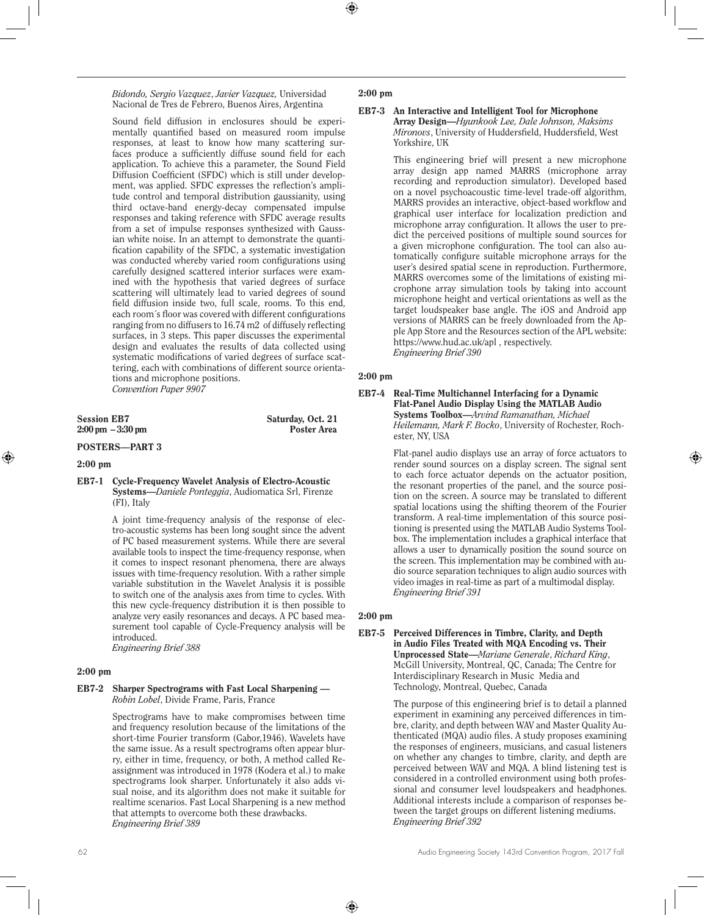*Bidondo, Sergio Vazquez*, *Javier Vazquez,* Universidad Nacional de Tres de Febrero, Buenos Aires, Argentina

Sound field diffusion in enclosures should be experimentally quantified based on measured room impulse responses, at least to know how many scattering surfaces produce a sufficiently diffuse sound field for each application. To achieve this a parameter, the Sound Field Diffusion Coefficient (SFDC) which is still under development, was applied. SFDC expresses the reflection's amplitude control and temporal distribution gaussianity, using third octave-band energy-decay compensated impulse responses and taking reference with SFDC average results from a set of impulse responses synthesized with Gaussian white noise. In an attempt to demonstrate the quantification capability of the SFDC, a systematic investigation was conducted whereby varied room configurations using carefully designed scattered interior surfaces were examined with the hypothesis that varied degrees of surface scattering will ultimately lead to varied degrees of sound field diffusion inside two, full scale, rooms. To this end, each room´s floor was covered with different configurations ranging from no diffusers to 16.74 m2 of diffusely reflecting surfaces, in 3 steps. This paper discusses the experimental design and evaluates the results of data collected using systematic modifications of varied degrees of surface scattering, each with combinations of different source orientations and microphone positions. *Convention Paper 9907* 

Session EB7 Saturday, Oct. 21<br>
2:00 pm - 3:30 pm Poster Area  $2:00 \text{ pm } -3:30 \text{ pm }$ 

## POSTERS—PART 3

## 2:00 pm

#### EB7-1 Cycle-Frequency Wavelet Analysis of Electro-Acoustic Systems—*Daniele Ponteggia*, Audiomatica Srl, Firenze (FI), Italy

A joint time-frequency analysis of the response of electro-acoustic systems has been long sought since the advent of PC based measurement systems. While there are several available tools to inspect the time-frequency response, when it comes to inspect resonant phenomena, there are always issues with time-frequency resolution. With a rather simple variable substitution in the Wavelet Analysis it is possible to switch one of the analysis axes from time to cycles. With this new cycle-frequency distribution it is then possible to analyze very easily resonances and decays. A PC based measurement tool capable of Cycle-Frequency analysis will be introduced. *Engineering Brief 388* 

## 2:00 pm

## EB7-2 Sharper Spectrograms with Fast Local Sharpening — *Robin Lobel*, Divide Frame, Paris, France

Spectrograms have to make compromises between time and frequency resolution because of the limitations of the short-time Fourier transform (Gabor,1946). Wavelets have the same issue. As a result spectrograms often appear blurry, either in time, frequency, or both, A method called Reassignment was introduced in 1978 (Kodera et al.) to make spectrograms look sharper. Unfortunately it also adds visual noise, and its algorithm does not make it suitable for realtime scenarios. Fast Local Sharpening is a new method that attempts to overcome both these drawbacks. *Engineering Brief 389* 

## 2:00 pm

## EB7-3 An Interactive and Intelligent Tool for Microphone

Array Design—*Hyunkook Lee, Dale Johnson, Maksims Mironovs*, University of Huddersfield, Huddersfield, West Yorkshire, UK

This engineering brief will present a new microphone array design app named MARRS (microphone array recording and reproduction simulator). Developed based on a novel psychoacoustic time-level trade-off algorithm, MARRS provides an interactive, object-based workflow and graphical user interface for localization prediction and microphone array configuration. It allows the user to predict the perceived positions of multiple sound sources for a given microphone configuration. The tool can also automatically configure suitable microphone arrays for the user's desired spatial scene in reproduction. Furthermore, MARRS overcomes some of the limitations of existing microphone array simulation tools by taking into account microphone height and vertical orientations as well as the target loudspeaker base angle. The iOS and Android app versions of MARRS can be freely downloaded from the Apple App Store and the Resources section of the APL website: https://www.hud.ac.uk/apl , respectively. *Engineering Brief 390* 

## 2:00 pm

#### EB7-4 Real-Time Multichannel Interfacing for a Dynamic Flat-Panel Audio Display Using the MATLAB Audio Systems Toolbox—*Arvind Ramanathan, Michael Heilemann, Mark F. Bocko*, University of Rochester, Rochester, NY, USA

Flat-panel audio displays use an array of force actuators to render sound sources on a display screen. The signal sent to each force actuator depends on the actuator position, the resonant properties of the panel, and the source position on the screen. A source may be translated to different spatial locations using the shifting theorem of the Fourier transform. A real-time implementation of this source positioning is presented using the MATLAB Audio Systems Toolbox. The implementation includes a graphical interface that allows a user to dynamically position the sound source on the screen. This implementation may be combined with audio source separation techniques to align audio sources with video images in real-time as part of a multimodal display. *Engineering Brief 391*

## 2:00 pm

#### EB7-5 Perceived Differences in Timbre, Clarity, and Depth in Audio Files Treated with MQA Encoding vs. Their Unprocessed State—*Mariane Generale*, *Richard King*, McGill University, Montreal, QC, Canada; The Centre for Interdisciplinary Research in Music Media and Technology, Montreal, Quebec, Canada

The purpose of this engineering brief is to detail a planned experiment in examining any perceived differences in timbre, clarity, and depth between WAV and Master Quality Authenticated (MQA) audio files. A study proposes examining the responses of engineers, musicians, and casual listeners on whether any changes to timbre, clarity, and depth are perceived between WAV and MQA. A blind listening test is considered in a controlled environment using both professional and consumer level loudspeakers and headphones. Additional interests include a comparison of responses between the target groups on different listening mediums. *Engineering Brief 392*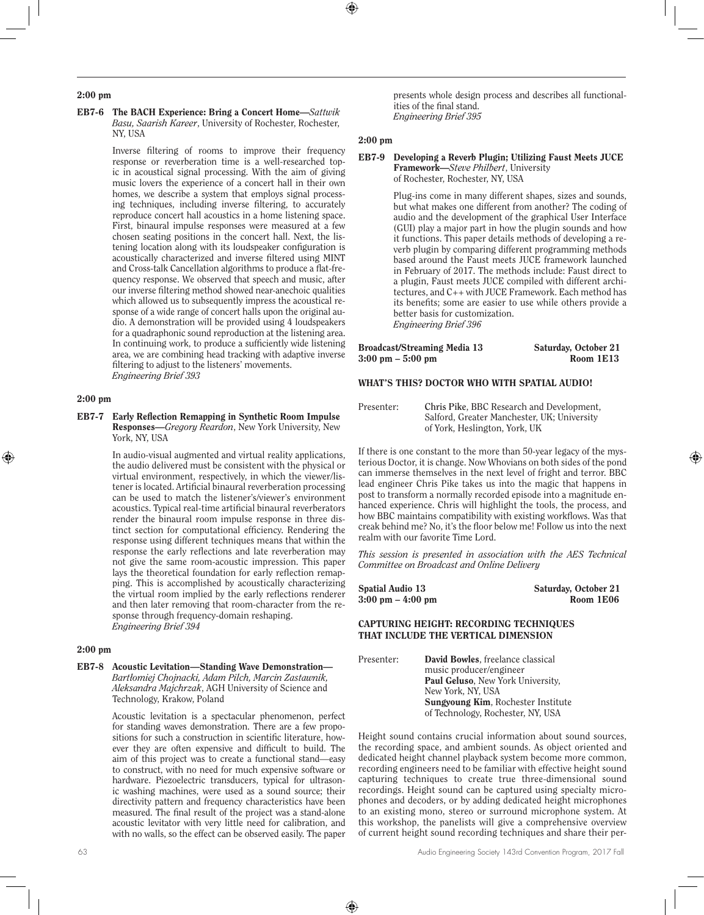#### 2:00 pm

#### EB7-6 The BACH Experience: Bring a Concert Home—*Sattwik Basu, Saarish Kareer*, University of Rochester, Rochester, NY, USA

Inverse filtering of rooms to improve their frequency response or reverberation time is a well-researched topic in acoustical signal processing. With the aim of giving music lovers the experience of a concert hall in their own homes, we describe a system that employs signal processing techniques, including inverse filtering, to accurately reproduce concert hall acoustics in a home listening space. First, binaural impulse responses were measured at a few chosen seating positions in the concert hall. Next, the listening location along with its loudspeaker configuration is acoustically characterized and inverse filtered using MINT and Cross-talk Cancellation algorithms to produce a flat-frequency response. We observed that speech and music, after our inverse filtering method showed near-anechoic qualities which allowed us to subsequently impress the acoustical response of a wide range of concert halls upon the original audio. A demonstration will be provided using 4 loudspeakers for a quadraphonic sound reproduction at the listening area. In continuing work, to produce a sufficiently wide listening area, we are combining head tracking with adaptive inverse filtering to adjust to the listeners' movements. *Engineering Brief 393* 

#### 2:00 pm

EB7-7 Early Reflection Remapping in Synthetic Room Impulse Responses—*Gregory Reardon*, New York University, New York, NY, USA

> In audio-visual augmented and virtual reality applications, the audio delivered must be consistent with the physical or virtual environment, respectively, in which the viewer/listener is located. Artificial binaural reverberation processing can be used to match the listener's/viewer's environment acoustics. Typical real-time artificial binaural reverberators render the binaural room impulse response in three distinct section for computational efficiency. Rendering the response using different techniques means that within the response the early reflections and late reverberation may not give the same room-acoustic impression. This paper lays the theoretical foundation for early reflection remapping. This is accomplished by acoustically characterizing the virtual room implied by the early reflections renderer and then later removing that room-character from the response through frequency-domain reshaping. *Engineering Brief 394*

## 2:00 pm

EB7-8 Acoustic Levitation—Standing Wave Demonstration— *Bartłomiej Chojnacki, Adam Pilch, Marcin Zastawnik, Aleksandra Majchrzak*, AGH University of Science and Technology, Krakow, Poland

> Acoustic levitation is a spectacular phenomenon, perfect for standing waves demonstration. There are a few propositions for such a construction in scientific literature, however they are often expensive and difficult to build. The aim of this project was to create a functional stand—easy to construct, with no need for much expensive software or hardware. Piezoelectric transducers, typical for ultrasonic washing machines, were used as a sound source; their directivity pattern and frequency characteristics have been measured. The final result of the project was a stand-alone acoustic levitator with very little need for calibration, and with no walls, so the effect can be observed easily. The paper

#### 2:00 pm

## EB7-9 Developing a Reverb Plugin; Utilizing Faust Meets JUCE Framework—*Steve Philbert*, University

of Rochester, Rochester, NY, USA

Plug-ins come in many different shapes, sizes and sounds, but what makes one different from another? The coding of audio and the development of the graphical User Interface (GUI) play a major part in how the plugin sounds and how it functions. This paper details methods of developing a reverb plugin by comparing different programming methods based around the Faust meets JUCE framework launched in February of 2017. The methods include: Faust direct to a plugin, Faust meets JUCE compiled with different architectures, and C++ with JUCE Framework. Each method has its benefits; some are easier to use while others provide a better basis for customization. *Engineering Brief 396* 

| Broadcast/Streaming Media 13        | Saturday, October 21 |
|-------------------------------------|----------------------|
| $3:00 \text{ pm} - 5:00 \text{ pm}$ | Room 1E13            |

#### WHAT'S THIS? DOCTOR WHO WITH SPATIAL AUDIO!

Presenter: **Chris Pike**, BBC Research and Development, Salford, Greater Manchester, UK; University of York, Heslington, York, UK

If there is one constant to the more than 50-year legacy of the mysterious Doctor, it is change. Now Whovians on both sides of the pond can immerse themselves in the next level of fright and terror. BBC lead engineer Chris Pike takes us into the magic that happens in post to transform a normally recorded episode into a magnitude enhanced experience. Chris will highlight the tools, the process, and how BBC maintains compatibility with existing workflows. Was that creak behind me? No, it's the floor below me! Follow us into the next realm with our favorite Time Lord.

*This session is presented in association with the AES Technical Committee on Broadcast and Online Delivery*

| <b>Spatial Audio 13</b>             | Saturday, October 21 |
|-------------------------------------|----------------------|
| $3:00 \text{ pm} - 4:00 \text{ pm}$ | Room 1E06            |

#### CAPTURING HEIGHT: RECORDING TECHNIQUES THAT INCLUDE THE VERTICAL DIMENSION

Presenter: David Bowles, freelance classical music producer/engineer Paul Geluso, New York University, New York, NY, USA Sungyoung Kim, Rochester Institute of Technology, Rochester, NY, USA

Height sound contains crucial information about sound sources, the recording space, and ambient sounds. As object oriented and dedicated height channel playback system become more common, recording engineers need to be familiar with effective height sound capturing techniques to create true three-dimensional sound recordings. Height sound can be captured using specialty microphones and decoders, or by adding dedicated height microphones to an existing mono, stereo or surround microphone system. At this workshop, the panelists will give a comprehensive overview of current height sound recording techniques and share their per